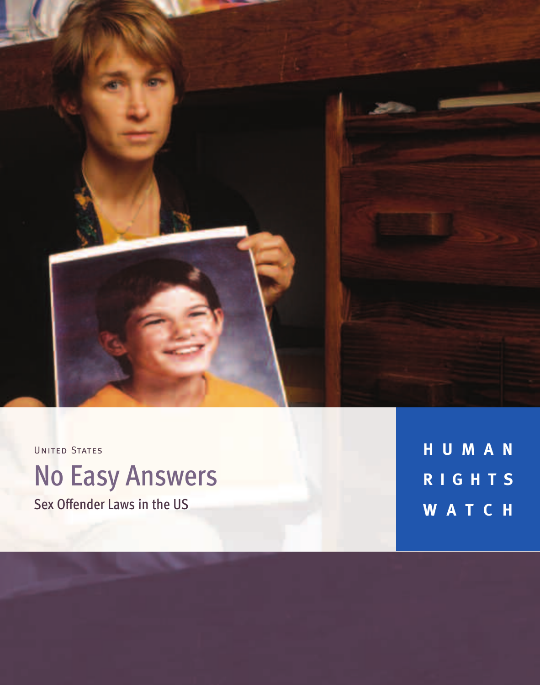

UNITED STATES

# No Easy Answers Sex Offender Laws in the US

**H U M A N R I G H T S W A T C H**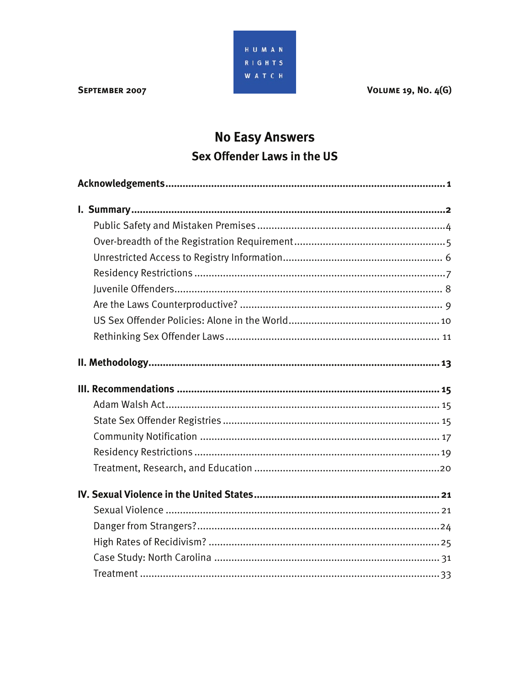**VOLUME 19, NO. 4(G)** 



#### SEPTEMBER 2007

## **No Easy Answers** Sex Offender Laws in the US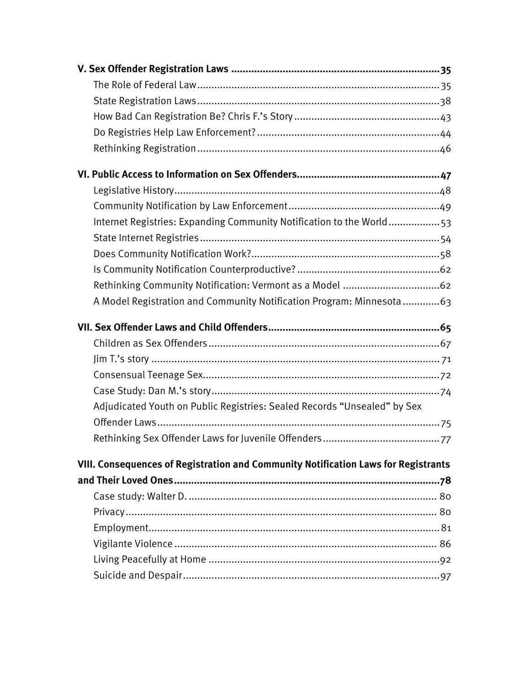| Internet Registries: Expanding Community Notification to the World53               |  |
|------------------------------------------------------------------------------------|--|
|                                                                                    |  |
|                                                                                    |  |
|                                                                                    |  |
|                                                                                    |  |
| A Model Registration and Community Notification Program: Minnesota63               |  |
|                                                                                    |  |
|                                                                                    |  |
|                                                                                    |  |
|                                                                                    |  |
|                                                                                    |  |
| Adjudicated Youth on Public Registries: Sealed Records "Unsealed" by Sex           |  |
|                                                                                    |  |
|                                                                                    |  |
| VIII. Consequences of Registration and Community Notification Laws for Registrants |  |
|                                                                                    |  |
|                                                                                    |  |
|                                                                                    |  |
|                                                                                    |  |
|                                                                                    |  |
|                                                                                    |  |
|                                                                                    |  |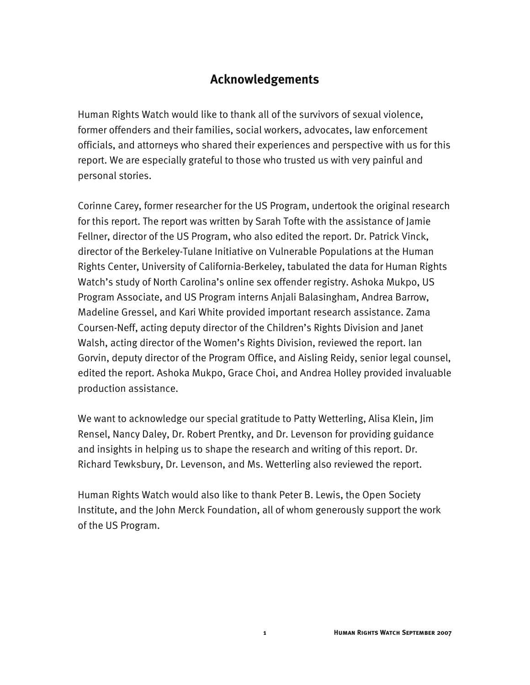## **Acknowledgements**

Human Rights Watch would like to thank all of the survivors of sexual violence, former offenders and their families, social workers, advocates, law enforcement officials, and attorneys who shared their experiences and perspective with us for this report. We are especially grateful to those who trusted us with very painful and personal stories.

Corinne Carey, former researcher for the US Program, undertook the original research for this report. The report was written by Sarah Tofte with the assistance of Jamie Fellner, director of the US Program, who also edited the report. Dr. Patrick Vinck, director of the Berkeley-Tulane Initiative on Vulnerable Populations at the Human Rights Center, University of California-Berkeley, tabulated the data for Human Rights Watch's study of North Carolina's online sex offender registry. Ashoka Mukpo, US Program Associate, and US Program interns Anjali Balasingham, Andrea Barrow, Madeline Gressel, and Kari White provided important research assistance. Zama Coursen-Neff, acting deputy director of the Children's Rights Division and Janet Walsh, acting director of the Women's Rights Division, reviewed the report. Ian Gorvin, deputy director of the Program Office, and Aisling Reidy, senior legal counsel, edited the report. Ashoka Mukpo, Grace Choi, and Andrea Holley provided invaluable production assistance.

We want to acknowledge our special gratitude to Patty Wetterling, Alisa Klein, Jim Rensel, Nancy Daley, Dr. Robert Prentky, and Dr. Levenson for providing guidance and insights in helping us to shape the research and writing of this report. Dr. Richard Tewksbury, Dr. Levenson, and Ms. Wetterling also reviewed the report.

Human Rights Watch would also like to thank Peter B. Lewis, the Open Society Institute, and the John Merck Foundation, all of whom generously support the work of the US Program.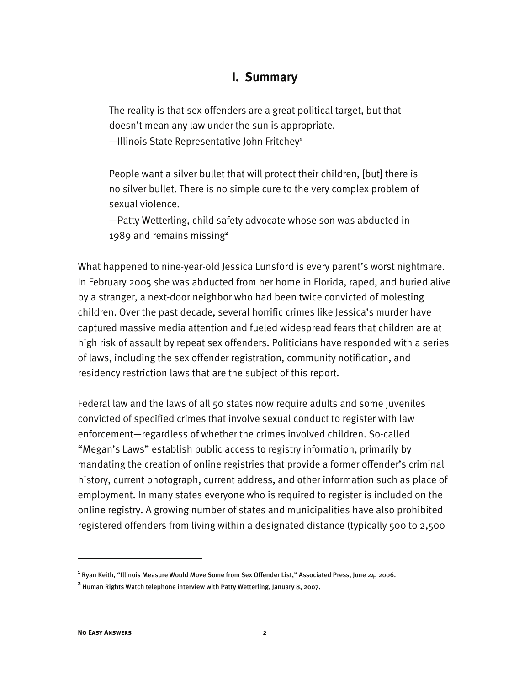### **I. Summary**

The reality is that sex offenders are a great political target, but that doesn't mean any law under the sun is appropriate.

—Illinois State Representative John Fritchey**<sup>1</sup>**

People want a silver bullet that will protect their children, [but] there is no silver bullet. There is no simple cure to the very complex problem of sexual violence.

—Patty Wetterling, child safety advocate whose son was abducted in 1989 and remains missing**<sup>2</sup>**

What happened to nine-year-old Jessica Lunsford is every parent's worst nightmare. In February 2005 she was abducted from her home in Florida, raped, and buried alive by a stranger, a next-door neighbor who had been twice convicted of molesting children. Over the past decade, several horrific crimes like Jessica's murder have captured massive media attention and fueled widespread fears that children are at high risk of assault by repeat sex offenders. Politicians have responded with a series of laws, including the sex offender registration, community notification, and residency restriction laws that are the subject of this report.

Federal law and the laws of all 50 states now require adults and some juveniles convicted of specified crimes that involve sexual conduct to register with law enforcement—regardless of whether the crimes involved children. So-called "Megan's Laws" establish public access to registry information, primarily by mandating the creation of online registries that provide a former offender's criminal history, current photograph, current address, and other information such as place of employment. In many states everyone who is required to register is included on the online registry. A growing number of states and municipalities have also prohibited registered offenders from living within a designated distance (typically 500 to 2,500

**1** Ryan Keith, "Illinois Measure Would Move Some from Sex Offender List," Associated Press, June 24, 2006. **2** Human Rights Watch telephone interview with Patty Wetterling, January 8, 2007.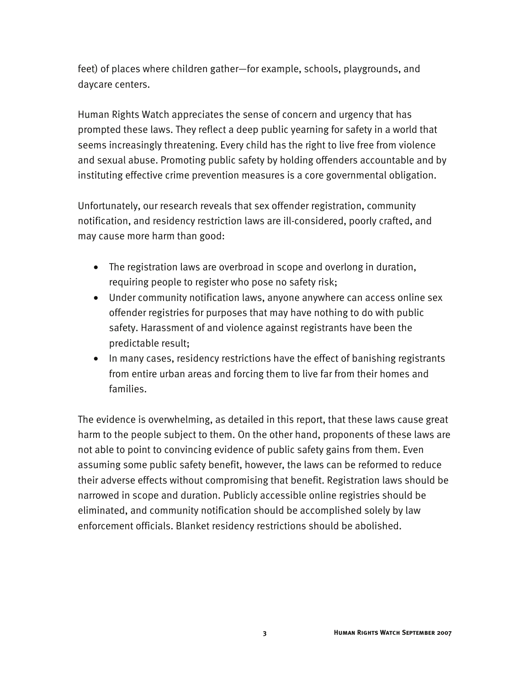feet) of places where children gather—for example, schools, playgrounds, and daycare centers.

Human Rights Watch appreciates the sense of concern and urgency that has prompted these laws. They reflect a deep public yearning for safety in a world that seems increasingly threatening. Every child has the right to live free from violence and sexual abuse. Promoting public safety by holding offenders accountable and by instituting effective crime prevention measures is a core governmental obligation.

Unfortunately, our research reveals that sex offender registration, community notification, and residency restriction laws are ill-considered, poorly crafted, and may cause more harm than good:

- The registration laws are overbroad in scope and overlong in duration, requiring people to register who pose no safety risk;
- Under community notification laws, anyone anywhere can access online sex offender registries for purposes that may have nothing to do with public safety. Harassment of and violence against registrants have been the predictable result;
- In many cases, residency restrictions have the effect of banishing registrants from entire urban areas and forcing them to live far from their homes and families.

The evidence is overwhelming, as detailed in this report, that these laws cause great harm to the people subject to them. On the other hand, proponents of these laws are not able to point to convincing evidence of public safety gains from them. Even assuming some public safety benefit, however, the laws can be reformed to reduce their adverse effects without compromising that benefit. Registration laws should be narrowed in scope and duration. Publicly accessible online registries should be eliminated, and community notification should be accomplished solely by law enforcement officials. Blanket residency restrictions should be abolished.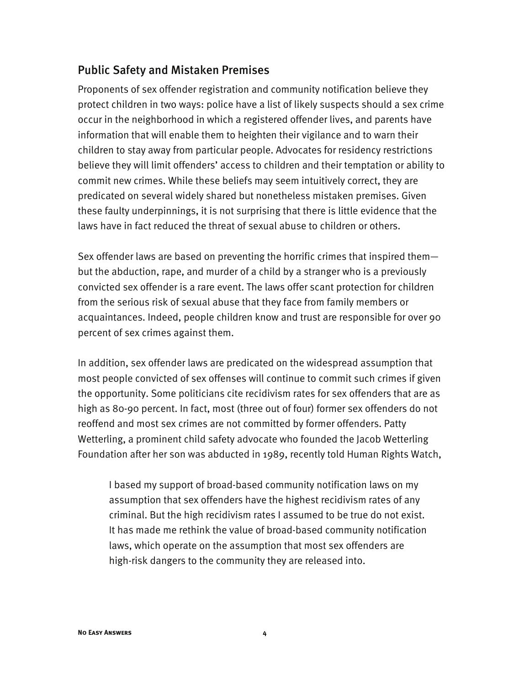## Public Safety and Mistaken Premises

Proponents of sex offender registration and community notification believe they protect children in two ways: police have a list of likely suspects should a sex crime occur in the neighborhood in which a registered offender lives, and parents have information that will enable them to heighten their vigilance and to warn their children to stay away from particular people. Advocates for residency restrictions believe they will limit offenders' access to children and their temptation or ability to commit new crimes. While these beliefs may seem intuitively correct, they are predicated on several widely shared but nonetheless mistaken premises. Given these faulty underpinnings, it is not surprising that there is little evidence that the laws have in fact reduced the threat of sexual abuse to children or others.

Sex offender laws are based on preventing the horrific crimes that inspired them but the abduction, rape, and murder of a child by a stranger who is a previously convicted sex offender is a rare event. The laws offer scant protection for children from the serious risk of sexual abuse that they face from family members or acquaintances. Indeed, people children know and trust are responsible for over 90 percent of sex crimes against them.

In addition, sex offender laws are predicated on the widespread assumption that most people convicted of sex offenses will continue to commit such crimes if given the opportunity. Some politicians cite recidivism rates for sex offenders that are as high as 80-90 percent. In fact, most (three out of four) former sex offenders do not reoffend and most sex crimes are not committed by former offenders. Patty Wetterling, a prominent child safety advocate who founded the Jacob Wetterling Foundation after her son was abducted in 1989, recently told Human Rights Watch,

I based my support of broad-based community notification laws on my assumption that sex offenders have the highest recidivism rates of any criminal. But the high recidivism rates I assumed to be true do not exist. It has made me rethink the value of broad-based community notification laws, which operate on the assumption that most sex offenders are high-risk dangers to the community they are released into.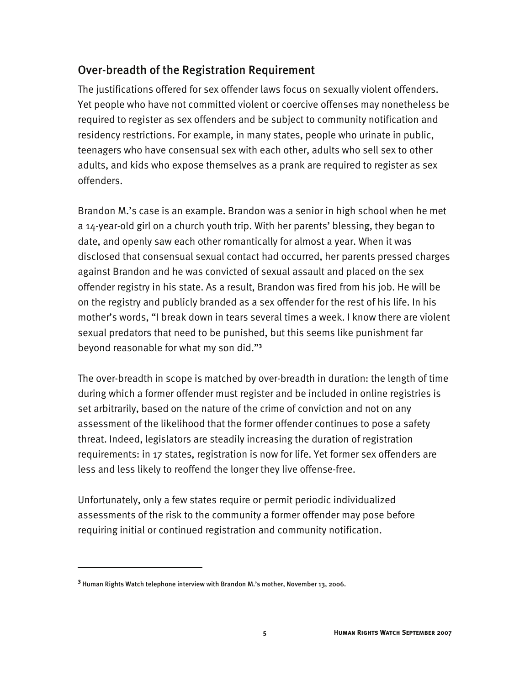## Over-breadth of the Registration Requirement

The justifications offered for sex offender laws focus on sexually violent offenders. Yet people who have not committed violent or coercive offenses may nonetheless be required to register as sex offenders and be subject to community notification and residency restrictions. For example, in many states, people who urinate in public, teenagers who have consensual sex with each other, adults who sell sex to other adults, and kids who expose themselves as a prank are required to register as sex offenders.

Brandon M.'s case is an example. Brandon was a senior in high school when he met a 14-year-old girl on a church youth trip. With her parents' blessing, they began to date, and openly saw each other romantically for almost a year. When it was disclosed that consensual sexual contact had occurred, her parents pressed charges against Brandon and he was convicted of sexual assault and placed on the sex offender registry in his state. As a result, Brandon was fired from his job. He will be on the registry and publicly branded as a sex offender for the rest of his life. In his mother's words, "I break down in tears several times a week. I know there are violent sexual predators that need to be punished, but this seems like punishment far beyond reasonable for what my son did."**<sup>3</sup>**

The over-breadth in scope is matched by over-breadth in duration: the length of time during which a former offender must register and be included in online registries is set arbitrarily, based on the nature of the crime of conviction and not on any assessment of the likelihood that the former offender continues to pose a safety threat. Indeed, legislators are steadily increasing the duration of registration requirements: in 17 states, registration is now for life. Yet former sex offenders are less and less likely to reoffend the longer they live offense-free.

Unfortunately, only a few states require or permit periodic individualized assessments of the risk to the community a former offender may pose before requiring initial or continued registration and community notification.

**<sup>3</sup>** Human Rights Watch telephone interview with Brandon M.'s mother, November 13, 2006.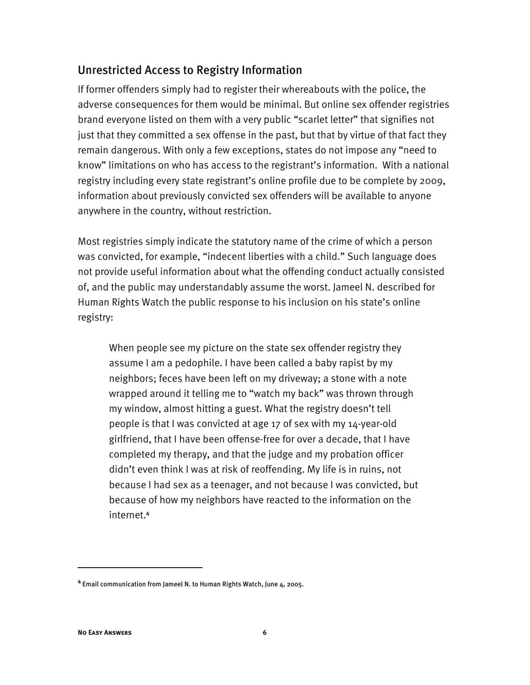### Unrestricted Access to Registry Information

If former offenders simply had to register their whereabouts with the police, the adverse consequences for them would be minimal. But online sex offender registries brand everyone listed on them with a very public "scarlet letter" that signifies not just that they committed a sex offense in the past, but that by virtue of that fact they remain dangerous. With only a few exceptions, states do not impose any "need to know" limitations on who has access to the registrant's information. With a national registry including every state registrant's online profile due to be complete by 2009, information about previously convicted sex offenders will be available to anyone anywhere in the country, without restriction.

Most registries simply indicate the statutory name of the crime of which a person was convicted, for example, "indecent liberties with a child." Such language does not provide useful information about what the offending conduct actually consisted of, and the public may understandably assume the worst. Jameel N. described for Human Rights Watch the public response to his inclusion on his state's online registry:

When people see my picture on the state sex offender registry they assume I am a pedophile. I have been called a baby rapist by my neighbors; feces have been left on my driveway; a stone with a note wrapped around it telling me to "watch my back" was thrown through my window, almost hitting a guest. What the registry doesn't tell people is that I was convicted at age 17 of sex with my 14-year-old girlfriend, that I have been offense-free for over a decade, that I have completed my therapy, and that the judge and my probation officer didn't even think I was at risk of reoffending. My life is in ruins, not because I had sex as a teenager, and not because I was convicted, but because of how my neighbors have reacted to the information on the internet.**<sup>4</sup>**

**<sup>4</sup>** Email communication from Jameel N. to Human Rights Watch, June 4, 2005.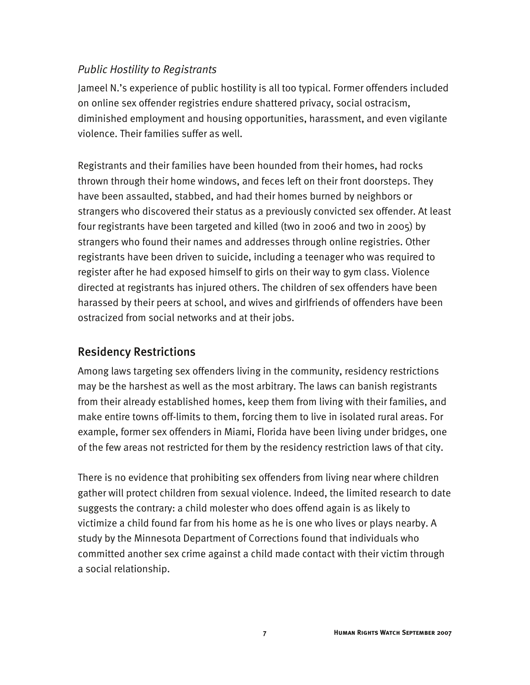#### *Public Hostility to Registrants*

Jameel N.'s experience of public hostility is all too typical. Former offenders included on online sex offender registries endure shattered privacy, social ostracism, diminished employment and housing opportunities, harassment, and even vigilante violence. Their families suffer as well.

Registrants and their families have been hounded from their homes, had rocks thrown through their home windows, and feces left on their front doorsteps. They have been assaulted, stabbed, and had their homes burned by neighbors or strangers who discovered their status as a previously convicted sex offender. At least four registrants have been targeted and killed (two in 2006 and two in 2005) by strangers who found their names and addresses through online registries. Other registrants have been driven to suicide, including a teenager who was required to register after he had exposed himself to girls on their way to gym class. Violence directed at registrants has injured others. The children of sex offenders have been harassed by their peers at school, and wives and girlfriends of offenders have been ostracized from social networks and at their jobs.

## Residency Restrictions

Among laws targeting sex offenders living in the community, residency restrictions may be the harshest as well as the most arbitrary. The laws can banish registrants from their already established homes, keep them from living with their families, and make entire towns off-limits to them, forcing them to live in isolated rural areas. For example, former sex offenders in Miami, Florida have been living under bridges, one of the few areas not restricted for them by the residency restriction laws of that city.

There is no evidence that prohibiting sex offenders from living near where children gather will protect children from sexual violence. Indeed, the limited research to date suggests the contrary: a child molester who does offend again is as likely to victimize a child found far from his home as he is one who lives or plays nearby. A study by the Minnesota Department of Corrections found that individuals who committed another sex crime against a child made contact with their victim through a social relationship.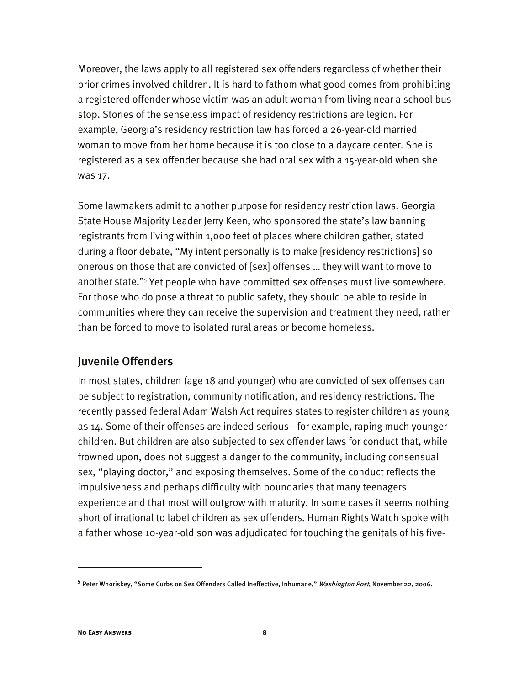Moreover, the laws apply to all registered sex offenders regardless of whether their prior crimes involved children. It is hard to fathom what good comes from prohibiting a registered offender whose victim was an adult woman from living near a school bus stop. Stories of the senseless impact of residency restrictions are legion. For example, Georgia's residency restriction law has forced a 26-year-old married woman to move from her home because it is too close to a daycare center. She is registered as a sex offender because she had oral sex with a 15-year-old when she was 17.

Some lawmakers admit to another purpose for residency restriction laws. Georgia State House Majority Leader Jerry Keen, who sponsored the state's law banning registrants from living within 1,000 feet of places where children gather, stated during a floor debate, "My intent personally is to make [residency restrictions] so onerous on those that are convicted of [sex] offenses … they will want to move to another state."<sup>5</sup> Yet people who have committed sex offenses must live somewhere. For those who do pose a threat to public safety, they should be able to reside in communities where they can receive the supervision and treatment they need, rather than be forced to move to isolated rural areas or become homeless.

#### Juvenile Offenders

In most states, children (age 18 and younger) who are convicted of sex offenses can be subject to registration, community notification, and residency restrictions. The recently passed federal Adam Walsh Act requires states to register children as young as 14. Some of their offenses are indeed serious—for example, raping much younger children. But children are also subjected to sex offender laws for conduct that, while frowned upon, does not suggest a danger to the community, including consensual sex, "playing doctor," and exposing themselves. Some of the conduct reflects the impulsiveness and perhaps difficulty with boundaries that many teenagers experience and that most will outgrow with maturity. In some cases it seems nothing short of irrational to label children as sex offenders. Human Rights Watch spoke with a father whose 10-year-old son was adjudicated for touching the genitals of his five-

<sup>&</sup>lt;sup>5</sup> Peter Whoriskey, "Some Curbs on Sex Offenders Called Ineffective, Inhumane," *Washington Post*, November 22, 2006.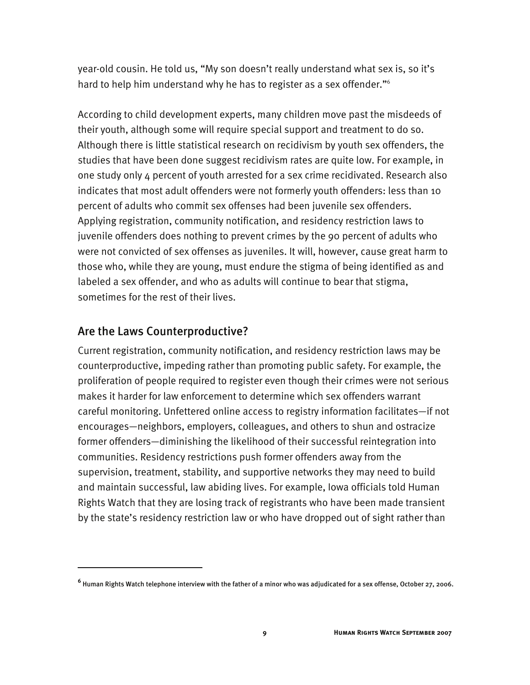year-old cousin. He told us, "My son doesn't really understand what sex is, so it's hard to help him understand why he has to register as a sex offender."<sup>6</sup>

According to child development experts, many children move past the misdeeds of their youth, although some will require special support and treatment to do so. Although there is little statistical research on recidivism by youth sex offenders, the studies that have been done suggest recidivism rates are quite low. For example, in one study only 4 percent of youth arrested for a sex crime recidivated. Research also indicates that most adult offenders were not formerly youth offenders: less than 10 percent of adults who commit sex offenses had been juvenile sex offenders. Applying registration, community notification, and residency restriction laws to juvenile offenders does nothing to prevent crimes by the 90 percent of adults who were not convicted of sex offenses as juveniles. It will, however, cause great harm to those who, while they are young, must endure the stigma of being identified as and labeled a sex offender, and who as adults will continue to bear that stigma, sometimes for the rest of their lives.

#### Are the Laws Counterproductive?

I

Current registration, community notification, and residency restriction laws may be counterproductive, impeding rather than promoting public safety. For example, the proliferation of people required to register even though their crimes were not serious makes it harder for law enforcement to determine which sex offenders warrant careful monitoring. Unfettered online access to registry information facilitates—if not encourages—neighbors, employers, colleagues, and others to shun and ostracize former offenders—diminishing the likelihood of their successful reintegration into communities. Residency restrictions push former offenders away from the supervision, treatment, stability, and supportive networks they may need to build and maintain successful, law abiding lives. For example, Iowa officials told Human Rights Watch that they are losing track of registrants who have been made transient by the state's residency restriction law or who have dropped out of sight rather than

**<sup>6</sup>** Human Rights Watch telephone interview with the father of a minor who was adjudicated for a sex offense, October 27, 2006.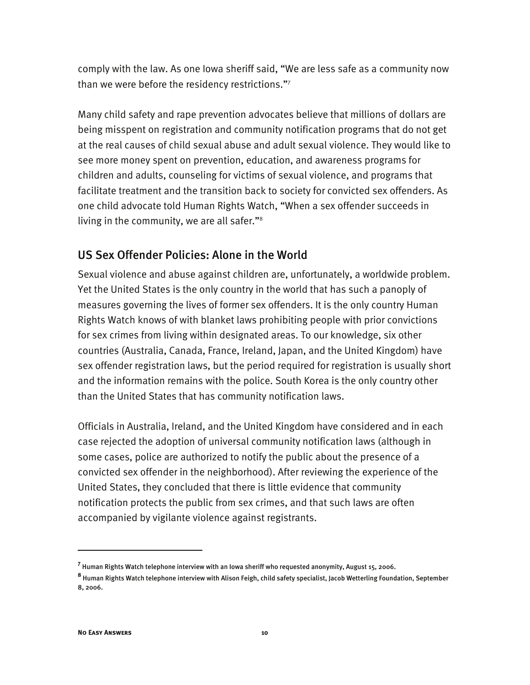comply with the law. As one Iowa sheriff said, "We are less safe as a community now than we were before the residency restrictions."7

Many child safety and rape prevention advocates believe that millions of dollars are being misspent on registration and community notification programs that do not get at the real causes of child sexual abuse and adult sexual violence. They would like to see more money spent on prevention, education, and awareness programs for children and adults, counseling for victims of sexual violence, and programs that facilitate treatment and the transition back to society for convicted sex offenders. As one child advocate told Human Rights Watch, "When a sex offender succeeds in living in the community, we are all safer."8

#### US Sex Offender Policies: Alone in the World

Sexual violence and abuse against children are, unfortunately, a worldwide problem. Yet the United States is the only country in the world that has such a panoply of measures governing the lives of former sex offenders. It is the only country Human Rights Watch knows of with blanket laws prohibiting people with prior convictions for sex crimes from living within designated areas. To our knowledge, six other countries (Australia, Canada, France, Ireland, Japan, and the United Kingdom) have sex offender registration laws, but the period required for registration is usually short and the information remains with the police. South Korea is the only country other than the United States that has community notification laws.

Officials in Australia, Ireland, and the United Kingdom have considered and in each case rejected the adoption of universal community notification laws (although in some cases, police are authorized to notify the public about the presence of a convicted sex offender in the neighborhood). After reviewing the experience of the United States, they concluded that there is little evidence that community notification protects the public from sex crimes, and that such laws are often accompanied by vigilante violence against registrants.

**<sup>7</sup>** Human Rights Watch telephone interview with an Iowa sheriff who requested anonymity, August 15, 2006.

**<sup>8</sup>** Human Rights Watch telephone interview with Alison Feigh, child safety specialist, Jacob Wetterling Foundation, September 8, 2006.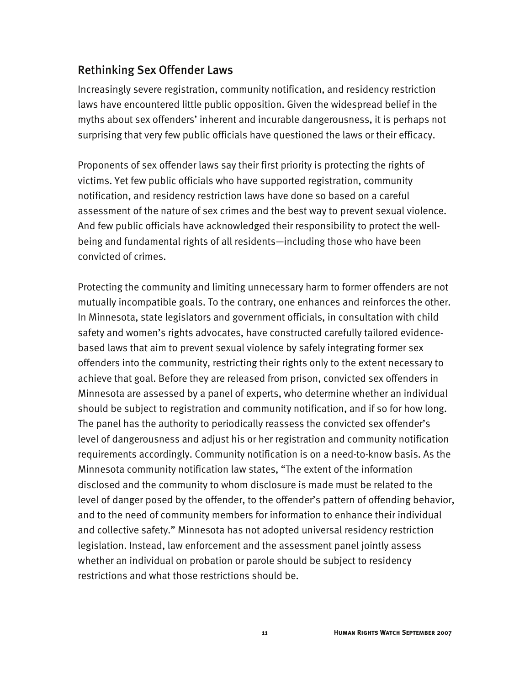## Rethinking Sex Offender Laws

Increasingly severe registration, community notification, and residency restriction laws have encountered little public opposition. Given the widespread belief in the myths about sex offenders' inherent and incurable dangerousness, it is perhaps not surprising that very few public officials have questioned the laws or their efficacy.

Proponents of sex offender laws say their first priority is protecting the rights of victims. Yet few public officials who have supported registration, community notification, and residency restriction laws have done so based on a careful assessment of the nature of sex crimes and the best way to prevent sexual violence. And few public officials have acknowledged their responsibility to protect the wellbeing and fundamental rights of all residents—including those who have been convicted of crimes.

Protecting the community and limiting unnecessary harm to former offenders are not mutually incompatible goals. To the contrary, one enhances and reinforces the other. In Minnesota, state legislators and government officials, in consultation with child safety and women's rights advocates, have constructed carefully tailored evidencebased laws that aim to prevent sexual violence by safely integrating former sex offenders into the community, restricting their rights only to the extent necessary to achieve that goal. Before they are released from prison, convicted sex offenders in Minnesota are assessed by a panel of experts, who determine whether an individual should be subject to registration and community notification, and if so for how long. The panel has the authority to periodically reassess the convicted sex offender's level of dangerousness and adjust his or her registration and community notification requirements accordingly. Community notification is on a need-to-know basis. As the Minnesota community notification law states, "The extent of the information disclosed and the community to whom disclosure is made must be related to the level of danger posed by the offender, to the offender's pattern of offending behavior, and to the need of community members for information to enhance their individual and collective safety." Minnesota has not adopted universal residency restriction legislation. Instead, law enforcement and the assessment panel jointly assess whether an individual on probation or parole should be subject to residency restrictions and what those restrictions should be.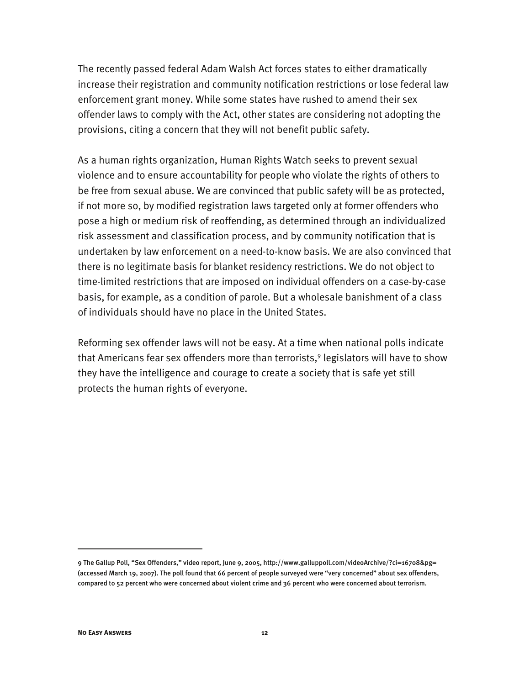The recently passed federal Adam Walsh Act forces states to either dramatically increase their registration and community notification restrictions or lose federal law enforcement grant money. While some states have rushed to amend their sex offender laws to comply with the Act, other states are considering not adopting the provisions, citing a concern that they will not benefit public safety.

As a human rights organization, Human Rights Watch seeks to prevent sexual violence and to ensure accountability for people who violate the rights of others to be free from sexual abuse. We are convinced that public safety will be as protected, if not more so, by modified registration laws targeted only at former offenders who pose a high or medium risk of reoffending, as determined through an individualized risk assessment and classification process, and by community notification that is undertaken by law enforcement on a need-to-know basis. We are also convinced that there is no legitimate basis for blanket residency restrictions. We do not object to time-limited restrictions that are imposed on individual offenders on a case-by-case basis, for example, as a condition of parole. But a wholesale banishment of a class of individuals should have no place in the United States.

Reforming sex offender laws will not be easy. At a time when national polls indicate that Americans fear sex offenders more than terrorists,<sup>9</sup> legislators will have to show they have the intelligence and courage to create a society that is safe yet still protects the human rights of everyone.

<sup>9</sup> The Gallup Poll, "Sex Offenders," video report, June 9, 2005, http://www.galluppoll.com/videoArchive/?ci=16708&pg= (accessed March 19, 2007). The poll found that 66 percent of people surveyed were "very concerned" about sex offenders, compared to 52 percent who were concerned about violent crime and 36 percent who were concerned about terrorism.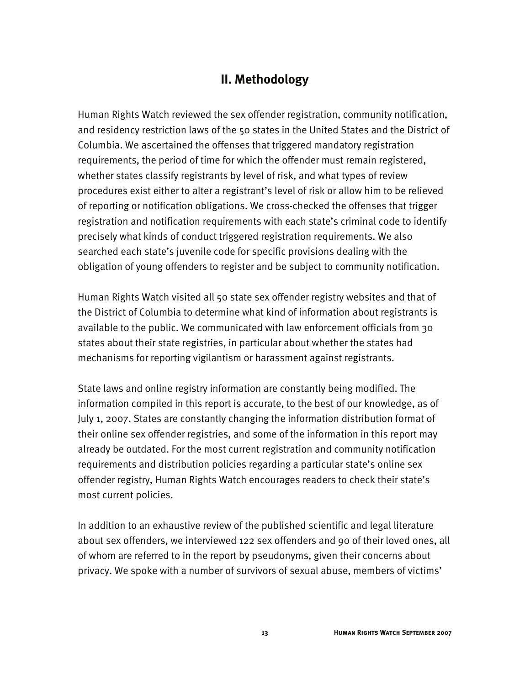## **II. Methodology**

Human Rights Watch reviewed the sex offender registration, community notification, and residency restriction laws of the 50 states in the United States and the District of Columbia. We ascertained the offenses that triggered mandatory registration requirements, the period of time for which the offender must remain registered, whether states classify registrants by level of risk, and what types of review procedures exist either to alter a registrant's level of risk or allow him to be relieved of reporting or notification obligations. We cross-checked the offenses that trigger registration and notification requirements with each state's criminal code to identify precisely what kinds of conduct triggered registration requirements. We also searched each state's juvenile code for specific provisions dealing with the obligation of young offenders to register and be subject to community notification.

Human Rights Watch visited all 50 state sex offender registry websites and that of the District of Columbia to determine what kind of information about registrants is available to the public. We communicated with law enforcement officials from 30 states about their state registries, in particular about whether the states had mechanisms for reporting vigilantism or harassment against registrants.

State laws and online registry information are constantly being modified. The information compiled in this report is accurate, to the best of our knowledge, as of July 1, 2007. States are constantly changing the information distribution format of their online sex offender registries, and some of the information in this report may already be outdated. For the most current registration and community notification requirements and distribution policies regarding a particular state's online sex offender registry, Human Rights Watch encourages readers to check their state's most current policies.

In addition to an exhaustive review of the published scientific and legal literature about sex offenders, we interviewed 122 sex offenders and 90 of their loved ones, all of whom are referred to in the report by pseudonyms, given their concerns about privacy. We spoke with a number of survivors of sexual abuse, members of victims'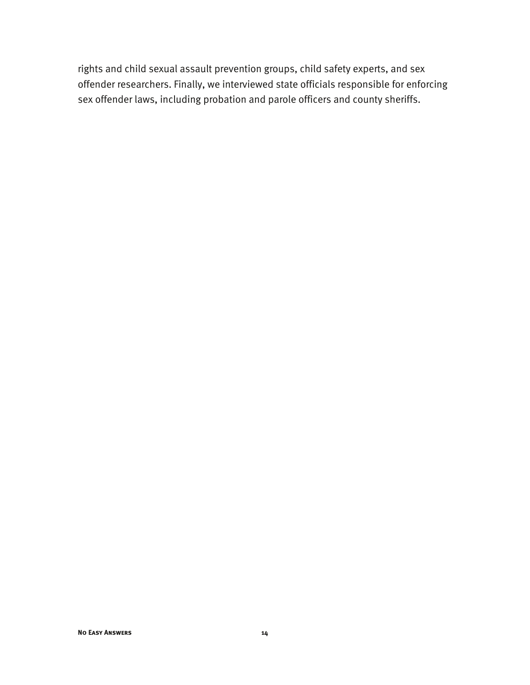rights and child sexual assault prevention groups, child safety experts, and sex offender researchers. Finally, we interviewed state officials responsible for enforcing sex offender laws, including probation and parole officers and county sheriffs.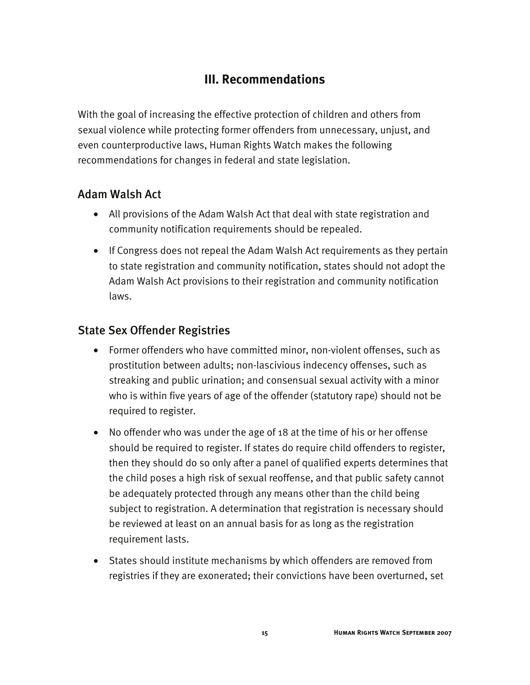## **III. Recommendations**

With the goal of increasing the effective protection of children and others from sexual violence while protecting former offenders from unnecessary, unjust, and even counterproductive laws, Human Rights Watch makes the following recommendations for changes in federal and state legislation.

## Adam Walsh Act

- All provisions of the Adam Walsh Act that deal with state registration and community notification requirements should be repealed.
- If Congress does not repeal the Adam Walsh Act requirements as they pertain to state registration and community notification, states should not adopt the Adam Walsh Act provisions to their registration and community notification laws.

## State Sex Offender Registries

- Former offenders who have committed minor, non-violent offenses, such as prostitution between adults; non-lascivious indecency offenses, such as streaking and public urination; and consensual sexual activity with a minor who is within five years of age of the offender (statutory rape) should not be required to register.
- No offender who was under the age of 18 at the time of his or her offense should be required to register. If states do require child offenders to register, then they should do so only after a panel of qualified experts determines that the child poses a high risk of sexual reoffense, and that public safety cannot be adequately protected through any means other than the child being subject to registration. A determination that registration is necessary should be reviewed at least on an annual basis for as long as the registration requirement lasts.
- States should institute mechanisms by which offenders are removed from registries if they are exonerated; their convictions have been overturned, set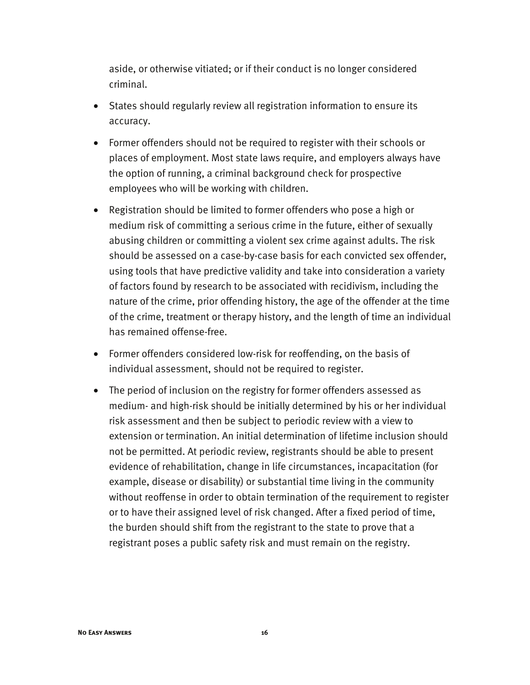aside, or otherwise vitiated; or if their conduct is no longer considered criminal.

- States should regularly review all registration information to ensure its accuracy.
- Former offenders should not be required to register with their schools or places of employment. Most state laws require, and employers always have the option of running, a criminal background check for prospective employees who will be working with children.
- Registration should be limited to former offenders who pose a high or medium risk of committing a serious crime in the future, either of sexually abusing children or committing a violent sex crime against adults. The risk should be assessed on a case-by-case basis for each convicted sex offender, using tools that have predictive validity and take into consideration a variety of factors found by research to be associated with recidivism, including the nature of the crime, prior offending history, the age of the offender at the time of the crime, treatment or therapy history, and the length of time an individual has remained offense-free.
- Former offenders considered low-risk for reoffending, on the basis of individual assessment, should not be required to register.
- The period of inclusion on the registry for former offenders assessed as medium- and high-risk should be initially determined by his or her individual risk assessment and then be subject to periodic review with a view to extension or termination. An initial determination of lifetime inclusion should not be permitted. At periodic review, registrants should be able to present evidence of rehabilitation, change in life circumstances, incapacitation (for example, disease or disability) or substantial time living in the community without reoffense in order to obtain termination of the requirement to register or to have their assigned level of risk changed. After a fixed period of time, the burden should shift from the registrant to the state to prove that a registrant poses a public safety risk and must remain on the registry.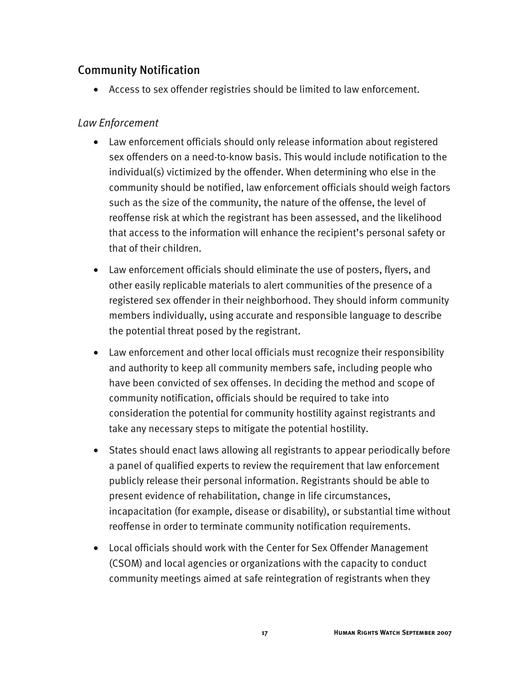## Community Notification

• Access to sex offender registries should be limited to law enforcement.

#### *Law Enforcement*

- Law enforcement officials should only release information about registered sex offenders on a need-to-know basis. This would include notification to the individual(s) victimized by the offender. When determining who else in the community should be notified, law enforcement officials should weigh factors such as the size of the community, the nature of the offense, the level of reoffense risk at which the registrant has been assessed, and the likelihood that access to the information will enhance the recipient's personal safety or that of their children.
- Law enforcement officials should eliminate the use of posters, flyers, and other easily replicable materials to alert communities of the presence of a registered sex offender in their neighborhood. They should inform community members individually, using accurate and responsible language to describe the potential threat posed by the registrant.
- Law enforcement and other local officials must recognize their responsibility and authority to keep all community members safe, including people who have been convicted of sex offenses. In deciding the method and scope of community notification, officials should be required to take into consideration the potential for community hostility against registrants and take any necessary steps to mitigate the potential hostility.
- States should enact laws allowing all registrants to appear periodically before a panel of qualified experts to review the requirement that law enforcement publicly release their personal information. Registrants should be able to present evidence of rehabilitation, change in life circumstances, incapacitation (for example, disease or disability), or substantial time without reoffense in order to terminate community notification requirements.
- Local officials should work with the Center for Sex Offender Management (CSOM) and local agencies or organizations with the capacity to conduct community meetings aimed at safe reintegration of registrants when they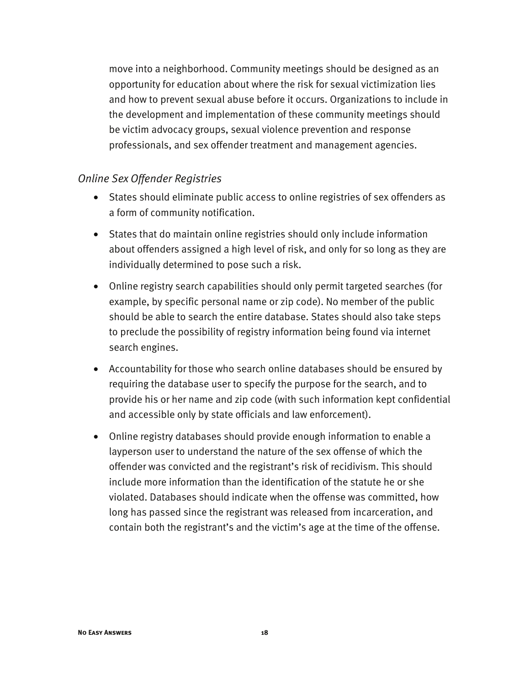move into a neighborhood. Community meetings should be designed as an opportunity for education about where the risk for sexual victimization lies and how to prevent sexual abuse before it occurs. Organizations to include in the development and implementation of these community meetings should be victim advocacy groups, sexual violence prevention and response professionals, and sex offender treatment and management agencies.

#### *Online Sex Offender Registries*

- States should eliminate public access to online registries of sex offenders as a form of community notification.
- States that do maintain online registries should only include information about offenders assigned a high level of risk, and only for so long as they are individually determined to pose such a risk.
- Online registry search capabilities should only permit targeted searches (for example, by specific personal name or zip code). No member of the public should be able to search the entire database. States should also take steps to preclude the possibility of registry information being found via internet search engines.
- Accountability for those who search online databases should be ensured by requiring the database user to specify the purpose for the search, and to provide his or her name and zip code (with such information kept confidential and accessible only by state officials and law enforcement).
- Online registry databases should provide enough information to enable a layperson user to understand the nature of the sex offense of which the offender was convicted and the registrant's risk of recidivism. This should include more information than the identification of the statute he or she violated. Databases should indicate when the offense was committed, how long has passed since the registrant was released from incarceration, and contain both the registrant's and the victim's age at the time of the offense.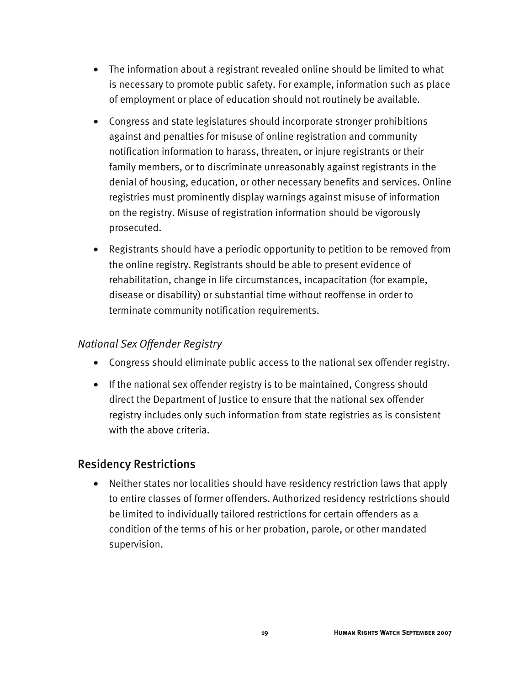- The information about a registrant revealed online should be limited to what is necessary to promote public safety. For example, information such as place of employment or place of education should not routinely be available.
- Congress and state legislatures should incorporate stronger prohibitions against and penalties for misuse of online registration and community notification information to harass, threaten, or injure registrants or their family members, or to discriminate unreasonably against registrants in the denial of housing, education, or other necessary benefits and services. Online registries must prominently display warnings against misuse of information on the registry. Misuse of registration information should be vigorously prosecuted.
- Registrants should have a periodic opportunity to petition to be removed from the online registry. Registrants should be able to present evidence of rehabilitation, change in life circumstances, incapacitation (for example, disease or disability) or substantial time without reoffense in order to terminate community notification requirements.

#### *National Sex Offender Registry*

- Congress should eliminate public access to the national sex offender registry.
- If the national sex offender registry is to be maintained, Congress should direct the Department of Justice to ensure that the national sex offender registry includes only such information from state registries as is consistent with the above criteria.

## Residency Restrictions

• Neither states nor localities should have residency restriction laws that apply to entire classes of former offenders. Authorized residency restrictions should be limited to individually tailored restrictions for certain offenders as a condition of the terms of his or her probation, parole, or other mandated supervision.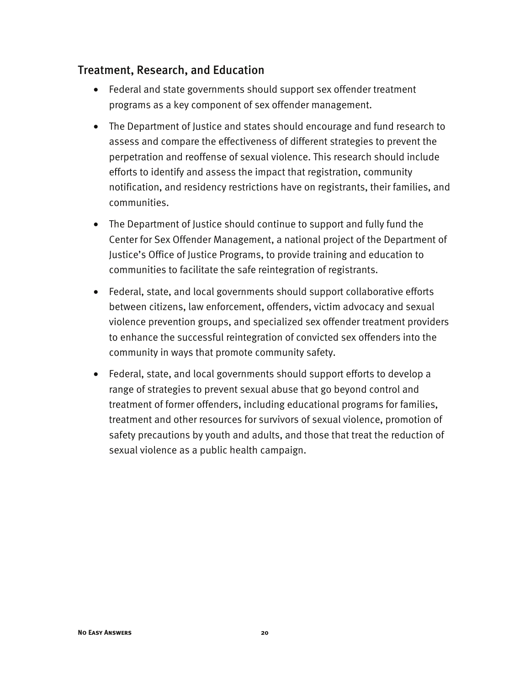### Treatment, Research, and Education

- Federal and state governments should support sex offender treatment programs as a key component of sex offender management.
- The Department of Justice and states should encourage and fund research to assess and compare the effectiveness of different strategies to prevent the perpetration and reoffense of sexual violence. This research should include efforts to identify and assess the impact that registration, community notification, and residency restrictions have on registrants, their families, and communities.
- The Department of Justice should continue to support and fully fund the Center for Sex Offender Management, a national project of the Department of Justice's Office of Justice Programs, to provide training and education to communities to facilitate the safe reintegration of registrants.
- Federal, state, and local governments should support collaborative efforts between citizens, law enforcement, offenders, victim advocacy and sexual violence prevention groups, and specialized sex offender treatment providers to enhance the successful reintegration of convicted sex offenders into the community in ways that promote community safety.
- Federal, state, and local governments should support efforts to develop a range of strategies to prevent sexual abuse that go beyond control and treatment of former offenders, including educational programs for families, treatment and other resources for survivors of sexual violence, promotion of safety precautions by youth and adults, and those that treat the reduction of sexual violence as a public health campaign.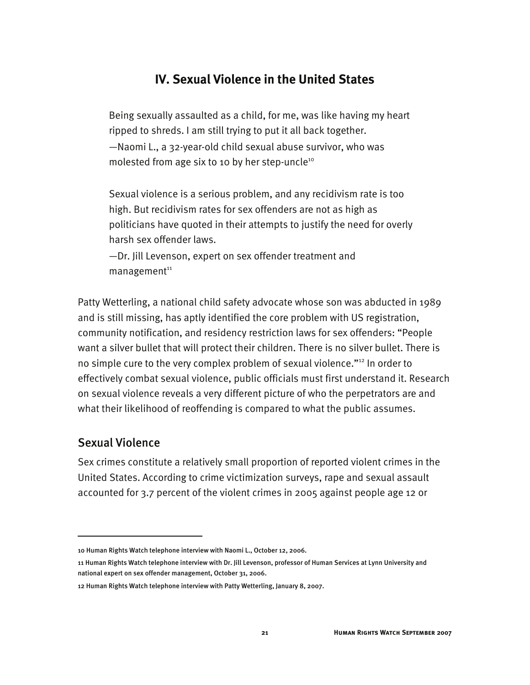## **IV. Sexual Violence in the United States**

Being sexually assaulted as a child, for me, was like having my heart ripped to shreds. I am still trying to put it all back together. —Naomi L., a 32-year-old child sexual abuse survivor, who was molested from age six to 10 by her step-uncle<sup>10</sup>

Sexual violence is a serious problem, and any recidivism rate is too high. But recidivism rates for sex offenders are not as high as politicians have quoted in their attempts to justify the need for overly harsh sex offender laws.

—Dr. Jill Levenson, expert on sex offender treatment and  $m$ anagement $11$ 

Patty Wetterling, a national child safety advocate whose son was abducted in 1989 and is still missing, has aptly identified the core problem with US registration, community notification, and residency restriction laws for sex offenders: "People want a silver bullet that will protect their children. There is no silver bullet. There is no simple cure to the very complex problem of sexual violence."<sup>12</sup> In order to effectively combat sexual violence, public officials must first understand it. Research on sexual violence reveals a very different picture of who the perpetrators are and what their likelihood of reoffending is compared to what the public assumes.

#### Sexual Violence

I

Sex crimes constitute a relatively small proportion of reported violent crimes in the United States. According to crime victimization surveys, rape and sexual assault accounted for 3.7 percent of the violent crimes in 2005 against people age 12 or

<sup>10</sup> Human Rights Watch telephone interview with Naomi L., October 12, 2006.

<sup>11</sup> Human Rights Watch telephone interview with Dr. Jill Levenson, professor of Human Services at Lynn University and national expert on sex offender management, October 31, 2006.

<sup>12</sup> Human Rights Watch telephone interview with Patty Wetterling, January 8, 2007.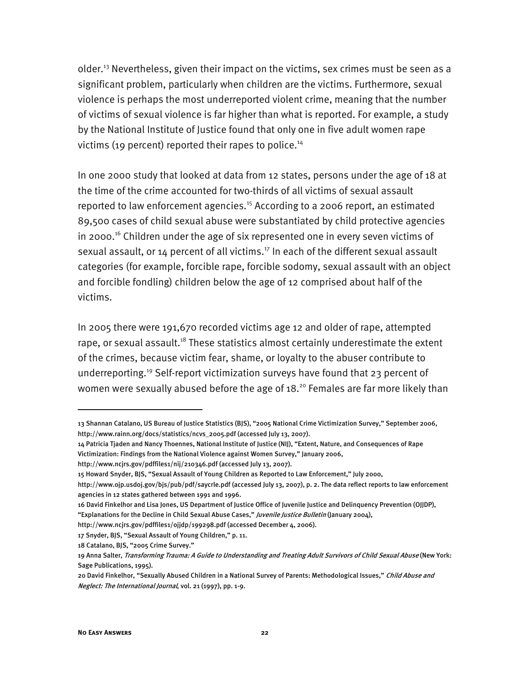older.<sup>13</sup> Nevertheless, given their impact on the victims, sex crimes must be seen as a significant problem, particularly when children are the victims. Furthermore, sexual violence is perhaps the most underreported violent crime, meaning that the number of victims of sexual violence is far higher than what is reported. For example, a study by the National Institute of Justice found that only one in five adult women rape victims (19 percent) reported their rapes to police.<sup>14</sup>

In one 2000 study that looked at data from 12 states, persons under the age of 18 at the time of the crime accounted for two-thirds of all victims of sexual assault reported to law enforcement agencies.<sup>15</sup> According to a 2006 report, an estimated 89,500 cases of child sexual abuse were substantiated by child protective agencies in 2000.<sup>16</sup> Children under the age of six represented one in every seven victims of sexual assault, or 14 percent of all victims.<sup>17</sup> In each of the different sexual assault categories (for example, forcible rape, forcible sodomy, sexual assault with an object and forcible fondling) children below the age of 12 comprised about half of the victims.

In 2005 there were 191,670 recorded victims age 12 and older of rape, attempted rape, or sexual assault.<sup>18</sup> These statistics almost certainly underestimate the extent of the crimes, because victim fear, shame, or loyalty to the abuser contribute to underreporting.19 Self-report victimization surveys have found that 23 percent of women were sexually abused before the age of 18.<sup>20</sup> Females are far more likely than

14 Patricia Tjaden and Nancy Thoennes, National Institute of Justice (NIJ), "Extent, Nature, and Consequences of Rape Victimization: Findings from the National Violence against Women Survey," January 2006,

j

<sup>13</sup> Shannan Catalano, US Bureau of Justice Statistics (BJS), "2005 National Crime Victimization Survey," September 2006, http://www.rainn.org/docs/statistics/ncvs\_2005.pdf (accessed July 13, 2007).

http://www.ncjrs.gov/pdffiles1/nij/210346.pdf (accessed July 13, 2007).

<sup>15</sup> Howard Snyder, BJS, "Sexual Assault of Young Children as Reported to Law Enforcement," July 2000,

http://www.ojp.usdoj.gov/bjs/pub/pdf/saycrle.pdf (accessed July 13, 2007), p. 2. The data reflect reports to law enforcement agencies in 12 states gathered between 1991 and 1996.

<sup>16</sup> David Finkelhor and Lisa Jones, US Department of Justice Office of Juvenile Justice and Delinquency Prevention (OJJDP), "Explanations for the Decline in Child Sexual Abuse Cases," Juvenile Justice Bulletin (January 2004),

http://www.ncjrs.gov/pdffiles1/ojjdp/199298.pdf (accessed December 4, 2006).

<sup>17</sup> Snyder, BJS, "Sexual Assault of Young Children," p. 11.

<sup>18</sup> Catalano, BJS, "2005 Crime Survey."

<sup>19</sup> Anna Salter, Transforming Trauma: A Guide to Understanding and Treating Adult Survivors of Child Sexual Abuse (New York: Sage Publications, 1995).

<sup>20</sup> David Finkelhor, "Sexually Abused Children in a National Survey of Parents: Methodological Issues," Child Abuse and Neglect: The International Journal, vol. 21 (1997), pp. 1-9.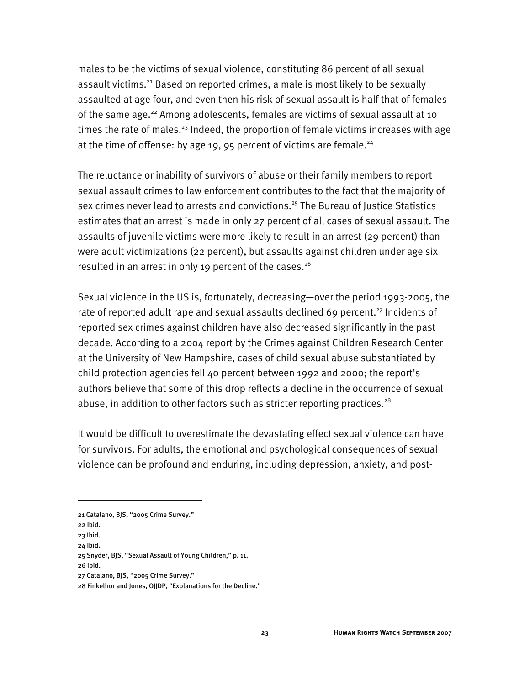males to be the victims of sexual violence, constituting 86 percent of all sexual assault victims.<sup>21</sup> Based on reported crimes, a male is most likely to be sexually assaulted at age four, and even then his risk of sexual assault is half that of females of the same age.<sup>22</sup> Among adolescents, females are victims of sexual assault at 10 times the rate of males.<sup>23</sup> Indeed, the proportion of female victims increases with age at the time of offense: by age 19, 95 percent of victims are female. $24$ 

The reluctance or inability of survivors of abuse or their family members to report sexual assault crimes to law enforcement contributes to the fact that the majority of sex crimes never lead to arrests and convictions.<sup>25</sup> The Bureau of Justice Statistics estimates that an arrest is made in only 27 percent of all cases of sexual assault. The assaults of juvenile victims were more likely to result in an arrest (29 percent) than were adult victimizations (22 percent), but assaults against children under age six resulted in an arrest in only 19 percent of the cases.<sup>26</sup>

Sexual violence in the US is, fortunately, decreasing—over the period 1993-2005, the rate of reported adult rape and sexual assaults declined 69 percent.<sup>27</sup> Incidents of reported sex crimes against children have also decreased significantly in the past decade. According to a 2004 report by the Crimes against Children Research Center at the University of New Hampshire, cases of child sexual abuse substantiated by child protection agencies fell 40 percent between 1992 and 2000; the report's authors believe that some of this drop reflects a decline in the occurrence of sexual abuse, in addition to other factors such as stricter reporting practices.<sup>28</sup>

It would be difficult to overestimate the devastating effect sexual violence can have for survivors. For adults, the emotional and psychological consequences of sexual violence can be profound and enduring, including depression, anxiety, and post-

<sup>21</sup> Catalano, BJS, "2005 Crime Survey."

<sup>22</sup> Ibid.

<sup>23</sup> Ibid.

<sup>24</sup> Ibid.

<sup>25</sup> Snyder, BJS, "Sexual Assault of Young Children," p. 11.

<sup>26</sup> Ibid.

<sup>27</sup> Catalano, BJS, "2005 Crime Survey."

<sup>28</sup> Finkelhor and Jones, OJJDP, "Explanations for the Decline."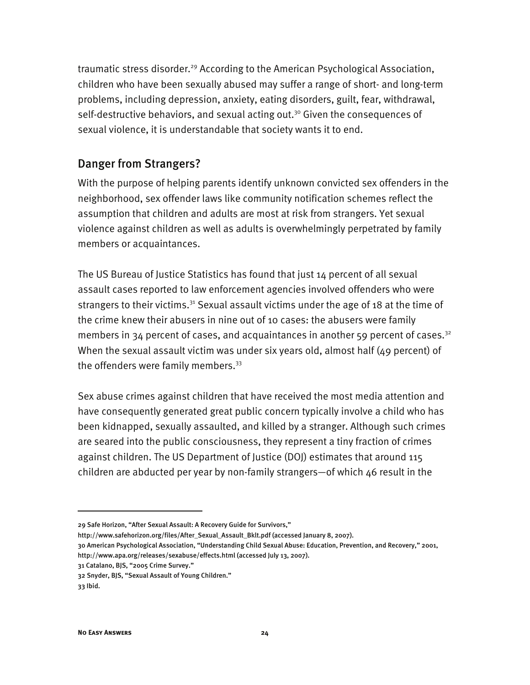traumatic stress disorder.<sup>29</sup> According to the American Psychological Association, children who have been sexually abused may suffer a range of short- and long-term problems, including depression, anxiety, eating disorders, guilt, fear, withdrawal, self-destructive behaviors, and sexual acting out.<sup>30</sup> Given the consequences of sexual violence, it is understandable that society wants it to end.

## Danger from Strangers?

With the purpose of helping parents identify unknown convicted sex offenders in the neighborhood, sex offender laws like community notification schemes reflect the assumption that children and adults are most at risk from strangers. Yet sexual violence against children as well as adults is overwhelmingly perpetrated by family members or acquaintances.

The US Bureau of Justice Statistics has found that just 14 percent of all sexual assault cases reported to law enforcement agencies involved offenders who were strangers to their victims.<sup>31</sup> Sexual assault victims under the age of 18 at the time of the crime knew their abusers in nine out of 10 cases: the abusers were family members in 34 percent of cases, and acquaintances in another 59 percent of cases.<sup>32</sup> When the sexual assault victim was under six years old, almost half (49 percent) of the offenders were family members. $33$ 

Sex abuse crimes against children that have received the most media attention and have consequently generated great public concern typically involve a child who has been kidnapped, sexually assaulted, and killed by a stranger. Although such crimes are seared into the public consciousness, they represent a tiny fraction of crimes against children. The US Department of Justice (DOJ) estimates that around 115 children are abducted per year by non-family strangers—of which 46 result in the

-

<sup>29</sup> Safe Horizon, "After Sexual Assault: A Recovery Guide for Survivors,"

http://www.safehorizon.org/files/After\_Sexual\_Assault\_Bklt.pdf (accessed January 8, 2007).

<sup>30</sup> American Psychological Association, "Understanding Child Sexual Abuse: Education, Prevention, and Recovery," 2001, http://www.apa.org/releases/sexabuse/effects.html (accessed July 13, 2007).

<sup>31</sup> Catalano, BJS, "2005 Crime Survey."

<sup>32</sup> Snyder, BJS, "Sexual Assault of Young Children."

<sup>33</sup> Ibid.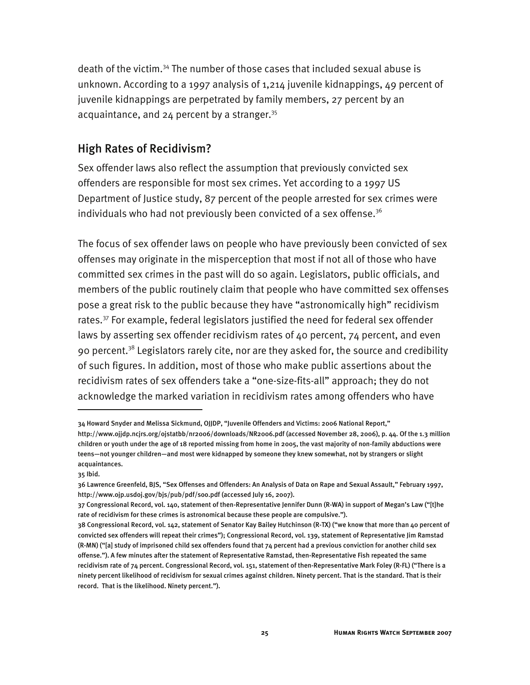death of the victim.34 The number of those cases that included sexual abuse is unknown. According to a 1997 analysis of 1,214 juvenile kidnappings, 49 percent of juvenile kidnappings are perpetrated by family members, 27 percent by an acquaintance, and  $24$  percent by a stranger.<sup>35</sup>

#### High Rates of Recidivism?

Sex offender laws also reflect the assumption that previously convicted sex offenders are responsible for most sex crimes. Yet according to a 1997 US Department of Justice study, 87 percent of the people arrested for sex crimes were individuals who had not previously been convicted of a sex offense. $3<sup>6</sup>$ 

The focus of sex offender laws on people who have previously been convicted of sex offenses may originate in the misperception that most if not all of those who have committed sex crimes in the past will do so again. Legislators, public officials, and members of the public routinely claim that people who have committed sex offenses pose a great risk to the public because they have "astronomically high" recidivism rates.<sup>37</sup> For example, federal legislators justified the need for federal sex offender laws by asserting sex offender recidivism rates of 40 percent, 74 percent, and even 90 percent.<sup>38</sup> Legislators rarely cite, nor are they asked for, the source and credibility of such figures. In addition, most of those who make public assertions about the recidivism rates of sex offenders take a "one-size-fits-all" approach; they do not acknowledge the marked variation in recidivism rates among offenders who have

j

<sup>34</sup> Howard Snyder and Melissa Sickmund, OJJDP, "Juvenile Offenders and Victims: 2006 National Report," http://www.ojjdp.ncjrs.org/ojstatbb/nr2006/downloads/NR2006.pdf (accessed November 28, 2006), p. 44. Of the 1.3 million children or youth under the age of 18 reported missing from home in 2005, the vast majority of non-family abductions were teens—not younger children—and most were kidnapped by someone they knew somewhat, not by strangers or slight acquaintances.

<sup>35</sup> Ibid.

<sup>36</sup> Lawrence Greenfeld, BJS, "Sex Offenses and Offenders: An Analysis of Data on Rape and Sexual Assault," February 1997, http://www.ojp.usdoj.gov/bjs/pub/pdf/soo.pdf (accessed July 16, 2007).

<sup>37</sup> Congressional Record, vol. 140, statement of then-Representative Jennifer Dunn (R-WA) in support of Megan's Law ("[t]he rate of recidivism for these crimes is astronomical because these people are compulsive.").

<sup>38</sup> Congressional Record, vol. 142, statement of Senator Kay Bailey Hutchinson (R-TX) ("we know that more than 40 percent of convicted sex offenders will repeat their crimes"); Congressional Record, vol. 139, statement of Representative Jim Ramstad (R-MN) ("[a] study of imprisoned child sex offenders found that 74 percent had a previous conviction for another child sex offense."). A few minutes after the statement of Representative Ramstad, then-Representative Fish repeated the same recidivism rate of 74 percent. Congressional Record, vol. 151, statement of then-Representative Mark Foley (R-FL) ("There is a ninety percent likelihood of recidivism for sexual crimes against children. Ninety percent. That is the standard. That is their record. That is the likelihood. Ninety percent.").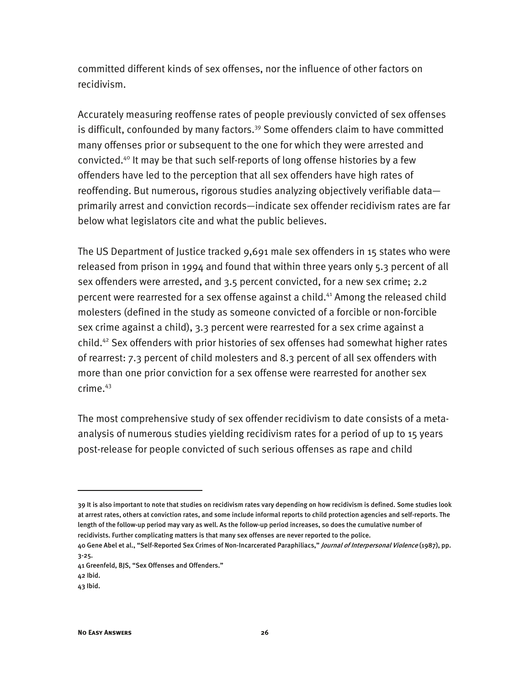committed different kinds of sex offenses, nor the influence of other factors on recidivism.

Accurately measuring reoffense rates of people previously convicted of sex offenses is difficult, confounded by many factors.<sup>39</sup> Some offenders claim to have committed many offenses prior or subsequent to the one for which they were arrested and convicted.40 It may be that such self-reports of long offense histories by a few offenders have led to the perception that all sex offenders have high rates of reoffending. But numerous, rigorous studies analyzing objectively verifiable data primarily arrest and conviction records—indicate sex offender recidivism rates are far below what legislators cite and what the public believes.

The US Department of Justice tracked 9,691 male sex offenders in 15 states who were released from prison in 1994 and found that within three years only 5.3 percent of all sex offenders were arrested, and 3.5 percent convicted, for a new sex crime; 2.2 percent were rearrested for a sex offense against a child.<sup>41</sup> Among the released child molesters (defined in the study as someone convicted of a forcible or non-forcible sex crime against a child), 3.3 percent were rearrested for a sex crime against a child.42 Sex offenders with prior histories of sex offenses had somewhat higher rates of rearrest: 7.3 percent of child molesters and 8.3 percent of all sex offenders with more than one prior conviction for a sex offense were rearrested for another sex crime.43

The most comprehensive study of sex offender recidivism to date consists of a metaanalysis of numerous studies yielding recidivism rates for a period of up to 15 years post-release for people convicted of such serious offenses as rape and child

j

<sup>39</sup> It is also important to note that studies on recidivism rates vary depending on how recidivism is defined. Some studies look at arrest rates, others at conviction rates, and some include informal reports to child protection agencies and self-reports. The length of the follow-up period may vary as well. As the follow-up period increases, so does the cumulative number of recidivists. Further complicating matters is that many sex offenses are never reported to the police.

<sup>40</sup> Gene Abel et al., "Self-Reported Sex Crimes of Non-Incarcerated Paraphiliacs," Journal of Interpersonal Violence (1987), pp. 3-25.

<sup>41</sup> Greenfeld, BJS, "Sex Offenses and Offenders."

<sup>42</sup> Ibid.

<sup>43</sup> Ibid.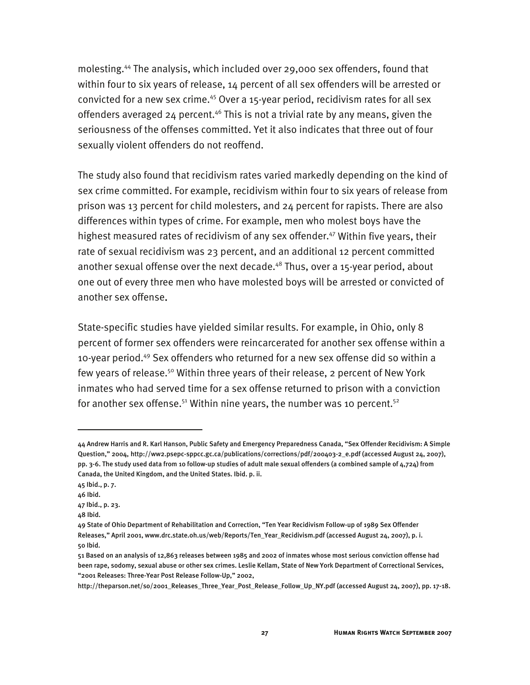molesting.44 The analysis, which included over 29,000 sex offenders, found that within four to six years of release, 14 percent of all sex offenders will be arrested or convicted for a new sex crime.<sup>45</sup> Over a 15-year period, recidivism rates for all sex offenders averaged 24 percent.<sup>46</sup> This is not a trivial rate by any means, given the seriousness of the offenses committed. Yet it also indicates that three out of four sexually violent offenders do not reoffend.

The study also found that recidivism rates varied markedly depending on the kind of sex crime committed. For example, recidivism within four to six years of release from prison was 13 percent for child molesters, and 24 percent for rapists. There are also differences within types of crime. For example, men who molest boys have the highest measured rates of recidivism of any sex offender.<sup>47</sup> Within five years, their rate of sexual recidivism was 23 percent, and an additional 12 percent committed another sexual offense over the next decade.<sup>48</sup> Thus, over a 15-year period, about one out of every three men who have molested boys will be arrested or convicted of another sex offense.

State-specific studies have yielded similar results. For example, in Ohio, only 8 percent of former sex offenders were reincarcerated for another sex offense within a 10-year period.49 Sex offenders who returned for a new sex offense did so within a few years of release.<sup>50</sup> Within three years of their release, 2 percent of New York inmates who had served time for a sex offense returned to prison with a conviction for another sex offense.<sup>51</sup> Within nine years, the number was 10 percent.<sup>52</sup>

<sup>44</sup> Andrew Harris and R. Karl Hanson, Public Safety and Emergency Preparedness Canada, "Sex Offender Recidivism: A Simple Question," 2004, http://ww2.psepc-sppcc.gc.ca/publications/corrections/pdf/200403-2\_e.pdf (accessed August 24, 2007), pp. 3-6. The study used data from 10 follow-up studies of adult male sexual offenders (a combined sample of 4,724) from Canada, the United Kingdom, and the United States. Ibid. p. ii.

<sup>45</sup> Ibid., p. 7.

<sup>46</sup> Ibid.

<sup>47</sup> Ibid., p. 23.

<sup>48</sup> Ibid.

<sup>49</sup> State of Ohio Department of Rehabilitation and Correction, "Ten Year Recidivism Follow-up of 1989 Sex Offender Releases," April 2001, www.drc.state.oh.us/web/Reports/Ten\_Year\_Recidivism.pdf (accessed August 24, 2007), p. i. 50 Ibid.

<sup>51</sup> Based on an analysis of 12,863 releases between 1985 and 2002 of inmates whose most serious conviction offense had been rape, sodomy, sexual abuse or other sex crimes. Leslie Kellam, State of New York Department of Correctional Services, "2001 Releases: Three-Year Post Release Follow-Up," 2002,

http://theparson.net/so/2001\_Releases\_Three\_Year\_Post\_Release\_Follow\_Up\_NY.pdf (accessed August 24, 2007), pp. 17-18.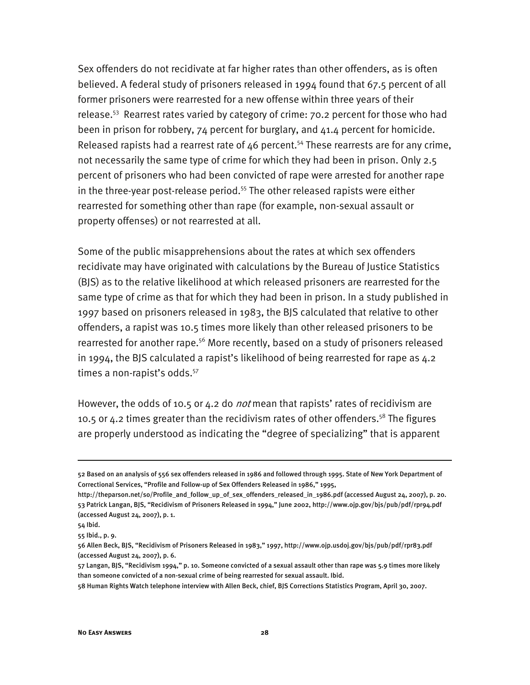Sex offenders do not recidivate at far higher rates than other offenders, as is often believed. A federal study of prisoners released in 1994 found that 67.5 percent of all former prisoners were rearrested for a new offense within three years of their release.<sup>53</sup> Rearrest rates varied by category of crime: 70.2 percent for those who had been in prison for robbery, 74 percent for burglary, and 41.4 percent for homicide. Released rapists had a rearrest rate of  $46$  percent.<sup>54</sup> These rearrests are for any crime, not necessarily the same type of crime for which they had been in prison. Only 2.5 percent of prisoners who had been convicted of rape were arrested for another rape in the three-year post-release period.<sup>55</sup> The other released rapists were either rearrested for something other than rape (for example, non-sexual assault or property offenses) or not rearrested at all.

Some of the public misapprehensions about the rates at which sex offenders recidivate may have originated with calculations by the Bureau of Justice Statistics (BJS) as to the relative likelihood at which released prisoners are rearrested for the same type of crime as that for which they had been in prison. In a study published in 1997 based on prisoners released in 1983, the BJS calculated that relative to other offenders, a rapist was 10.5 times more likely than other released prisoners to be rearrested for another rape.<sup>56</sup> More recently, based on a study of prisoners released in 1994, the BJS calculated a rapist's likelihood of being rearrested for rape as 4.2 times a non-rapist's odds.<sup>57</sup>

However, the odds of 10.5 or 4.2 do *not* mean that rapists' rates of recidivism are 10.5 or 4.2 times greater than the recidivism rates of other offenders.<sup>58</sup> The figures are properly understood as indicating the "degree of specializing" that is apparent

<sup>52</sup> Based on an analysis of 556 sex offenders released in 1986 and followed through 1995. State of New York Department of Correctional Services, "Profile and Follow-up of Sex Offenders Released in 1986," 1995,

http://theparson.net/so/Profile\_and\_follow\_up\_of\_sex\_offenders\_released\_in\_1986.pdf (accessed August 24, 2007), p. 20. 53 Patrick Langan, BJS, "Recidivism of Prisoners Released in 1994," June 2002, http://www.ojp.gov/bjs/pub/pdf/rpr94.pdf (accessed August 24, 2007), p. 1.

<sup>54</sup> Ibid.

<sup>55</sup> Ibid., p. 9.

<sup>56</sup> Allen Beck, BJS, "Recidivism of Prisoners Released in 1983," 1997, http://www.ojp.usdoj.gov/bjs/pub/pdf/rpr83.pdf (accessed August 24, 2007), p. 6.

<sup>57</sup> Langan, BJS, "Recidivism 1994," p. 10. Someone convicted of a sexual assault other than rape was 5.9 times more likely than someone convicted of a non-sexual crime of being rearrested for sexual assault. Ibid.

<sup>58</sup> Human Rights Watch telephone interview with Allen Beck, chief, BJS Corrections Statistics Program, April 30, 2007.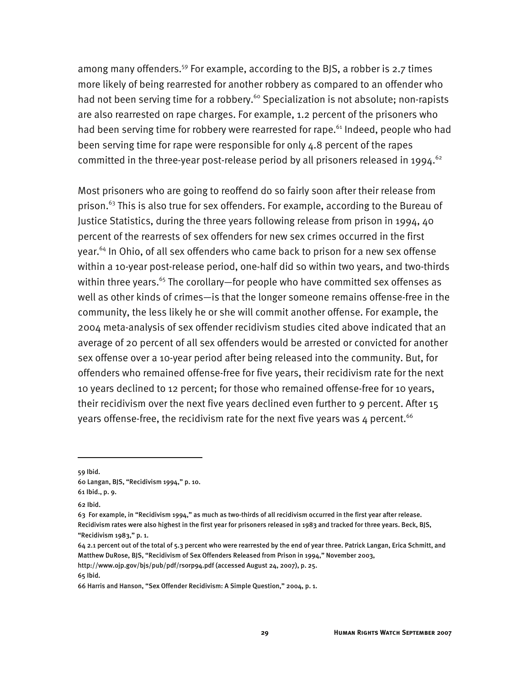among many offenders.<sup>59</sup> For example, according to the BJS, a robber is 2.7 times more likely of being rearrested for another robbery as compared to an offender who had not been serving time for a robbery.<sup>60</sup> Specialization is not absolute; non-rapists are also rearrested on rape charges. For example, 1.2 percent of the prisoners who had been serving time for robbery were rearrested for rape.<sup>61</sup> Indeed, people who had been serving time for rape were responsible for only 4.8 percent of the rapes committed in the three-year post-release period by all prisoners released in 1994.<sup>62</sup>

Most prisoners who are going to reoffend do so fairly soon after their release from prison.<sup>63</sup> This is also true for sex offenders. For example, according to the Bureau of Justice Statistics, during the three years following release from prison in 1994, 40 percent of the rearrests of sex offenders for new sex crimes occurred in the first year.<sup>64</sup> In Ohio, of all sex offenders who came back to prison for a new sex offense within a 10-year post-release period, one-half did so within two years, and two-thirds within three years.<sup>65</sup> The corollary—for people who have committed sex offenses as well as other kinds of crimes—is that the longer someone remains offense-free in the community, the less likely he or she will commit another offense. For example, the 2004 meta-analysis of sex offender recidivism studies cited above indicated that an average of 20 percent of all sex offenders would be arrested or convicted for another sex offense over a 10-year period after being released into the community. But, for offenders who remained offense-free for five years, their recidivism rate for the next 10 years declined to 12 percent; for those who remained offense-free for 10 years, their recidivism over the next five years declined even further to 9 percent. After 15 years offense-free, the recidivism rate for the next five years was 4 percent.  $66$ 

59 Ibid.

-

65 Ibid.

<sup>60</sup> Langan, BJS, "Recidivism 1994," p. 10.

<sup>61</sup> Ibid., p. 9.

<sup>62</sup> Ibid.

<sup>63</sup> For example, in "Recidivism 1994," as much as two-thirds of all recidivism occurred in the first year after release. Recidivism rates were also highest in the first year for prisoners released in 1983 and tracked for three years. Beck, BJS, "Recidivism 1983," p. 1.

<sup>64 2.1</sup> percent out of the total of 5.3 percent who were rearrested by the end of year three. Patrick Langan, Erica Schmitt, and Matthew DuRose, BJS, "Recidivism of Sex Offenders Released from Prison in 1994," November 2003, http://www.ojp.gov/bjs/pub/pdf/rsorp94.pdf (accessed August 24, 2007), p. 25.

<sup>66</sup> Harris and Hanson, "Sex Offender Recidivism: A Simple Question," 2004, p. 1.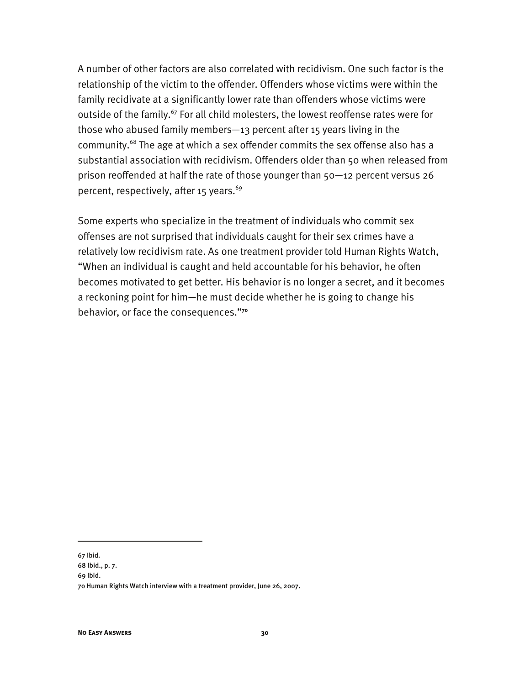A number of other factors are also correlated with recidivism. One such factor is the relationship of the victim to the offender. Offenders whose victims were within the family recidivate at a significantly lower rate than offenders whose victims were outside of the family.<sup>67</sup> For all child molesters, the lowest reoffense rates were for those who abused family members—13 percent after 15 years living in the community.68 The age at which a sex offender commits the sex offense also has a substantial association with recidivism. Offenders older than 50 when released from prison reoffended at half the rate of those younger than 50—12 percent versus 26 percent, respectively, after 15 years. $69$ 

Some experts who specialize in the treatment of individuals who commit sex offenses are not surprised that individuals caught for their sex crimes have a relatively low recidivism rate. As one treatment provider told Human Rights Watch, "When an individual is caught and held accountable for his behavior, he often becomes motivated to get better. His behavior is no longer a secret, and it becomes a reckoning point for him—he must decide whether he is going to change his behavior, or face the consequences."**<sup>70</sup>**

67 Ibid.

<sup>68</sup> Ibid., p. 7.

<sup>69</sup> Ibid.

<sup>70</sup> Human Rights Watch interview with a treatment provider, June 26, 2007.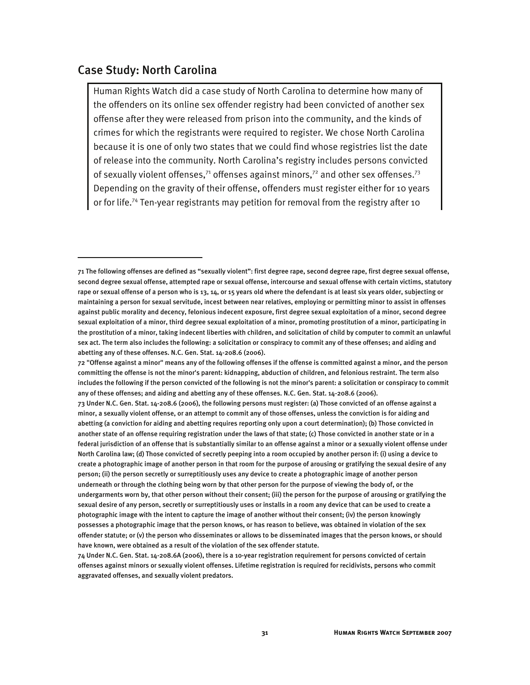#### Case Study: North Carolina

j

Human Rights Watch did a case study of North Carolina to determine how many of the offenders on its online sex offender registry had been convicted of another sex offense after they were released from prison into the community, and the kinds of crimes for which the registrants were required to register. We chose North Carolina because it is one of only two states that we could find whose registries list the date of release into the community. North Carolina's registry includes persons convicted of sexually violent offenses,<sup>71</sup> offenses against minors,<sup>72</sup> and other sex offenses.<sup>73</sup> Depending on the gravity of their offense, offenders must register either for 10 years or for life.<sup>74</sup> Ten-year registrants may petition for removal from the registry after 10

<sup>71</sup> The following offenses are defined as "sexually violent": first degree rape, second degree rape, first degree sexual offense, second degree sexual offense, attempted rape or sexual offense, intercourse and sexual offense with certain victims, statutory rape or sexual offense of a person who is 13, 14, or 15 years old where the defendant is at least six years older, subjecting or maintaining a person for sexual servitude, incest between near relatives, employing or permitting minor to assist in offenses against public morality and decency, felonious indecent exposure, first degree sexual exploitation of a minor, second degree sexual exploitation of a minor, third degree sexual exploitation of a minor, promoting prostitution of a minor, participating in the prostitution of a minor, taking indecent liberties with children, and solicitation of child by computer to commit an unlawful sex act. The term also includes the following: a solicitation or conspiracy to commit any of these offenses; and aiding and abetting any of these offenses. N.C. Gen. Stat. 14-208.6 (2006).

<sup>72 &</sup>quot;Offense against a minor" means any of the following offenses if the offense is committed against a minor, and the person committing the offense is not the minor's parent: kidnapping, abduction of children, and felonious restraint. The term also includes the following if the person convicted of the following is not the minor's parent: a solicitation or conspiracy to commit any of these offenses; and aiding and abetting any of these offenses. N.C. Gen. Stat. 14-208.6 (2006).

<sup>73</sup> Under N.C. Gen. Stat. 14-208.6 (2006), the following persons must register: (a) Those convicted of an offense against a minor, a sexually violent offense, or an attempt to commit any of those offenses, unless the conviction is for aiding and abetting (a conviction for aiding and abetting requires reporting only upon a court determination); (b) Those convicted in another state of an offense requiring registration under the laws of that state; (c) Those convicted in another state or in a federal jurisdiction of an offense that is substantially similar to an offense against a minor or a sexually violent offense under North Carolina law; (d) Those convicted of secretly peeping into a room occupied by another person if: (i) using a device to create a photographic image of another person in that room for the purpose of arousing or gratifying the sexual desire of any person; (ii) the person secretly or surreptitiously uses any device to create a photographic image of another person underneath or through the clothing being worn by that other person for the purpose of viewing the body of, or the undergarments worn by, that other person without their consent; (iii) the person for the purpose of arousing or gratifying the sexual desire of any person, secretly or surreptitiously uses or installs in a room any device that can be used to create a photographic image with the intent to capture the image of another without their consent; (iv) the person knowingly possesses a photographic image that the person knows, or has reason to believe, was obtained in violation of the sex offender statute; or (v) the person who disseminates or allows to be disseminated images that the person knows, or should have known, were obtained as a result of the violation of the sex offender statute.

<sup>74</sup> Under N.C. Gen. Stat. 14-208.6A (2006), there is a 10-year registration requirement for persons convicted of certain offenses against minors or sexually violent offenses. Lifetime registration is required for recidivists, persons who commit aggravated offenses, and sexually violent predators.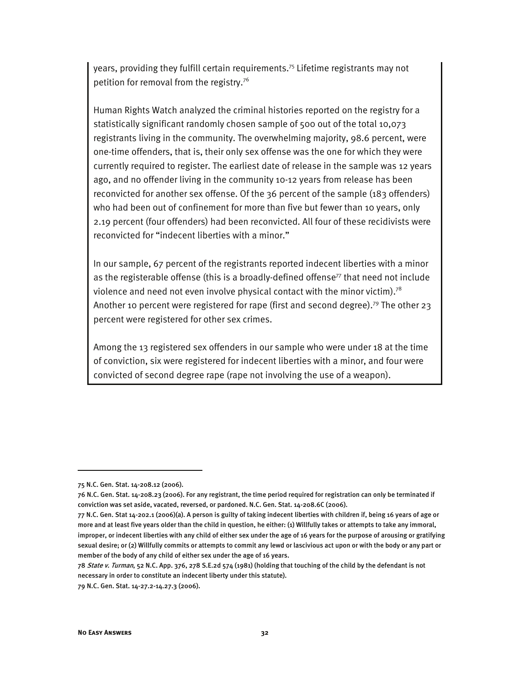years, providing they fulfill certain requirements.75 Lifetime registrants may not petition for removal from the registry.76

Human Rights Watch analyzed the criminal histories reported on the registry for a statistically significant randomly chosen sample of 500 out of the total 10,073 registrants living in the community. The overwhelming majority, 98.6 percent, were one-time offenders, that is, their only sex offense was the one for which they were currently required to register. The earliest date of release in the sample was 12 years ago, and no offender living in the community 10-12 years from release has been reconvicted for another sex offense. Of the 36 percent of the sample (183 offenders) who had been out of confinement for more than five but fewer than 10 years, only 2.19 percent (four offenders) had been reconvicted. All four of these recidivists were reconvicted for "indecent liberties with a minor."

In our sample, 67 percent of the registrants reported indecent liberties with a minor as the registerable offense (this is a broadly-defined offense $77$  that need not include violence and need not even involve physical contact with the minor victim).<sup>78</sup> Another 10 percent were registered for rape (first and second degree).79 The other 23 percent were registered for other sex crimes.

Among the 13 registered sex offenders in our sample who were under 18 at the time of conviction, six were registered for indecent liberties with a minor, and four were convicted of second degree rape (rape not involving the use of a weapon).

<sup>75</sup> N.C. Gen. Stat. 14-208.12 (2006).

<sup>76</sup> N.C. Gen. Stat. 14-208.23 (2006). For any registrant, the time period required for registration can only be terminated if conviction was set aside, vacated, reversed, or pardoned. N.C. Gen. Stat. 14-208.6C (2006).

<sup>77</sup> N.C. Gen. Stat 14-202.1 (2006)(a). A person is guilty of taking indecent liberties with children if, being 16 years of age or more and at least five years older than the child in question, he either: (1) Willfully takes or attempts to take any immoral, improper, or indecent liberties with any child of either sex under the age of 16 years for the purpose of arousing or gratifying sexual desire; or (2) Willfully commits or attempts to commit any lewd or lascivious act upon or with the body or any part or member of the body of any child of either sex under the age of 16 years.

<sup>78</sup> State v. Turman, 52 N.C. App. 376, 278 S.E.2d 574 (1981) (holding that touching of the child by the defendant is not necessary in order to constitute an indecent liberty under this statute).

<sup>79</sup> N.C. Gen. Stat. 14-27.2-14.27.3 (2006).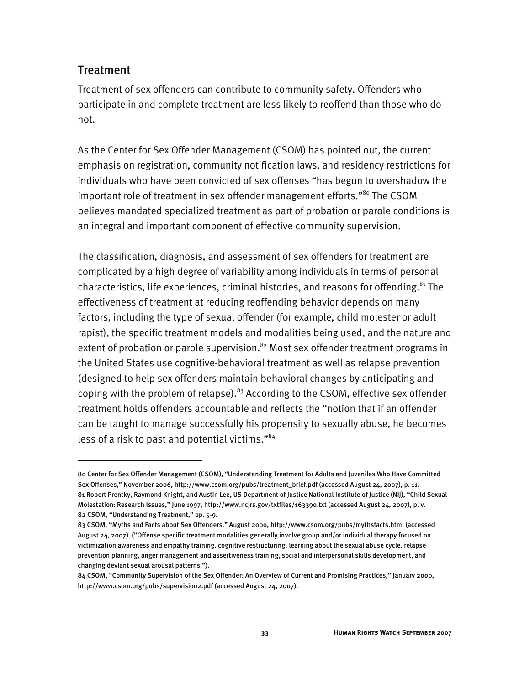### **Treatment**

I

Treatment of sex offenders can contribute to community safety. Offenders who participate in and complete treatment are less likely to reoffend than those who do not.

As the Center for Sex Offender Management (CSOM) has pointed out, the current emphasis on registration, community notification laws, and residency restrictions for individuals who have been convicted of sex offenses "has begun to overshadow the important role of treatment in sex offender management efforts."<sup>80</sup> The CSOM believes mandated specialized treatment as part of probation or parole conditions is an integral and important component of effective community supervision.

The classification, diagnosis, and assessment of sex offenders for treatment are complicated by a high degree of variability among individuals in terms of personal characteristics, life experiences, criminal histories, and reasons for offending.<sup>81</sup> The effectiveness of treatment at reducing reoffending behavior depends on many factors, including the type of sexual offender (for example, child molester or adult rapist), the specific treatment models and modalities being used, and the nature and extent of probation or parole supervision.<sup>82</sup> Most sex offender treatment programs in the United States use cognitive-behavioral treatment as well as relapse prevention (designed to help sex offenders maintain behavioral changes by anticipating and coping with the problem of relapse). $83$  According to the CSOM, effective sex offender treatment holds offenders accountable and reflects the "notion that if an offender can be taught to manage successfully his propensity to sexually abuse, he becomes less of a risk to past and potential victims."84

<sup>80</sup> Center for Sex Offender Management (CSOM), "Understanding Treatment for Adults and Juveniles Who Have Committed Sex Offenses," November 2006, http://www.csom.org/pubs/treatment\_brief.pdf (accessed August 24, 2007), p. 11. 81 Robert Prentky, Raymond Knight, and Austin Lee, US Department of Justice National Institute of Justice (NIJ), "Child Sexual Molestation: Research Issues," June 1997, http://www.ncjrs.gov/txtfiles/163390.txt (accessed August 24, 2007), p. v. 82 CSOM, "Understanding Treatment," pp. 5-9.

<sup>83</sup> CSOM, "Myths and Facts about Sex Offenders," August 2000, http://www.csom.org/pubs/mythsfacts.html (accessed August 24, 2007). ("Offense specific treatment modalities generally involve group and/or individual therapy focused on victimization awareness and empathy training, cognitive restructuring, learning about the sexual abuse cycle, relapse prevention planning, anger management and assertiveness training, social and interpersonal skills development, and changing deviant sexual arousal patterns.").

<sup>84</sup> CSOM, "Community Supervision of the Sex Offender: An Overview of Current and Promising Practices," January 2000, http://www.csom.org/pubs/supervision2.pdf (accessed August 24, 2007).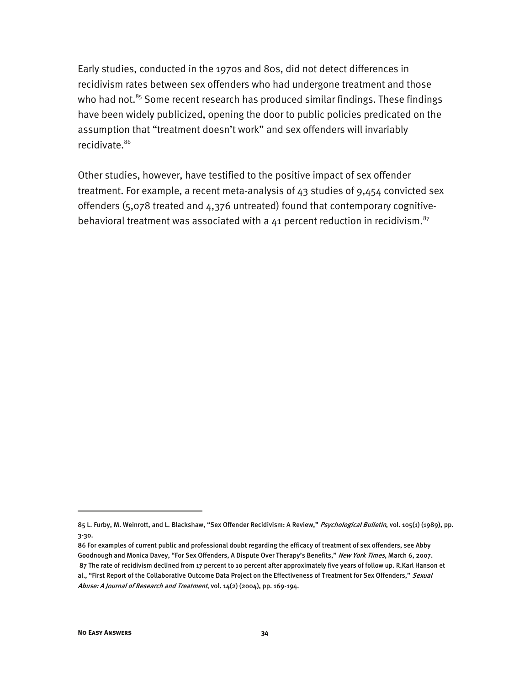Early studies, conducted in the 1970s and 80s, did not detect differences in recidivism rates between sex offenders who had undergone treatment and those who had not.<sup>85</sup> Some recent research has produced similar findings. These findings have been widely publicized, opening the door to public policies predicated on the assumption that "treatment doesn't work" and sex offenders will invariably recidivate.<sup>86</sup>

Other studies, however, have testified to the positive impact of sex offender treatment. For example, a recent meta-analysis of  $43$  studies of  $9,454$  convicted sex offenders (5,078 treated and 4,376 untreated) found that contemporary cognitivebehavioral treatment was associated with a  $41$  percent reduction in recidivism.<sup>87</sup>

-

<sup>85</sup> L. Furby, M. Weinrott, and L. Blackshaw, "Sex Offender Recidivism: A Review," Psychological Bulletin, vol. 105(1) (1989), pp. 3-30.

<sup>86</sup> For examples of current public and professional doubt regarding the efficacy of treatment of sex offenders, see Abby Goodnough and Monica Davey, "For Sex Offenders, A Dispute Over Therapy's Benefits," New York Times, March 6, 2007. 87 The rate of recidivism declined from 17 percent to 10 percent after approximately five years of follow up. R.Karl Hanson et al., "First Report of the Collaborative Outcome Data Project on the Effectiveness of Treatment for Sex Offenders," Sexual Abuse: A Journal of Research and Treatment, vol. 14(2) (2004), pp. 169-194.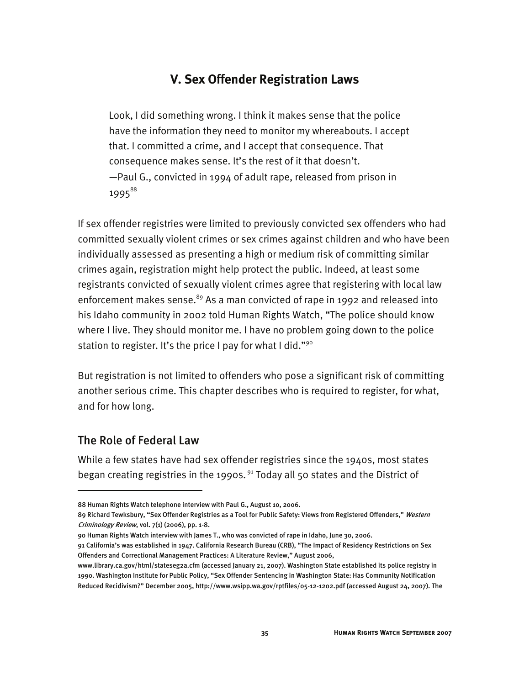# **V. Sex Offender Registration Laws**

Look, I did something wrong. I think it makes sense that the police have the information they need to monitor my whereabouts. I accept that. I committed a crime, and I accept that consequence. That consequence makes sense. It's the rest of it that doesn't. —Paul G., convicted in 1994 of adult rape, released from prison in 1995<sup>88</sup>

If sex offender registries were limited to previously convicted sex offenders who had committed sexually violent crimes or sex crimes against children and who have been individually assessed as presenting a high or medium risk of committing similar crimes again, registration might help protect the public. Indeed, at least some registrants convicted of sexually violent crimes agree that registering with local law enforcement makes sense.<sup>89</sup> As a man convicted of rape in 1992 and released into his Idaho community in 2002 told Human Rights Watch, "The police should know where I live. They should monitor me. I have no problem going down to the police station to register. It's the price I pay for what I did."90

But registration is not limited to offenders who pose a significant risk of committing another serious crime. This chapter describes who is required to register, for what, and for how long.

### The Role of Federal Law

j

While a few states have had sex offender registries since the 1940s, most states began creating registries in the 1990s.<sup>91</sup> Today all 50 states and the District of

<sup>88</sup> Human Rights Watch telephone interview with Paul G., August 10, 2006.

<sup>89</sup> Richard Tewksbury, "Sex Offender Registries as a Tool for Public Safety: Views from Registered Offenders," Western Criminology Review, vol.  $7(1)$  (2006), pp. 1-8.

<sup>90</sup> Human Rights Watch interview with James T., who was convicted of rape in Idaho, June 30, 2006.

<sup>91</sup> California's was established in 1947. California Research Bureau (CRB), "The Impact of Residency Restrictions on Sex Offenders and Correctional Management Practices: A Literature Review," August 2006,

www.library.ca.gov/html/stateseg2a.cfm (accessed January 21, 2007). Washington State established its police registry in 1990. Washington Institute for Public Policy, "Sex Offender Sentencing in Washington State: Has Community Notification Reduced Recidivism?" December 2005, http://www.wsipp.wa.gov/rptfiles/05-12-1202.pdf (accessed August 24, 2007). The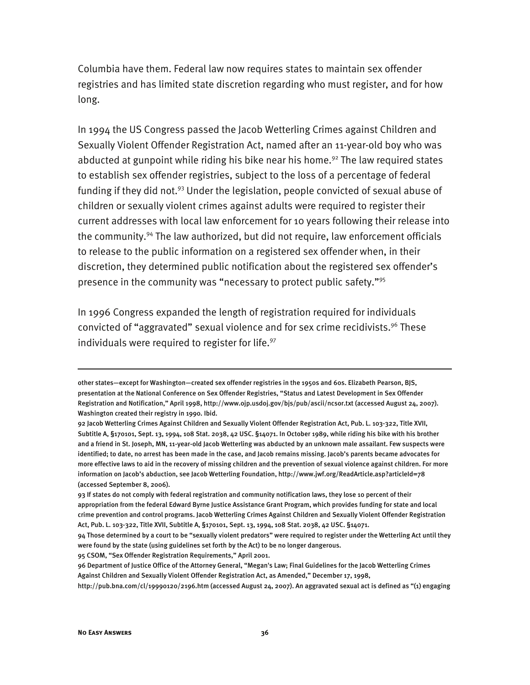Columbia have them. Federal law now requires states to maintain sex offender registries and has limited state discretion regarding who must register, and for how long.

In 1994 the US Congress passed the Jacob Wetterling Crimes against Children and Sexually Violent Offender Registration Act, named after an 11-year-old boy who was abducted at gunpoint while riding his bike near his home.<sup>92</sup> The law required states to establish sex offender registries, subject to the loss of a percentage of federal funding if they did not.<sup>93</sup> Under the legislation, people convicted of sexual abuse of children or sexually violent crimes against adults were required to register their current addresses with local law enforcement for 10 years following their release into the community.<sup>94</sup> The law authorized, but did not require, law enforcement officials to release to the public information on a registered sex offender when, in their discretion, they determined public notification about the registered sex offender's presence in the community was "necessary to protect public safety."95

In 1996 Congress expanded the length of registration required for individuals convicted of "aggravated" sexual violence and for sex crime recidivists.<sup>96</sup> These individuals were required to register for life. $97$ 

95 CSOM, "Sex Offender Registration Requirements," April 2001.

other states—except for Washington—created sex offender registries in the 1950s and 60s. Elizabeth Pearson, BJS, presentation at the National Conference on Sex Offender Registries, "Status and Latest Development in Sex Offender Registration and Notification," April 1998, http://www.ojp.usdoj.gov/bjs/pub/ascii/ncsor.txt (accessed August 24, 2007). Washington created their registry in 1990. Ibid.

<sup>92</sup> Jacob Wetterling Crimes Against Children and Sexually Violent Offender Registration Act, Pub. L. 103-322, Title XVII, Subtitle A, §170101, Sept. 13, 1994, 108 Stat. 2038, 42 USC. §14071. In October 1989, while riding his bike with his brother and a friend in St. Joseph, MN, 11-year-old Jacob Wetterling was abducted by an unknown male assailant. Few suspects were identified; to date, no arrest has been made in the case, and Jacob remains missing. Jacob's parents became advocates for more effective laws to aid in the recovery of missing children and the prevention of sexual violence against children. For more information on Jacob's abduction, see Jacob Wetterling Foundation, http://www.jwf.org/ReadArticle.asp?articleId=78 (accessed September 8, 2006).

<sup>93</sup> If states do not comply with federal registration and community notification laws, they lose 10 percent of their appropriation from the federal Edward Byrne Justice Assistance Grant Program, which provides funding for state and local crime prevention and control programs. Jacob Wetterling Crimes Against Children and Sexually Violent Offender Registration Act, Pub. L. 103-322, Title XVII, Subtitle A, §170101, Sept. 13, 1994, 108 Stat. 2038, 42 USC. §14071.

<sup>94</sup> Those determined by a court to be "sexually violent predators" were required to register under the Wetterling Act until they were found by the state (using guidelines set forth by the Act) to be no longer dangerous.

<sup>96</sup> Department of Justice Office of the Attorney General, "Megan's Law; Final Guidelines for the Jacob Wetterling Crimes Against Children and Sexually Violent Offender Registration Act, as Amended," December 17, 1998,

http://pub.bna.com/cl/19990120/2196.htm (accessed August 24, 2007). An aggravated sexual act is defined as "(1) engaging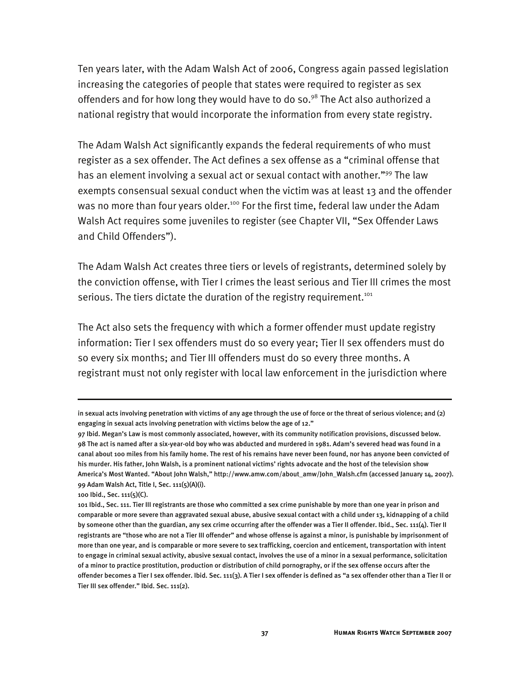Ten years later, with the Adam Walsh Act of 2006, Congress again passed legislation increasing the categories of people that states were required to register as sex offenders and for how long they would have to do so.<sup>98</sup> The Act also authorized a national registry that would incorporate the information from every state registry.

The Adam Walsh Act significantly expands the federal requirements of who must register as a sex offender. The Act defines a sex offense as a "criminal offense that has an element involving a sexual act or sexual contact with another."<sup>99</sup> The law exempts consensual sexual conduct when the victim was at least 13 and the offender was no more than four years older.<sup>100</sup> For the first time, federal law under the Adam Walsh Act requires some juveniles to register (see Chapter VII, "Sex Offender Laws and Child Offenders").

The Adam Walsh Act creates three tiers or levels of registrants, determined solely by the conviction offense, with Tier I crimes the least serious and Tier III crimes the most serious. The tiers dictate the duration of the registry requirement.<sup>101</sup>

The Act also sets the frequency with which a former offender must update registry information: Tier I sex offenders must do so every year; Tier II sex offenders must do so every six months; and Tier III offenders must do so every three months. A registrant must not only register with local law enforcement in the jurisdiction where

in sexual acts involving penetration with victims of any age through the use of force or the threat of serious violence; and (2) engaging in sexual acts involving penetration with victims below the age of 12."

<sup>97</sup> Ibid. Megan's Law is most commonly associated, however, with its community notification provisions, discussed below. 98 The act is named after a six-year-old boy who was abducted and murdered in 1981. Adam's severed head was found in a canal about 100 miles from his family home. The rest of his remains have never been found, nor has anyone been convicted of his murder. His father, John Walsh, is a prominent national victims' rights advocate and the host of the television show America's Most Wanted. "About John Walsh," http://www.amw.com/about\_amw/John\_Walsh.cfm (accessed January 14, 2007). 99 Adam Walsh Act, Title I, Sec. 111(5)(A)(i).

<sup>100</sup> Ibid., Sec. 111(5)(C).

<sup>101</sup> Ibid., Sec. 111. Tier III registrants are those who committed a sex crime punishable by more than one year in prison and comparable or more severe than aggravated sexual abuse, abusive sexual contact with a child under 13, kidnapping of a child by someone other than the guardian, any sex crime occurring after the offender was a Tier II offender. Ibid., Sec. 111(4). Tier II registrants are "those who are not a Tier III offender" and whose offense is against a minor, is punishable by imprisonment of more than one year, and is comparable or more severe to sex trafficking, coercion and enticement, transportation with intent to engage in criminal sexual activity, abusive sexual contact, involves the use of a minor in a sexual performance, solicitation of a minor to practice prostitution, production or distribution of child pornography, or if the sex offense occurs after the offender becomes a Tier I sex offender. Ibid. Sec. 111(3). A Tier I sex offender is defined as "a sex offender other than a Tier II or Tier III sex offender." Ibid. Sec. 111(2).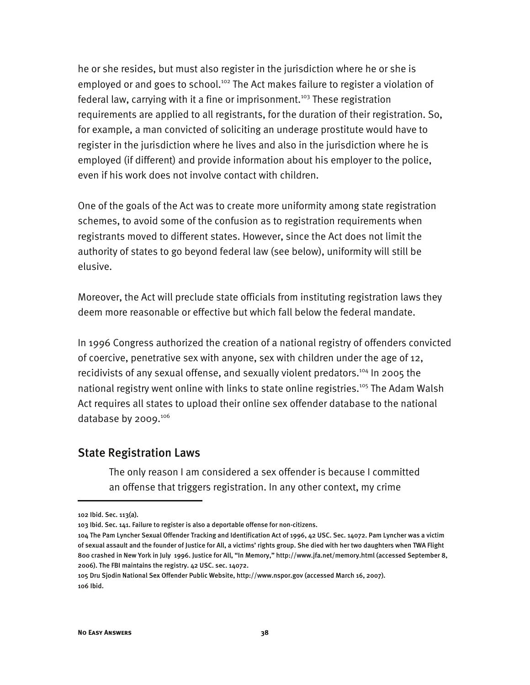he or she resides, but must also register in the jurisdiction where he or she is employed or and goes to school.<sup>102</sup> The Act makes failure to register a violation of federal law, carrying with it a fine or imprisonment.<sup>103</sup> These registration requirements are applied to all registrants, for the duration of their registration. So, for example, a man convicted of soliciting an underage prostitute would have to register in the jurisdiction where he lives and also in the jurisdiction where he is employed (if different) and provide information about his employer to the police, even if his work does not involve contact with children.

One of the goals of the Act was to create more uniformity among state registration schemes, to avoid some of the confusion as to registration requirements when registrants moved to different states. However, since the Act does not limit the authority of states to go beyond federal law (see below), uniformity will still be elusive.

Moreover, the Act will preclude state officials from instituting registration laws they deem more reasonable or effective but which fall below the federal mandate.

In 1996 Congress authorized the creation of a national registry of offenders convicted of coercive, penetrative sex with anyone, sex with children under the age of 12, recidivists of any sexual offense, and sexually violent predators.<sup>104</sup> In 2005 the national registry went online with links to state online registries.<sup>105</sup> The Adam Walsh Act requires all states to upload their online sex offender database to the national database by 2009.106

#### State Registration Laws

The only reason I am considered a sex offender is because I committed an offense that triggers registration. In any other context, my crime

<sup>102</sup> Ibid. Sec. 113(a).

<sup>103</sup> Ibid. Sec. 141. Failure to register is also a deportable offense for non-citizens.

<sup>104</sup> The Pam Lyncher Sexual Offender Tracking and Identification Act of 1996, 42 USC. Sec. 14072. Pam Lyncher was a victim of sexual assault and the founder of Justice for All, a victims' rights group. She died with her two daughters when TWA Flight 800 crashed in New York in July 1996. Justice for All, "In Memory," http://www.jfa.net/memory.html (accessed September 8, 2006). The FBI maintains the registry. 42 USC. sec. 14072.

<sup>105</sup> Dru Sjodin National Sex Offender Public Website, http://www.nspor.gov (accessed March 16, 2007). 106 Ibid.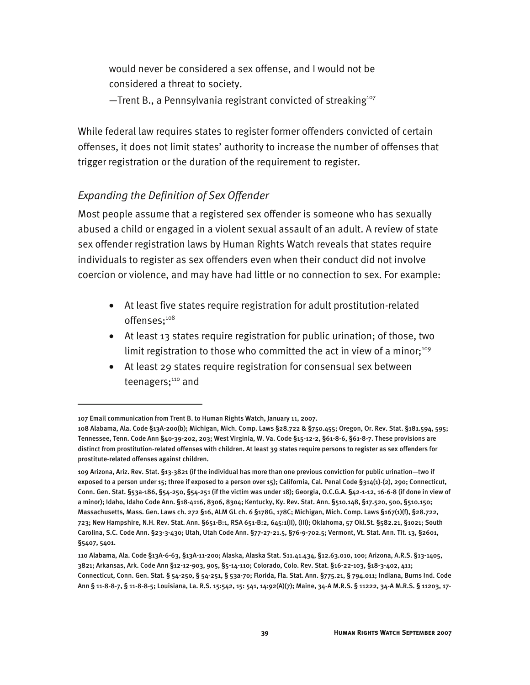would never be considered a sex offense, and I would not be considered a threat to society.

 $-$ Trent B., a Pennsylvania registrant convicted of streaking<sup>107</sup>

While federal law requires states to register former offenders convicted of certain offenses, it does not limit states' authority to increase the number of offenses that trigger registration or the duration of the requirement to register.

### *Expanding the Definition of Sex Offender*

Most people assume that a registered sex offender is someone who has sexually abused a child or engaged in a violent sexual assault of an adult. A review of state sex offender registration laws by Human Rights Watch reveals that states require individuals to register as sex offenders even when their conduct did not involve coercion or violence, and may have had little or no connection to sex. For example:

- At least five states require registration for adult prostitution-related offenses:108
- At least 13 states require registration for public urination; of those, two limit registration to those who committed the act in view of a minor;<sup>109</sup>
- At least 29 states require registration for consensual sex between teenagers;<sup>110</sup> and

<sup>107</sup> Email communication from Trent B. to Human Rights Watch, January 11, 2007.

<sup>108</sup> Alabama, Ala. Code §13A-200(b); Michigan, Mich. Comp. Laws §28.722 & §750.455; Oregon, Or. Rev. Stat. §181.594, 595; Tennessee, Tenn. Code Ann §40-39-202, 203; West Virginia, W. Va. Code §15-12-2, §61-8-6, §61-8-7. These provisions are distinct from prostitution-related offenses with children. At least 39 states require persons to register as sex offenders for prostitute-related offenses against children.

<sup>109</sup> Arizona, Ariz. Rev. Stat. §13-3821 (if the individual has more than one previous conviction for public urination—two if exposed to a person under 15; three if exposed to a person over 15); California, Cal. Penal Code §314(1)-(2), 290; Connecticut, Conn. Gen. Stat. §53a-186, §54-250, §54-251 (if the victim was under 18); Georgia, O.C.G.A. §42-1-12, 16-6-8 (if done in view of a minor); Idaho, Idaho Code Ann. §18-4116, 8306, 8304; Kentucky, Ky. Rev. Stat. Ann. §510.148, §17.520, 500, §510.150; Massachusetts, Mass. Gen. Laws ch. 272 §16, ALM GL ch. 6 §178G, 178C; Michigan, Mich. Comp. Laws §167(1)(f), §28.722, 723; New Hampshire, N.H. Rev. Stat. Ann. §651-B:1, RSA 651-B:2, 645:1(II), (III); Oklahoma, 57 Okl.St. §582.21, §1021; South Carolina, S.C. Code Ann. §23-3-430; Utah, Utah Code Ann. §77-27-21.5, §76-9-702.5; Vermont, Vt. Stat. Ann. Tit. 13, §2601, §5407, 5401.

<sup>110</sup> Alabama, Ala. Code §13A-6-63, §13A-11-200; Alaska, Alaska Stat. S11.41.434, §12.63.010, 100; Arizona, A.R.S. §13-1405, 3821; Arkansas, Ark. Code Ann §12-12-903, 905, §5-14-110; Colorado, Colo. Rev. Stat. §16-22-103, §18-3-402, 411; Connecticut, Conn. Gen. Stat. § 54-250, § 54-251, § 53a-70; Florida, Fla. Stat. Ann. §775.21, § 794.011; Indiana, Burns Ind. Code Ann § 11-8-8-7, § 11-8-8-5; Louisiana, La. R.S. 15:542, 15: 541, 14:92(A)(7); Maine, 34-A M.R.S. § 11222, 34-A M.R.S. § 11203, 17-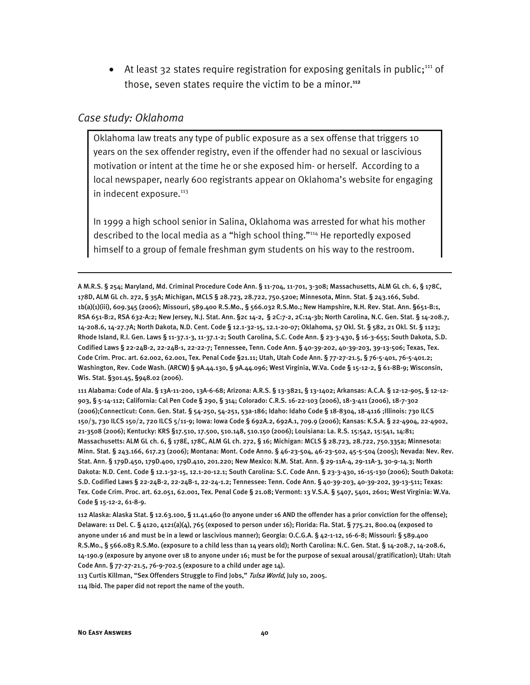• At least 32 states require registration for exposing genitals in public; $111$  of those, seven states require the victim to be a minor.**<sup>112</sup>**

#### *Case study: Oklahoma*

I

Oklahoma law treats any type of public exposure as a sex offense that triggers 10 years on the sex offender registry, even if the offender had no sexual or lascivious motivation or intent at the time he or she exposed him- or herself. According to a local newspaper, nearly 600 registrants appear on Oklahoma's website for engaging in indecent exposure.<sup>113</sup>

In 1999 a high school senior in Salina, Oklahoma was arrested for what his mother described to the local media as a "high school thing."114 He reportedly exposed himself to a group of female freshman gym students on his way to the restroom.

A M.R.S. § 254; Maryland, Md. Criminal Procedure Code Ann. § 11-704, 11-701, 3-308; Massachusetts, ALM GL ch. 6, § 178C, 178D, ALM GL ch. 272, § 35A; Michigan, MCLS § 28.723, 28.722, 750.520e; Minnesota, Minn. Stat. § 243.166, Subd. 1b(a)(1)(iii), 609.345 (2006); Missouri, 589.400 R.S.Mo., § 566.032 R.S.Mo.; New Hampshire, N.H. Rev. Stat. Ann. §651-B:1, RSA 651-B:2, RSA 632-A:2; New Jersey, N.J. Stat. Ann. §2c 14-2, § 2C:7-2, 2C:14-3b; North Carolina, N.C. Gen. Stat. § 14-208.7, 14-208.6, 14-27.7A; North Dakota, N.D. Cent. Code § 12.1-32-15, 12.1-20-07; Oklahoma, 57 Okl. St. § 582, 21 Okl. St. § 1123; Rhode Island, R.I. Gen. Laws § 11-37.1-3, 11-37.1-2; South Carolina, S.C. Code Ann. § 23-3-430, § 16-3-655; South Dakota, S.D. Codified Laws § 22-24B-2, 22-24B-1, 22-22-7; Tennessee, Tenn. Code Ann. § 40-39-202, 40-39-203, 39-13-506; Texas, Tex. Code Crim. Proc. art. 62.002, 62.001, Tex. Penal Code §21.11; Utah, Utah Code Ann. § 77-27-21.5, § 76-5-401, 76-5-401.2; Washington, Rev. Code Wash. (ARCW) § 9A.44.130, § 9A.44.096; West Virginia, W.Va. Code § 15-12-2, § 61-8B-9; Wisconsin, Wis. Stat. §301.45, §948.02 (2006).

111 Alabama: Code of Ala. § 13A-11-200, 13A-6-68; Arizona: A.R.S. § 13-3821, § 13-1402; Arkansas: A.C.A. § 12-12-905, § 12-12- 903, § 5-14-112; California: Cal Pen Code § 290, § 314; Colorado: C.R.S. 16-22-103 (2006), 18-3-411 (2006), 18-7-302 (2006);Connecticut: Conn. Gen. Stat. § 54-250, 54-251, 53a-186; Idaho: Idaho Code § 18-8304, 18-4116 ;Illinois: 730 ILCS 150/3, 730 ILCS 150/2, 720 ILCS 5/11-9; Iowa: Iowa Code § 692A.2, 692A.1, 709.9 (2006); Kansas: K.S.A. § 22-4904, 22-4902, 21-3508 (2006); Kentucky: KRS §17.510, 17.500, 510.148, 510.150 (2006); Louisiana: La. R.S. 15:542, 15:541, 14:81; Massachusetts: ALM GL ch. 6, § 178E, 178C, ALM GL ch. 272, § 16; Michigan: MCLS § 28.723, 28.722, 750.335a; Minnesota: Minn. Stat. § 243.166, 617.23 (2006); Montana: Mont. Code Anno. § 46-23-504, 46-23-502, 45-5-504 (2005); Nevada: Nev. Rev. Stat. Ann. § 179D.450, 179D.400, 179D.410, 201.220; New Mexico: N.M. Stat. Ann. § 29-11A-4, 29-11A-3, 30-9-14.3; North Dakota: N.D. Cent. Code § 12.1-32-15, 12.1-20-12.1; South Carolina: S.C. Code Ann. § 23-3-430, 16-15-130 (2006); South Dakota: S.D. Codified Laws § 22-24B-2, 22-24B-1, 22-24-1.2; Tennessee: Tenn. Code Ann. § 40-39-203, 40-39-202, 39-13-511; Texas: Tex. Code Crim. Proc. art. 62.051, 62.001, Tex. Penal Code § 21.08; Vermont: 13 V.S.A. § 5407, 5401, 2601; West Virginia: W.Va. Code § 15-12-2, 61-8-9.

112 Alaska: Alaska Stat. § 12.63.100, § 11.41.460 (to anyone under 16 AND the offender has a prior conviction for the offense); Delaware: 11 Del. C. § 4120, 4121(a)(4), 765 (exposed to person under 16); Florida: Fla. Stat. § 775.21, 800.04 (exposed to anyone under 16 and must be in a lewd or lascivious manner); Georgia: O.C.G.A. § 42-1-12, 16-6-8; Missouri: § 589.400 R.S.Mo., § 566.083 R.S.Mo. (exposure to a child less than 14 years old); North Carolina: N.C. Gen. Stat. § 14-208.7, 14-208.6, 14-190.9 (exposure by anyone over 18 to anyone under 16; must be for the purpose of sexual arousal/gratification); Utah: Utah Code Ann. § 77-27-21.5, 76-9-702.5 (exposure to a child under age 14).

113 Curtis Killman, "Sex Offenders Struggle to Find Jobs," Tulsa World, July 10, 2005.

114 Ibid. The paper did not report the name of the youth.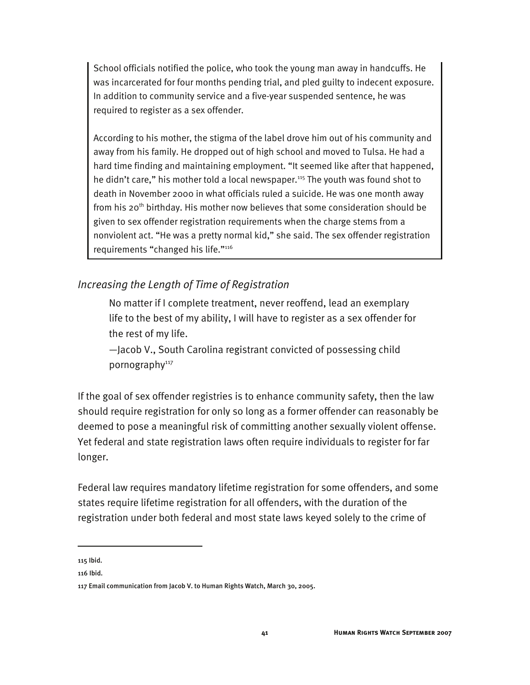School officials notified the police, who took the young man away in handcuffs. He was incarcerated for four months pending trial, and pled guilty to indecent exposure. In addition to community service and a five-year suspended sentence, he was required to register as a sex offender.

According to his mother, the stigma of the label drove him out of his community and away from his family. He dropped out of high school and moved to Tulsa. He had a hard time finding and maintaining employment. "It seemed like after that happened, he didn't care," his mother told a local newspaper.<sup>115</sup> The youth was found shot to death in November 2000 in what officials ruled a suicide. He was one month away from his 20<sup>th</sup> birthday. His mother now believes that some consideration should be given to sex offender registration requirements when the charge stems from a nonviolent act. "He was a pretty normal kid," she said. The sex offender registration requirements "changed his life."116

### *Increasing the Length of Time of Registration*

No matter if I complete treatment, never reoffend, lead an exemplary life to the best of my ability, I will have to register as a sex offender for the rest of my life.

—Jacob V., South Carolina registrant convicted of possessing child pornography<sup>117</sup>

If the goal of sex offender registries is to enhance community safety, then the law should require registration for only so long as a former offender can reasonably be deemed to pose a meaningful risk of committing another sexually violent offense. Yet federal and state registration laws often require individuals to register for far longer.

Federal law requires mandatory lifetime registration for some offenders, and some states require lifetime registration for all offenders, with the duration of the registration under both federal and most state laws keyed solely to the crime of

115 Ibid.

-

<sup>116</sup> Ibid.

<sup>117</sup> Email communication from Jacob V. to Human Rights Watch, March 30, 2005.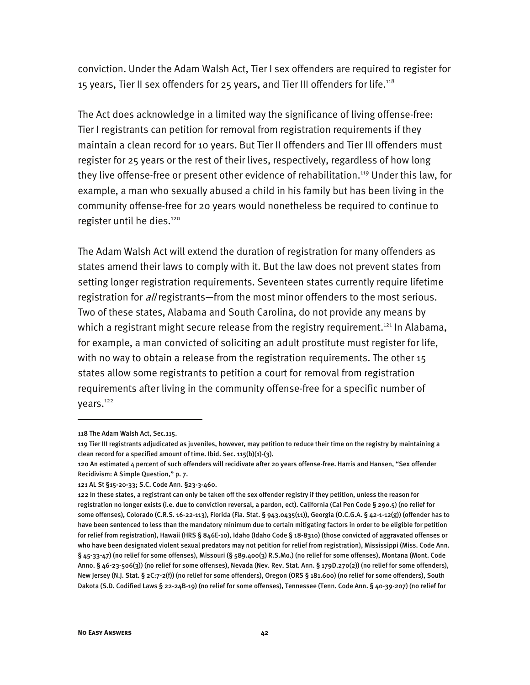conviction. Under the Adam Walsh Act, Tier I sex offenders are required to register for 15 years, Tier II sex offenders for 25 years, and Tier III offenders for life.<sup>118</sup>

The Act does acknowledge in a limited way the significance of living offense-free: Tier I registrants can petition for removal from registration requirements if they maintain a clean record for 10 years. But Tier II offenders and Tier III offenders must register for 25 years or the rest of their lives, respectively, regardless of how long they live offense-free or present other evidence of rehabilitation.<sup>119</sup> Under this law, for example, a man who sexually abused a child in his family but has been living in the community offense-free for 20 years would nonetheless be required to continue to register until he dies.<sup>120</sup>

The Adam Walsh Act will extend the duration of registration for many offenders as states amend their laws to comply with it. But the law does not prevent states from setting longer registration requirements. Seventeen states currently require lifetime registration for *all* registrants—from the most minor offenders to the most serious. Two of these states, Alabama and South Carolina, do not provide any means by which a registrant might secure release from the registry requirement.<sup>121</sup> In Alabama, for example, a man convicted of soliciting an adult prostitute must register for life, with no way to obtain a release from the registration requirements. The other 15 states allow some registrants to petition a court for removal from registration requirements after living in the community offense-free for a specific number of years.<sup>122</sup>

-

<sup>118</sup> The Adam Walsh Act, Sec.115.

<sup>119</sup> Tier III registrants adjudicated as juveniles, however, may petition to reduce their time on the registry by maintaining a clean record for a specified amount of time. Ibid. Sec.  $115(b)(1)-(3)$ .

<sup>120</sup> An estimated 4 percent of such offenders will recidivate after 20 years offense-free. Harris and Hansen, "Sex offender Recidivism: A Simple Question," p. 7.

<sup>121</sup> AL St §15-20-33; S.C. Code Ann. §23-3-460.

<sup>122</sup> In these states, a registrant can only be taken off the sex offender registry if they petition, unless the reason for registration no longer exists (i.e. due to conviction reversal, a pardon, ect). California (Cal Pen Code § 290.5) (no relief for some offenses), Colorado (C.R.S. 16-22-113), Florida (Fla. Stat. § 943.0435(11)), Georgia (O.C.G.A. § 42-1-12(g)) (offender has to have been sentenced to less than the mandatory minimum due to certain mitigating factors in order to be eligible for petition for relief from registration), Hawaii (HRS § 846E-10), Idaho (Idaho Code § 18-8310) (those convicted of aggravated offenses or who have been designated violent sexual predators may not petition for relief from registration), Mississippi (Miss. Code Ann. § 45-33-47) (no relief for some offenses), Missouri (§ 589.400(3) R.S.Mo.) (no relief for some offenses), Montana (Mont. Code Anno. § 46-23-506(3)) (no relief for some offenses), Nevada (Nev. Rev. Stat. Ann. § 179D.270(2)) (no relief for some offenders), New Jersey (N.J. Stat. § 2C:7-2(f)) (no relief for some offenders), Oregon (ORS § 181.600) (no relief for some offenders), South Dakota (S.D. Codified Laws § 22-24B-19) (no relief for some offenses), Tennessee (Tenn. Code Ann. § 40-39-207) (no relief for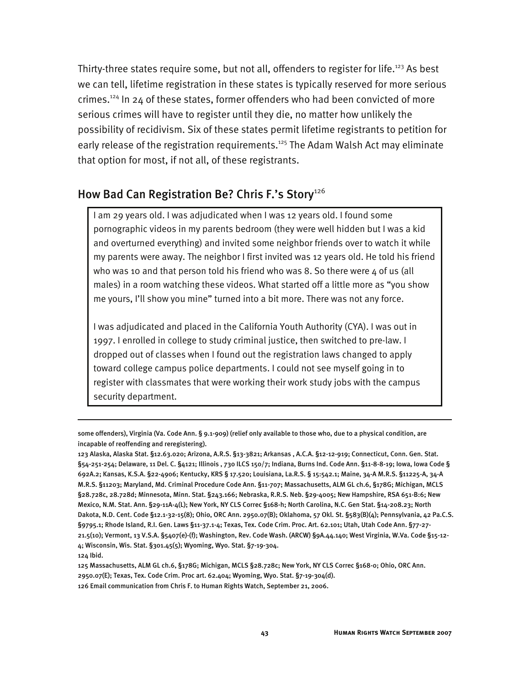Thirty-three states require some, but not all, offenders to register for life.<sup>123</sup> As best we can tell, lifetime registration in these states is typically reserved for more serious crimes.124 In 24 of these states, former offenders who had been convicted of more serious crimes will have to register until they die, no matter how unlikely the possibility of recidivism. Six of these states permit lifetime registrants to petition for early release of the registration requirements.<sup>125</sup> The Adam Walsh Act may eliminate that option for most, if not all, of these registrants.

### How Bad Can Registration Be? Chris F.'s Story<sup>126</sup>

I am 29 years old. I was adjudicated when I was 12 years old. I found some pornographic videos in my parents bedroom (they were well hidden but I was a kid and overturned everything) and invited some neighbor friends over to watch it while my parents were away. The neighbor I first invited was 12 years old. He told his friend who was 10 and that person told his friend who was 8. So there were  $4$  of us (all males) in a room watching these videos. What started off a little more as "you show me yours, I'll show you mine" turned into a bit more. There was not any force.

I was adjudicated and placed in the California Youth Authority (CYA). I was out in 1997. I enrolled in college to study criminal justice, then switched to pre-law. I dropped out of classes when I found out the registration laws changed to apply toward college campus police departments. I could not see myself going in to register with classmates that were working their work study jobs with the campus security department.

some offenders), Virginia (Va. Code Ann. § 9.1-909) (relief only available to those who, due to a physical condition, are incapable of reoffending and reregistering).

<sup>123</sup> Alaska, Alaska Stat. §12.63.020; Arizona, A.R.S. §13-3821; Arkansas , A.C.A. §12-12-919; Connecticut, Conn. Gen. Stat. §54-251-254; Delaware, 11 Del. C. §4121; Illinois , 730 ILCS 150/7; Indiana, Burns Ind. Code Ann. §11-8-8-19; Iowa, Iowa Code § 692A.2; Kansas, K.S.A. §22-4906; Kentucky, KRS § 17.520; Louisiana, La.R.S. § 15:542.1; Maine, 34-A M.R.S. §11225-A, 34-A M.R.S. §11203; Maryland, Md. Criminal Procedure Code Ann. §11-707; Massachusetts, ALM GL ch.6, §178G; Michigan, MCLS §28.728c, 28.728d; Minnesota, Minn. Stat. §243.166; Nebraska, R.R.S. Neb. §29-4005; New Hampshire, RSA 651-B:6; New Mexico, N.M. Stat. Ann. §29-11A-4(L); New York, NY CLS Correc §168-h; North Carolina, N.C. Gen Stat. §14-208.23; North Dakota, N.D. Cent. Code §12.1-32-15(8); Ohio, ORC Ann. 2950.07(B); Oklahoma, 57 Okl. St. §583(B)(4); Pennsylvania, 42 Pa.C.S. §9795.1; Rhode Island, R.I. Gen. Laws §11-37.1-4; Texas, Tex. Code Crim. Proc. Art. 62.101; Utah, Utah Code Ann. §77-27- 21.5(10); Vermont, 13 V.S.A. §5407(e)-(f); Washington, Rev. Code Wash. (ARCW) §9A.44.140; West Virginia, W.Va. Code §15-12- 4; Wisconsin, Wis. Stat. §301.45(5); Wyoming, Wyo. Stat. §7-19-304.

<sup>124</sup> Ibid.

<sup>125</sup> Massachusetts, ALM GL ch.6, §178G; Michigan, MCLS §28.728c; New York, NY CLS Correc §168-0; Ohio, ORC Ann. 2950.07(E); Texas, Tex. Code Crim. Proc art. 62.404; Wyoming, Wyo. Stat. §7-19-304(d).

<sup>126</sup> Email communication from Chris F. to Human Rights Watch, September 21, 2006.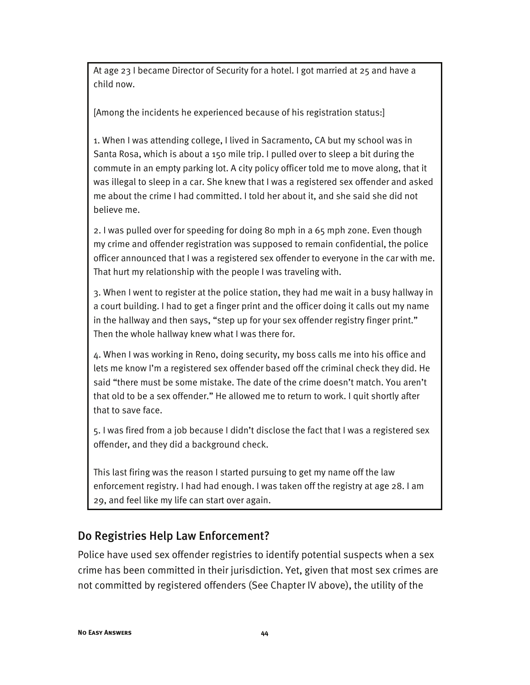At age 23 I became Director of Security for a hotel. I got married at 25 and have a child now.

[Among the incidents he experienced because of his registration status:]

1. When I was attending college, I lived in Sacramento, CA but my school was in Santa Rosa, which is about a 150 mile trip. I pulled over to sleep a bit during the commute in an empty parking lot. A city policy officer told me to move along, that it was illegal to sleep in a car. She knew that I was a registered sex offender and asked me about the crime I had committed. I told her about it, and she said she did not believe me.

2. I was pulled over for speeding for doing 80 mph in a 65 mph zone. Even though my crime and offender registration was supposed to remain confidential, the police officer announced that I was a registered sex offender to everyone in the car with me. That hurt my relationship with the people I was traveling with.

3. When I went to register at the police station, they had me wait in a busy hallway in a court building. I had to get a finger print and the officer doing it calls out my name in the hallway and then says, "step up for your sex offender registry finger print." Then the whole hallway knew what I was there for.

4. When I was working in Reno, doing security, my boss calls me into his office and lets me know I'm a registered sex offender based off the criminal check they did. He said "there must be some mistake. The date of the crime doesn't match. You aren't that old to be a sex offender." He allowed me to return to work. I quit shortly after that to save face.

5. I was fired from a job because I didn't disclose the fact that I was a registered sex offender, and they did a background check.

This last firing was the reason I started pursuing to get my name off the law enforcement registry. I had had enough. I was taken off the registry at age 28. I am 29, and feel like my life can start over again.

### Do Registries Help Law Enforcement?

Police have used sex offender registries to identify potential suspects when a sex crime has been committed in their jurisdiction. Yet, given that most sex crimes are not committed by registered offenders (See Chapter IV above), the utility of the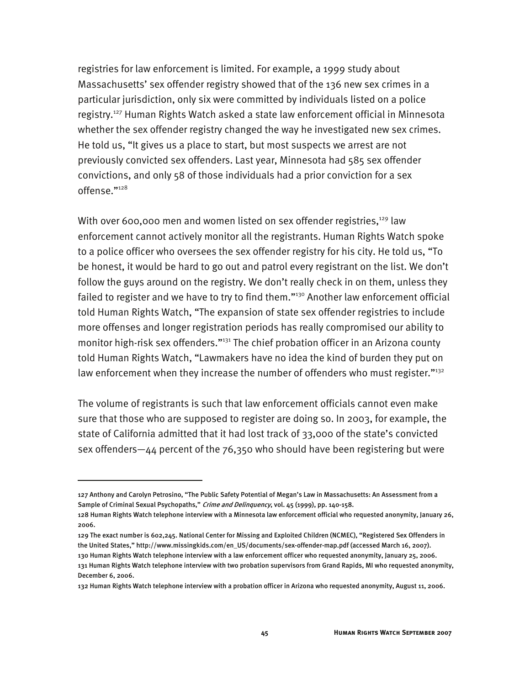registries for law enforcement is limited. For example, a 1999 study about Massachusetts' sex offender registry showed that of the 136 new sex crimes in a particular jurisdiction, only six were committed by individuals listed on a police registry.127 Human Rights Watch asked a state law enforcement official in Minnesota whether the sex offender registry changed the way he investigated new sex crimes. He told us, "It gives us a place to start, but most suspects we arrest are not previously convicted sex offenders. Last year, Minnesota had 585 sex offender convictions, and only 58 of those individuals had a prior conviction for a sex offense."128

With over 600,000 men and women listed on sex offender registries, $129$  law enforcement cannot actively monitor all the registrants. Human Rights Watch spoke to a police officer who oversees the sex offender registry for his city. He told us, "To be honest, it would be hard to go out and patrol every registrant on the list. We don't follow the guys around on the registry. We don't really check in on them, unless they failed to register and we have to try to find them."<sup>130</sup> Another law enforcement official told Human Rights Watch, "The expansion of state sex offender registries to include more offenses and longer registration periods has really compromised our ability to monitor high-risk sex offenders."<sup>131</sup> The chief probation officer in an Arizona county told Human Rights Watch, "Lawmakers have no idea the kind of burden they put on law enforcement when they increase the number of offenders who must register."<sup>132</sup>

The volume of registrants is such that law enforcement officials cannot even make sure that those who are supposed to register are doing so. In 2003, for example, the state of California admitted that it had lost track of 33,000 of the state's convicted sex offenders—44 percent of the 76,350 who should have been registering but were

-

<sup>127</sup> Anthony and Carolyn Petrosino, "The Public Safety Potential of Megan's Law in Massachusetts: An Assessment from a Sample of Criminal Sexual Psychopaths," Crime and Delinquency, vol. 45 (1999), pp. 140-158.

<sup>128</sup> Human Rights Watch telephone interview with a Minnesota law enforcement official who requested anonymity, January 26, 2006.

<sup>129</sup> The exact number is 602,245. National Center for Missing and Exploited Children (NCMEC), "Registered Sex Offenders in the United States," http://www.missingkids.com/en\_US/documents/sex-offender-map.pdf (accessed March 16, 2007).

<sup>130</sup> Human Rights Watch telephone interview with a law enforcement officer who requested anonymity, January 25, 2006. 131 Human Rights Watch telephone interview with two probation supervisors from Grand Rapids, MI who requested anonymity, December 6, 2006.

<sup>132</sup> Human Rights Watch telephone interview with a probation officer in Arizona who requested anonymity, August 11, 2006.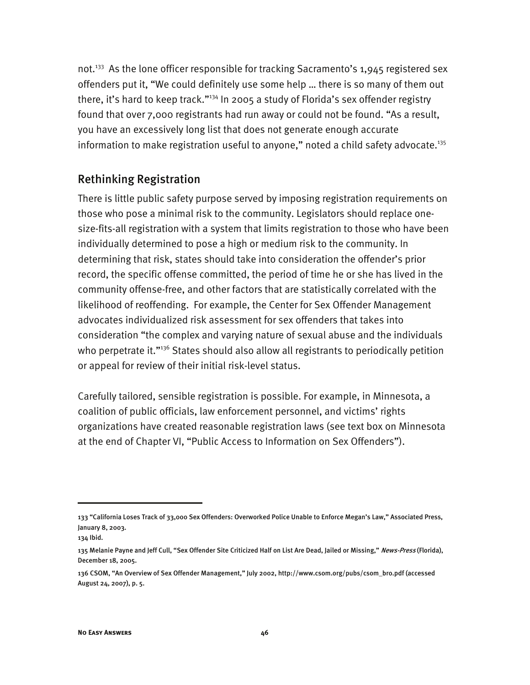not.<sup>133</sup> As the lone officer responsible for tracking Sacramento's 1,945 registered sex offenders put it, "We could definitely use some help … there is so many of them out there, it's hard to keep track."<sup>134</sup> In 2005 a study of Florida's sex offender registry found that over 7,000 registrants had run away or could not be found. "As a result, you have an excessively long list that does not generate enough accurate information to make registration useful to anyone," noted a child safety advocate.<sup>135</sup>

# Rethinking Registration

There is little public safety purpose served by imposing registration requirements on those who pose a minimal risk to the community. Legislators should replace onesize-fits-all registration with a system that limits registration to those who have been individually determined to pose a high or medium risk to the community. In determining that risk, states should take into consideration the offender's prior record, the specific offense committed, the period of time he or she has lived in the community offense-free, and other factors that are statistically correlated with the likelihood of reoffending. For example, the Center for Sex Offender Management advocates individualized risk assessment for sex offenders that takes into consideration "the complex and varying nature of sexual abuse and the individuals who perpetrate it."<sup>136</sup> States should also allow all registrants to periodically petition or appeal for review of their initial risk-level status.

Carefully tailored, sensible registration is possible. For example, in Minnesota, a coalition of public officials, law enforcement personnel, and victims' rights organizations have created reasonable registration laws (see text box on Minnesota at the end of Chapter VI, "Public Access to Information on Sex Offenders").

<sup>133 &</sup>quot;California Loses Track of 33,000 Sex Offenders: Overworked Police Unable to Enforce Megan's Law," Associated Press, January 8, 2003.

<sup>134</sup> Ibid.

<sup>135</sup> Melanie Payne and Jeff Cull, "Sex Offender Site Criticized Half on List Are Dead, Jailed or Missing," News-Press (Florida), December 18, 2005.

<sup>136</sup> CSOM, "An Overview of Sex Offender Management," July 2002, http://www.csom.org/pubs/csom\_bro.pdf (accessed August 24, 2007), p. 5.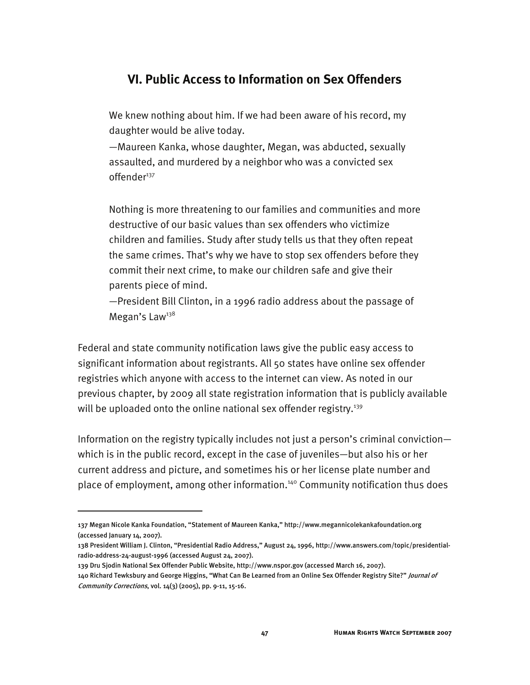# **VI. Public Access to Information on Sex Offenders**

We knew nothing about him. If we had been aware of his record, my daughter would be alive today.

—Maureen Kanka, whose daughter, Megan, was abducted, sexually assaulted, and murdered by a neighbor who was a convicted sex offender<sup>137</sup>

Nothing is more threatening to our families and communities and more destructive of our basic values than sex offenders who victimize children and families. Study after study tells us that they often repeat the same crimes. That's why we have to stop sex offenders before they commit their next crime, to make our children safe and give their parents piece of mind.

—President Bill Clinton, in a 1996 radio address about the passage of Megan's Law<sup>138</sup>

Federal and state community notification laws give the public easy access to significant information about registrants. All 50 states have online sex offender registries which anyone with access to the internet can view. As noted in our previous chapter, by 2009 all state registration information that is publicly available will be uploaded onto the online national sex offender registry.<sup>139</sup>

Information on the registry typically includes not just a person's criminal conviction which is in the public record, except in the case of juveniles—but also his or her current address and picture, and sometimes his or her license plate number and place of employment, among other information.<sup>140</sup> Community notification thus does

<sup>137</sup> Megan Nicole Kanka Foundation, "Statement of Maureen Kanka," http://www.megannicolekankafoundation.org (accessed January 14, 2007).

<sup>138</sup> President William J. Clinton, "Presidential Radio Address," August 24, 1996, http://www.answers.com/topic/presidentialradio-address-24-august-1996 (accessed August 24, 2007).

<sup>139</sup> Dru Sjodin National Sex Offender Public Website, http://www.nspor.gov (accessed March 16, 2007).

<sup>140</sup> Richard Tewksbury and George Higgins, "What Can Be Learned from an Online Sex Offender Registry Site?" Journal of Community Corrections, vol. 14(3) (2005), pp. 9-11, 15-16.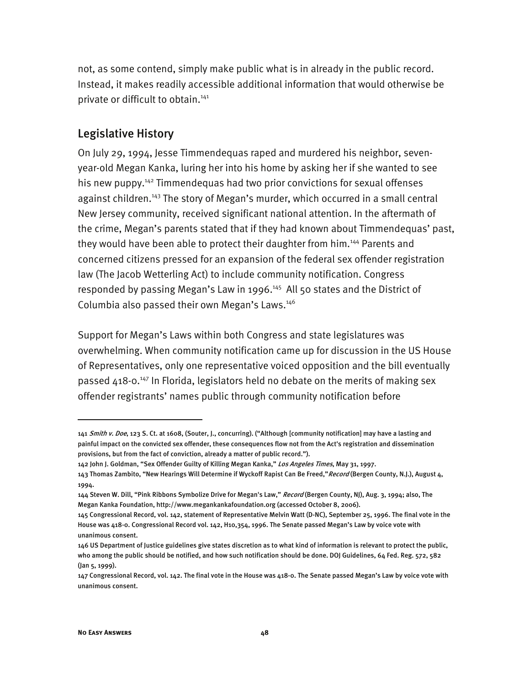not, as some contend, simply make public what is in already in the public record. Instead, it makes readily accessible additional information that would otherwise be private or difficult to obtain.<sup>141</sup>

### Legislative History

On July 29, 1994, Jesse Timmendequas raped and murdered his neighbor, sevenyear-old Megan Kanka, luring her into his home by asking her if she wanted to see his new puppy.<sup>142</sup> Timmendequas had two prior convictions for sexual offenses against children.<sup>143</sup> The story of Megan's murder, which occurred in a small central New Jersey community, received significant national attention. In the aftermath of the crime, Megan's parents stated that if they had known about Timmendequas' past, they would have been able to protect their daughter from him.<sup>144</sup> Parents and concerned citizens pressed for an expansion of the federal sex offender registration law (The Jacob Wetterling Act) to include community notification. Congress responded by passing Megan's Law in 1996.<sup>145</sup> All 50 states and the District of Columbia also passed their own Megan's Laws.<sup>146</sup>

Support for Megan's Laws within both Congress and state legislatures was overwhelming. When community notification came up for discussion in the US House of Representatives, only one representative voiced opposition and the bill eventually passed  $418$ -0.<sup>147</sup> In Florida, legislators held no debate on the merits of making sex offender registrants' names public through community notification before

<sup>141</sup> Smith v. Doe, 123 S. Ct. at 1608, (Souter, J., concurring). ("Although [community notification] may have a lasting and painful impact on the convicted sex offender, these consequences flow not from the Act's registration and dissemination provisions, but from the fact of conviction, already a matter of public record.").

<sup>142</sup> John J. Goldman, "Sex Offender Guilty of Killing Megan Kanka," Los Angeles Times, May 31, 1997.

<sup>143</sup> Thomas Zambito, "New Hearings Will Determine if Wyckoff Rapist Can Be Freed," Record (Bergen County, N.J.), August 4, 1994.

<sup>144</sup> Steven W. Dill, "Pink Ribbons Symbolize Drive for Megan's Law," Record (Bergen County, NJ), Aug. 3, 1994; also, The Megan Kanka Foundation, http://www.megankankafoundation.org (accessed October 8, 2006).

<sup>145</sup> Congressional Record, vol. 142, statement of Representative Melvin Watt (D-NC), September 25, 1996. The final vote in the House was 418-0. Congressional Record vol. 142, H10,354, 1996. The Senate passed Megan's Law by voice vote with unanimous consent.

<sup>146</sup> US Department of Justice guidelines give states discretion as to what kind of information is relevant to protect the public, who among the public should be notified, and how such notification should be done. DOJ Guidelines, 64 Fed. Reg. 572, 582 (Jan 5, 1999).

<sup>147</sup> Congressional Record, vol. 142. The final vote in the House was 418-0. The Senate passed Megan's Law by voice vote with unanimous consent.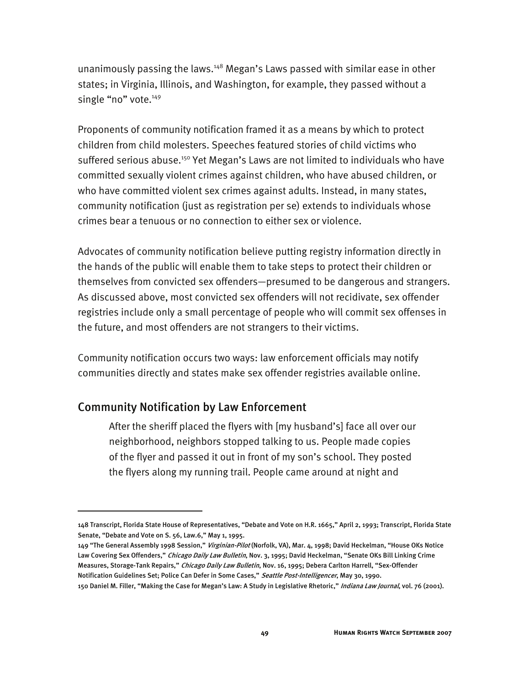unanimously passing the laws.<sup>148</sup> Megan's Laws passed with similar ease in other states; in Virginia, Illinois, and Washington, for example, they passed without a single "no" vote.<sup>149</sup>

Proponents of community notification framed it as a means by which to protect children from child molesters. Speeches featured stories of child victims who suffered serious abuse.<sup>150</sup> Yet Megan's Laws are not limited to individuals who have committed sexually violent crimes against children, who have abused children, or who have committed violent sex crimes against adults. Instead, in many states, community notification (just as registration per se) extends to individuals whose crimes bear a tenuous or no connection to either sex or violence.

Advocates of community notification believe putting registry information directly in the hands of the public will enable them to take steps to protect their children or themselves from convicted sex offenders—presumed to be dangerous and strangers. As discussed above, most convicted sex offenders will not recidivate, sex offender registries include only a small percentage of people who will commit sex offenses in the future, and most offenders are not strangers to their victims.

Community notification occurs two ways: law enforcement officials may notify communities directly and states make sex offender registries available online.

#### Community Notification by Law Enforcement

I

After the sheriff placed the flyers with [my husband's] face all over our neighborhood, neighbors stopped talking to us. People made copies of the flyer and passed it out in front of my son's school. They posted the flyers along my running trail. People came around at night and

<sup>148</sup> Transcript, Florida State House of Representatives, "Debate and Vote on H.R. 1665," April 2, 1993; Transcript, Florida State Senate, "Debate and Vote on S. 56, Law.6," May 1, 1995.

<sup>149 &</sup>quot;The General Assembly 1998 Session," Virginian-Pilot (Norfolk, VA), Mar. 4, 1998; David Heckelman, "House OKs Notice Law Covering Sex Offenders," Chicago Daily Law Bulletin, Nov. 3, 1995; David Heckelman, "Senate OKs Bill Linking Crime Measures, Storage-Tank Repairs," Chicago Daily Law Bulletin, Nov. 16, 1995; Debera Carlton Harrell, "Sex-Offender Notification Guidelines Set; Police Can Defer in Some Cases," Seattle Post-Intelligencer, May 30, 1990.

<sup>150</sup> Daniel M. Filler, "Making the Case for Megan's Law: A Study in Legislative Rhetoric," Indiana Law Journal, vol. 76 (2001).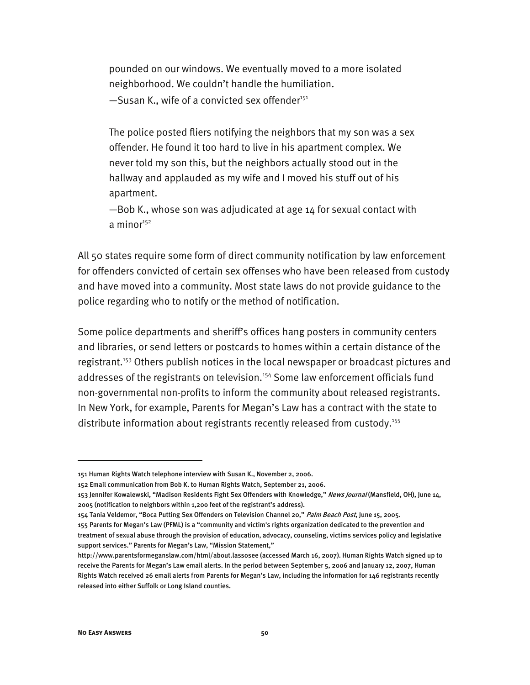pounded on our windows. We eventually moved to a more isolated neighborhood. We couldn't handle the humiliation.  $-$ Susan K., wife of a convicted sex offender<sup>151</sup>

The police posted fliers notifying the neighbors that my son was a sex offender. He found it too hard to live in his apartment complex. We never told my son this, but the neighbors actually stood out in the hallway and applauded as my wife and I moved his stuff out of his apartment.

—Bob K., whose son was adjudicated at age 14 for sexual contact with a mino $r^{152}$ 

All 50 states require some form of direct community notification by law enforcement for offenders convicted of certain sex offenses who have been released from custody and have moved into a community. Most state laws do not provide guidance to the police regarding who to notify or the method of notification.

Some police departments and sheriff's offices hang posters in community centers and libraries, or send letters or postcards to homes within a certain distance of the registrant.<sup>153</sup> Others publish notices in the local newspaper or broadcast pictures and addresses of the registrants on television.<sup>154</sup> Some law enforcement officials fund non-governmental non-profits to inform the community about released registrants. In New York, for example, Parents for Megan's Law has a contract with the state to distribute information about registrants recently released from custody.<sup>155</sup>

<sup>151</sup> Human Rights Watch telephone interview with Susan K., November 2, 2006.

<sup>152</sup> Email communication from Bob K. to Human Rights Watch, September 21, 2006.

<sup>153</sup> Jennifer Kowalewski, "Madison Residents Fight Sex Offenders with Knowledge," News Journal (Mansfield, OH), June 14, 2005 (notification to neighbors within 1,200 feet of the registrant's address).

<sup>154</sup> Tania Veldemor, "Boca Putting Sex Offenders on Television Channel 20," Palm Beach Post, June 15, 2005.

<sup>155</sup> Parents for Megan's Law (PFML) is a "community and victim's rights organization dedicated to the prevention and treatment of sexual abuse through the provision of education, advocacy, counseling, victims services policy and legislative support services." Parents for Megan's Law, "Mission Statement,"

http://www.parentsformeganslaw.com/html/about.lassosee (accessed March 16, 2007). Human Rights Watch signed up to receive the Parents for Megan's Law email alerts. In the period between September 5, 2006 and January 12, 2007, Human Rights Watch received 26 email alerts from Parents for Megan's Law, including the information for 146 registrants recently released into either Suffolk or Long Island counties.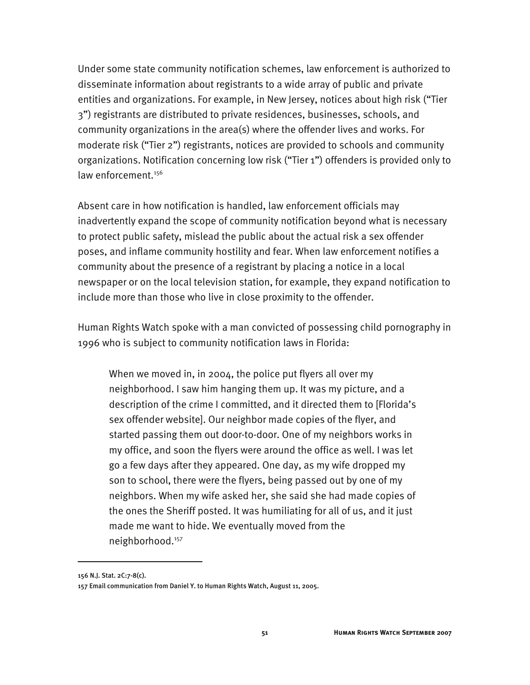Under some state community notification schemes, law enforcement is authorized to disseminate information about registrants to a wide array of public and private entities and organizations. For example, in New Jersey, notices about high risk ("Tier 3") registrants are distributed to private residences, businesses, schools, and community organizations in the area(s) where the offender lives and works. For moderate risk ("Tier 2") registrants, notices are provided to schools and community organizations. Notification concerning low risk ("Tier 1") offenders is provided only to law enforcement.<sup>156</sup>

Absent care in how notification is handled, law enforcement officials may inadvertently expand the scope of community notification beyond what is necessary to protect public safety, mislead the public about the actual risk a sex offender poses, and inflame community hostility and fear. When law enforcement notifies a community about the presence of a registrant by placing a notice in a local newspaper or on the local television station, for example, they expand notification to include more than those who live in close proximity to the offender.

Human Rights Watch spoke with a man convicted of possessing child pornography in 1996 who is subject to community notification laws in Florida:

When we moved in, in 2004, the police put flyers all over my neighborhood. I saw him hanging them up. It was my picture, and a description of the crime I committed, and it directed them to [Florida's sex offender website]. Our neighbor made copies of the flyer, and started passing them out door-to-door. One of my neighbors works in my office, and soon the flyers were around the office as well. I was let go a few days after they appeared. One day, as my wife dropped my son to school, there were the flyers, being passed out by one of my neighbors. When my wife asked her, she said she had made copies of the ones the Sheriff posted. It was humiliating for all of us, and it just made me want to hide. We eventually moved from the neighborhood.<sup>157</sup>

<sup>156</sup> N.J. Stat. 2C:7-8(c).

<sup>157</sup> Email communication from Daniel Y. to Human Rights Watch, August 11, 2005.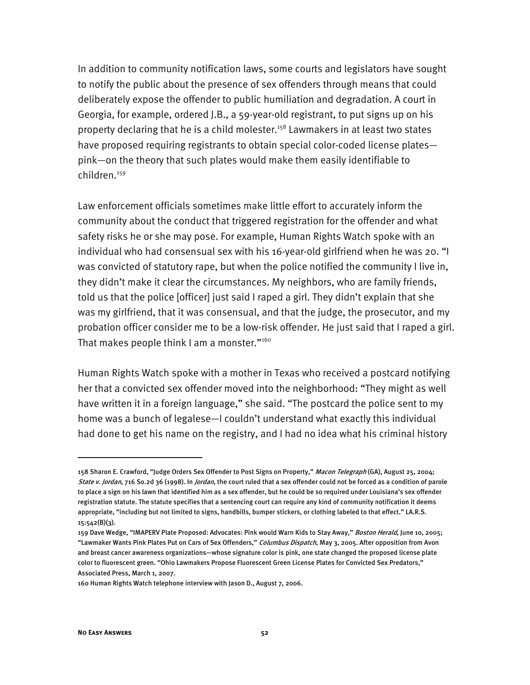In addition to community notification laws, some courts and legislators have sought to notify the public about the presence of sex offenders through means that could deliberately expose the offender to public humiliation and degradation. A court in Georgia, for example, ordered J.B., a 59-year-old registrant, to put signs up on his property declaring that he is a child molester.<sup>158</sup> Lawmakers in at least two states have proposed requiring registrants to obtain special color-coded license plates pink—on the theory that such plates would make them easily identifiable to children.159

Law enforcement officials sometimes make little effort to accurately inform the community about the conduct that triggered registration for the offender and what safety risks he or she may pose. For example, Human Rights Watch spoke with an individual who had consensual sex with his 16-year-old girlfriend when he was 20. "I was convicted of statutory rape, but when the police notified the community I live in, they didn't make it clear the circumstances. My neighbors, who are family friends, told us that the police [officer] just said I raped a girl. They didn't explain that she was my girlfriend, that it was consensual, and that the judge, the prosecutor, and my probation officer consider me to be a low-risk offender. He just said that I raped a girl. That makes people think I am a monster."<sup>160</sup>

Human Rights Watch spoke with a mother in Texas who received a postcard notifying her that a convicted sex offender moved into the neighborhood: "They might as well have written it in a foreign language," she said. "The postcard the police sent to my home was a bunch of legalese—I couldn't understand what exactly this individual had done to get his name on the registry, and I had no idea what his criminal history

<sup>158</sup> Sharon E. Crawford, "Judge Orders Sex Offender to Post Signs on Property," Macon Telegraph (GA), August 25, 2004; State v. Jordan, 716 So.2d 36 (1998). In Jordan, the court ruled that a sex offender could not be forced as a condition of parole to place a sign on his lawn that identified him as a sex offender, but he could be so required under Louisiana's sex offender registration statute. The statute specifies that a sentencing court can require any kind of community notification it deems appropriate, "including but not limited to signs, handbills, bumper stickers, or clothing labeled to that effect." LA.R.S. 15:542(B)(3).

<sup>159</sup> Dave Wedge, "IMAPERV Plate Proposed: Advocates: Pink would Warn Kids to Stay Away," Boston Herald, June 10, 2005; "Lawmaker Wants Pink Plates Put on Cars of Sex Offenders," Columbus Dispatch, May 3, 2005. After opposition from Avon and breast cancer awareness organizations—whose signature color is pink, one state changed the proposed license plate color to fluorescent green. "Ohio Lawmakers Propose Fluorescent Green License Plates for Convicted Sex Predators," Associated Press, March 1, 2007.

<sup>160</sup> Human Rights Watch telephone interview with Jason D., August 7, 2006.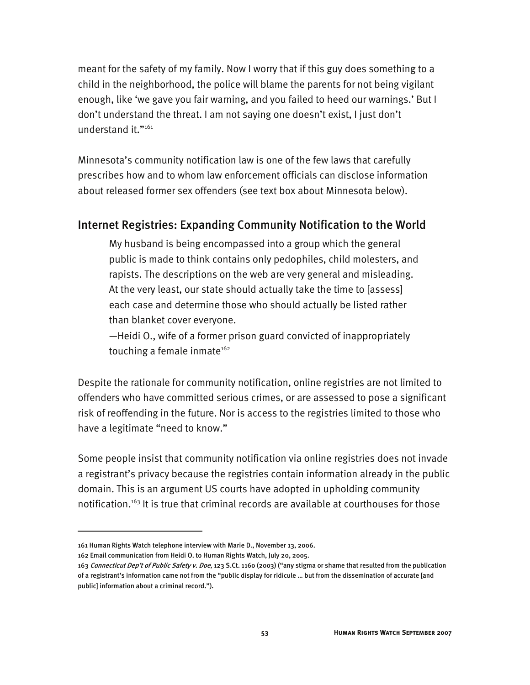meant for the safety of my family. Now I worry that if this guy does something to a child in the neighborhood, the police will blame the parents for not being vigilant enough, like 'we gave you fair warning, and you failed to heed our warnings.' But I don't understand the threat. I am not saying one doesn't exist, I just don't understand it."<sup>161</sup>

Minnesota's community notification law is one of the few laws that carefully prescribes how and to whom law enforcement officials can disclose information about released former sex offenders (see text box about Minnesota below).

#### Internet Registries: Expanding Community Notification to the World

My husband is being encompassed into a group which the general public is made to think contains only pedophiles, child molesters, and rapists. The descriptions on the web are very general and misleading. At the very least, our state should actually take the time to [assess] each case and determine those who should actually be listed rather than blanket cover everyone.

—Heidi O., wife of a former prison guard convicted of inappropriately touching a female inmate $162$ 

Despite the rationale for community notification, online registries are not limited to offenders who have committed serious crimes, or are assessed to pose a significant risk of reoffending in the future. Nor is access to the registries limited to those who have a legitimate "need to know."

Some people insist that community notification via online registries does not invade a registrant's privacy because the registries contain information already in the public domain. This is an argument US courts have adopted in upholding community notification.<sup>163</sup> It is true that criminal records are available at courthouses for those

<sup>161</sup> Human Rights Watch telephone interview with Marie D., November 13, 2006.

<sup>162</sup> Email communication from Heidi O. to Human Rights Watch, July 20, 2005.

<sup>163</sup> Connecticut Dep't of Public Safety v. Doe, 123 S.Ct. 1160 (2003) ("any stigma or shame that resulted from the publication of a registrant's information came not from the "public display for ridicule … but from the dissemination of accurate [and public] information about a criminal record.").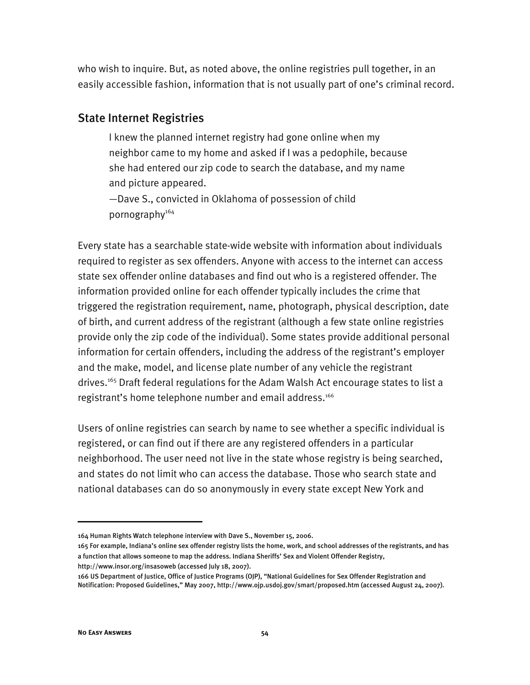who wish to inquire. But, as noted above, the online registries pull together, in an easily accessible fashion, information that is not usually part of one's criminal record.

### State Internet Registries

I knew the planned internet registry had gone online when my neighbor came to my home and asked if I was a pedophile, because she had entered our zip code to search the database, and my name and picture appeared.

—Dave S., convicted in Oklahoma of possession of child pornography<sup>164</sup>

Every state has a searchable state-wide website with information about individuals required to register as sex offenders. Anyone with access to the internet can access state sex offender online databases and find out who is a registered offender. The information provided online for each offender typically includes the crime that triggered the registration requirement, name, photograph, physical description, date of birth, and current address of the registrant (although a few state online registries provide only the zip code of the individual). Some states provide additional personal information for certain offenders, including the address of the registrant's employer and the make, model, and license plate number of any vehicle the registrant drives.<sup>165</sup> Draft federal regulations for the Adam Walsh Act encourage states to list a registrant's home telephone number and email address.<sup>166</sup>

Users of online registries can search by name to see whether a specific individual is registered, or can find out if there are any registered offenders in a particular neighborhood. The user need not live in the state whose registry is being searched, and states do not limit who can access the database. Those who search state and national databases can do so anonymously in every state except New York and

<sup>164</sup> Human Rights Watch telephone interview with Dave S., November 15, 2006.

<sup>165</sup> For example, Indiana's online sex offender registry lists the home, work, and school addresses of the registrants, and has a function that allows someone to map the address. Indiana Sheriffs' Sex and Violent Offender Registry, http://www.insor.org/insasoweb (accessed July 18, 2007).

<sup>166</sup> US Department of Justice, Office of Justice Programs (OJP), "National Guidelines for Sex Offender Registration and Notification: Proposed Guidelines," May 2007, http://www.ojp.usdoj.gov/smart/proposed.htm (accessed August 24, 2007).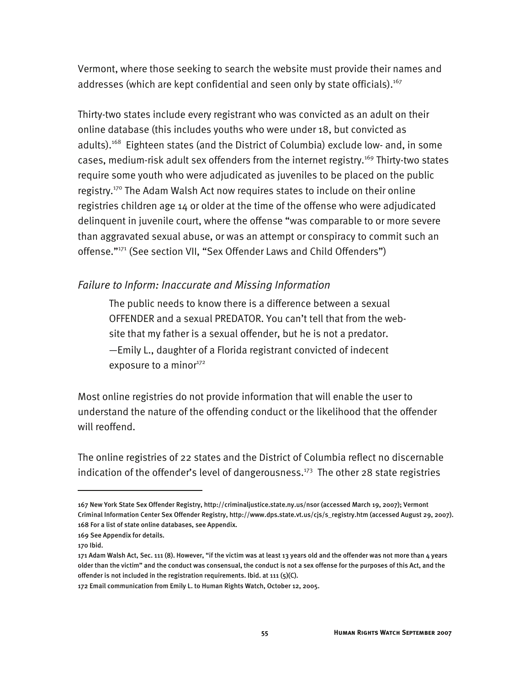Vermont, where those seeking to search the website must provide their names and addresses (which are kept confidential and seen only by state officials). $167$ 

Thirty-two states include every registrant who was convicted as an adult on their online database (this includes youths who were under 18, but convicted as adults).<sup>168</sup> Eighteen states (and the District of Columbia) exclude low- and, in some cases, medium-risk adult sex offenders from the internet registry.<sup>169</sup> Thirty-two states require some youth who were adjudicated as juveniles to be placed on the public registry.170 The Adam Walsh Act now requires states to include on their online registries children age 14 or older at the time of the offense who were adjudicated delinquent in juvenile court, where the offense "was comparable to or more severe than aggravated sexual abuse, or was an attempt or conspiracy to commit such an offense."171 (See section VII, "Sex Offender Laws and Child Offenders")

#### *Failure to Inform: Inaccurate and Missing Information*

The public needs to know there is a difference between a sexual OFFENDER and a sexual PREDATOR. You can't tell that from the website that my father is a sexual offender, but he is not a predator. —Emily L., daughter of a Florida registrant convicted of indecent exposure to a minor $172$ 

Most online registries do not provide information that will enable the user to understand the nature of the offending conduct or the likelihood that the offender will reoffend.

The online registries of 22 states and the District of Columbia reflect no discernable indication of the offender's level of dangerousness.<sup>173</sup> The other 28 state registries

-

<sup>167</sup> New York State Sex Offender Registry, http://criminaljustice.state.ny.us/nsor (accessed March 19, 2007); Vermont Criminal Information Center Sex Offender Registry, http://www.dps.state.vt.us/cjs/s\_registry.htm (accessed August 29, 2007). 168 For a list of state online databases, see Appendix.

<sup>169</sup> See Appendix for details.

<sup>170</sup> Ibid.

<sup>171</sup> Adam Walsh Act, Sec. 111 (8). However, "if the victim was at least 13 years old and the offender was not more than 4 years older than the victim" and the conduct was consensual, the conduct is not a sex offense for the purposes of this Act, and the offender is not included in the registration requirements. Ibid. at 111 (5)(C).

<sup>172</sup> Email communication from Emily L. to Human Rights Watch, October 12, 2005.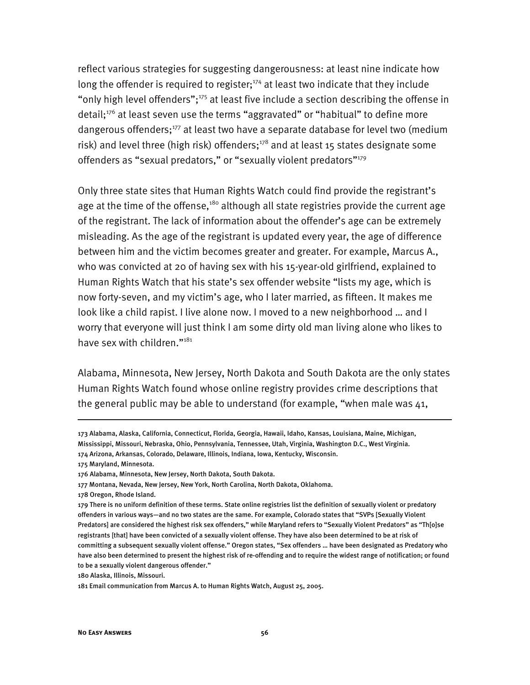reflect various strategies for suggesting dangerousness: at least nine indicate how long the offender is required to register;<sup>174</sup> at least two indicate that they include "only high level offenders";<sup>175</sup> at least five include a section describing the offense in detail;<sup>176</sup> at least seven use the terms "aggravated" or "habitual" to define more dangerous offenders;<sup>177</sup> at least two have a separate database for level two (medium risk) and level three (high risk) offenders;<sup>178</sup> and at least 15 states designate some offenders as "sexual predators," or "sexually violent predators"<sup>179</sup>

Only three state sites that Human Rights Watch could find provide the registrant's age at the time of the offense, $180$  although all state registries provide the current age of the registrant. The lack of information about the offender's age can be extremely misleading. As the age of the registrant is updated every year, the age of difference between him and the victim becomes greater and greater. For example, Marcus A., who was convicted at 20 of having sex with his 15-year-old girlfriend, explained to Human Rights Watch that his state's sex offender website "lists my age, which is now forty-seven, and my victim's age, who I later married, as fifteen. It makes me look like a child rapist. I live alone now. I moved to a new neighborhood … and I worry that everyone will just think I am some dirty old man living alone who likes to have sex with children."<sup>181</sup>

Alabama, Minnesota, New Jersey, North Dakota and South Dakota are the only states Human Rights Watch found whose online registry provides crime descriptions that the general public may be able to understand (for example, "when male was 41,

175 Maryland, Minnesota.

-

180 Alaska, Illinois, Missouri.

<sup>173</sup> Alabama, Alaska, California, Connecticut, Florida, Georgia, Hawaii, Idaho, Kansas, Louisiana, Maine, Michigan, Mississippi, Missouri, Nebraska, Ohio, Pennsylvania, Tennessee, Utah, Virginia, Washington D.C., West Virginia. 174 Arizona, Arkansas, Colorado, Delaware, Illinois, Indiana, Iowa, Kentucky, Wisconsin.

<sup>176</sup> Alabama, Minnesota, New Jersey, North Dakota, South Dakota.

<sup>177</sup> Montana, Nevada, New Jersey, New York, North Carolina, North Dakota, Oklahoma.

<sup>178</sup> Oregon, Rhode Island.

<sup>179</sup> There is no uniform definition of these terms. State online registries list the definition of sexually violent or predatory offenders in various ways—and no two states are the same. For example, Colorado states that "SVPs [Sexually Violent Predators] are considered the highest risk sex offenders," while Maryland refers to "Sexually Violent Predators" as "Th[o]se registrants [that] have been convicted of a sexually violent offense. They have also been determined to be at risk of committing a subsequent sexually violent offense." Oregon states, "Sex offenders … have been designated as Predatory who have also been determined to present the highest risk of re-offending and to require the widest range of notification; or found to be a sexually violent dangerous offender."

<sup>181</sup> Email communication from Marcus A. to Human Rights Watch, August 25, 2005.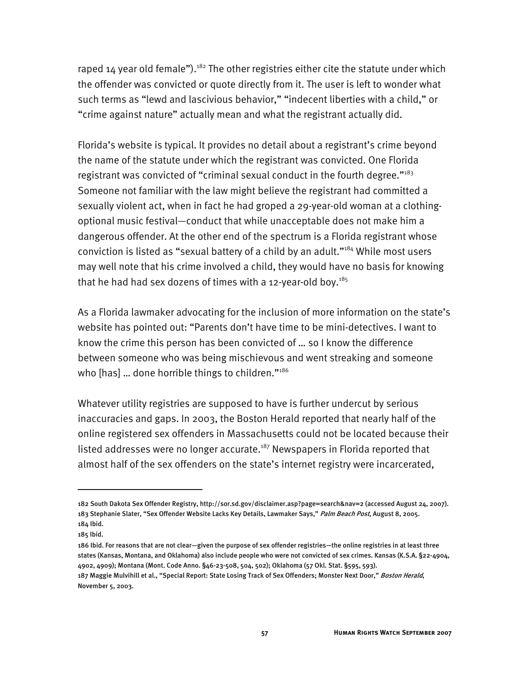raped 14 year old female").<sup>182</sup> The other registries either cite the statute under which the offender was convicted or quote directly from it. The user is left to wonder what such terms as "lewd and lascivious behavior," "indecent liberties with a child," or "crime against nature" actually mean and what the registrant actually did.

Florida's website is typical. It provides no detail about a registrant's crime beyond the name of the statute under which the registrant was convicted. One Florida registrant was convicted of "criminal sexual conduct in the fourth degree." $183$ Someone not familiar with the law might believe the registrant had committed a sexually violent act, when in fact he had groped a 29-year-old woman at a clothingoptional music festival—conduct that while unacceptable does not make him a dangerous offender. At the other end of the spectrum is a Florida registrant whose conviction is listed as "sexual battery of a child by an adult."184 While most users may well note that his crime involved a child, they would have no basis for knowing that he had had sex dozens of times with a 12-year-old boy. $185$ 

As a Florida lawmaker advocating for the inclusion of more information on the state's website has pointed out: "Parents don't have time to be mini-detectives. I want to know the crime this person has been convicted of … so I know the difference between someone who was being mischievous and went streaking and someone who [has] ... done horrible things to children."<sup>186</sup>

Whatever utility registries are supposed to have is further undercut by serious inaccuracies and gaps. In 2003, the Boston Herald reported that nearly half of the online registered sex offenders in Massachusetts could not be located because their listed addresses were no longer accurate.<sup>187</sup> Newspapers in Florida reported that almost half of the sex offenders on the state's internet registry were incarcerated,

<sup>182</sup> South Dakota Sex Offender Registry, http://sor.sd.gov/disclaimer.asp?page=search&nav=2 (accessed August 24, 2007). 183 Stephanie Slater, "Sex Offender Website Lacks Key Details, Lawmaker Says," Palm Beach Post, August 8, 2005. 184 Ibid.

<sup>185</sup> Ibid.

<sup>186</sup> Ibid. For reasons that are not clear—given the purpose of sex offender registries—the online registries in at least three states (Kansas, Montana, and Oklahoma) also include people who were not convicted of sex crimes. Kansas (K.S.A. §22-4904, 4902, 4909); Montana (Mont. Code Anno. §46-23-508, 504, 502); Oklahoma (57 Okl. Stat. §595, 593). 187 Maggie Mulvihill et al., "Special Report: State Losing Track of Sex Offenders; Monster Next Door," Boston Herald, November 5, 2003.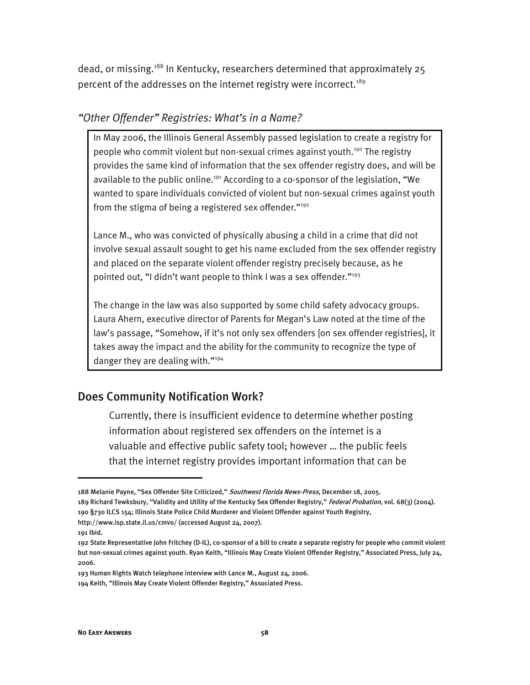dead, or missing.<sup>188</sup> In Kentucky, researchers determined that approximately 25 percent of the addresses on the internet registry were incorrect.<sup>189</sup>

#### *"Other Offender" Registries: What's in a Name?*

In May 2006, the Illinois General Assembly passed legislation to create a registry for people who commit violent but non-sexual crimes against youth.<sup>190</sup> The registry provides the same kind of information that the sex offender registry does, and will be available to the public online.<sup>191</sup> According to a co-sponsor of the legislation, "We wanted to spare individuals convicted of violent but non-sexual crimes against youth from the stigma of being a registered sex offender."<sup>192</sup>

Lance M., who was convicted of physically abusing a child in a crime that did not involve sexual assault sought to get his name excluded from the sex offender registry and placed on the separate violent offender registry precisely because, as he pointed out, "I didn't want people to think I was a sex offender."193

The change in the law was also supported by some child safety advocacy groups. Laura Ahern, executive director of Parents for Megan's Law noted at the time of the law's passage, "Somehow, if it's not only sex offenders [on sex offender registries], it takes away the impact and the ability for the community to recognize the type of danger they are dealing with."194

### Does Community Notification Work?

Currently, there is insufficient evidence to determine whether posting information about registered sex offenders on the internet is a valuable and effective public safety tool; however … the public feels that the internet registry provides important information that can be

189 Richard Tewksbury, "Validity and Utility of the Kentucky Sex Offender Registry," Federal Probation, vol. 68(3) (2004). 190 §730 ILCS 154; Illinois State Police Child Murderer and Violent Offender against Youth Registry, http://www.isp.state.il.us/cmvo/ (accessed August 24, 2007).

191 Ibid.

<sup>188</sup> Melanie Payne, "Sex Offender Site Criticized," Southwest Florida News-Press, December 18, 2005.

<sup>192</sup> State Representative John Fritchey (D-IL), co-sponsor of a bill to create a separate registry for people who commit violent but non-sexual crimes against youth. Ryan Keith, "Illinois May Create Violent Offender Registry," Associated Press, July 24, 2006.

<sup>193</sup> Human Rights Watch telephone interview with Lance M., August 24, 2006.

<sup>194</sup> Keith, "Illinois May Create Violent Offender Registry," Associated Press.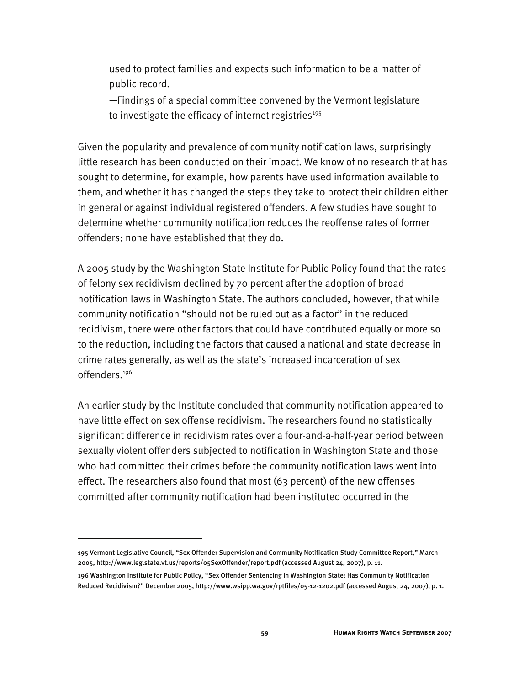used to protect families and expects such information to be a matter of public record.

—Findings of a special committee convened by the Vermont legislature to investigate the efficacy of internet registries $195$ 

Given the popularity and prevalence of community notification laws, surprisingly little research has been conducted on their impact. We know of no research that has sought to determine, for example, how parents have used information available to them, and whether it has changed the steps they take to protect their children either in general or against individual registered offenders. A few studies have sought to determine whether community notification reduces the reoffense rates of former offenders; none have established that they do.

A 2005 study by the Washington State Institute for Public Policy found that the rates of felony sex recidivism declined by 70 percent after the adoption of broad notification laws in Washington State. The authors concluded, however, that while community notification "should not be ruled out as a factor" in the reduced recidivism, there were other factors that could have contributed equally or more so to the reduction, including the factors that caused a national and state decrease in crime rates generally, as well as the state's increased incarceration of sex offenders.196

An earlier study by the Institute concluded that community notification appeared to have little effect on sex offense recidivism. The researchers found no statistically significant difference in recidivism rates over a four-and-a-half-year period between sexually violent offenders subjected to notification in Washington State and those who had committed their crimes before the community notification laws went into effect. The researchers also found that most (63 percent) of the new offenses committed after community notification had been instituted occurred in the

-

<sup>195</sup> Vermont Legislative Council, "Sex Offender Supervision and Community Notification Study Committee Report," March 2005, http://www.leg.state.vt.us/reports/05SexOffender/report.pdf (accessed August 24, 2007), p. 11.

<sup>196</sup> Washington Institute for Public Policy, "Sex Offender Sentencing in Washington State: Has Community Notification Reduced Recidivism?" December 2005, http://www.wsipp.wa.gov/rptfiles/05-12-1202.pdf (accessed August 24, 2007), p. 1.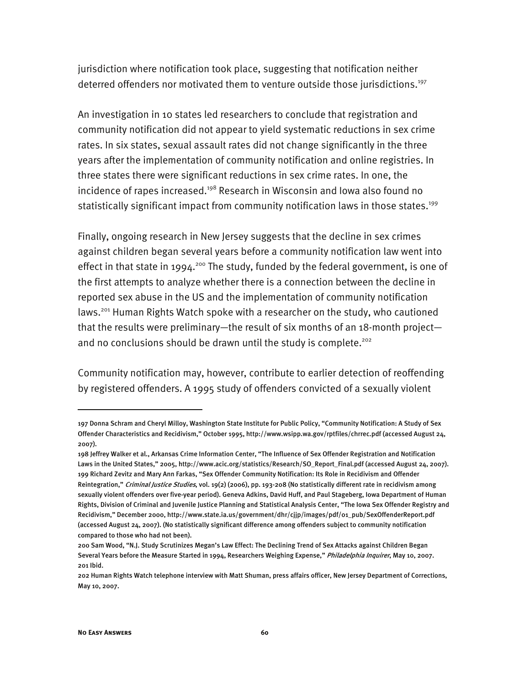jurisdiction where notification took place, suggesting that notification neither deterred offenders nor motivated them to venture outside those jurisdictions.<sup>197</sup>

An investigation in 10 states led researchers to conclude that registration and community notification did not appear to yield systematic reductions in sex crime rates. In six states, sexual assault rates did not change significantly in the three years after the implementation of community notification and online registries. In three states there were significant reductions in sex crime rates. In one, the incidence of rapes increased.<sup>198</sup> Research in Wisconsin and Iowa also found no statistically significant impact from community notification laws in those states.<sup>199</sup>

Finally, ongoing research in New Jersey suggests that the decline in sex crimes against children began several years before a community notification law went into effect in that state in 1994.<sup>200</sup> The study, funded by the federal government, is one of the first attempts to analyze whether there is a connection between the decline in reported sex abuse in the US and the implementation of community notification laws.<sup>201</sup> Human Rights Watch spoke with a researcher on the study, who cautioned that the results were preliminary—the result of six months of an 18-month project and no conclusions should be drawn until the study is complete.<sup>202</sup>

Community notification may, however, contribute to earlier detection of reoffending by registered offenders. A 1995 study of offenders convicted of a sexually violent

<sup>197</sup> Donna Schram and Cheryl Milloy, Washington State Institute for Public Policy, "Community Notification: A Study of Sex Offender Characteristics and Recidivism," October 1995, http://www.wsipp.wa.gov/rptfiles/chrrec.pdf (accessed August 24, 2007).

<sup>198</sup> Jeffrey Walker et al., Arkansas Crime Information Center, "The Influence of Sex Offender Registration and Notification Laws in the United States," 2005, http://www.acic.org/statistics/Research/SO\_Report\_Final.pdf (accessed August 24, 2007). 199 Richard Zevitz and Mary Ann Farkas, "Sex Offender Community Notification: Its Role in Recidivism and Offender Reintegration," Criminal Justice Studies, vol. 19(2) (2006), pp. 193-208 (No statistically different rate in recidivism among sexually violent offenders over five-year period). Geneva Adkins, David Huff, and Paul Stageberg, Iowa Department of Human Rights, Division of Criminal and Juvenile Justice Planning and Statistical Analysis Center, "The Iowa Sex Offender Registry and Recidivism," December 2000, http://www.state.ia.us/government/dhr/cjjp/images/pdf/01\_pub/SexOffenderReport.pdf (accessed August 24, 2007). (No statistically significant difference among offenders subject to community notification compared to those who had not been).

<sup>200</sup> Sam Wood, "N.J. Study Scrutinizes Megan's Law Effect: The Declining Trend of Sex Attacks against Children Began Several Years before the Measure Started in 1994, Researchers Weighing Expense," Philadelphia Inquirer, May 10, 2007. 201 Ibid.

<sup>202</sup> Human Rights Watch telephone interview with Matt Shuman, press affairs officer, New Jersey Department of Corrections, May 10, 2007.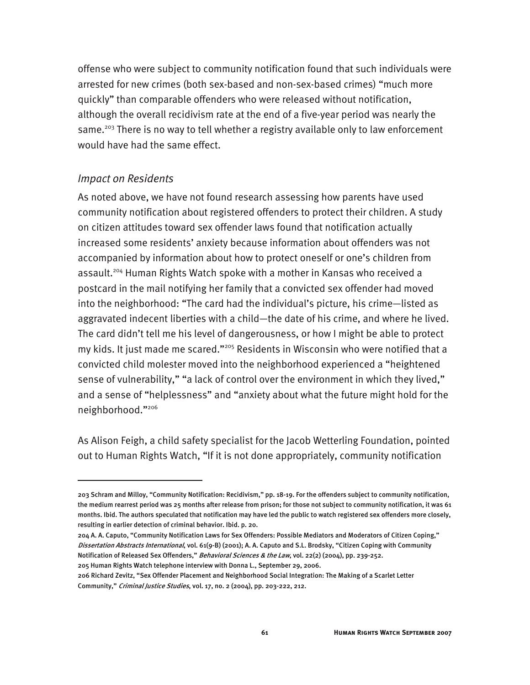offense who were subject to community notification found that such individuals were arrested for new crimes (both sex-based and non-sex-based crimes) "much more quickly" than comparable offenders who were released without notification, although the overall recidivism rate at the end of a five-year period was nearly the same.<sup>203</sup> There is no way to tell whether a registry available only to law enforcement would have had the same effect.

#### *Impact on Residents*

I

As noted above, we have not found research assessing how parents have used community notification about registered offenders to protect their children. A study on citizen attitudes toward sex offender laws found that notification actually increased some residents' anxiety because information about offenders was not accompanied by information about how to protect oneself or one's children from assault.<sup>204</sup> Human Rights Watch spoke with a mother in Kansas who received a postcard in the mail notifying her family that a convicted sex offender had moved into the neighborhood: "The card had the individual's picture, his crime—listed as aggravated indecent liberties with a child—the date of his crime, and where he lived. The card didn't tell me his level of dangerousness, or how I might be able to protect my kids. It just made me scared."205 Residents in Wisconsin who were notified that a convicted child molester moved into the neighborhood experienced a "heightened sense of vulnerability," "a lack of control over the environment in which they lived," and a sense of "helplessness" and "anxiety about what the future might hold for the neighborhood."206

As Alison Feigh, a child safety specialist for the Jacob Wetterling Foundation, pointed out to Human Rights Watch, "If it is not done appropriately, community notification

<sup>203</sup> Schram and Milloy, "Community Notification: Recidivism," pp. 18-19. For the offenders subject to community notification, the medium rearrest period was 25 months after release from prison; for those not subject to community notification, it was 61 months. Ibid. The authors speculated that notification may have led the public to watch registered sex offenders more closely, resulting in earlier detection of criminal behavior. Ibid. p. 20.

<sup>204</sup> A. A. Caputo, "Community Notification Laws for Sex Offenders: Possible Mediators and Moderators of Citizen Coping," Dissertation Abstracts International, vol. 61(9-B) (2001); A. A. Caputo and S.L. Brodsky, "Citizen Coping with Community Notification of Released Sex Offenders," Behavioral Sciences & the Law, vol. 22(2) (2004), pp. 239-252.

<sup>205</sup> Human Rights Watch telephone interview with Donna L., September 29, 2006.

<sup>206</sup> Richard Zevitz, "Sex Offender Placement and Neighborhood Social Integration: The Making of a Scarlet Letter Community," Criminal Justice Studies, vol. 17, no. 2 (2004), pp. 203-222, 212.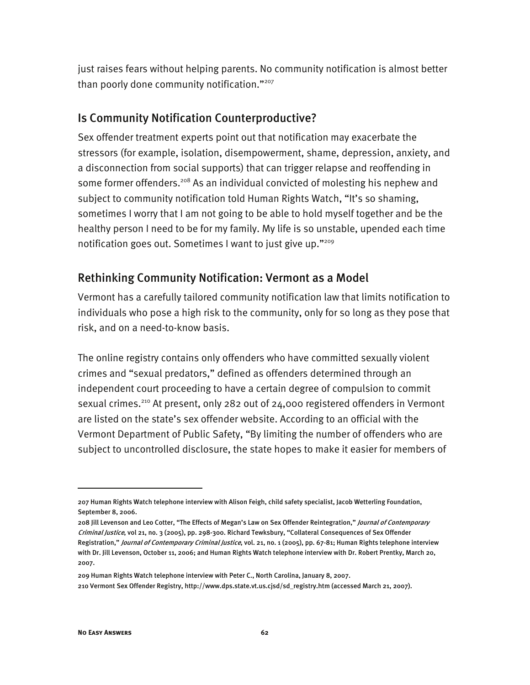just raises fears without helping parents. No community notification is almost better than poorly done community notification."<sup>207</sup>

### Is Community Notification Counterproductive?

Sex offender treatment experts point out that notification may exacerbate the stressors (for example, isolation, disempowerment, shame, depression, anxiety, and a disconnection from social supports) that can trigger relapse and reoffending in some former offenders.<sup>208</sup> As an individual convicted of molesting his nephew and subject to community notification told Human Rights Watch, "It's so shaming, sometimes I worry that I am not going to be able to hold myself together and be the healthy person I need to be for my family. My life is so unstable, upended each time notification goes out. Sometimes I want to just give up."<sup>209</sup>

### Rethinking Community Notification: Vermont as a Model

Vermont has a carefully tailored community notification law that limits notification to individuals who pose a high risk to the community, only for so long as they pose that risk, and on a need-to-know basis.

The online registry contains only offenders who have committed sexually violent crimes and "sexual predators," defined as offenders determined through an independent court proceeding to have a certain degree of compulsion to commit sexual crimes.<sup>210</sup> At present, only 282 out of 24,000 registered offenders in Vermont are listed on the state's sex offender website. According to an official with the Vermont Department of Public Safety, "By limiting the number of offenders who are subject to uncontrolled disclosure, the state hopes to make it easier for members of

209 Human Rights Watch telephone interview with Peter C., North Carolina, January 8, 2007. 210 Vermont Sex Offender Registry, http://www.dps.state.vt.us.cjsd/sd\_registry.htm (accessed March 21, 2007).

<sup>207</sup> Human Rights Watch telephone interview with Alison Feigh, child safety specialist, Jacob Wetterling Foundation, September 8, 2006.

<sup>208</sup> Jill Levenson and Leo Cotter, "The Effects of Megan's Law on Sex Offender Reintegration," Journal of Contemporary Criminal Justice, vol 21, no. 3 (2005), pp. 298-300. Richard Tewksbury, "Collateral Consequences of Sex Offender Registration," Journal of Contemporary Criminal Justice, vol. 21, no. 1 (2005), pp. 67-81; Human Rights telephone interview with Dr. Jill Levenson, October 11, 2006; and Human Rights Watch telephone interview with Dr. Robert Prentky, March 20, 2007.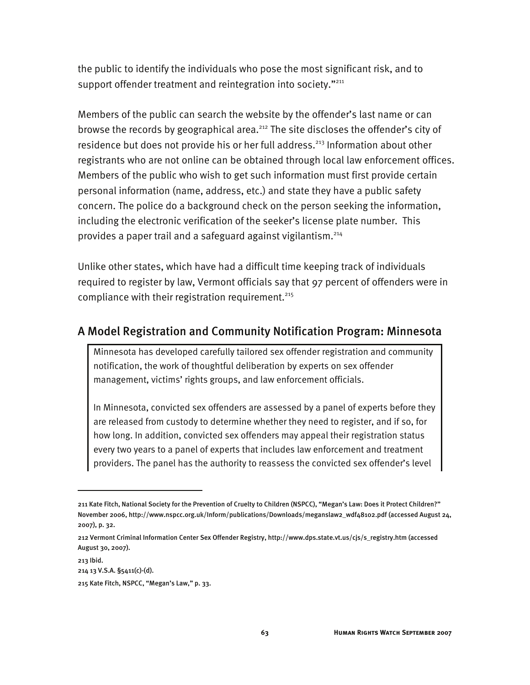the public to identify the individuals who pose the most significant risk, and to support offender treatment and reintegration into society."<sup>211</sup>

Members of the public can search the website by the offender's last name or can browse the records by geographical area.<sup>212</sup> The site discloses the offender's city of residence but does not provide his or her full address.<sup>213</sup> Information about other registrants who are not online can be obtained through local law enforcement offices. Members of the public who wish to get such information must first provide certain personal information (name, address, etc.) and state they have a public safety concern. The police do a background check on the person seeking the information, including the electronic verification of the seeker's license plate number. This provides a paper trail and a safeguard against vigilantism.214

Unlike other states, which have had a difficult time keeping track of individuals required to register by law, Vermont officials say that 97 percent of offenders were in compliance with their registration requirement. $215$ 

### A Model Registration and Community Notification Program: Minnesota

Minnesota has developed carefully tailored sex offender registration and community notification, the work of thoughtful deliberation by experts on sex offender management, victims' rights groups, and law enforcement officials.

In Minnesota, convicted sex offenders are assessed by a panel of experts before they are released from custody to determine whether they need to register, and if so, for how long. In addition, convicted sex offenders may appeal their registration status every two years to a panel of experts that includes law enforcement and treatment providers. The panel has the authority to reassess the convicted sex offender's level

213 Ibid. 214 13 V.S.A. §5411(c)-(d).

<sup>211</sup> Kate Fitch, National Society for the Prevention of Cruelty to Children (NSPCC), "Megan's Law: Does it Protect Children?" November 2006, http://www.nspcc.org.uk/Inform/publications/Downloads/meganslaw2\_wdf48102.pdf (accessed August 24, 2007), p. 32.

<sup>212</sup> Vermont Criminal Information Center Sex Offender Registry, http://www.dps.state.vt.us/cjs/s\_registry.htm (accessed August 30, 2007).

<sup>215</sup> Kate Fitch, NSPCC, "Megan's Law," p. 33.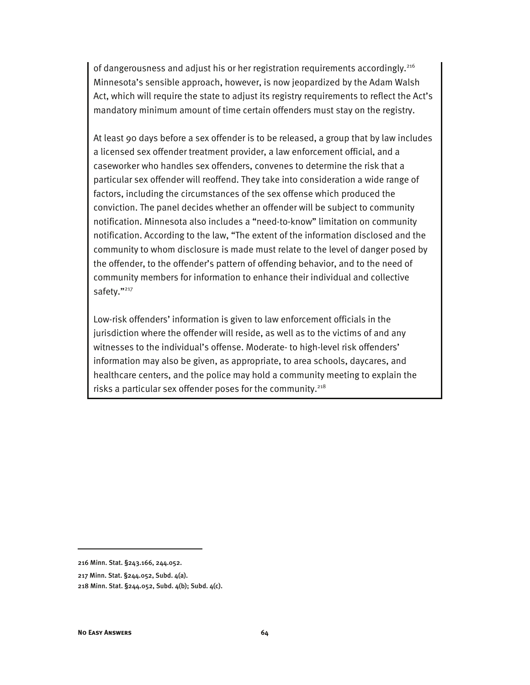of dangerousness and adjust his or her registration requirements accordingly.<sup>216</sup> Minnesota's sensible approach, however, is now jeopardized by the Adam Walsh Act, which will require the state to adjust its registry requirements to reflect the Act's mandatory minimum amount of time certain offenders must stay on the registry.

At least 90 days before a sex offender is to be released, a group that by law includes a licensed sex offender treatment provider, a law enforcement official, and a caseworker who handles sex offenders, convenes to determine the risk that a particular sex offender will reoffend. They take into consideration a wide range of factors, including the circumstances of the sex offense which produced the conviction. The panel decides whether an offender will be subject to community notification. Minnesota also includes a "need-to-know" limitation on community notification. According to the law, "The extent of the information disclosed and the community to whom disclosure is made must relate to the level of danger posed by the offender, to the offender's pattern of offending behavior, and to the need of community members for information to enhance their individual and collective safety."<sup>217</sup>

Low-risk offenders' information is given to law enforcement officials in the jurisdiction where the offender will reside, as well as to the victims of and any witnesses to the individual's offense. Moderate- to high-level risk offenders' information may also be given, as appropriate, to area schools, daycares, and healthcare centers, and the police may hold a community meeting to explain the risks a particular sex offender poses for the community.<sup>218</sup>

<sup>216</sup> Minn. Stat. §243.166, 244.052.

<sup>217</sup> Minn. Stat. §244.052, Subd. 4(a).

<sup>218</sup> Minn. Stat. §244.052, Subd. 4(b); Subd. 4(c).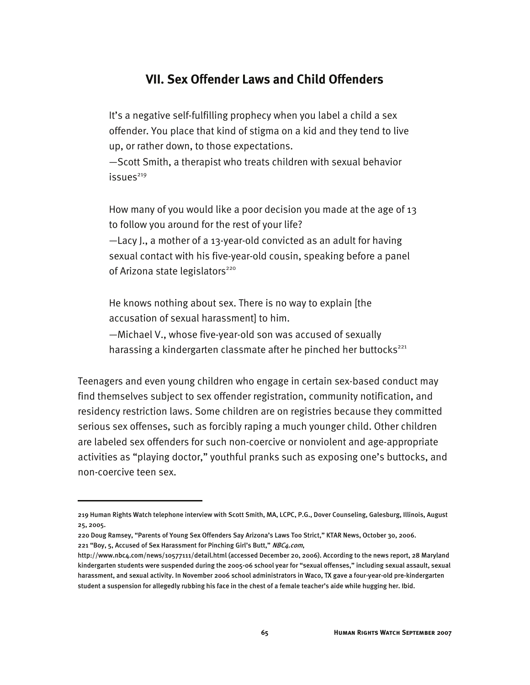# **VII. Sex Offender Laws and Child Offenders**

It's a negative self-fulfilling prophecy when you label a child a sex offender. You place that kind of stigma on a kid and they tend to live up, or rather down, to those expectations.

—Scott Smith, a therapist who treats children with sexual behavior  $issues^{219}$ 

How many of you would like a poor decision you made at the age of 13 to follow you around for the rest of your life?

—Lacy J., a mother of a 13-year-old convicted as an adult for having sexual contact with his five-year-old cousin, speaking before a panel of Arizona state legislators<sup>220</sup>

He knows nothing about sex. There is no way to explain [the accusation of sexual harassment] to him.

—Michael V., whose five-year-old son was accused of sexually harassing a kindergarten classmate after he pinched her buttocks<sup>221</sup>

Teenagers and even young children who engage in certain sex-based conduct may find themselves subject to sex offender registration, community notification, and residency restriction laws. Some children are on registries because they committed serious sex offenses, such as forcibly raping a much younger child. Other children are labeled sex offenders for such non-coercive or nonviolent and age-appropriate activities as "playing doctor," youthful pranks such as exposing one's buttocks, and non-coercive teen sex.

<sup>219</sup> Human Rights Watch telephone interview with Scott Smith, MA, LCPC, P.G., Dover Counseling, Galesburg, Illinois, August 25, 2005.

<sup>220</sup> Doug Ramsey, "Parents of Young Sex Offenders Say Arizona's Laws Too Strict," KTAR News, October 30, 2006. 221 "Boy, 5, Accused of Sex Harassment for Pinching Girl's Butt," NBC4.com,

http://www.nbc4.com/news/10577111/detail.html (accessed December 20, 2006). According to the news report, 28 Maryland kindergarten students were suspended during the 2005-06 school year for "sexual offenses," including sexual assault, sexual harassment, and sexual activity. In November 2006 school administrators in Waco, TX gave a four-year-old pre-kindergarten student a suspension for allegedly rubbing his face in the chest of a female teacher's aide while hugging her. Ibid.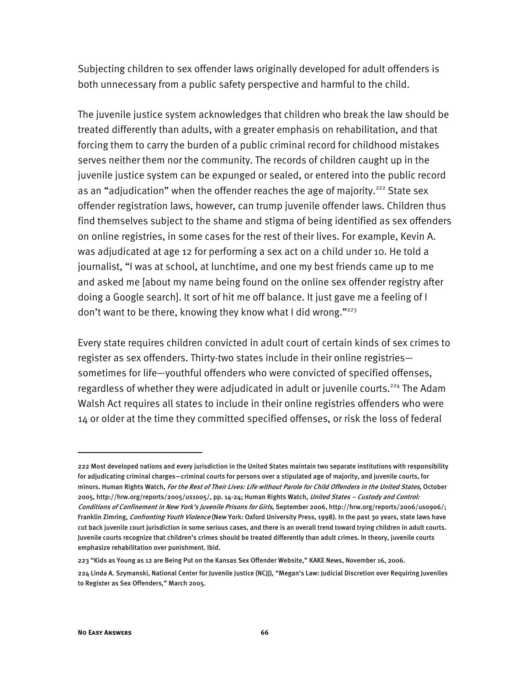Subjecting children to sex offender laws originally developed for adult offenders is both unnecessary from a public safety perspective and harmful to the child.

The juvenile justice system acknowledges that children who break the law should be treated differently than adults, with a greater emphasis on rehabilitation, and that forcing them to carry the burden of a public criminal record for childhood mistakes serves neither them nor the community. The records of children caught up in the juvenile justice system can be expunged or sealed, or entered into the public record as an "adjudication" when the offender reaches the age of majority.<sup>222</sup> State sex offender registration laws, however, can trump juvenile offender laws. Children thus find themselves subject to the shame and stigma of being identified as sex offenders on online registries, in some cases for the rest of their lives. For example, Kevin A. was adjudicated at age 12 for performing a sex act on a child under 10. He told a journalist, "I was at school, at lunchtime, and one my best friends came up to me and asked me [about my name being found on the online sex offender registry after doing a Google search]. It sort of hit me off balance. It just gave me a feeling of I don't want to be there, knowing they know what I did wrong."<sup>223</sup>

Every state requires children convicted in adult court of certain kinds of sex crimes to register as sex offenders. Thirty-two states include in their online registries sometimes for life—youthful offenders who were convicted of specified offenses, regardless of whether they were adjudicated in adult or juvenile courts.<sup>224</sup> The Adam Walsh Act requires all states to include in their online registries offenders who were 14 or older at the time they committed specified offenses, or risk the loss of federal

<sup>222</sup> Most developed nations and every jurisdiction in the United States maintain two separate institutions with responsibility for adjudicating criminal charges—criminal courts for persons over a stipulated age of majority, and juvenile courts, for minors. Human Rights Watch, For the Rest of Their Lives: Life without Parole for Child Offenders in the United States, October 2005, http://hrw.org/reports/2005/us1005/, pp. 14-24; Human Rights Watch, United States – Custody and Control: Conditions of Confinement in New York's Juvenile Prisons for Girls, September 2006, http://hrw.org/reports/2006/us0906/; Franklin Zimring, Confronting Youth Violence (New York: Oxford University Press, 1998). In the past 30 years, state laws have cut back juvenile court jurisdiction in some serious cases, and there is an overall trend toward trying children in adult courts. Juvenile courts recognize that children's crimes should be treated differently than adult crimes. In theory, juvenile courts emphasize rehabilitation over punishment. Ibid.

<sup>223 &</sup>quot;Kids as Young as 12 are Being Put on the Kansas Sex Offender Website," KAKE News, November 16, 2006.

<sup>224</sup> Linda A. Szymanski, National Center for Juvenile Justice (NCJJ), "Megan's Law: Judicial Discretion over Requiring Juveniles to Register as Sex Offenders," March 2005.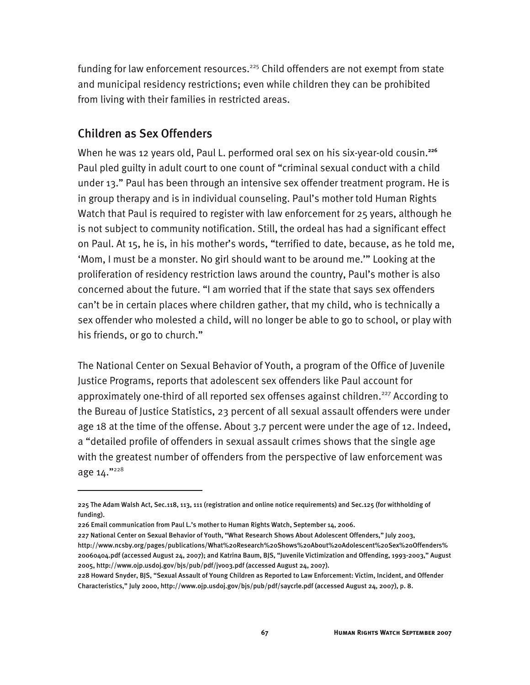funding for law enforcement resources.<sup>225</sup> Child offenders are not exempt from state and municipal residency restrictions; even while children they can be prohibited from living with their families in restricted areas.

### Children as Sex Offenders

-

When he was 12 years old, Paul L. performed oral sex on his six-year-old cousin.**<sup>226</sup>** Paul pled guilty in adult court to one count of "criminal sexual conduct with a child under 13." Paul has been through an intensive sex offender treatment program. He is in group therapy and is in individual counseling. Paul's mother told Human Rights Watch that Paul is required to register with law enforcement for 25 years, although he is not subject to community notification. Still, the ordeal has had a significant effect on Paul. At 15, he is, in his mother's words, "terrified to date, because, as he told me, 'Mom, I must be a monster. No girl should want to be around me.'" Looking at the proliferation of residency restriction laws around the country, Paul's mother is also concerned about the future. "I am worried that if the state that says sex offenders can't be in certain places where children gather, that my child, who is technically a sex offender who molested a child, will no longer be able to go to school, or play with his friends, or go to church."

The National Center on Sexual Behavior of Youth, a program of the Office of Juvenile Justice Programs, reports that adolescent sex offenders like Paul account for approximately one-third of all reported sex offenses against children.<sup>227</sup> According to the Bureau of Justice Statistics, 23 percent of all sexual assault offenders were under age 18 at the time of the offense. About 3.7 percent were under the age of 12. Indeed, a "detailed profile of offenders in sexual assault crimes shows that the single age with the greatest number of offenders from the perspective of law enforcement was age 14."228

<sup>225</sup> The Adam Walsh Act, Sec.118, 113, 111 (registration and online notice requirements) and Sec.125 (for withholding of funding).

<sup>226</sup> Email communication from Paul L.'s mother to Human Rights Watch, September 14, 2006.

<sup>227</sup> National Center on Sexual Behavior of Youth, "What Research Shows About Adolescent Offenders," July 2003, http://www.ncsby.org/pages/publications/What%20Research%20Shows%20About%20Adolescent%20Sex%20Offenders% 20060404.pdf (accessed August 24, 2007); and Katrina Baum, BJS, "Juvenile Victimization and Offending, 1993-2003," August 2005, http://www.ojp.usdoj.gov/bjs/pub/pdf/jvo03.pdf (accessed August 24, 2007).

<sup>228</sup> Howard Snyder, BJS, "Sexual Assault of Young Children as Reported to Law Enforcement: Victim, Incident, and Offender Characteristics," July 2000, http://www.ojp.usdoj.gov/bjs/pub/pdf/saycrle.pdf (accessed August 24, 2007), p. 8.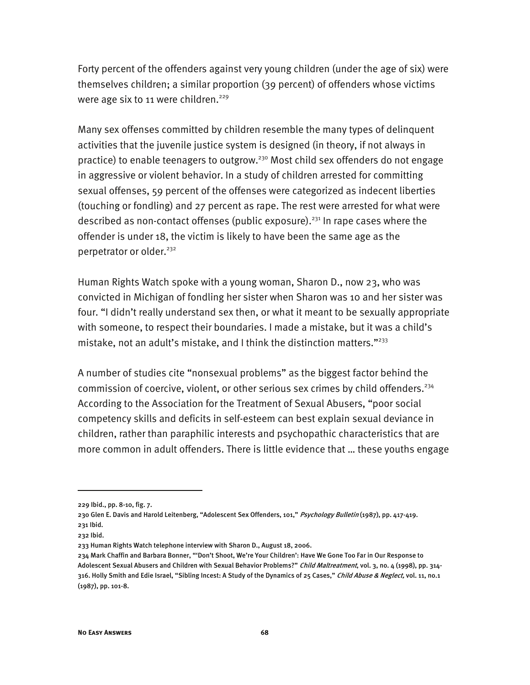Forty percent of the offenders against very young children (under the age of six) were themselves children; a similar proportion (39 percent) of offenders whose victims were age six to 11 were children.<sup>229</sup>

Many sex offenses committed by children resemble the many types of delinquent activities that the juvenile justice system is designed (in theory, if not always in practice) to enable teenagers to outgrow.<sup>230</sup> Most child sex offenders do not engage in aggressive or violent behavior. In a study of children arrested for committing sexual offenses, 59 percent of the offenses were categorized as indecent liberties (touching or fondling) and 27 percent as rape. The rest were arrested for what were described as non-contact offenses (public exposure).<sup>231</sup> In rape cases where the offender is under 18, the victim is likely to have been the same age as the perpetrator or older.<sup>232</sup>

Human Rights Watch spoke with a young woman, Sharon D., now 23, who was convicted in Michigan of fondling her sister when Sharon was 10 and her sister was four. "I didn't really understand sex then, or what it meant to be sexually appropriate with someone, to respect their boundaries. I made a mistake, but it was a child's mistake, not an adult's mistake, and I think the distinction matters." $^{233}$ 

A number of studies cite "nonsexual problems" as the biggest factor behind the commission of coercive, violent, or other serious sex crimes by child offenders.<sup>234</sup> According to the Association for the Treatment of Sexual Abusers, "poor social competency skills and deficits in self-esteem can best explain sexual deviance in children, rather than paraphilic interests and psychopathic characteristics that are more common in adult offenders. There is little evidence that … these youths engage

-

<sup>229</sup> Ibid., pp. 8-10, fig. 7.

<sup>230</sup> Glen E. Davis and Harold Leitenberg, "Adolescent Sex Offenders, 101," Psychology Bulletin (1987), pp. 417-419. 231 Ibid.

<sup>232</sup> Ibid.

<sup>233</sup> Human Rights Watch telephone interview with Sharon D., August 18, 2006.

<sup>234</sup> Mark Chaffin and Barbara Bonner, "'Don't Shoot, We're Your Children': Have We Gone Too Far in Our Response to Adolescent Sexual Abusers and Children with Sexual Behavior Problems?" Child Maltreatment, vol. 3, no. 4 (1998), pp. 314-316. Holly Smith and Edie Israel, "Sibling Incest: A Study of the Dynamics of 25 Cases," Child Abuse & Neglect, vol. 11, no.1 (1987), pp. 101-8.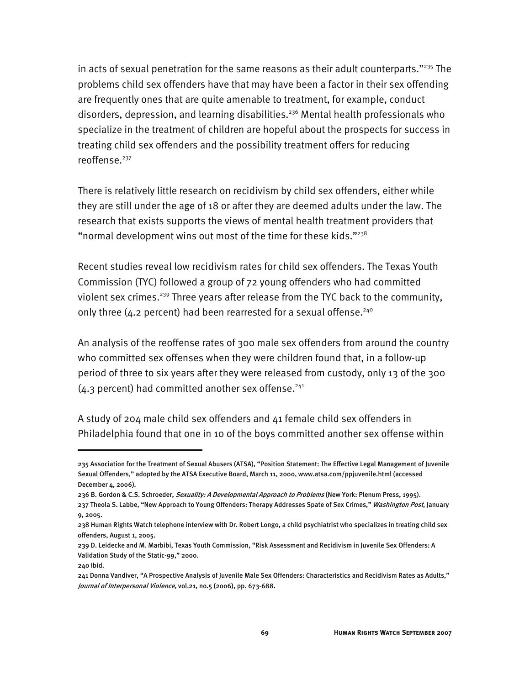in acts of sexual penetration for the same reasons as their adult counterparts." $^{235}$  The problems child sex offenders have that may have been a factor in their sex offending are frequently ones that are quite amenable to treatment, for example, conduct disorders, depression, and learning disabilities.<sup>236</sup> Mental health professionals who specialize in the treatment of children are hopeful about the prospects for success in treating child sex offenders and the possibility treatment offers for reducing reoffense.<sup>237</sup>

There is relatively little research on recidivism by child sex offenders, either while they are still under the age of 18 or after they are deemed adults under the law. The research that exists supports the views of mental health treatment providers that "normal development wins out most of the time for these kids."<sup>238</sup>

Recent studies reveal low recidivism rates for child sex offenders. The Texas Youth Commission (TYC) followed a group of 72 young offenders who had committed violent sex crimes.<sup>239</sup> Three years after release from the TYC back to the community, only three (4.2 percent) had been rearrested for a sexual offense.<sup>240</sup>

An analysis of the reoffense rates of 300 male sex offenders from around the country who committed sex offenses when they were children found that, in a follow-up period of three to six years after they were released from custody, only 13 of the 300  $(4.3$  percent) had committed another sex offense.<sup>241</sup>

A study of 204 male child sex offenders and 41 female child sex offenders in Philadelphia found that one in 10 of the boys committed another sex offense within

<sup>235</sup> Association for the Treatment of Sexual Abusers (ATSA), "Position Statement: The Effective Legal Management of Juvenile Sexual Offenders," adopted by the ATSA Executive Board, March 11, 2000, www.atsa.com/ppjuvenile.html (accessed December 4, 2006).

<sup>236</sup> B. Gordon & C.S. Schroeder, Sexuality: A Developmental Approach to Problems (New York: Plenum Press, 1995).

<sup>237</sup> Theola S. Labbe, "New Approach to Young Offenders: Therapy Addresses Spate of Sex Crimes," Washington Post, January 9, 2005.

<sup>238</sup> Human Rights Watch telephone interview with Dr. Robert Longo, a child psychiatrist who specializes in treating child sex offenders, August 1, 2005.

<sup>239</sup> D. Leidecke and M. Marbibi, Texas Youth Commission, "Risk Assessment and Recidivism in Juvenile Sex Offenders: A Validation Study of the Static-99," 2000.

<sup>240</sup> Ibid.

<sup>241</sup> Donna Vandiver, "A Prospective Analysis of Juvenile Male Sex Offenders: Characteristics and Recidivism Rates as Adults," Journal of Interpersonal Violence, vol.21, no.5 (2006), pp. 673-688.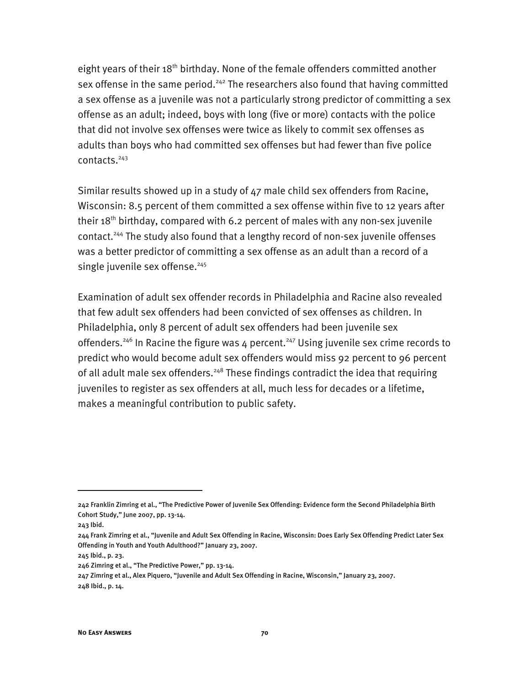eight years of their  $18<sup>th</sup>$  birthday. None of the female offenders committed another sex offense in the same period.<sup>242</sup> The researchers also found that having committed a sex offense as a juvenile was not a particularly strong predictor of committing a sex offense as an adult; indeed, boys with long (five or more) contacts with the police that did not involve sex offenses were twice as likely to commit sex offenses as adults than boys who had committed sex offenses but had fewer than five police contacts.243

Similar results showed up in a study of 47 male child sex offenders from Racine, Wisconsin: 8.5 percent of them committed a sex offense within five to 12 years after their  $18<sup>th</sup>$  birthday, compared with 6.2 percent of males with any non-sex juvenile contact.<sup>244</sup> The study also found that a lengthy record of non-sex juvenile offenses was a better predictor of committing a sex offense as an adult than a record of a single juvenile sex offense.<sup>245</sup>

Examination of adult sex offender records in Philadelphia and Racine also revealed that few adult sex offenders had been convicted of sex offenses as children. In Philadelphia, only 8 percent of adult sex offenders had been juvenile sex offenders.<sup>246</sup> In Racine the figure was 4 percent.<sup>247</sup> Using juvenile sex crime records to predict who would become adult sex offenders would miss 92 percent to 96 percent of all adult male sex offenders.<sup>248</sup> These findings contradict the idea that requiring juveniles to register as sex offenders at all, much less for decades or a lifetime, makes a meaningful contribution to public safety.

j

<sup>242</sup> Franklin Zimring et al., "The Predictive Power of Juvenile Sex Offending: Evidence form the Second Philadelphia Birth Cohort Study," June 2007, pp. 13-14.

<sup>243</sup> Ibid.

<sup>244</sup> Frank Zimring et al., "Juvenile and Adult Sex Offending in Racine, Wisconsin: Does Early Sex Offending Predict Later Sex Offending in Youth and Youth Adulthood?" January 23, 2007.

<sup>245</sup> Ibid., p. 23.

<sup>246</sup> Zimring et al., "The Predictive Power," pp. 13-14.

<sup>247</sup> Zimring et al., Alex Piquero, "Juvenile and Adult Sex Offending in Racine, Wisconsin," January 23, 2007. 248 Ibid., p. 14.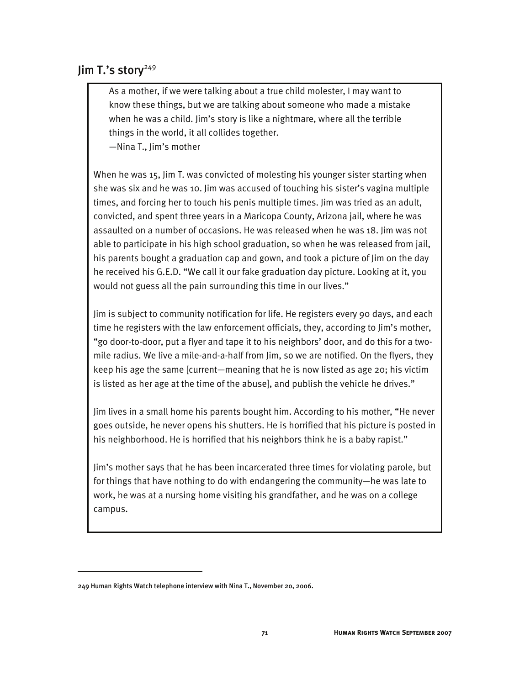# $\lim$  T.'s story<sup>249</sup>

As a mother, if we were talking about a true child molester, I may want to know these things, but we are talking about someone who made a mistake when he was a child. Jim's story is like a nightmare, where all the terrible things in the world, it all collides together.

—Nina T., Jim's mother

When he was 15, Jim T. was convicted of molesting his younger sister starting when she was six and he was 10. Jim was accused of touching his sister's vagina multiple times, and forcing her to touch his penis multiple times. Jim was tried as an adult, convicted, and spent three years in a Maricopa County, Arizona jail, where he was assaulted on a number of occasions. He was released when he was 18. Jim was not able to participate in his high school graduation, so when he was released from jail, his parents bought a graduation cap and gown, and took a picture of Jim on the day he received his G.E.D. "We call it our fake graduation day picture. Looking at it, you would not guess all the pain surrounding this time in our lives."

Jim is subject to community notification for life. He registers every 90 days, and each time he registers with the law enforcement officials, they, according to Jim's mother, "go door-to-door, put a flyer and tape it to his neighbors' door, and do this for a twomile radius. We live a mile-and-a-half from Jim, so we are notified. On the flyers, they keep his age the same [current—meaning that he is now listed as age 20; his victim is listed as her age at the time of the abuse], and publish the vehicle he drives."

Jim lives in a small home his parents bought him. According to his mother, "He never goes outside, he never opens his shutters. He is horrified that his picture is posted in his neighborhood. He is horrified that his neighbors think he is a baby rapist."

Jim's mother says that he has been incarcerated three times for violating parole, but for things that have nothing to do with endangering the community—he was late to work, he was at a nursing home visiting his grandfather, and he was on a college campus.

j

<sup>249</sup> Human Rights Watch telephone interview with Nina T., November 20, 2006.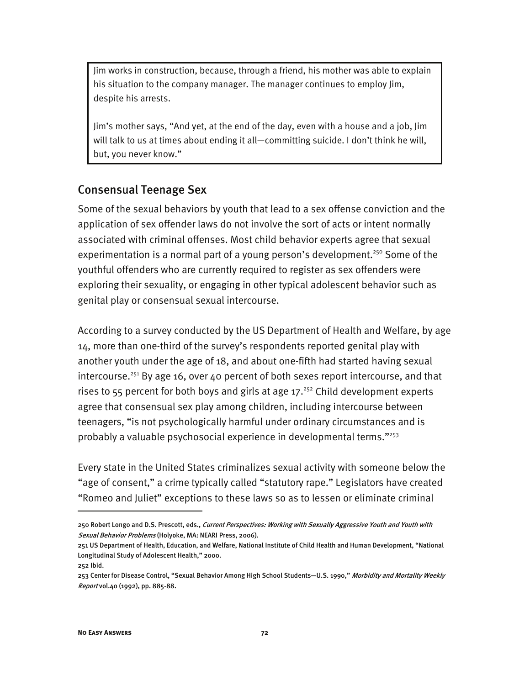Jim works in construction, because, through a friend, his mother was able to explain his situation to the company manager. The manager continues to employ Jim, despite his arrests.

Jim's mother says, "And yet, at the end of the day, even with a house and a job, Jim will talk to us at times about ending it all—committing suicide. I don't think he will, but, you never know."

#### Consensual Teenage Sex

Some of the sexual behaviors by youth that lead to a sex offense conviction and the application of sex offender laws do not involve the sort of acts or intent normally associated with criminal offenses. Most child behavior experts agree that sexual experimentation is a normal part of a young person's development.<sup>250</sup> Some of the youthful offenders who are currently required to register as sex offenders were exploring their sexuality, or engaging in other typical adolescent behavior such as genital play or consensual sexual intercourse.

According to a survey conducted by the US Department of Health and Welfare, by age 14, more than one-third of the survey's respondents reported genital play with another youth under the age of 18, and about one-fifth had started having sexual intercourse.<sup>251</sup> By age 16, over 40 percent of both sexes report intercourse, and that rises to  $55$  percent for both boys and girls at age  $17.^{252}$  Child development experts agree that consensual sex play among children, including intercourse between teenagers, "is not psychologically harmful under ordinary circumstances and is probably a valuable psychosocial experience in developmental terms."253

Every state in the United States criminalizes sexual activity with someone below the "age of consent," a crime typically called "statutory rape." Legislators have created "Romeo and Juliet" exceptions to these laws so as to lessen or eliminate criminal

<sup>250</sup> Robert Longo and D.S. Prescott, eds., Current Perspectives: Working with Sexually Aggressive Youth and Youth with Sexual Behavior Problems (Holyoke, MA: NEARI Press, 2006).

<sup>251</sup> US Department of Health, Education, and Welfare, National Institute of Child Health and Human Development, "National Longitudinal Study of Adolescent Health," 2000.

<sup>252</sup> Ibid.

<sup>253</sup> Center for Disease Control, "Sexual Behavior Among High School Students-U.S. 1990," Morbidity and Mortality Weekly Report vol.40 (1992), pp. 885-88.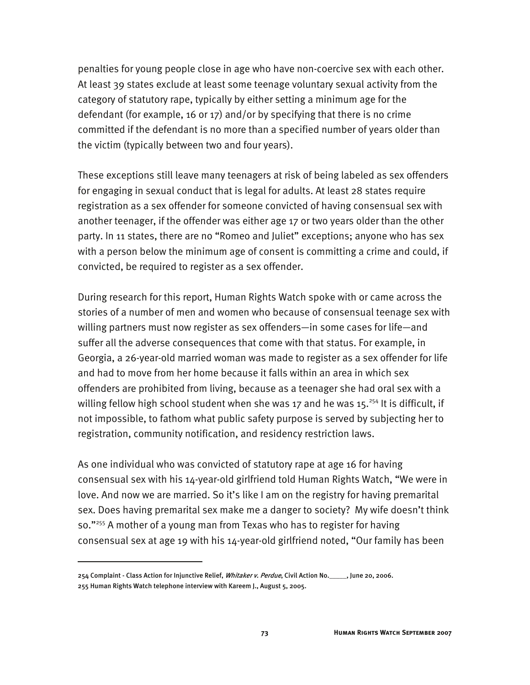penalties for young people close in age who have non-coercive sex with each other. At least 39 states exclude at least some teenage voluntary sexual activity from the category of statutory rape, typically by either setting a minimum age for the defendant (for example, 16 or 17) and/or by specifying that there is no crime committed if the defendant is no more than a specified number of years older than the victim (typically between two and four years).

These exceptions still leave many teenagers at risk of being labeled as sex offenders for engaging in sexual conduct that is legal for adults. At least 28 states require registration as a sex offender for someone convicted of having consensual sex with another teenager, if the offender was either age 17 or two years older than the other party. In 11 states, there are no "Romeo and Juliet" exceptions; anyone who has sex with a person below the minimum age of consent is committing a crime and could, if convicted, be required to register as a sex offender.

During research for this report, Human Rights Watch spoke with or came across the stories of a number of men and women who because of consensual teenage sex with willing partners must now register as sex offenders—in some cases for life—and suffer all the adverse consequences that come with that status. For example, in Georgia, a 26-year-old married woman was made to register as a sex offender for life and had to move from her home because it falls within an area in which sex offenders are prohibited from living, because as a teenager she had oral sex with a willing fellow high school student when she was 17 and he was 15.<sup>254</sup> It is difficult, if not impossible, to fathom what public safety purpose is served by subjecting her to registration, community notification, and residency restriction laws.

As one individual who was convicted of statutory rape at age 16 for having consensual sex with his 14-year-old girlfriend told Human Rights Watch, "We were in love. And now we are married. So it's like I am on the registry for having premarital sex. Does having premarital sex make me a danger to society? My wife doesn't think so."255 A mother of a young man from Texas who has to register for having consensual sex at age 19 with his 14-year-old girlfriend noted, "Our family has been

<sup>254</sup> Complaint - Class Action for Injunctive Relief, Whitaker v. Perdue, Civil Action No.\_\_\_\_, June 20, 2006. 255 Human Rights Watch telephone interview with Kareem J., August 5, 2005.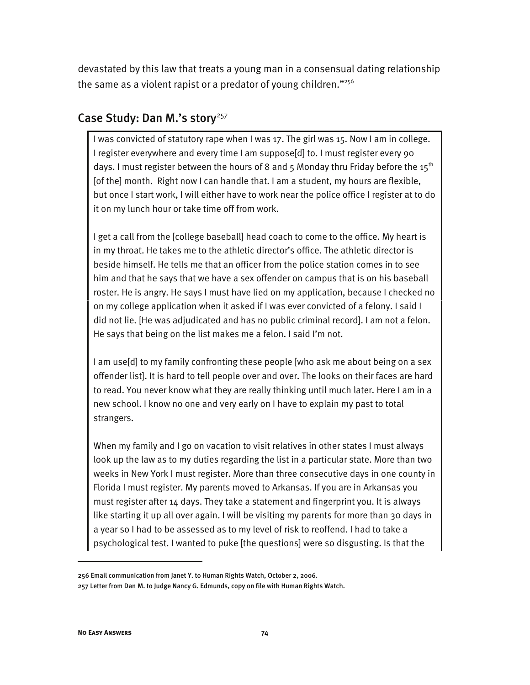devastated by this law that treats a young man in a consensual dating relationship the same as a violent rapist or a predator of young children." $256$ 

# Case Study: Dan M.'s story<sup>257</sup>

I was convicted of statutory rape when I was 17. The girl was 15. Now I am in college. I register everywhere and every time I am suppose[d] to. I must register every 90 days. I must register between the hours of 8 and 5 Monday thru Friday before the  $15^{th}$ [of the] month. Right now I can handle that. I am a student, my hours are flexible, but once I start work, I will either have to work near the police office I register at to do it on my lunch hour or take time off from work.

I get a call from the [college baseball] head coach to come to the office. My heart is in my throat. He takes me to the athletic director's office. The athletic director is beside himself. He tells me that an officer from the police station comes in to see him and that he says that we have a sex offender on campus that is on his baseball roster. He is angry. He says I must have lied on my application, because I checked no on my college application when it asked if I was ever convicted of a felony. I said I did not lie. [He was adjudicated and has no public criminal record]. I am not a felon. He says that being on the list makes me a felon. I said I'm not.

I am use[d] to my family confronting these people [who ask me about being on a sex offender list]. It is hard to tell people over and over. The looks on their faces are hard to read. You never know what they are really thinking until much later. Here I am in a new school. I know no one and very early on I have to explain my past to total strangers.

When my family and I go on vacation to visit relatives in other states I must always look up the law as to my duties regarding the list in a particular state. More than two weeks in New York I must register. More than three consecutive days in one county in Florida I must register. My parents moved to Arkansas. If you are in Arkansas you must register after 14 days. They take a statement and fingerprint you. It is always like starting it up all over again. I will be visiting my parents for more than 30 days in a year so I had to be assessed as to my level of risk to reoffend. I had to take a psychological test. I wanted to puke [the questions] were so disgusting. Is that the

<sup>256</sup> Email communication from Janet Y. to Human Rights Watch, October 2, 2006.

<sup>257</sup> Letter from Dan M. to Judge Nancy G. Edmunds, copy on file with Human Rights Watch.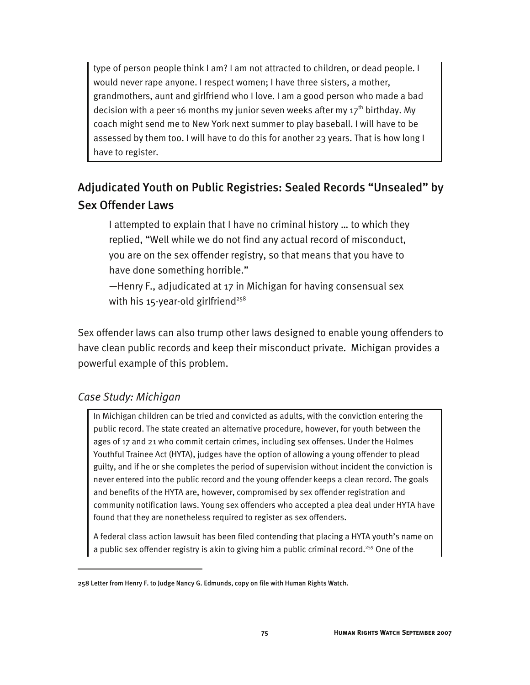type of person people think I am? I am not attracted to children, or dead people. I would never rape anyone. I respect women; I have three sisters, a mother, grandmothers, aunt and girlfriend who I love. I am a good person who made a bad decision with a peer 16 months my junior seven weeks after my  $17<sup>th</sup>$  birthday. My coach might send me to New York next summer to play baseball. I will have to be assessed by them too. I will have to do this for another 23 years. That is how long I have to register.

# Adjudicated Youth on Public Registries: Sealed Records "Unsealed" by Sex Offender Laws

I attempted to explain that I have no criminal history … to which they replied, "Well while we do not find any actual record of misconduct, you are on the sex offender registry, so that means that you have to have done something horrible."

—Henry F., adjudicated at 17 in Michigan for having consensual sex with his 15-year-old girlfriend<sup>258</sup>

Sex offender laws can also trump other laws designed to enable young offenders to have clean public records and keep their misconduct private. Michigan provides a powerful example of this problem.

### *Case Study: Michigan*

j

In Michigan children can be tried and convicted as adults, with the conviction entering the public record. The state created an alternative procedure, however, for youth between the ages of 17 and 21 who commit certain crimes, including sex offenses. Under the Holmes Youthful Trainee Act (HYTA), judges have the option of allowing a young offender to plead guilty, and if he or she completes the period of supervision without incident the conviction is never entered into the public record and the young offender keeps a clean record. The goals and benefits of the HYTA are, however, compromised by sex offender registration and community notification laws. Young sex offenders who accepted a plea deal under HYTA have found that they are nonetheless required to register as sex offenders.

A federal class action lawsuit has been filed contending that placing a HYTA youth's name on a public sex offender registry is akin to giving him a public criminal record.<sup>259</sup> One of the

<sup>258</sup> Letter from Henry F. to Judge Nancy G. Edmunds, copy on file with Human Rights Watch.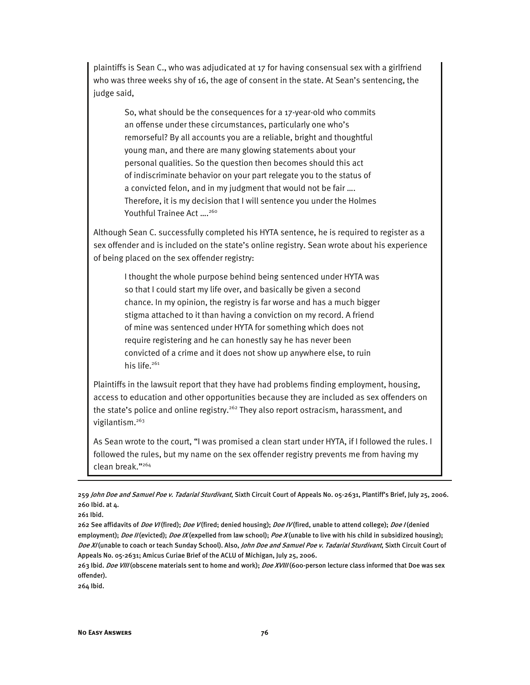plaintiffs is Sean C., who was adjudicated at 17 for having consensual sex with a girlfriend who was three weeks shy of 16, the age of consent in the state. At Sean's sentencing, the judge said,

So, what should be the consequences for a 17-year-old who commits an offense under these circumstances, particularly one who's remorseful? By all accounts you are a reliable, bright and thoughtful young man, and there are many glowing statements about your personal qualities. So the question then becomes should this act of indiscriminate behavior on your part relegate you to the status of a convicted felon, and in my judgment that would not be fair …. Therefore, it is my decision that I will sentence you under the Holmes Youthful Trainee Act ....<sup>260</sup>

Although Sean C. successfully completed his HYTA sentence, he is required to register as a sex offender and is included on the state's online registry. Sean wrote about his experience of being placed on the sex offender registry:

I thought the whole purpose behind being sentenced under HYTA was so that I could start my life over, and basically be given a second chance. In my opinion, the registry is far worse and has a much bigger stigma attached to it than having a conviction on my record. A friend of mine was sentenced under HYTA for something which does not require registering and he can honestly say he has never been convicted of a crime and it does not show up anywhere else, to ruin his life. $261$ 

Plaintiffs in the lawsuit report that they have had problems finding employment, housing, access to education and other opportunities because they are included as sex offenders on the state's police and online registry.<sup>262</sup> They also report ostracism, harassment, and vigilantism.263

As Sean wrote to the court, "I was promised a clean start under HYTA, if I followed the rules. I followed the rules, but my name on the sex offender registry prevents me from having my clean break."264

I

264 Ibid.

<sup>259</sup> John Doe and Samuel Poe v. Tadarial Sturdivant, Sixth Circuit Court of Appeals No. 05-2631, Plantiff's Brief, July 25, 2006. 260 Ibid. at 4.

<sup>261</sup> Ibid.

<sup>262</sup> See affidavits of *Doe VI* (fired); *Doe V* (fired; denied housing); *Doe IV* (fired, unable to attend college); *Doe I* (denied employment); Doe II (evicted); Doe IX (expelled from law school); Poe X (unable to live with his child in subsidized housing); Doe XI (unable to coach or teach Sunday School). Also, John Doe and Samuel Poe v. Tadarial Sturdivant, Sixth Circuit Court of Appeals No. 05-2631; Amicus Curiae Brief of the ACLU of Michigan, July 25, 2006.

<sup>263</sup> Ibid. Doe VIII (obscene materials sent to home and work); Doe XVIII (600-person lecture class informed that Doe was sex offender).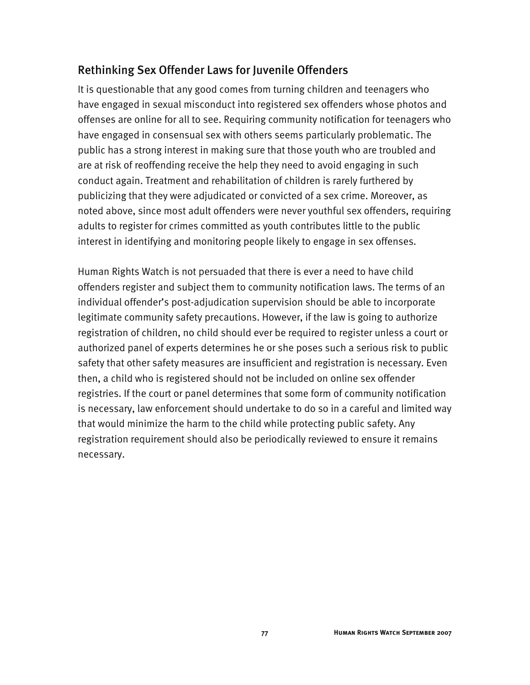# Rethinking Sex Offender Laws for Juvenile Offenders

It is questionable that any good comes from turning children and teenagers who have engaged in sexual misconduct into registered sex offenders whose photos and offenses are online for all to see. Requiring community notification for teenagers who have engaged in consensual sex with others seems particularly problematic. The public has a strong interest in making sure that those youth who are troubled and are at risk of reoffending receive the help they need to avoid engaging in such conduct again. Treatment and rehabilitation of children is rarely furthered by publicizing that they were adjudicated or convicted of a sex crime. Moreover, as noted above, since most adult offenders were never youthful sex offenders, requiring adults to register for crimes committed as youth contributes little to the public interest in identifying and monitoring people likely to engage in sex offenses.

Human Rights Watch is not persuaded that there is ever a need to have child offenders register and subject them to community notification laws. The terms of an individual offender's post-adjudication supervision should be able to incorporate legitimate community safety precautions. However, if the law is going to authorize registration of children, no child should ever be required to register unless a court or authorized panel of experts determines he or she poses such a serious risk to public safety that other safety measures are insufficient and registration is necessary. Even then, a child who is registered should not be included on online sex offender registries. If the court or panel determines that some form of community notification is necessary, law enforcement should undertake to do so in a careful and limited way that would minimize the harm to the child while protecting public safety. Any registration requirement should also be periodically reviewed to ensure it remains necessary.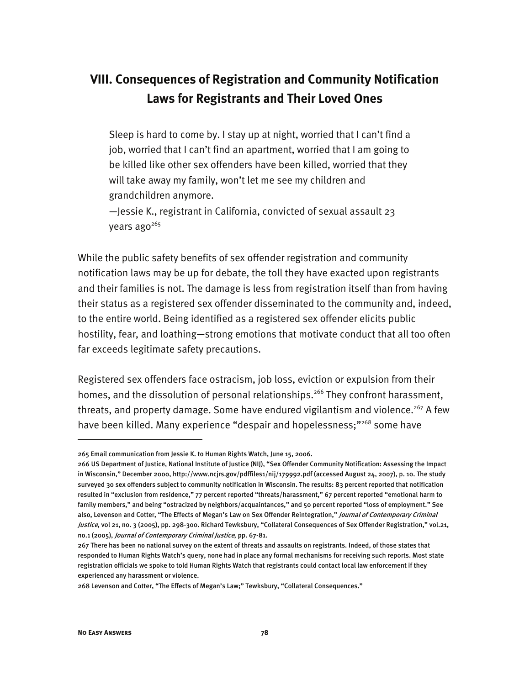# **VIII. Consequences of Registration and Community Notification Laws for Registrants and Their Loved Ones**

Sleep is hard to come by. I stay up at night, worried that I can't find a job, worried that I can't find an apartment, worried that I am going to be killed like other sex offenders have been killed, worried that they will take away my family, won't let me see my children and grandchildren anymore.

—Jessie K., registrant in California, convicted of sexual assault 23 years ago $^{265}$ 

While the public safety benefits of sex offender registration and community notification laws may be up for debate, the toll they have exacted upon registrants and their families is not. The damage is less from registration itself than from having their status as a registered sex offender disseminated to the community and, indeed, to the entire world. Being identified as a registered sex offender elicits public hostility, fear, and loathing—strong emotions that motivate conduct that all too often far exceeds legitimate safety precautions.

Registered sex offenders face ostracism, job loss, eviction or expulsion from their homes, and the dissolution of personal relationships.<sup>266</sup> They confront harassment, threats, and property damage. Some have endured vigilantism and violence.<sup>267</sup> A few have been killed. Many experience "despair and hopelessness;"<sup>268</sup> some have

<sup>265</sup> Email communication from Jessie K. to Human Rights Watch, June 15, 2006.

<sup>266</sup> US Department of Justice, National Institute of Justice (NIJ), "Sex Offender Community Notification: Assessing the Impact in Wisconsin," December 2000, http://www.ncjrs.gov/pdffiles1/nij/179992.pdf (accessed August 24, 2007), p. 10. The study surveyed 30 sex offenders subject to community notification in Wisconsin. The results: 83 percent reported that notification resulted in "exclusion from residence," 77 percent reported "threats/harassment," 67 percent reported "emotional harm to family members," and being "ostracized by neighbors/acquaintances," and 50 percent reported "loss of employment." See also, Levenson and Cotter, "The Effects of Megan's Law on Sex Offender Reintegration," Journal of Contemporary Criminal Justice, vol 21, no. 3 (2005), pp. 298-300. Richard Tewksbury, "Collateral Consequences of Sex Offender Registration," vol.21, no.1 (2005), Journal of Contemporary Criminal Justice, pp. 67-81.

<sup>267</sup> There has been no national survey on the extent of threats and assaults on registrants. Indeed, of those states that responded to Human Rights Watch's query, none had in place any formal mechanisms for receiving such reports. Most state registration officials we spoke to told Human Rights Watch that registrants could contact local law enforcement if they experienced any harassment or violence.

<sup>268</sup> Levenson and Cotter, "The Effects of Megan's Law;" Tewksbury, "Collateral Consequences."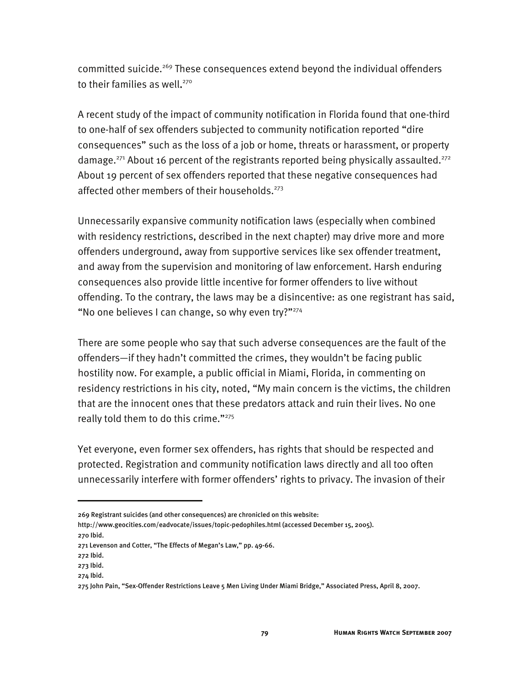committed suicide.<sup>269</sup> These consequences extend beyond the individual offenders to their families as well. 270

A recent study of the impact of community notification in Florida found that one-third to one-half of sex offenders subjected to community notification reported "dire consequences" such as the loss of a job or home, threats or harassment, or property damage.<sup>271</sup> About 16 percent of the registrants reported being physically assaulted.<sup>272</sup> About 19 percent of sex offenders reported that these negative consequences had affected other members of their households.<sup>273</sup>

Unnecessarily expansive community notification laws (especially when combined with residency restrictions, described in the next chapter) may drive more and more offenders underground, away from supportive services like sex offender treatment, and away from the supervision and monitoring of law enforcement. Harsh enduring consequences also provide little incentive for former offenders to live without offending. To the contrary, the laws may be a disincentive: as one registrant has said, "No one believes I can change, so why even try?"<sup>274</sup>

There are some people who say that such adverse consequences are the fault of the offenders—if they hadn't committed the crimes, they wouldn't be facing public hostility now. For example, a public official in Miami, Florida, in commenting on residency restrictions in his city, noted, "My main concern is the victims, the children that are the innocent ones that these predators attack and ruin their lives. No one really told them to do this crime."275

Yet everyone, even former sex offenders, has rights that should be respected and protected. Registration and community notification laws directly and all too often unnecessarily interfere with former offenders' rights to privacy. The invasion of their

<sup>269</sup> Registrant suicides (and other consequences) are chronicled on this website:

http://www.geocities.com/eadvocate/issues/topic-pedophiles.html (accessed December 15, 2005). 270 Ibid.

<sup>271</sup> Levenson and Cotter, "The Effects of Megan's Law," pp. 49-66.

<sup>272</sup> Ibid.

<sup>273</sup> Ibid.

<sup>274</sup> Ibid.

<sup>275</sup> John Pain, "Sex-Offender Restrictions Leave 5 Men Living Under Miami Bridge," Associated Press, April 8, 2007.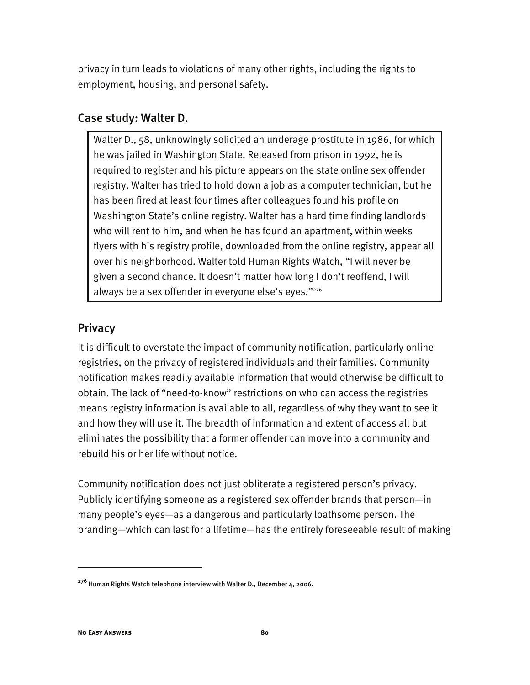privacy in turn leads to violations of many other rights, including the rights to employment, housing, and personal safety.

# Case study: Walter D.

Walter D., 58, unknowingly solicited an underage prostitute in 1986, for which he was jailed in Washington State. Released from prison in 1992, he is required to register and his picture appears on the state online sex offender registry. Walter has tried to hold down a job as a computer technician, but he has been fired at least four times after colleagues found his profile on Washington State's online registry. Walter has a hard time finding landlords who will rent to him, and when he has found an apartment, within weeks flyers with his registry profile, downloaded from the online registry, appear all over his neighborhood. Walter told Human Rights Watch, "I will never be given a second chance. It doesn't matter how long I don't reoffend, I will always be a sex offender in everyone else's eyes."276

# Privacy

It is difficult to overstate the impact of community notification, particularly online registries, on the privacy of registered individuals and their families. Community notification makes readily available information that would otherwise be difficult to obtain. The lack of "need-to-know" restrictions on who can access the registries means registry information is available to all, regardless of why they want to see it and how they will use it. The breadth of information and extent of access all but eliminates the possibility that a former offender can move into a community and rebuild his or her life without notice.

Community notification does not just obliterate a registered person's privacy. Publicly identifying someone as a registered sex offender brands that person—in many people's eyes—as a dangerous and particularly loathsome person. The branding—which can last for a lifetime—has the entirely foreseeable result of making

**<sup>276</sup>** Human Rights Watch telephone interview with Walter D., December 4, 2006.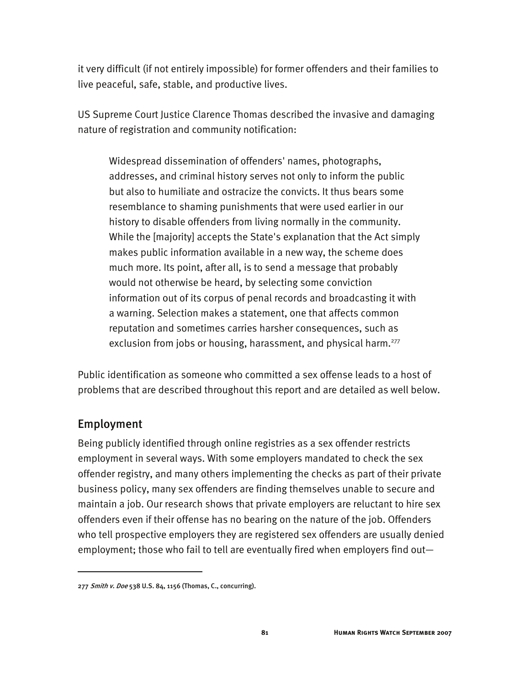it very difficult (if not entirely impossible) for former offenders and their families to live peaceful, safe, stable, and productive lives.

US Supreme Court Justice Clarence Thomas described the invasive and damaging nature of registration and community notification:

Widespread dissemination of offenders' names, photographs, addresses, and criminal history serves not only to inform the public but also to humiliate and ostracize the convicts. It thus bears some resemblance to shaming punishments that were used earlier in our history to disable offenders from living normally in the community. While the [majority] accepts the State's explanation that the Act simply makes public information available in a new way, the scheme does much more. Its point, after all, is to send a message that probably would not otherwise be heard, by selecting some conviction information out of its corpus of penal records and broadcasting it with a warning. Selection makes a statement, one that affects common reputation and sometimes carries harsher consequences, such as exclusion from jobs or housing, harassment, and physical harm.<sup>277</sup>

Public identification as someone who committed a sex offense leads to a host of problems that are described throughout this report and are detailed as well below.

# Employment

j

Being publicly identified through online registries as a sex offender restricts employment in several ways. With some employers mandated to check the sex offender registry, and many others implementing the checks as part of their private business policy, many sex offenders are finding themselves unable to secure and maintain a job. Our research shows that private employers are reluctant to hire sex offenders even if their offense has no bearing on the nature of the job. Offenders who tell prospective employers they are registered sex offenders are usually denied employment; those who fail to tell are eventually fired when employers find out—

<sup>277</sup> Smith v. Doe 538 U.S. 84, 1156 (Thomas, C., concurring).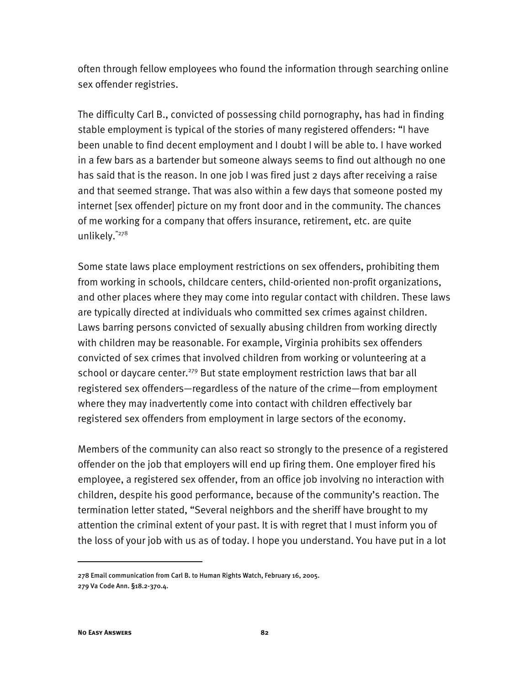often through fellow employees who found the information through searching online sex offender registries.

The difficulty Carl B., convicted of possessing child pornography, has had in finding stable employment is typical of the stories of many registered offenders: "I have been unable to find decent employment and I doubt I will be able to. I have worked in a few bars as a bartender but someone always seems to find out although no one has said that is the reason. In one job I was fired just 2 days after receiving a raise and that seemed strange. That was also within a few days that someone posted my internet [sex offender] picture on my front door and in the community. The chances of me working for a company that offers insurance, retirement, etc. are quite unlikely."278

Some state laws place employment restrictions on sex offenders, prohibiting them from working in schools, childcare centers, child-oriented non-profit organizations, and other places where they may come into regular contact with children. These laws are typically directed at individuals who committed sex crimes against children. Laws barring persons convicted of sexually abusing children from working directly with children may be reasonable. For example, Virginia prohibits sex offenders convicted of sex crimes that involved children from working or volunteering at a school or daycare center.<sup>279</sup> But state employment restriction laws that bar all registered sex offenders—regardless of the nature of the crime—from employment where they may inadvertently come into contact with children effectively bar registered sex offenders from employment in large sectors of the economy.

Members of the community can also react so strongly to the presence of a registered offender on the job that employers will end up firing them. One employer fired his employee, a registered sex offender, from an office job involving no interaction with children, despite his good performance, because of the community's reaction. The termination letter stated, "Several neighbors and the sheriff have brought to my attention the criminal extent of your past. It is with regret that I must inform you of the loss of your job with us as of today. I hope you understand. You have put in a lot

<sup>278</sup> Email communication from Carl B. to Human Rights Watch, February 16, 2005. 279 Va Code Ann. §18.2-370.4.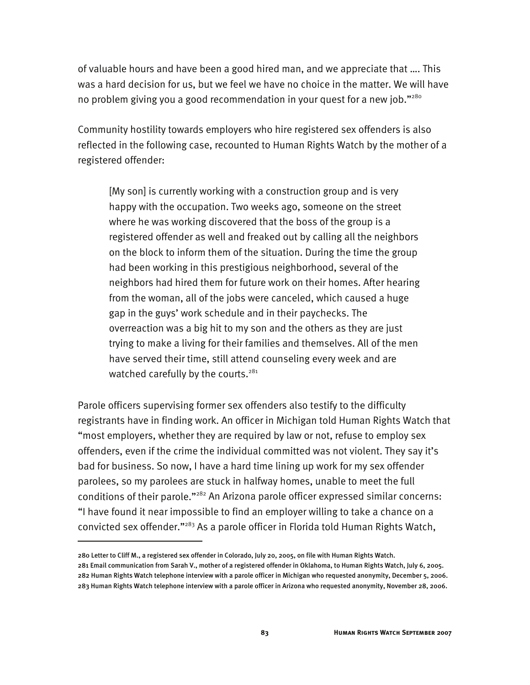of valuable hours and have been a good hired man, and we appreciate that …. This was a hard decision for us, but we feel we have no choice in the matter. We will have no problem giving you a good recommendation in your quest for a new job."<sup>280</sup>

Community hostility towards employers who hire registered sex offenders is also reflected in the following case, recounted to Human Rights Watch by the mother of a registered offender:

[My son] is currently working with a construction group and is very happy with the occupation. Two weeks ago, someone on the street where he was working discovered that the boss of the group is a registered offender as well and freaked out by calling all the neighbors on the block to inform them of the situation. During the time the group had been working in this prestigious neighborhood, several of the neighbors had hired them for future work on their homes. After hearing from the woman, all of the jobs were canceled, which caused a huge gap in the guys' work schedule and in their paychecks. The overreaction was a big hit to my son and the others as they are just trying to make a living for their families and themselves. All of the men have served their time, still attend counseling every week and are watched carefully by the courts.<sup>281</sup>

Parole officers supervising former sex offenders also testify to the difficulty registrants have in finding work. An officer in Michigan told Human Rights Watch that "most employers, whether they are required by law or not, refuse to employ sex offenders, even if the crime the individual committed was not violent. They say it's bad for business. So now, I have a hard time lining up work for my sex offender parolees, so my parolees are stuck in halfway homes, unable to meet the full conditions of their parole."<sup>282</sup> An Arizona parole officer expressed similar concerns: "I have found it near impossible to find an employer willing to take a chance on a convicted sex offender."<sup>283</sup> As a parole officer in Florida told Human Rights Watch,

<sup>280</sup> Letter to Cliff M., a registered sex offender in Colorado, July 20, 2005, on file with Human Rights Watch. 281 Email communication from Sarah V., mother of a registered offender in Oklahoma, to Human Rights Watch, July 6, 2005. 282 Human Rights Watch telephone interview with a parole officer in Michigan who requested anonymity, December 5, 2006. 283 Human Rights Watch telephone interview with a parole officer in Arizona who requested anonymity, November 28, 2006.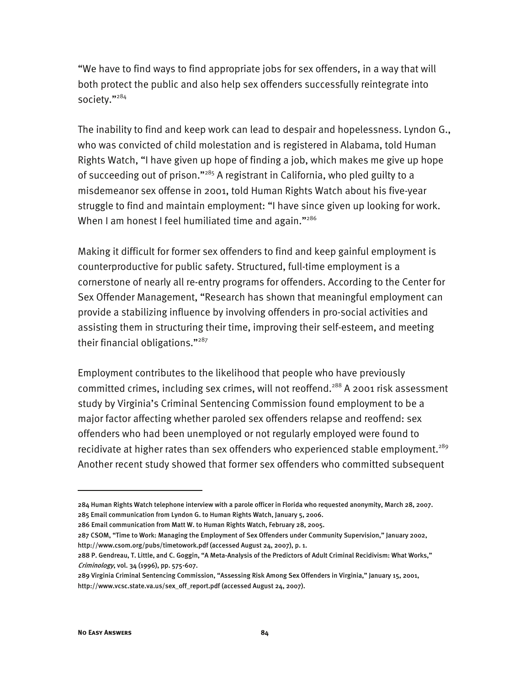"We have to find ways to find appropriate jobs for sex offenders, in a way that will both protect the public and also help sex offenders successfully reintegrate into society."<sup>284</sup>

The inability to find and keep work can lead to despair and hopelessness. Lyndon G., who was convicted of child molestation and is registered in Alabama, told Human Rights Watch, "I have given up hope of finding a job, which makes me give up hope of succeeding out of prison."<sup>285</sup> A registrant in California, who pled guilty to a misdemeanor sex offense in 2001, told Human Rights Watch about his five-year struggle to find and maintain employment: "I have since given up looking for work. When I am honest I feel humiliated time and again."<sup>286</sup>

Making it difficult for former sex offenders to find and keep gainful employment is counterproductive for public safety. Structured, full-time employment is a cornerstone of nearly all re-entry programs for offenders. According to the Center for Sex Offender Management, "Research has shown that meaningful employment can provide a stabilizing influence by involving offenders in pro-social activities and assisting them in structuring their time, improving their self-esteem, and meeting their financial obligations."<sup>287</sup>

Employment contributes to the likelihood that people who have previously committed crimes, including sex crimes, will not reoffend.<sup>288</sup> A 2001 risk assessment study by Virginia's Criminal Sentencing Commission found employment to be a major factor affecting whether paroled sex offenders relapse and reoffend: sex offenders who had been unemployed or not regularly employed were found to recidivate at higher rates than sex offenders who experienced stable employment.<sup>289</sup> Another recent study showed that former sex offenders who committed subsequent

<sup>284</sup> Human Rights Watch telephone interview with a parole officer in Florida who requested anonymity, March 28, 2007. 285 Email communication from Lyndon G. to Human Rights Watch, January 5, 2006.

<sup>286</sup> Email communication from Matt W. to Human Rights Watch, February 28, 2005.

<sup>287</sup> CSOM, "Time to Work: Managing the Employment of Sex Offenders under Community Supervision," January 2002, http://www.csom.org/pubs/timetowork.pdf (accessed August 24, 2007), p. 1.

<sup>288</sup> P. Gendreau, T. Little, and C. Goggin, "A Meta-Analysis of the Predictors of Adult Criminal Recidivism: What Works," Criminology, vol. 34 (1996), pp. 575-607.

<sup>289</sup> Virginia Criminal Sentencing Commission, "Assessing Risk Among Sex Offenders in Virginia," January 15, 2001, http://www.vcsc.state.va.us/sex\_off\_report.pdf (accessed August 24, 2007).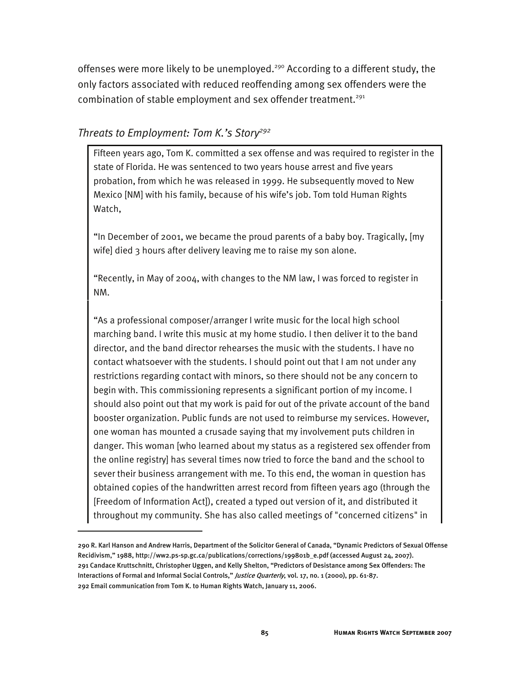offenses were more likely to be unemployed.<sup>290</sup> According to a different study, the only factors associated with reduced reoffending among sex offenders were the combination of stable employment and sex offender treatment.<sup>291</sup>

#### *Threats to Employment: Tom K.'s Story292*

j

Fifteen years ago, Tom K. committed a sex offense and was required to register in the state of Florida. He was sentenced to two years house arrest and five years probation, from which he was released in 1999. He subsequently moved to New Mexico [NM] with his family, because of his wife's job. Tom told Human Rights Watch,

"In December of 2001, we became the proud parents of a baby boy. Tragically, [my wife] died 3 hours after delivery leaving me to raise my son alone.

"Recently, in May of 2004, with changes to the NM law, I was forced to register in NM.

"As a professional composer/arranger I write music for the local high school marching band. I write this music at my home studio. I then deliver it to the band director, and the band director rehearses the music with the students. I have no contact whatsoever with the students. I should point out that I am not under any restrictions regarding contact with minors, so there should not be any concern to begin with. This commissioning represents a significant portion of my income. I should also point out that my work is paid for out of the private account of the band booster organization. Public funds are not used to reimburse my services. However, one woman has mounted a crusade saying that my involvement puts children in danger. This woman [who learned about my status as a registered sex offender from the online registry] has several times now tried to force the band and the school to sever their business arrangement with me. To this end, the woman in question has obtained copies of the handwritten arrest record from fifteen years ago (through the [Freedom of Information Act]), created a typed out version of it, and distributed it throughout my community. She has also called meetings of "concerned citizens" in

<sup>290</sup> R. Karl Hanson and Andrew Harris, Department of the Solicitor General of Canada, "Dynamic Predictors of Sexual Offense Recidivism," 1988, http://ww2.ps-sp.gc.ca/publications/corrections/199801b\_e.pdf (accessed August 24, 2007). 291 Candace Kruttschnitt, Christopher Uggen, and Kelly Shelton, "Predictors of Desistance among Sex Offenders: The Interactions of Formal and Informal Social Controls," Justice Quarterly, vol. 17, no. 1 (2000), pp. 61-87. 292 Email communication from Tom K. to Human Rights Watch, January 11, 2006.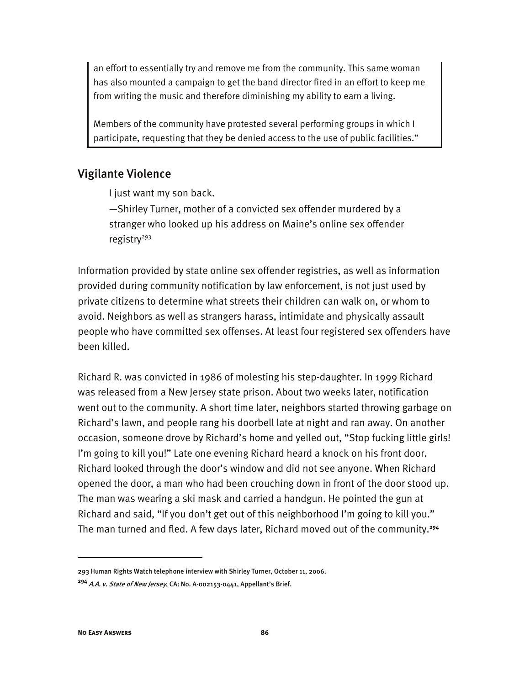an effort to essentially try and remove me from the community. This same woman has also mounted a campaign to get the band director fired in an effort to keep me from writing the music and therefore diminishing my ability to earn a living.

Members of the community have protested several performing groups in which I participate, requesting that they be denied access to the use of public facilities."

# Vigilante Violence

I just want my son back.

—Shirley Turner, mother of a convicted sex offender murdered by a stranger who looked up his address on Maine's online sex offender registry $293$ 

Information provided by state online sex offender registries, as well as information provided during community notification by law enforcement, is not just used by private citizens to determine what streets their children can walk on, or whom to avoid. Neighbors as well as strangers harass, intimidate and physically assault people who have committed sex offenses. At least four registered sex offenders have been killed.

Richard R. was convicted in 1986 of molesting his step-daughter. In 1999 Richard was released from a New Jersey state prison. About two weeks later, notification went out to the community. A short time later, neighbors started throwing garbage on Richard's lawn, and people rang his doorbell late at night and ran away. On another occasion, someone drove by Richard's home and yelled out, "Stop fucking little girls! I'm going to kill you!" Late one evening Richard heard a knock on his front door. Richard looked through the door's window and did not see anyone. When Richard opened the door, a man who had been crouching down in front of the door stood up. The man was wearing a ski mask and carried a handgun. He pointed the gun at Richard and said, "If you don't get out of this neighborhood I'm going to kill you." The man turned and fled. A few days later, Richard moved out of the community.**<sup>294</sup>**

<sup>293</sup> Human Rights Watch telephone interview with Shirley Turner, October 11, 2006.

**<sup>294</sup>** A.A. v. State of New Jersey, CA: No. A-002153-0441, Appellant's Brief.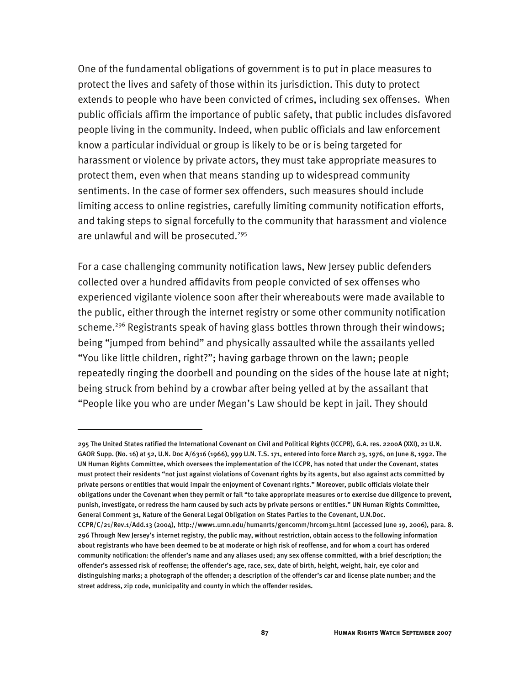One of the fundamental obligations of government is to put in place measures to protect the lives and safety of those within its jurisdiction. This duty to protect extends to people who have been convicted of crimes, including sex offenses. When public officials affirm the importance of public safety, that public includes disfavored people living in the community. Indeed, when public officials and law enforcement know a particular individual or group is likely to be or is being targeted for harassment or violence by private actors, they must take appropriate measures to protect them, even when that means standing up to widespread community sentiments. In the case of former sex offenders, such measures should include limiting access to online registries, carefully limiting community notification efforts, and taking steps to signal forcefully to the community that harassment and violence are unlawful and will be prosecuted.<sup>295</sup>

For a case challenging community notification laws, New Jersey public defenders collected over a hundred affidavits from people convicted of sex offenses who experienced vigilante violence soon after their whereabouts were made available to the public, either through the internet registry or some other community notification scheme.<sup>296</sup> Registrants speak of having glass bottles thrown through their windows; being "jumped from behind" and physically assaulted while the assailants yelled "You like little children, right?"; having garbage thrown on the lawn; people repeatedly ringing the doorbell and pounding on the sides of the house late at night; being struck from behind by a crowbar after being yelled at by the assailant that "People like you who are under Megan's Law should be kept in jail. They should

<sup>295</sup> The United States ratified the International Covenant on Civil and Political Rights (ICCPR), G.A. res. 2200A (XXI), 21 U.N. GAOR Supp. (No. 16) at 52, U.N. Doc A/6316 (1966), 999 U.N. T.S. 171, entered into force March 23, 1976, on June 8, 1992. The UN Human Rights Committee, which oversees the implementation of the ICCPR, has noted that under the Covenant, states must protect their residents "not just against violations of Covenant rights by its agents, but also against acts committed by private persons or entities that would impair the enjoyment of Covenant rights." Moreover, public officials violate their obligations under the Covenant when they permit or fail "to take appropriate measures or to exercise due diligence to prevent, punish, investigate, or redress the harm caused by such acts by private persons or entities." UN Human Rights Committee, General Comment 31, Nature of the General Legal Obligation on States Parties to the Covenant, U.N.Doc.

CCPR/C/21/Rev.1/Add.13 (2004), http://www1.umn.edu/humanrts/gencomm/hrcom31.html (accessed June 19, 2006), para. 8. 296 Through New Jersey's internet registry, the public may, without restriction, obtain access to the following information about registrants who have been deemed to be at moderate or high risk of reoffense, and for whom a court has ordered community notification: the offender's name and any aliases used; any sex offense committed, with a brief description; the offender's assessed risk of reoffense; the offender's age, race, sex, date of birth, height, weight, hair, eye color and distinguishing marks; a photograph of the offender; a description of the offender's car and license plate number; and the street address, zip code, municipality and county in which the offender resides.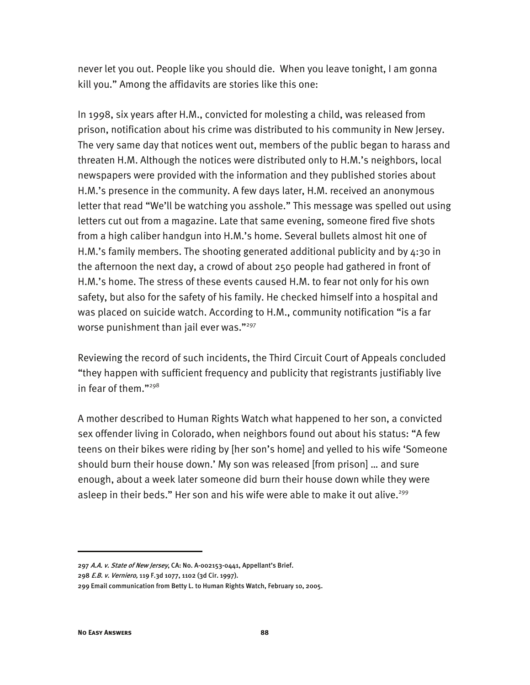never let you out. People like you should die. When you leave tonight, I am gonna kill you." Among the affidavits are stories like this one:

In 1998, six years after H.M., convicted for molesting a child, was released from prison, notification about his crime was distributed to his community in New Jersey. The very same day that notices went out, members of the public began to harass and threaten H.M. Although the notices were distributed only to H.M.'s neighbors, local newspapers were provided with the information and they published stories about H.M.'s presence in the community. A few days later, H.M. received an anonymous letter that read "We'll be watching you asshole." This message was spelled out using letters cut out from a magazine. Late that same evening, someone fired five shots from a high caliber handgun into H.M.'s home. Several bullets almost hit one of H.M.'s family members. The shooting generated additional publicity and by 4:30 in the afternoon the next day, a crowd of about 250 people had gathered in front of H.M.'s home. The stress of these events caused H.M. to fear not only for his own safety, but also for the safety of his family. He checked himself into a hospital and was placed on suicide watch. According to H.M., community notification "is a far worse punishment than jail ever was."<sup>297</sup>

Reviewing the record of such incidents, the Third Circuit Court of Appeals concluded "they happen with sufficient frequency and publicity that registrants justifiably live in fear of them."298

A mother described to Human Rights Watch what happened to her son, a convicted sex offender living in Colorado, when neighbors found out about his status: "A few teens on their bikes were riding by [her son's home] and yelled to his wife 'Someone should burn their house down.' My son was released [from prison] … and sure enough, about a week later someone did burn their house down while they were asleep in their beds." Her son and his wife were able to make it out alive.<sup>299</sup>

<sup>297</sup> A.A. v. State of New Jersey, CA: No. A-002153-0441, Appellant's Brief.

<sup>298</sup> E.B. v. Verniero, 119 F.3d 1077, 1102 (3d Cir. 1997).

<sup>299</sup> Email communication from Betty L. to Human Rights Watch, February 10, 2005.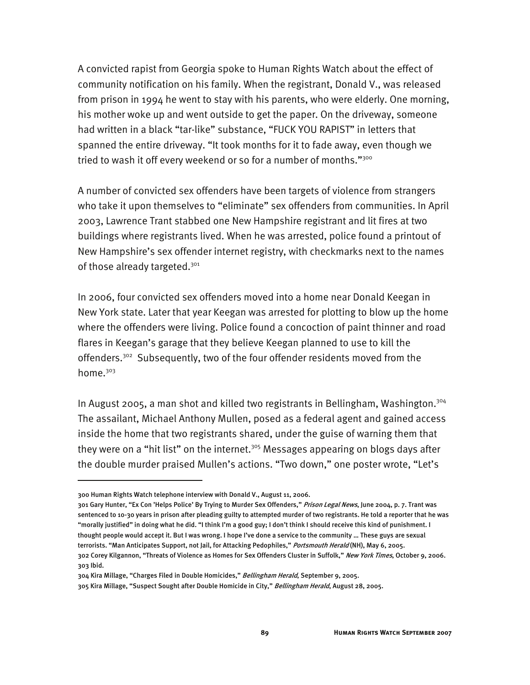A convicted rapist from Georgia spoke to Human Rights Watch about the effect of community notification on his family. When the registrant, Donald V., was released from prison in 1994 he went to stay with his parents, who were elderly. One morning, his mother woke up and went outside to get the paper. On the driveway, someone had written in a black "tar-like" substance, "FUCK YOU RAPIST" in letters that spanned the entire driveway. "It took months for it to fade away, even though we tried to wash it off every weekend or so for a number of months."<sup>300</sup>

A number of convicted sex offenders have been targets of violence from strangers who take it upon themselves to "eliminate" sex offenders from communities. In April 2003, Lawrence Trant stabbed one New Hampshire registrant and lit fires at two buildings where registrants lived. When he was arrested, police found a printout of New Hampshire's sex offender internet registry, with checkmarks next to the names of those already targeted.<sup>301</sup>

In 2006, four convicted sex offenders moved into a home near Donald Keegan in New York state. Later that year Keegan was arrested for plotting to blow up the home where the offenders were living. Police found a concoction of paint thinner and road flares in Keegan's garage that they believe Keegan planned to use to kill the offenders.<sup>302</sup> Subsequently, two of the four offender residents moved from the home.<sup>303</sup>

In August 2005, a man shot and killed two registrants in Bellingham, Washington.304 The assailant, Michael Anthony Mullen, posed as a federal agent and gained access inside the home that two registrants shared, under the guise of warning them that they were on a "hit list" on the internet.<sup>305</sup> Messages appearing on blogs days after the double murder praised Mullen's actions. "Two down," one poster wrote, "Let's

<sup>300</sup> Human Rights Watch telephone interview with Donald V., August 11, 2006.

<sup>301</sup> Gary Hunter, "Ex Con 'Helps Police' By Trying to Murder Sex Offenders," Prison Legal News, June 2004, p. 7. Trant was sentenced to 10-30 years in prison after pleading guilty to attempted murder of two registrants. He told a reporter that he was "morally justified" in doing what he did. "I think I'm a good guy; I don't think I should receive this kind of punishment. I thought people would accept it. But I was wrong. I hope I've done a service to the community … These guys are sexual terrorists. "Man Anticipates Support, not Jail, for Attacking Pedophiles," Portsmouth Herald (NH), May 6, 2005. 302 Corey Kilgannon, "Threats of Violence as Homes for Sex Offenders Cluster in Suffolk," New York Times, October 9, 2006.

<sup>303</sup> Ibid.

<sup>304</sup> Kira Millage, "Charges Filed in Double Homicides," Bellingham Herald, September 9, 2005.

<sup>305</sup> Kira Millage, "Suspect Sought after Double Homicide in City," Bellingham Herald, August 28, 2005.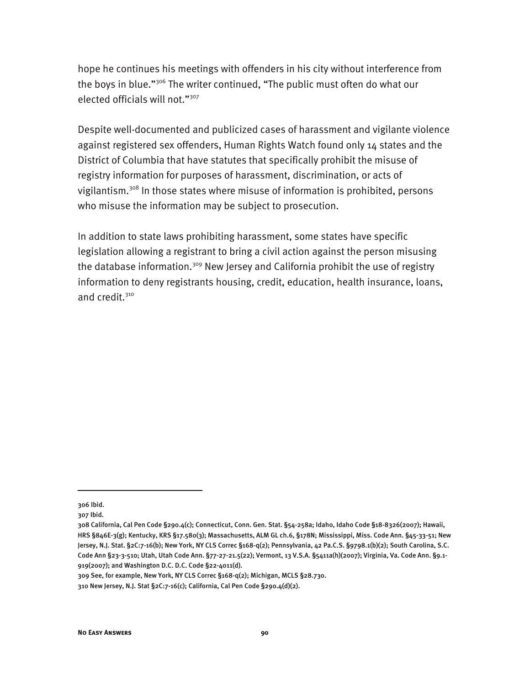hope he continues his meetings with offenders in his city without interference from the boys in blue."306 The writer continued, "The public must often do what our elected officials will not."307

Despite well-documented and publicized cases of harassment and vigilante violence against registered sex offenders, Human Rights Watch found only 14 states and the District of Columbia that have statutes that specifically prohibit the misuse of registry information for purposes of harassment, discrimination, or acts of vigilantism.308 In those states where misuse of information is prohibited, persons who misuse the information may be subject to prosecution.

In addition to state laws prohibiting harassment, some states have specific legislation allowing a registrant to bring a civil action against the person misusing the database information.<sup>309</sup> New Jersey and California prohibit the use of registry information to deny registrants housing, credit, education, health insurance, loans, and credit.<sup>310</sup>

j

<sup>306</sup> Ibid.

<sup>307</sup> Ibid.

<sup>308</sup> California, Cal Pen Code §290.4(c); Connecticut, Conn. Gen. Stat. §54-258a; Idaho, Idaho Code §18-8326(2007); Hawaii, HRS §846E-3(g); Kentucky, KRS §17.580(3); Massachusetts, ALM GL ch.6, §178N; Mississippi, Miss. Code Ann. §45-33-51; New Jersey, N.J. Stat. §2C:7-16(b); New York, NY CLS Correc §168-q(2); Pennsylvania, 42 Pa.C.S. §9798.1(b)(2); South Carolina, S.C. Code Ann §23-3-510; Utah, Utah Code Ann. §77-27-21.5(22); Vermont, 13 V.S.A. §5411a(h)(2007); Virginia, Va. Code Ann. §9.1- 919(2007); and Washington D.C. D.C. Code §22-4011(d).

<sup>309</sup> See, for example, New York, NY CLS Correc §168-q(2); Michigan, MCLS §28.730.

<sup>310</sup> New Jersey, N.J. Stat §2C:7-16(c); California, Cal Pen Code §290.4(d)(2).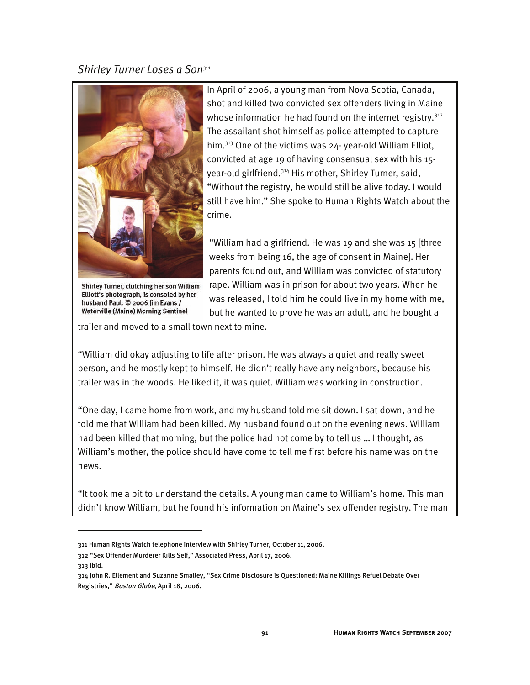#### *Shirley Turner Loses a Son*<sup>311</sup>



 In April of 2006, a young man from Nova Scotia, Canada, shot and killed two convicted sex offenders living in Maine whose information he had found on the internet registry.<sup>312</sup> The assailant shot himself as police attempted to capture him.313 One of the victims was 24- year-old William Elliot, convicted at age 19 of having consensual sex with his 15 year-old girlfriend.314 His mother, Shirley Turner, said, "Without the registry, he would still be alive today. I would still have him." She spoke to Human Rights Watch about the crime.

 "William had a girlfriend. He was 19 and she was 15 [three weeks from being 16, the age of consent in Maine]. Her parents found out, and William was convicted of statutory Shirley Turner, clutching her son William rape. William was in prison for about two years. When he Elliott's photograph, is consoled by her was released, I told him he could live in my home with me, Waterville (Maine) Morning Sentinel but he wanted to prove he was an adult, and he bought a

trailer and moved to a small town next to mine.

"William did okay adjusting to life after prison. He was always a quiet and really sweet person, and he mostly kept to himself. He didn't really have any neighbors, because his trailer was in the woods. He liked it, it was quiet. William was working in construction.

"One day, I came home from work, and my husband told me sit down. I sat down, and he told me that William had been killed. My husband found out on the evening news. William had been killed that morning, but the police had not come by to tell us … I thought, as William's mother, the police should have come to tell me first before his name was on the news.

"It took me a bit to understand the details. A young man came to William's home. This man didn't know William, but he found his information on Maine's sex offender registry. The man

313 Ibid.

<sup>311</sup> Human Rights Watch telephone interview with Shirley Turner, October 11, 2006.

<sup>312 &</sup>quot;Sex Offender Murderer Kills Self," Associated Press, April 17, 2006.

<sup>314</sup> John R. Ellement and Suzanne Smalley, "Sex Crime Disclosure is Questioned: Maine Killings Refuel Debate Over Registries," Boston Globe, April 18, 2006.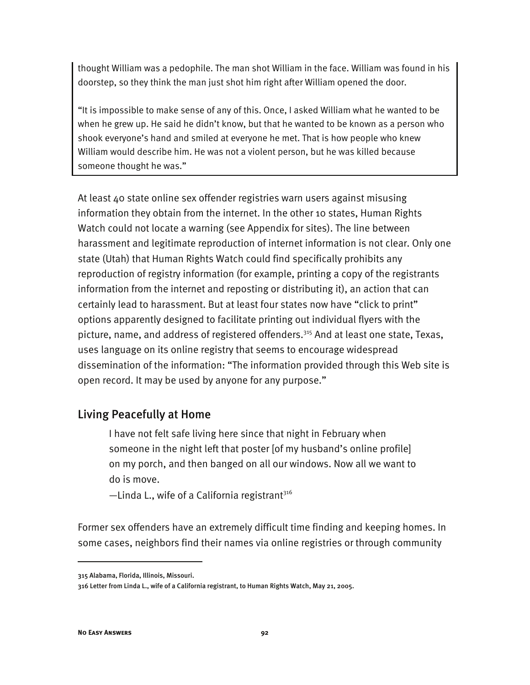thought William was a pedophile. The man shot William in the face. William was found in his doorstep, so they think the man just shot him right after William opened the door.

"It is impossible to make sense of any of this. Once, I asked William what he wanted to be when he grew up. He said he didn't know, but that he wanted to be known as a person who shook everyone's hand and smiled at everyone he met. That is how people who knew William would describe him. He was not a violent person, but he was killed because someone thought he was."

At least 40 state online sex offender registries warn users against misusing information they obtain from the internet. In the other 10 states, Human Rights Watch could not locate a warning (see Appendix for sites). The line between harassment and legitimate reproduction of internet information is not clear. Only one state (Utah) that Human Rights Watch could find specifically prohibits any reproduction of registry information (for example, printing a copy of the registrants information from the internet and reposting or distributing it), an action that can certainly lead to harassment. But at least four states now have "click to print" options apparently designed to facilitate printing out individual flyers with the picture, name, and address of registered offenders.<sup>315</sup> And at least one state, Texas, uses language on its online registry that seems to encourage widespread dissemination of the information: "The information provided through this Web site is open record. It may be used by anyone for any purpose."

# Living Peacefully at Home

I have not felt safe living here since that night in February when someone in the night left that poster [of my husband's online profile] on my porch, and then banged on all our windows. Now all we want to do is move.

 $-$ Linda L., wife of a California registrant<sup>316</sup>

Former sex offenders have an extremely difficult time finding and keeping homes. In some cases, neighbors find their names via online registries or through community

<sup>315</sup> Alabama, Florida, Illinois, Missouri.

<sup>316</sup> Letter from Linda L., wife of a California registrant, to Human Rights Watch, May 21, 2005.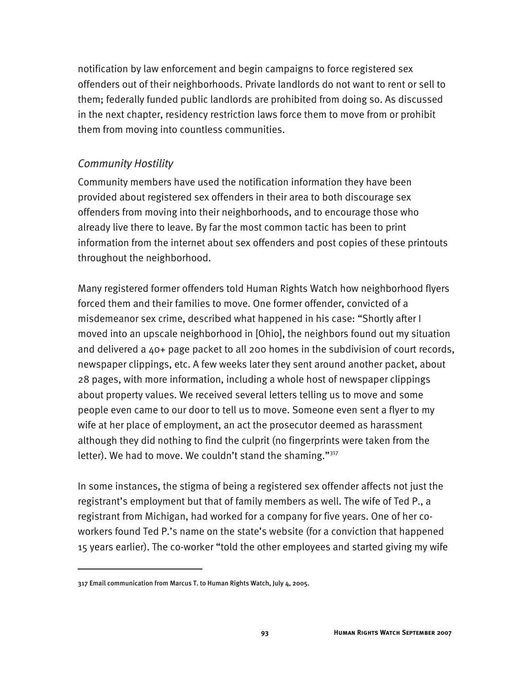notification by law enforcement and begin campaigns to force registered sex offenders out of their neighborhoods. Private landlords do not want to rent or sell to them; federally funded public landlords are prohibited from doing so. As discussed in the next chapter, residency restriction laws force them to move from or prohibit them from moving into countless communities.

### *Community Hostility*

Community members have used the notification information they have been provided about registered sex offenders in their area to both discourage sex offenders from moving into their neighborhoods, and to encourage those who already live there to leave. By far the most common tactic has been to print information from the internet about sex offenders and post copies of these printouts throughout the neighborhood.

Many registered former offenders told Human Rights Watch how neighborhood flyers forced them and their families to move. One former offender, convicted of a misdemeanor sex crime, described what happened in his case: "Shortly after I moved into an upscale neighborhood in [Ohio], the neighbors found out my situation and delivered a 40+ page packet to all 200 homes in the subdivision of court records, newspaper clippings, etc. A few weeks later they sent around another packet, about 28 pages, with more information, including a whole host of newspaper clippings about property values. We received several letters telling us to move and some people even came to our door to tell us to move. Someone even sent a flyer to my wife at her place of employment, an act the prosecutor deemed as harassment although they did nothing to find the culprit (no fingerprints were taken from the letter). We had to move. We couldn't stand the shaming." $317$ 

In some instances, the stigma of being a registered sex offender affects not just the registrant's employment but that of family members as well. The wife of Ted P., a registrant from Michigan, had worked for a company for five years. One of her coworkers found Ted P.'s name on the state's website (for a conviction that happened 15 years earlier). The co-worker "told the other employees and started giving my wife

<sup>317</sup> Email communication from Marcus T. to Human Rights Watch, July 4, 2005.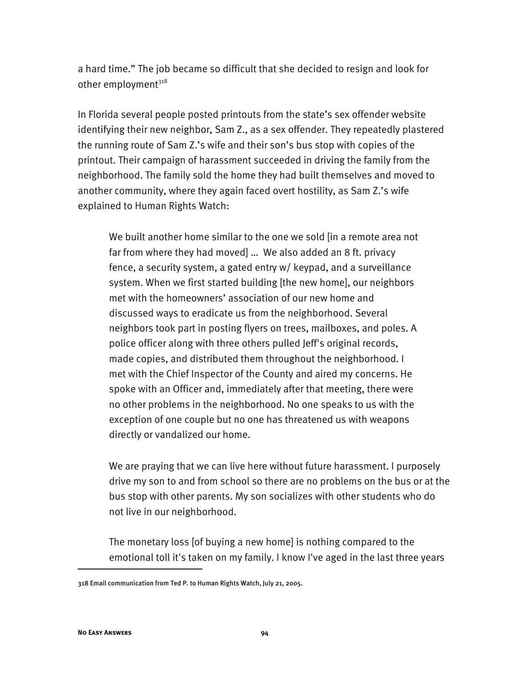a hard time." The job became so difficult that she decided to resign and look for other employment $318$ 

In Florida several people posted printouts from the state's sex offender website identifying their new neighbor, Sam Z., as a sex offender. They repeatedly plastered the running route of Sam Z.'s wife and their son's bus stop with copies of the printout. Their campaign of harassment succeeded in driving the family from the neighborhood. The family sold the home they had built themselves and moved to another community, where they again faced overt hostility, as Sam Z.'s wife explained to Human Rights Watch:

We built another home similar to the one we sold [in a remote area not far from where they had moved] ... We also added an 8 ft. privacy fence, a security system, a gated entry w/ keypad, and a surveillance system. When we first started building [the new home], our neighbors met with the homeowners' association of our new home and discussed ways to eradicate us from the neighborhood. Several neighbors took part in posting flyers on trees, mailboxes, and poles. A police officer along with three others pulled Jeff's original records, made copies, and distributed them throughout the neighborhood. I met with the Chief Inspector of the County and aired my concerns. He spoke with an Officer and, immediately after that meeting, there were no other problems in the neighborhood. No one speaks to us with the exception of one couple but no one has threatened us with weapons directly or vandalized our home.

We are praying that we can live here without future harassment. I purposely drive my son to and from school so there are no problems on the bus or at the bus stop with other parents. My son socializes with other students who do not live in our neighborhood.

The monetary loss [of buying a new home] is nothing compared to the emotional toll it's taken on my family. I know I've aged in the last three years

<sup>318</sup> Email communication from Ted P. to Human Rights Watch, July 21, 2005.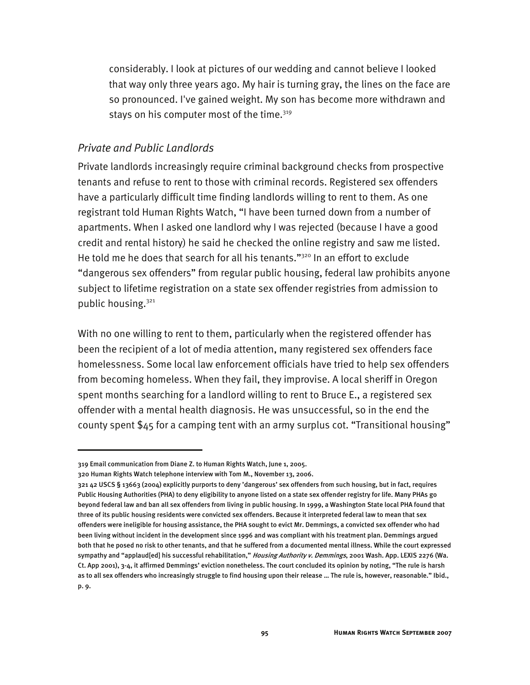considerably. I look at pictures of our wedding and cannot believe I looked that way only three years ago. My hair is turning gray, the lines on the face are so pronounced. I've gained weight. My son has become more withdrawn and stays on his computer most of the time. $319$ 

#### *Private and Public Landlords*

Private landlords increasingly require criminal background checks from prospective tenants and refuse to rent to those with criminal records. Registered sex offenders have a particularly difficult time finding landlords willing to rent to them. As one registrant told Human Rights Watch, "I have been turned down from a number of apartments. When I asked one landlord why I was rejected (because I have a good credit and rental history) he said he checked the online registry and saw me listed. He told me he does that search for all his tenants."<sup>320</sup> In an effort to exclude "dangerous sex offenders" from regular public housing, federal law prohibits anyone subject to lifetime registration on a state sex offender registries from admission to public housing.<sup>321</sup>

With no one willing to rent to them, particularly when the registered offender has been the recipient of a lot of media attention, many registered sex offenders face homelessness. Some local law enforcement officials have tried to help sex offenders from becoming homeless. When they fail, they improvise. A local sheriff in Oregon spent months searching for a landlord willing to rent to Bruce E., a registered sex offender with a mental health diagnosis. He was unsuccessful, so in the end the county spent \$45 for a camping tent with an army surplus cot. "Transitional housing"

<sup>319</sup> Email communication from Diane Z. to Human Rights Watch, June 1, 2005.

<sup>320</sup> Human Rights Watch telephone interview with Tom M., November 13, 2006.

<sup>321 42</sup> USCS § 13663 (2004) explicitly purports to deny 'dangerous' sex offenders from such housing, but in fact, requires Public Housing Authorities (PHA) to deny eligibility to anyone listed on a state sex offender registry for life. Many PHAs go beyond federal law and ban all sex offenders from living in public housing. In 1999, a Washington State local PHA found that three of its public housing residents were convicted sex offenders. Because it interpreted federal law to mean that sex offenders were ineligible for housing assistance, the PHA sought to evict Mr. Demmings, a convicted sex offender who had been living without incident in the development since 1996 and was compliant with his treatment plan. Demmings argued both that he posed no risk to other tenants, and that he suffered from a documented mental illness. While the court expressed sympathy and "applaud[ed] his successful rehabilitation," Housing Authority v. Demmings, 2001 Wash. App. LEXIS 2276 (Wa. Ct. App 2001), 3-4, it affirmed Demmings' eviction nonetheless. The court concluded its opinion by noting, "The rule is harsh as to all sex offenders who increasingly struggle to find housing upon their release … The rule is, however, reasonable." Ibid., p. 9.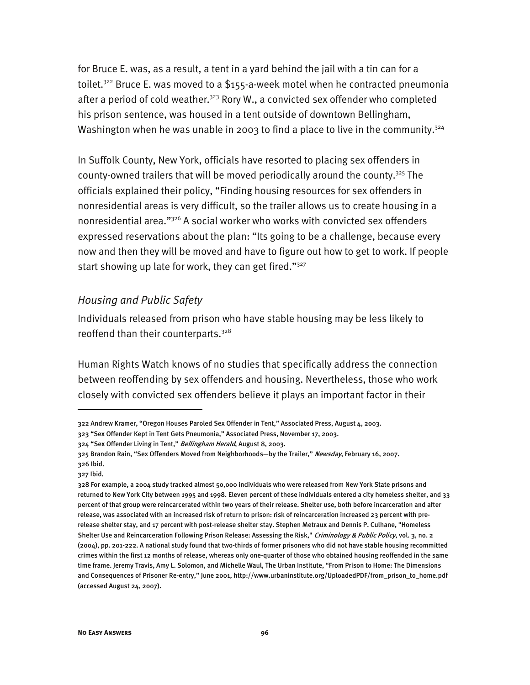for Bruce E. was, as a result, a tent in a yard behind the jail with a tin can for a toilet.<sup>322</sup> Bruce E. was moved to a \$155-a-week motel when he contracted pneumonia after a period of cold weather.<sup>323</sup> Rory W., a convicted sex offender who completed his prison sentence, was housed in a tent outside of downtown Bellingham, Washington when he was unable in 2003 to find a place to live in the community.<sup>324</sup>

In Suffolk County, New York, officials have resorted to placing sex offenders in county-owned trailers that will be moved periodically around the county.<sup>325</sup> The officials explained their policy, "Finding housing resources for sex offenders in nonresidential areas is very difficult, so the trailer allows us to create housing in a nonresidential area."326 A social worker who works with convicted sex offenders expressed reservations about the plan: "Its going to be a challenge, because every now and then they will be moved and have to figure out how to get to work. If people start showing up late for work, they can get fired." $327$ 

#### *Housing and Public Safety*

Individuals released from prison who have stable housing may be less likely to reoffend than their counterparts.<sup>328</sup>

Human Rights Watch knows of no studies that specifically address the connection between reoffending by sex offenders and housing. Nevertheless, those who work closely with convicted sex offenders believe it plays an important factor in their

<sup>322</sup> Andrew Kramer, "Oregon Houses Paroled Sex Offender in Tent," Associated Press, August 4, 2003.

<sup>323 &</sup>quot;Sex Offender Kept in Tent Gets Pneumonia," Associated Press, November 17, 2003.

<sup>324 &</sup>quot;Sex Offender Living in Tent," Bellingham Herald, August 8, 2003.

<sup>325</sup> Brandon Rain, "Sex Offenders Moved from Neighborhoods-by the Trailer," Newsday, February 16, 2007. 326 Ibid.

<sup>327</sup> Ibid.

<sup>328</sup> For example, a 2004 study tracked almost 50,000 individuals who were released from New York State prisons and returned to New York City between 1995 and 1998. Eleven percent of these individuals entered a city homeless shelter, and 33 percent of that group were reincarcerated within two years of their release. Shelter use, both before incarceration and after release, was associated with an increased risk of return to prison: risk of reincarceration increased 23 percent with prerelease shelter stay, and 17 percent with post-release shelter stay. Stephen Metraux and Dennis P. Culhane, "Homeless Shelter Use and Reincarceration Following Prison Release: Assessing the Risk," Criminology & Public Policy, vol. 3, no. 2 (2004), pp. 201-222. A national study found that two-thirds of former prisoners who did not have stable housing recommitted crimes within the first 12 months of release, whereas only one-quarter of those who obtained housing reoffended in the same time frame. Jeremy Travis, Amy L. Solomon, and Michelle Waul, The Urban Institute, "From Prison to Home: The Dimensions and Consequences of Prisoner Re-entry," June 2001, http://www.urbaninstitute.org/UploadedPDF/from\_prison\_to\_home.pdf (accessed August 24, 2007).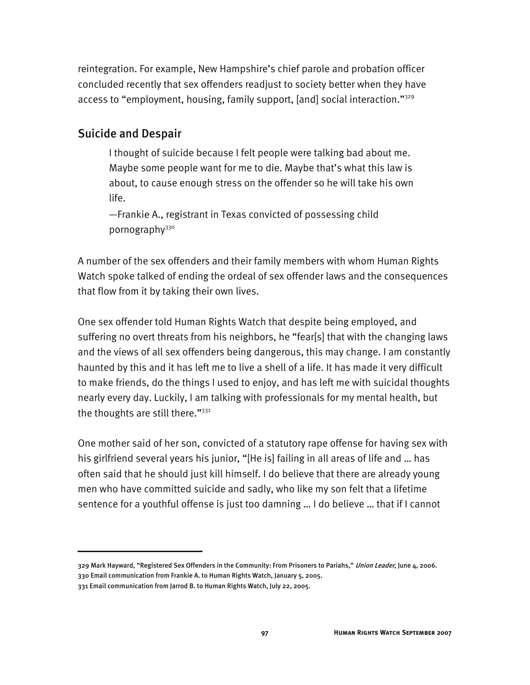reintegration. For example, New Hampshire's chief parole and probation officer concluded recently that sex offenders readjust to society better when they have access to "employment, housing, family support, [and] social interaction."329

#### Suicide and Despair

I thought of suicide because I felt people were talking bad about me. Maybe some people want for me to die. Maybe that's what this law is about, to cause enough stress on the offender so he will take his own life.

—Frankie A., registrant in Texas convicted of possessing child pornography<sup>330</sup>

A number of the sex offenders and their family members with whom Human Rights Watch spoke talked of ending the ordeal of sex offender laws and the consequences that flow from it by taking their own lives.

One sex offender told Human Rights Watch that despite being employed, and suffering no overt threats from his neighbors, he "fear[s] that with the changing laws and the views of all sex offenders being dangerous, this may change. I am constantly haunted by this and it has left me to live a shell of a life. It has made it very difficult to make friends, do the things I used to enjoy, and has left me with suicidal thoughts nearly every day. Luckily, I am talking with professionals for my mental health, but the thoughts are still there." $331$ 

One mother said of her son, convicted of a statutory rape offense for having sex with his girlfriend several years his junior, "[He is] failing in all areas of life and … has often said that he should just kill himself. I do believe that there are already young men who have committed suicide and sadly, who like my son felt that a lifetime sentence for a youthful offense is just too damning … I do believe … that if I cannot

329 Mark Hayward, "Registered Sex Offenders in the Community: From Prisoners to Pariahs," Union Leader, June 4, 2006. 330 Email communication from Frankie A. to Human Rights Watch, January 5, 2005.

<sup>331</sup> Email communication from Jarrod B. to Human Rights Watch, July 22, 2005.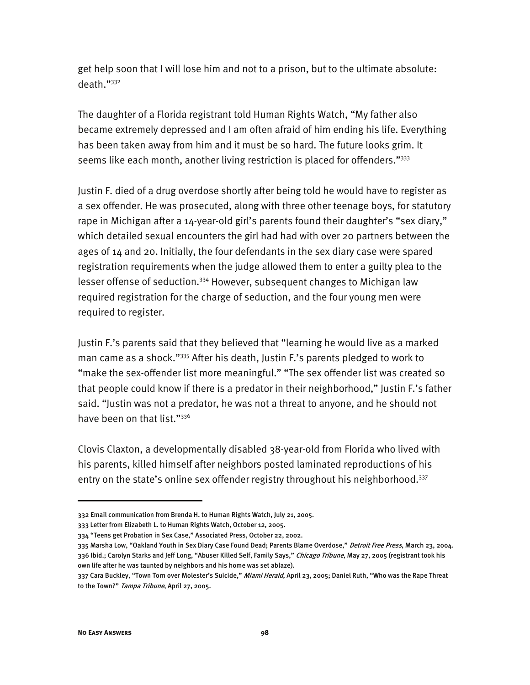get help soon that I will lose him and not to a prison, but to the ultimate absolute: death."332

The daughter of a Florida registrant told Human Rights Watch, "My father also became extremely depressed and I am often afraid of him ending his life. Everything has been taken away from him and it must be so hard. The future looks grim. It seems like each month, another living restriction is placed for offenders."<sup>333</sup>

Justin F. died of a drug overdose shortly after being told he would have to register as a sex offender. He was prosecuted, along with three other teenage boys, for statutory rape in Michigan after a 14-year-old girl's parents found their daughter's "sex diary," which detailed sexual encounters the girl had had with over 20 partners between the ages of 14 and 20. Initially, the four defendants in the sex diary case were spared registration requirements when the judge allowed them to enter a guilty plea to the lesser offense of seduction.<sup>334</sup> However, subsequent changes to Michigan law required registration for the charge of seduction, and the four young men were required to register.

Justin F.'s parents said that they believed that "learning he would live as a marked man came as a shock."335 After his death, Justin F.'s parents pledged to work to "make the sex-offender list more meaningful." "The sex offender list was created so that people could know if there is a predator in their neighborhood," Justin F.'s father said. "Justin was not a predator, he was not a threat to anyone, and he should not have been on that list."<sup>336</sup>

Clovis Claxton, a developmentally disabled 38-year-old from Florida who lived with his parents, killed himself after neighbors posted laminated reproductions of his entry on the state's online sex offender registry throughout his neighborhood.<sup>337</sup>

335 Marsha Low, "Oakland Youth in Sex Diary Case Found Dead; Parents Blame Overdose," *Detroit Free Press*, March 23, 2004. 336 Ibid.; Carolyn Starks and Jeff Long, "Abuser Killed Self, Family Says," Chicago Tribune, May 27, 2005 (registrant took his own life after he was taunted by neighbors and his home was set ablaze).

<sup>332</sup> Email communication from Brenda H. to Human Rights Watch, July 21, 2005.

<sup>333</sup> Letter from Elizabeth L. to Human Rights Watch, October 12, 2005.

<sup>334 &</sup>quot;Teens get Probation in Sex Case," Associated Press, October 22, 2002.

<sup>337</sup> Cara Buckley, "Town Torn over Molester's Suicide," Miami Herald, April 23, 2005; Daniel Ruth, "Who was the Rape Threat to the Town?" Tampa Tribune, April 27, 2005.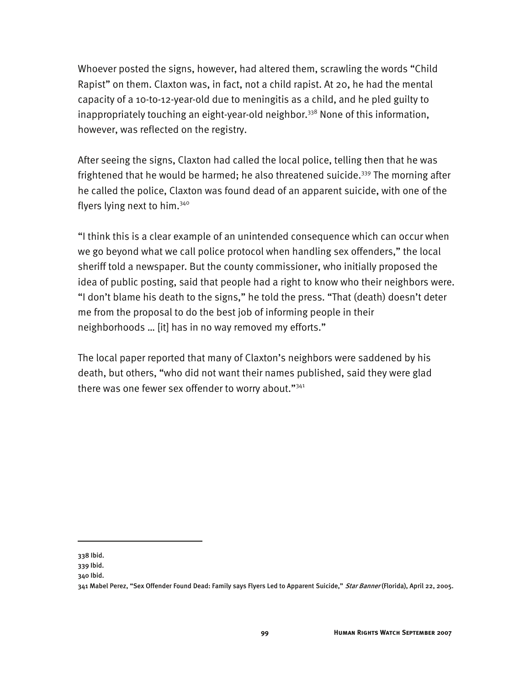Whoever posted the signs, however, had altered them, scrawling the words "Child Rapist" on them. Claxton was, in fact, not a child rapist. At 20, he had the mental capacity of a 10-to-12-year-old due to meningitis as a child, and he pled guilty to inappropriately touching an eight-year-old neighbor.<sup>338</sup> None of this information, however, was reflected on the registry.

After seeing the signs, Claxton had called the local police, telling then that he was frightened that he would be harmed; he also threatened suicide.<sup>339</sup> The morning after he called the police, Claxton was found dead of an apparent suicide, with one of the flyers lying next to him.<sup>340</sup>

"I think this is a clear example of an unintended consequence which can occur when we go beyond what we call police protocol when handling sex offenders," the local sheriff told a newspaper. But the county commissioner, who initially proposed the idea of public posting, said that people had a right to know who their neighbors were. "I don't blame his death to the signs," he told the press. "That (death) doesn't deter me from the proposal to do the best job of informing people in their neighborhoods … [it] has in no way removed my efforts."

The local paper reported that many of Claxton's neighbors were saddened by his death, but others, "who did not want their names published, said they were glad there was one fewer sex offender to worry about."<sup>341</sup>

<sup>338</sup> Ibid.

<sup>339</sup> Ibid.

<sup>340</sup> Ibid.

<sup>341</sup> Mabel Perez, "Sex Offender Found Dead: Family says Flyers Led to Apparent Suicide," Star Banner (Florida), April 22, 2005.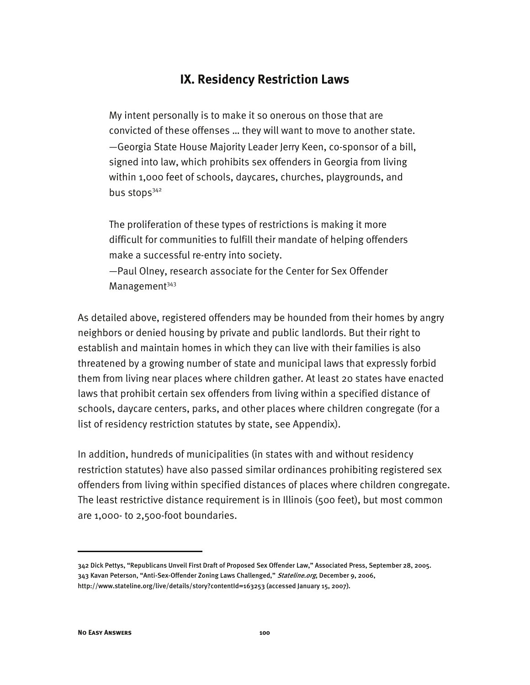# **IX. Residency Restriction Laws**

My intent personally is to make it so onerous on those that are convicted of these offenses … they will want to move to another state. —Georgia State House Majority Leader Jerry Keen, co-sponsor of a bill, signed into law, which prohibits sex offenders in Georgia from living within 1,000 feet of schools, daycares, churches, playgrounds, and bus stops<sup>342</sup>

The proliferation of these types of restrictions is making it more difficult for communities to fulfill their mandate of helping offenders make a successful re-entry into society.

—Paul Olney, research associate for the Center for Sex Offender Management<sup>343</sup>

As detailed above, registered offenders may be hounded from their homes by angry neighbors or denied housing by private and public landlords. But their right to establish and maintain homes in which they can live with their families is also threatened by a growing number of state and municipal laws that expressly forbid them from living near places where children gather. At least 20 states have enacted laws that prohibit certain sex offenders from living within a specified distance of schools, daycare centers, parks, and other places where children congregate (for a list of residency restriction statutes by state, see Appendix).

In addition, hundreds of municipalities (in states with and without residency restriction statutes) have also passed similar ordinances prohibiting registered sex offenders from living within specified distances of places where children congregate. The least restrictive distance requirement is in Illinois (500 feet), but most common are 1,000- to 2,500-foot boundaries.

<sup>342</sup> Dick Pettys, "Republicans Unveil First Draft of Proposed Sex Offender Law," Associated Press, September 28, 2005. 343 Kavan Peterson, "Anti-Sex-Offender Zoning Laws Challenged," Stateline.org, December 9, 2006, http://www.stateline.org/live/details/story?contentId=163253 (accessed January 15, 2007).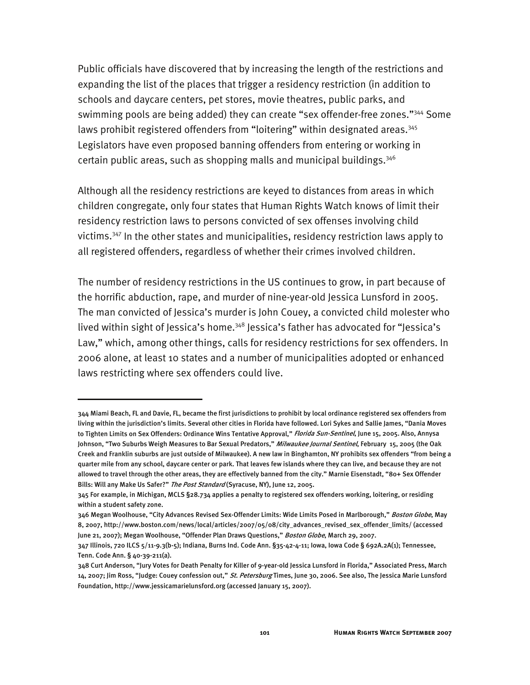Public officials have discovered that by increasing the length of the restrictions and expanding the list of the places that trigger a residency restriction (in addition to schools and daycare centers, pet stores, movie theatres, public parks, and swimming pools are being added) they can create "sex offender-free zones."<sup>344</sup> Some laws prohibit registered offenders from "loitering" within designated areas.<sup>345</sup> Legislators have even proposed banning offenders from entering or working in certain public areas, such as shopping malls and municipal buildings.346

Although all the residency restrictions are keyed to distances from areas in which children congregate, only four states that Human Rights Watch knows of limit their residency restriction laws to persons convicted of sex offenses involving child victims.347 In the other states and municipalities, residency restriction laws apply to all registered offenders, regardless of whether their crimes involved children.

The number of residency restrictions in the US continues to grow, in part because of the horrific abduction, rape, and murder of nine-year-old Jessica Lunsford in 2005. The man convicted of Jessica's murder is John Couey, a convicted child molester who lived within sight of Jessica's home.<sup>348</sup> Jessica's father has advocated for "Jessica's Law," which, among other things, calls for residency restrictions for sex offenders. In 2006 alone, at least 10 states and a number of municipalities adopted or enhanced laws restricting where sex offenders could live.

<sup>344</sup> Miami Beach, FL and Davie, FL, became the first jurisdictions to prohibit by local ordinance registered sex offenders from living within the jurisdiction's limits. Several other cities in Florida have followed. Lori Sykes and Sallie James, "Dania Moves to Tighten Limits on Sex Offenders: Ordinance Wins Tentative Approval," *Florida Sun-Sentinel*, June 15, 2005. Also, Annysa Johnson, "Two Suburbs Weigh Measures to Bar Sexual Predators," *Milwaukee Journal Sentinel*, February 15, 2005 (the Oak Creek and Franklin suburbs are just outside of Milwaukee). A new law in Binghamton, NY prohibits sex offenders "from being a quarter mile from any school, daycare center or park. That leaves few islands where they can live, and because they are not allowed to travel through the other areas, they are effectively banned from the city." Marnie Eisenstadt, "80+ Sex Offender Bills: Will any Make Us Safer?" The Post Standard (Syracuse, NY), June 12, 2005.

<sup>345</sup> For example, in Michigan, MCLS §28.734 applies a penalty to registered sex offenders working, loitering, or residing within a student safety zone.

<sup>346</sup> Megan Woolhouse, "City Advances Revised Sex-Offender Limits: Wide Limits Posed in Marlborough," *Boston Globe*, May 8, 2007, http://www.boston.com/news/local/articles/2007/05/08/city\_advances\_revised\_sex\_offender\_limits/ (accessed June 21, 2007); Megan Woolhouse, "Offender Plan Draws Questions," Boston Globe, March 29, 2007.

<sup>347</sup> Illinois, 720 ILCS 5/11-9.3(b-5); Indiana, Burns Ind. Code Ann. §35-42-4-11; Iowa, Iowa Code § 692A.2A(1); Tennessee, Tenn. Code Ann. § 40-39-211(a).

<sup>348</sup> Curt Anderson, "Jury Votes for Death Penalty for Killer of 9-year-old Jessica Lunsford in Florida," Associated Press, March 14, 2007; Jim Ross, "Judge: Couey confession out," St. Petersburg Times, June 30, 2006. See also, The Jessica Marie Lunsford Foundation, http://www.jessicamarielunsford.org (accessed January 15, 2007).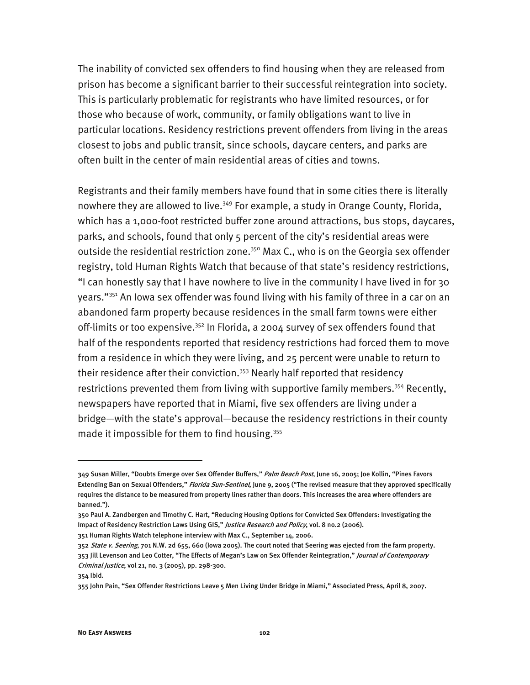The inability of convicted sex offenders to find housing when they are released from prison has become a significant barrier to their successful reintegration into society. This is particularly problematic for registrants who have limited resources, or for those who because of work, community, or family obligations want to live in particular locations. Residency restrictions prevent offenders from living in the areas closest to jobs and public transit, since schools, daycare centers, and parks are often built in the center of main residential areas of cities and towns.

Registrants and their family members have found that in some cities there is literally nowhere they are allowed to live.<sup>349</sup> For example, a study in Orange County, Florida, which has a 1,000-foot restricted buffer zone around attractions, bus stops, daycares, parks, and schools, found that only 5 percent of the city's residential areas were outside the residential restriction zone.<sup>350</sup> Max C., who is on the Georgia sex offender registry, told Human Rights Watch that because of that state's residency restrictions, "I can honestly say that I have nowhere to live in the community I have lived in for 30 years."<sup>351</sup> An lowa sex offender was found living with his family of three in a car on an abandoned farm property because residences in the small farm towns were either off-limits or too expensive.<sup>352</sup> In Florida, a 2004 survey of sex offenders found that half of the respondents reported that residency restrictions had forced them to move from a residence in which they were living, and 25 percent were unable to return to their residence after their conviction.<sup>353</sup> Nearly half reported that residency restrictions prevented them from living with supportive family members.<sup>354</sup> Recently, newspapers have reported that in Miami, five sex offenders are living under a bridge—with the state's approval—because the residency restrictions in their county made it impossible for them to find housing.<sup>355</sup>

354 Ibid.

<sup>349</sup> Susan Miller, "Doubts Emerge over Sex Offender Buffers," Palm Beach Post, June 16, 2005; Joe Kollin, "Pines Favors Extending Ban on Sexual Offenders," Florida Sun-Sentinel, June 9, 2005 ("The revised measure that they approved specifically requires the distance to be measured from property lines rather than doors. This increases the area where offenders are banned.").

<sup>350</sup> Paul A. Zandbergen and Timothy C. Hart, "Reducing Housing Options for Convicted Sex Offenders: Investigating the Impact of Residency Restriction Laws Using GIS," Justice Research and Policy, vol. 8 no.2 (2006). 351 Human Rights Watch telephone interview with Max C., September 14, 2006.

<sup>352</sup> State v. Seering, 701 N.W. 2d 655, 660 (Iowa 2005). The court noted that Seering was ejected from the farm property. 353 Jill Levenson and Leo Cotter, "The Effects of Megan's Law on Sex Offender Reintegration," Journal of Contemporary Criminal Justice, vol 21, no. 3 (2005), pp. 298-300.

<sup>355</sup> John Pain, "Sex Offender Restrictions Leave 5 Men Living Under Bridge in Miami," Associated Press, April 8, 2007.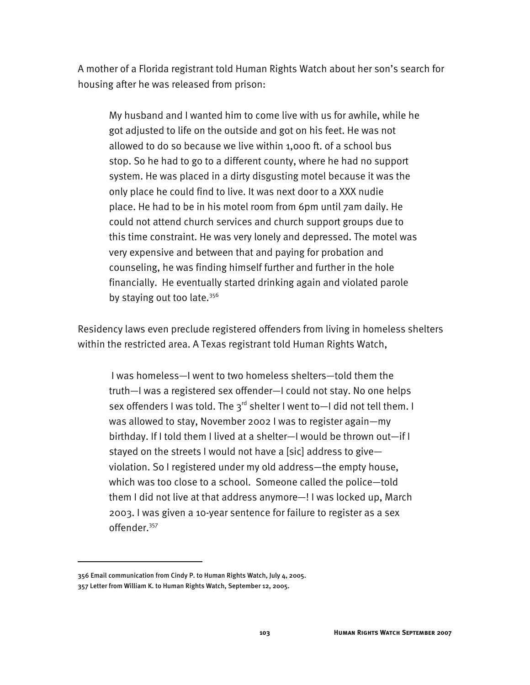A mother of a Florida registrant told Human Rights Watch about her son's search for housing after he was released from prison:

My husband and I wanted him to come live with us for awhile, while he got adjusted to life on the outside and got on his feet. He was not allowed to do so because we live within 1,000 ft. of a school bus stop. So he had to go to a different county, where he had no support system. He was placed in a dirty disgusting motel because it was the only place he could find to live. It was next door to a XXX nudie place. He had to be in his motel room from 6pm until 7am daily. He could not attend church services and church support groups due to this time constraint. He was very lonely and depressed. The motel was very expensive and between that and paying for probation and counseling, he was finding himself further and further in the hole financially. He eventually started drinking again and violated parole by staying out too late.<sup>356</sup>

Residency laws even preclude registered offenders from living in homeless shelters within the restricted area. A Texas registrant told Human Rights Watch,

 I was homeless—I went to two homeless shelters—told them the truth—I was a registered sex offender—I could not stay. No one helps sex offenders I was told. The  $3^{rd}$  shelter I went to-I did not tell them. I was allowed to stay, November 2002 I was to register again—my birthday. If I told them I lived at a shelter—I would be thrown out—if I stayed on the streets I would not have a [sic] address to give violation. So I registered under my old address—the empty house, which was too close to a school. Someone called the police—told them I did not live at that address anymore—! I was locked up, March 2003. I was given a 10-year sentence for failure to register as a sex offender.357

<sup>356</sup> Email communication from Cindy P. to Human Rights Watch, July 4, 2005.

<sup>357</sup> Letter from William K. to Human Rights Watch, September 12, 2005.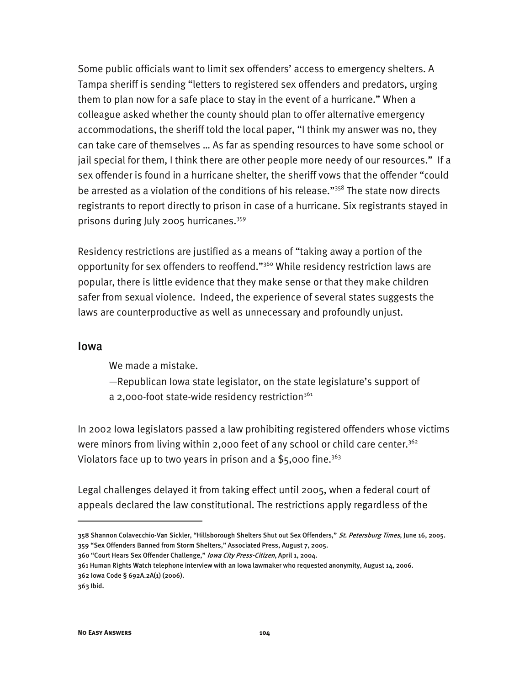Some public officials want to limit sex offenders' access to emergency shelters. A Tampa sheriff is sending "letters to registered sex offenders and predators, urging them to plan now for a safe place to stay in the event of a hurricane." When a colleague asked whether the county should plan to offer alternative emergency accommodations, the sheriff told the local paper, "I think my answer was no, they can take care of themselves … As far as spending resources to have some school or jail special for them, I think there are other people more needy of our resources." If a sex offender is found in a hurricane shelter, the sheriff vows that the offender "could be arrested as a violation of the conditions of his release."<sup>358</sup> The state now directs registrants to report directly to prison in case of a hurricane. Six registrants stayed in prisons during July 2005 hurricanes.359

Residency restrictions are justified as a means of "taking away a portion of the opportunity for sex offenders to reoffend."360 While residency restriction laws are popular, there is little evidence that they make sense or that they make children safer from sexual violence. Indeed, the experience of several states suggests the laws are counterproductive as well as unnecessary and profoundly unjust.

#### Iowa

We made a mistake.

- —Republican Iowa state legislator, on the state legislature's support of
- a 2,000-foot state-wide residency restriction<sup>361</sup>

In 2002 Iowa legislators passed a law prohibiting registered offenders whose victims were minors from living within 2,000 feet of any school or child care center.<sup>362</sup> Violators face up to two years in prison and a \$5,000 fine.<sup>363</sup>

Legal challenges delayed it from taking effect until 2005, when a federal court of appeals declared the law constitutional. The restrictions apply regardless of the

<sup>358</sup> Shannon Colavecchio-Van Sickler, "Hillsborough Shelters Shut out Sex Offenders," St. Petersburg Times, June 16, 2005. 359 "Sex Offenders Banned from Storm Shelters," Associated Press, August 7, 2005.

<sup>360 &</sup>quot;Court Hears Sex Offender Challenge," Iowa City Press-Citizen, April 1, 2004.

<sup>361</sup> Human Rights Watch telephone interview with an Iowa lawmaker who requested anonymity, August 14, 2006. 362 Iowa Code § 692A.2A(1) (2006).

<sup>363</sup> Ibid.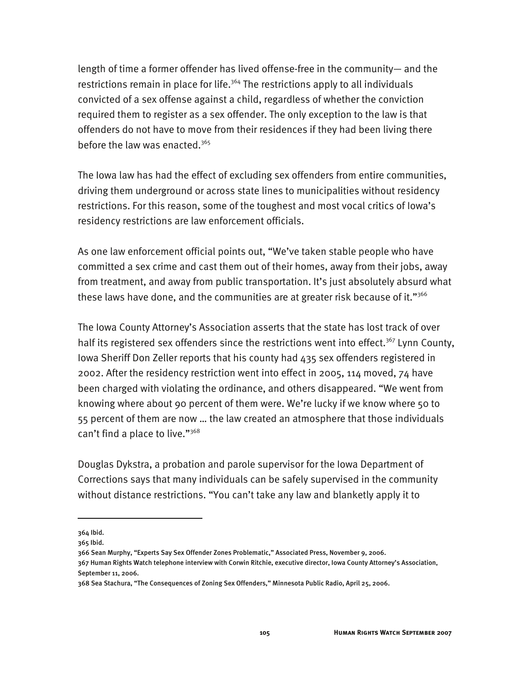length of time a former offender has lived offense-free in the community— and the restrictions remain in place for life.<sup>364</sup> The restrictions apply to all individuals convicted of a sex offense against a child, regardless of whether the conviction required them to register as a sex offender. The only exception to the law is that offenders do not have to move from their residences if they had been living there before the law was enacted.365

The Iowa law has had the effect of excluding sex offenders from entire communities, driving them underground or across state lines to municipalities without residency restrictions. For this reason, some of the toughest and most vocal critics of Iowa's residency restrictions are law enforcement officials.

As one law enforcement official points out, "We've taken stable people who have committed a sex crime and cast them out of their homes, away from their jobs, away from treatment, and away from public transportation. It's just absolutely absurd what these laws have done, and the communities are at greater risk because of it." $366$ 

The Iowa County Attorney's Association asserts that the state has lost track of over half its registered sex offenders since the restrictions went into effect.<sup>367</sup> Lynn County, Iowa Sheriff Don Zeller reports that his county had 435 sex offenders registered in 2002. After the residency restriction went into effect in 2005, 114 moved, 74 have been charged with violating the ordinance, and others disappeared. "We went from knowing where about 90 percent of them were. We're lucky if we know where 50 to 55 percent of them are now … the law created an atmosphere that those individuals can't find a place to live."<sup>368</sup>

Douglas Dykstra, a probation and parole supervisor for the Iowa Department of Corrections says that many individuals can be safely supervised in the community without distance restrictions. "You can't take any law and blanketly apply it to

<sup>364</sup> Ibid.

<sup>365</sup> Ibid.

<sup>366</sup> Sean Murphy, "Experts Say Sex Offender Zones Problematic," Associated Press, November 9, 2006.

<sup>367</sup> Human Rights Watch telephone interview with Corwin Ritchie, executive director, Iowa County Attorney's Association, September 11, 2006.

<sup>368</sup> Sea Stachura, "The Consequences of Zoning Sex Offenders," Minnesota Public Radio, April 25, 2006.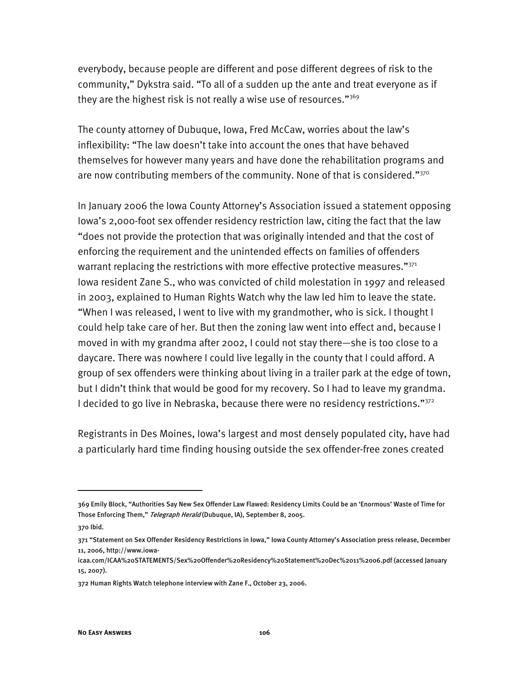everybody, because people are different and pose different degrees of risk to the community," Dykstra said. "To all of a sudden up the ante and treat everyone as if they are the highest risk is not really a wise use of resources." $369$ 

The county attorney of Dubuque, Iowa, Fred McCaw, worries about the law's inflexibility: "The law doesn't take into account the ones that have behaved themselves for however many years and have done the rehabilitation programs and are now contributing members of the community. None of that is considered."370

In January 2006 the Iowa County Attorney's Association issued a statement opposing Iowa's 2,000-foot sex offender residency restriction law, citing the fact that the law "does not provide the protection that was originally intended and that the cost of enforcing the requirement and the unintended effects on families of offenders warrant replacing the restrictions with more effective protective measures."371 Iowa resident Zane S., who was convicted of child molestation in 1997 and released in 2003, explained to Human Rights Watch why the law led him to leave the state. "When I was released, I went to live with my grandmother, who is sick. I thought I could help take care of her. But then the zoning law went into effect and, because I moved in with my grandma after 2002, I could not stay there—she is too close to a daycare. There was nowhere I could live legally in the county that I could afford. A group of sex offenders were thinking about living in a trailer park at the edge of town, but I didn't think that would be good for my recovery. So I had to leave my grandma. I decided to go live in Nebraska, because there were no residency restrictions."<sup>372</sup>

Registrants in Des Moines, Iowa's largest and most densely populated city, have had a particularly hard time finding housing outside the sex offender-free zones created

<sup>369</sup> Emily Block, "Authorities Say New Sex Offender Law Flawed: Residency Limits Could be an 'Enormous' Waste of Time for Those Enforcing Them," Telegraph Herald (Dubuque, IA), September 8, 2005.

<sup>370</sup> Ibid.

<sup>371 &</sup>quot;Statement on Sex Offender Residency Restrictions in Iowa," Iowa County Attorney's Association press release, December 11, 2006, http://www.iowa-

icaa.com/ICAA%20STATEMENTS/Sex%20Offender%20Residency%20Statement%20Dec%2011%2006.pdf (accessed January 15, 2007).

<sup>372</sup> Human Rights Watch telephone interview with Zane F., October 23, 2006.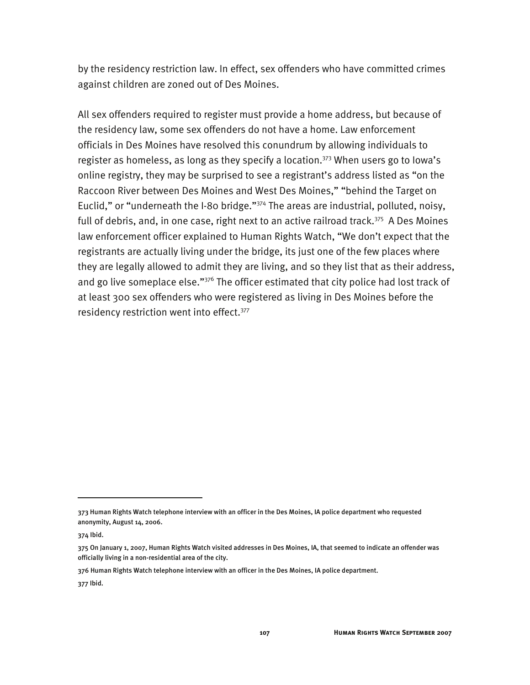by the residency restriction law. In effect, sex offenders who have committed crimes against children are zoned out of Des Moines.

All sex offenders required to register must provide a home address, but because of the residency law, some sex offenders do not have a home. Law enforcement officials in Des Moines have resolved this conundrum by allowing individuals to register as homeless, as long as they specify a location.373 When users go to Iowa's online registry, they may be surprised to see a registrant's address listed as "on the Raccoon River between Des Moines and West Des Moines," "behind the Target on Euclid," or "underneath the I-80 bridge."374 The areas are industrial, polluted, noisy, full of debris, and, in one case, right next to an active railroad track.<sup>375</sup> A Des Moines law enforcement officer explained to Human Rights Watch, "We don't expect that the registrants are actually living under the bridge, its just one of the few places where they are legally allowed to admit they are living, and so they list that as their address, and go live someplace else."<sup>376</sup> The officer estimated that city police had lost track of at least 300 sex offenders who were registered as living in Des Moines before the residency restriction went into effect.<sup>377</sup>

<sup>373</sup> Human Rights Watch telephone interview with an officer in the Des Moines, IA police department who requested anonymity, August 14, 2006.

<sup>374</sup> Ibid.

<sup>375</sup> On January 1, 2007, Human Rights Watch visited addresses in Des Moines, IA, that seemed to indicate an offender was officially living in a non-residential area of the city.

<sup>376</sup> Human Rights Watch telephone interview with an officer in the Des Moines, IA police department.

<sup>377</sup> Ibid.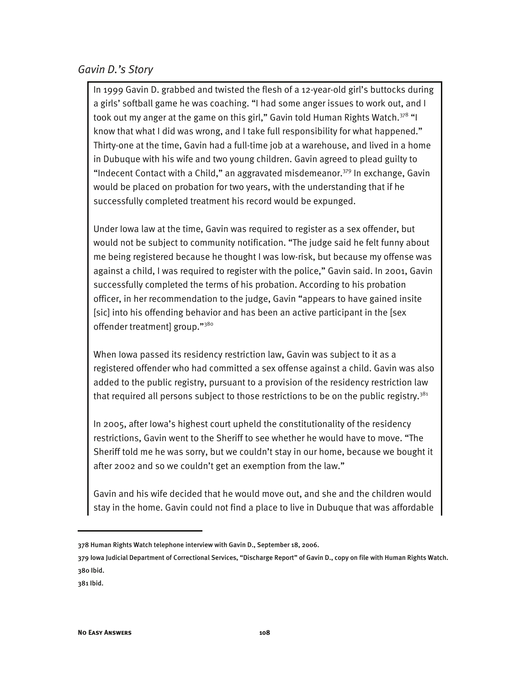#### *Gavin D.'s Story*

In 1999 Gavin D. grabbed and twisted the flesh of a 12-year-old girl's buttocks during a girls' softball game he was coaching. "I had some anger issues to work out, and I took out my anger at the game on this girl," Gavin told Human Rights Watch. $378$  "I know that what I did was wrong, and I take full responsibility for what happened." Thirty-one at the time, Gavin had a full-time job at a warehouse, and lived in a home in Dubuque with his wife and two young children. Gavin agreed to plead guilty to "Indecent Contact with a Child," an aggravated misdemeanor.<sup>379</sup> In exchange, Gavin would be placed on probation for two years, with the understanding that if he successfully completed treatment his record would be expunged.

Under Iowa law at the time, Gavin was required to register as a sex offender, but would not be subject to community notification. "The judge said he felt funny about me being registered because he thought I was low-risk, but because my offense was against a child, I was required to register with the police," Gavin said. In 2001, Gavin successfully completed the terms of his probation. According to his probation officer, in her recommendation to the judge, Gavin "appears to have gained insite [sic] into his offending behavior and has been an active participant in the [sex offender treatment] group."<sup>380</sup>

When Iowa passed its residency restriction law, Gavin was subject to it as a registered offender who had committed a sex offense against a child. Gavin was also added to the public registry, pursuant to a provision of the residency restriction law that required all persons subject to those restrictions to be on the public registry.<sup>381</sup>

In 2005, after Iowa's highest court upheld the constitutionality of the residency restrictions, Gavin went to the Sheriff to see whether he would have to move. "The Sheriff told me he was sorry, but we couldn't stay in our home, because we bought it after 2002 and so we couldn't get an exemption from the law."

Gavin and his wife decided that he would move out, and she and the children would stay in the home. Gavin could not find a place to live in Dubuque that was affordable

<sup>378</sup> Human Rights Watch telephone interview with Gavin D., September 18, 2006.

<sup>379</sup> Iowa Judicial Department of Correctional Services, "Discharge Report" of Gavin D., copy on file with Human Rights Watch. 380 Ibid.

<sup>381</sup> Ibid.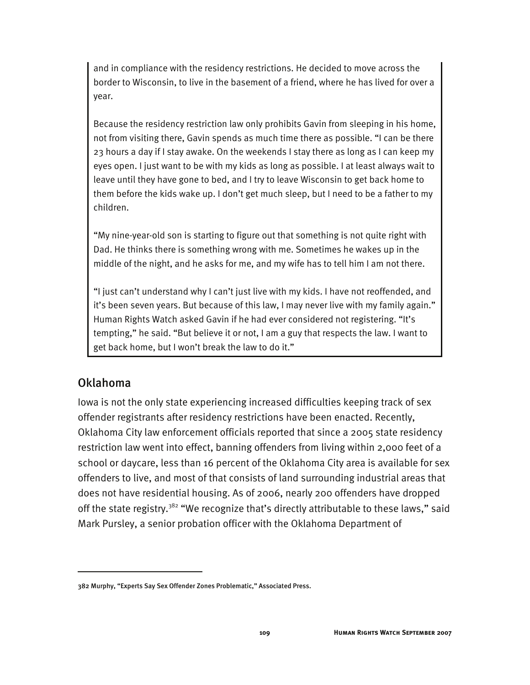and in compliance with the residency restrictions. He decided to move across the border to Wisconsin, to live in the basement of a friend, where he has lived for over a year.

Because the residency restriction law only prohibits Gavin from sleeping in his home, not from visiting there, Gavin spends as much time there as possible. "I can be there 23 hours a day if I stay awake. On the weekends I stay there as long as I can keep my eyes open. I just want to be with my kids as long as possible. I at least always wait to leave until they have gone to bed, and I try to leave Wisconsin to get back home to them before the kids wake up. I don't get much sleep, but I need to be a father to my children.

"My nine-year-old son is starting to figure out that something is not quite right with Dad. He thinks there is something wrong with me. Sometimes he wakes up in the middle of the night, and he asks for me, and my wife has to tell him I am not there.

"I just can't understand why I can't just live with my kids. I have not reoffended, and it's been seven years. But because of this law, I may never live with my family again." Human Rights Watch asked Gavin if he had ever considered not registering. "It's tempting," he said. "But believe it or not, I am a guy that respects the law. I want to get back home, but I won't break the law to do it."

### Oklahoma

-

Iowa is not the only state experiencing increased difficulties keeping track of sex offender registrants after residency restrictions have been enacted. Recently, Oklahoma City law enforcement officials reported that since a 2005 state residency restriction law went into effect, banning offenders from living within 2,000 feet of a school or daycare, less than 16 percent of the Oklahoma City area is available for sex offenders to live, and most of that consists of land surrounding industrial areas that does not have residential housing. As of 2006, nearly 200 offenders have dropped off the state registry.<sup>382</sup> "We recognize that's directly attributable to these laws," said Mark Pursley, a senior probation officer with the Oklahoma Department of

<sup>382</sup> Murphy, "Experts Say Sex Offender Zones Problematic," Associated Press.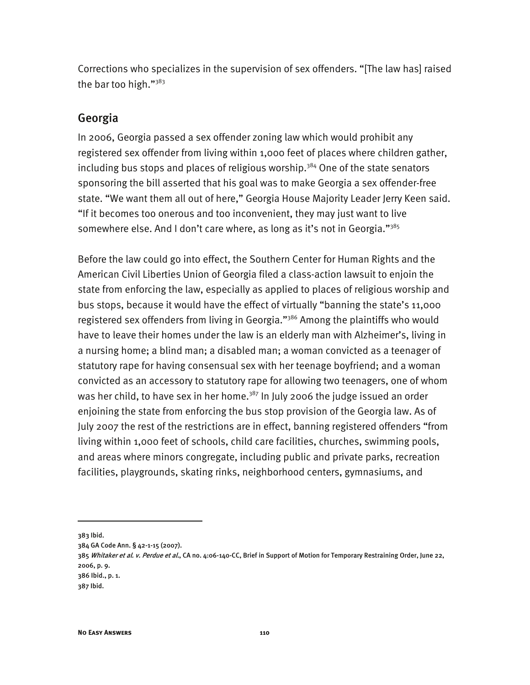Corrections who specializes in the supervision of sex offenders. "[The law has] raised the bar too high." $383$ 

### Georgia

In 2006, Georgia passed a sex offender zoning law which would prohibit any registered sex offender from living within 1,000 feet of places where children gather, including bus stops and places of religious worship.<sup>384</sup> One of the state senators sponsoring the bill asserted that his goal was to make Georgia a sex offender-free state. "We want them all out of here," Georgia House Majority Leader Jerry Keen said. "If it becomes too onerous and too inconvenient, they may just want to live somewhere else. And I don't care where, as long as it's not in Georgia." $3^{85}$ 

Before the law could go into effect, the Southern Center for Human Rights and the American Civil Liberties Union of Georgia filed a class-action lawsuit to enjoin the state from enforcing the law, especially as applied to places of religious worship and bus stops, because it would have the effect of virtually "banning the state's 11,000 registered sex offenders from living in Georgia."<sup>386</sup> Among the plaintiffs who would have to leave their homes under the law is an elderly man with Alzheimer's, living in a nursing home; a blind man; a disabled man; a woman convicted as a teenager of statutory rape for having consensual sex with her teenage boyfriend; and a woman convicted as an accessory to statutory rape for allowing two teenagers, one of whom was her child, to have sex in her home.<sup>387</sup> In July 2006 the judge issued an order enjoining the state from enforcing the bus stop provision of the Georgia law. As of July 2007 the rest of the restrictions are in effect, banning registered offenders "from living within 1,000 feet of schools, child care facilities, churches, swimming pools, and areas where minors congregate, including public and private parks, recreation facilities, playgrounds, skating rinks, neighborhood centers, gymnasiums, and

<sup>383</sup> Ibid.

<sup>384</sup> GA Code Ann. § 42-1-15 (2007).

<sup>385</sup> Whitaker et al. v. Perdue et al., CA no. 4:06-140-CC, Brief in Support of Motion for Temporary Restraining Order, June 22, 2006, p. 9.

<sup>386</sup> Ibid., p. 1.

<sup>387</sup> Ibid.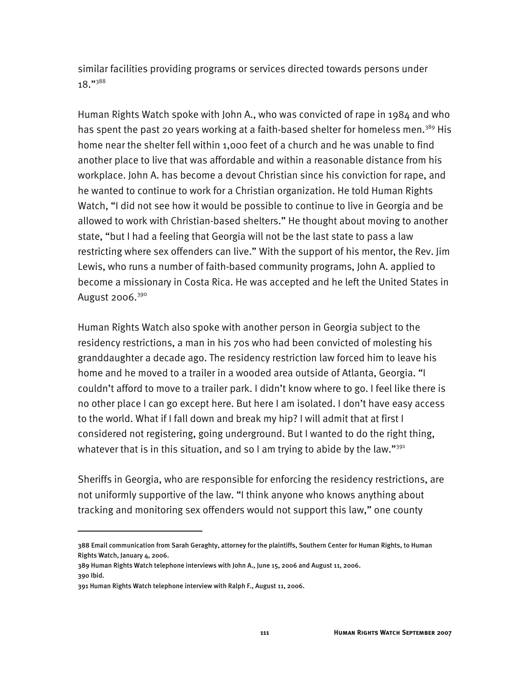similar facilities providing programs or services directed towards persons under 18."388

Human Rights Watch spoke with John A., who was convicted of rape in 1984 and who has spent the past 20 years working at a faith-based shelter for homeless men.<sup>389</sup> His home near the shelter fell within 1,000 feet of a church and he was unable to find another place to live that was affordable and within a reasonable distance from his workplace. John A. has become a devout Christian since his conviction for rape, and he wanted to continue to work for a Christian organization. He told Human Rights Watch, "I did not see how it would be possible to continue to live in Georgia and be allowed to work with Christian-based shelters." He thought about moving to another state, "but I had a feeling that Georgia will not be the last state to pass a law restricting where sex offenders can live." With the support of his mentor, the Rev. Jim Lewis, who runs a number of faith-based community programs, John A. applied to become a missionary in Costa Rica. He was accepted and he left the United States in August 2006. $390$ 

Human Rights Watch also spoke with another person in Georgia subject to the residency restrictions, a man in his 70s who had been convicted of molesting his granddaughter a decade ago. The residency restriction law forced him to leave his home and he moved to a trailer in a wooded area outside of Atlanta, Georgia. "I couldn't afford to move to a trailer park. I didn't know where to go. I feel like there is no other place I can go except here. But here I am isolated. I don't have easy access to the world. What if I fall down and break my hip? I will admit that at first I considered not registering, going underground. But I wanted to do the right thing, whatever that is in this situation, and so I am trying to abide by the law."<sup>391</sup>

Sheriffs in Georgia, who are responsible for enforcing the residency restrictions, are not uniformly supportive of the law. "I think anyone who knows anything about tracking and monitoring sex offenders would not support this law," one county

j

<sup>388</sup> Email communication from Sarah Geraghty, attorney for the plaintiffs, Southern Center for Human Rights, to Human Rights Watch, January 4, 2006.

<sup>389</sup> Human Rights Watch telephone interviews with John A., June 15, 2006 and August 11, 2006. 390 Ibid.

<sup>391</sup> Human Rights Watch telephone interview with Ralph F., August 11, 2006.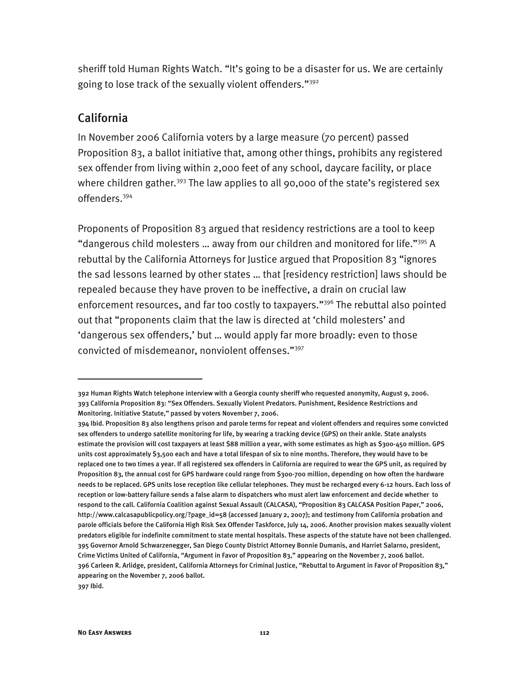sheriff told Human Rights Watch. "It's going to be a disaster for us. We are certainly going to lose track of the sexually violent offenders."392

#### California

In November 2006 California voters by a large measure (70 percent) passed Proposition 83, a ballot initiative that, among other things, prohibits any registered sex offender from living within 2,000 feet of any school, daycare facility, or place where children gather.<sup>393</sup> The law applies to all 90,000 of the state's registered sex offenders.394

Proponents of Proposition 83 argued that residency restrictions are a tool to keep "dangerous child molesters ... away from our children and monitored for life."<sup>395</sup> A rebuttal by the California Attorneys for Justice argued that Proposition 83 "ignores the sad lessons learned by other states … that [residency restriction] laws should be repealed because they have proven to be ineffective, a drain on crucial law enforcement resources, and far too costly to taxpayers."<sup>396</sup> The rebuttal also pointed out that "proponents claim that the law is directed at 'child molesters' and 'dangerous sex offenders,' but … would apply far more broadly: even to those convicted of misdemeanor, nonviolent offenses."397

<sup>392</sup> Human Rights Watch telephone interview with a Georgia county sheriff who requested anonymity, August 9, 2006. 393 California Proposition 83: "Sex Offenders. Sexually Violent Predators. Punishment, Residence Restrictions and Monitoring. Initiative Statute," passed by voters November 7, 2006.

<sup>394</sup> Ibid. Proposition 83 also lengthens prison and parole terms for repeat and violent offenders and requires some convicted sex offenders to undergo satellite monitoring for life, by wearing a tracking device (GPS) on their ankle. State analysts estimate the provision will cost taxpayers at least \$88 million a year, with some estimates as high as \$300-450 million. GPS units cost approximately \$3,500 each and have a total lifespan of six to nine months. Therefore, they would have to be replaced one to two times a year. If all registered sex offenders in California are required to wear the GPS unit, as required by Proposition 83, the annual cost for GPS hardware could range from \$300-700 million, depending on how often the hardware needs to be replaced. GPS units lose reception like cellular telephones. They must be recharged every 6-12 hours. Each loss of reception or low-battery failure sends a false alarm to dispatchers who must alert law enforcement and decide whether to respond to the call. California Coalition against Sexual Assault (CALCASA), "Proposition 83 CALCASA Position Paper," 2006, http://www.calcasapublicpolicy.org/?page\_id=58 (accessed January 2, 2007); and testimony from California probation and parole officials before the California High Risk Sex Offender Taskforce, July 14, 2006. Another provision makes sexually violent predators eligible for indefinite commitment to state mental hospitals. These aspects of the statute have not been challenged. 395 Governor Arnold Schwarzenegger, San Diego County District Attorney Bonnie Dumanis, and Harriet Salarno, president, Crime Victims United of California, "Argument in Favor of Proposition 83," appearing on the November 7, 2006 ballot. 396 Carleen R. Arlidge, president, California Attorneys for Criminal Justice, "Rebuttal to Argument in Favor of Proposition 83," appearing on the November 7, 2006 ballot. 397 Ibid.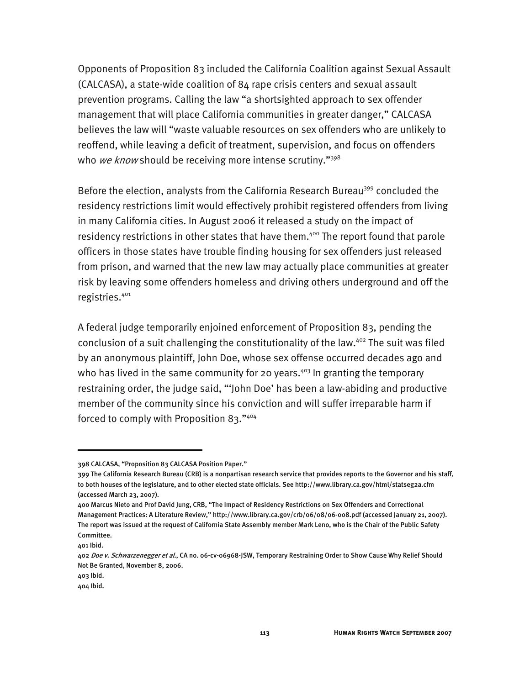Opponents of Proposition 83 included the California Coalition against Sexual Assault (CALCASA), a state-wide coalition of 84 rape crisis centers and sexual assault prevention programs. Calling the law "a shortsighted approach to sex offender management that will place California communities in greater danger," CALCASA believes the law will "waste valuable resources on sex offenders who are unlikely to reoffend, while leaving a deficit of treatment, supervision, and focus on offenders who we know should be receiving more intense scrutiny." $398$ 

Before the election, analysts from the California Research Bureau<sup>399</sup> concluded the residency restrictions limit would effectively prohibit registered offenders from living in many California cities. In August 2006 it released a study on the impact of residency restrictions in other states that have them.<sup>400</sup> The report found that parole officers in those states have trouble finding housing for sex offenders just released from prison, and warned that the new law may actually place communities at greater risk by leaving some offenders homeless and driving others underground and off the registries.401

A federal judge temporarily enjoined enforcement of Proposition 83, pending the conclusion of a suit challenging the constitutionality of the law.<sup>402</sup> The suit was filed by an anonymous plaintiff, John Doe, whose sex offense occurred decades ago and who has lived in the same community for 20 years.<sup>403</sup> In granting the temporary restraining order, the judge said, "'John Doe' has been a law-abiding and productive member of the community since his conviction and will suffer irreparable harm if forced to comply with Proposition 83."404

<sup>398</sup> CALCASA, "Proposition 83 CALCASA Position Paper."

<sup>399</sup> The California Research Bureau (CRB) is a nonpartisan research service that provides reports to the Governor and his staff, to both houses of the legislature, and to other elected state officials. See http://www.library.ca.gov/html/statseg2a.cfm (accessed March 23, 2007).

<sup>400</sup> Marcus Nieto and Prof David Jung, CRB, "The Impact of Residency Restrictions on Sex Offenders and Correctional Management Practices: A Literature Review," http://www.library.ca.gov/crb/06/08/06-008.pdf (accessed January 21, 2007). The report was issued at the request of California State Assembly member Mark Leno, who is the Chair of the Public Safety Committee.

<sup>401</sup> Ibid.

<sup>402</sup> Doe v. Schwarzenegger et al., CA no. 06-cv-06968-JSW, Temporary Restraining Order to Show Cause Why Relief Should Not Be Granted, November 8, 2006.

<sup>403</sup> Ibid.

<sup>404</sup> Ibid.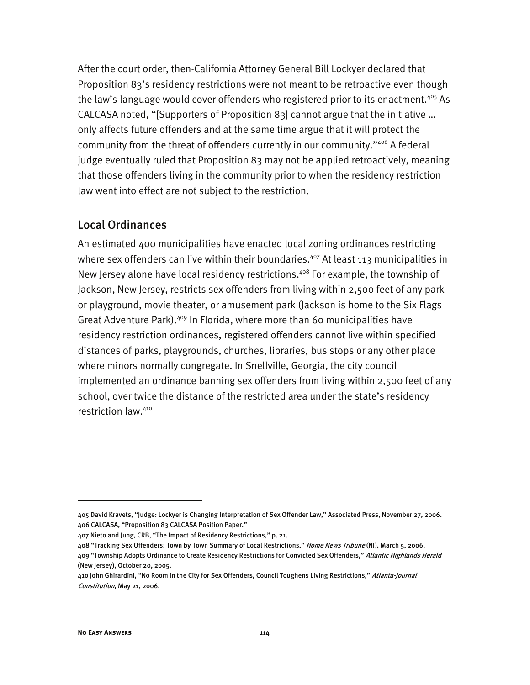After the court order, then-California Attorney General Bill Lockyer declared that Proposition 83's residency restrictions were not meant to be retroactive even though the law's language would cover offenders who registered prior to its enactment.<sup>405</sup> As CALCASA noted, "[Supporters of Proposition 83] cannot argue that the initiative … only affects future offenders and at the same time argue that it will protect the community from the threat of offenders currently in our community."406 A federal judge eventually ruled that Proposition 83 may not be applied retroactively, meaning that those offenders living in the community prior to when the residency restriction law went into effect are not subject to the restriction.

## Local Ordinances

An estimated 400 municipalities have enacted local zoning ordinances restricting where sex offenders can live within their boundaries.<sup>407</sup> At least 113 municipalities in New Jersey alone have local residency restrictions.<sup>408</sup> For example, the township of Jackson, New Jersey, restricts sex offenders from living within 2,500 feet of any park or playground, movie theater, or amusement park (Jackson is home to the Six Flags Great Adventure Park).<sup>409</sup> In Florida, where more than 60 municipalities have residency restriction ordinances, registered offenders cannot live within specified distances of parks, playgrounds, churches, libraries, bus stops or any other place where minors normally congregate. In Snellville, Georgia, the city council implemented an ordinance banning sex offenders from living within 2,500 feet of any school, over twice the distance of the restricted area under the state's residency restriction law.410

408 "Tracking Sex Offenders: Town by Town Summary of Local Restrictions," Home News Tribune (NJ), March 5, 2006.

<sup>405</sup> David Kravets, "Judge: Lockyer is Changing Interpretation of Sex Offender Law," Associated Press, November 27, 2006. 406 CALCASA, "Proposition 83 CALCASA Position Paper."

<sup>407</sup> Nieto and Jung, CRB, "The Impact of Residency Restrictions," p. 21.

<sup>409 &</sup>quot;Township Adopts Ordinance to Create Residency Restrictions for Convicted Sex Offenders," Atlantic Highlands Herald (New Jersey), October 20, 2005.

<sup>410</sup> John Ghirardini, "No Room in the City for Sex Offenders, Council Toughens Living Restrictions," Atlanta-Journal Constitution, May 21, 2006.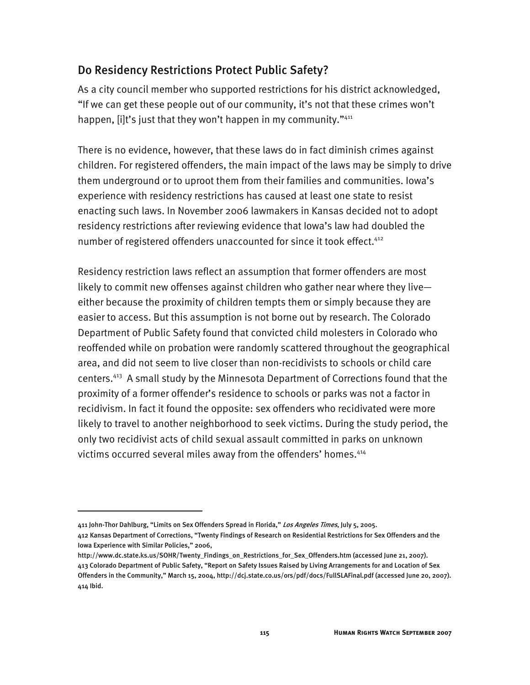## Do Residency Restrictions Protect Public Safety?

As a city council member who supported restrictions for his district acknowledged, "If we can get these people out of our community, it's not that these crimes won't happen, [i]t's just that they won't happen in my community."<sup>411</sup>

There is no evidence, however, that these laws do in fact diminish crimes against children. For registered offenders, the main impact of the laws may be simply to drive them underground or to uproot them from their families and communities. Iowa's experience with residency restrictions has caused at least one state to resist enacting such laws. In November 2006 lawmakers in Kansas decided not to adopt residency restrictions after reviewing evidence that Iowa's law had doubled the number of registered offenders unaccounted for since it took effect.<sup>412</sup>

Residency restriction laws reflect an assumption that former offenders are most likely to commit new offenses against children who gather near where they live either because the proximity of children tempts them or simply because they are easier to access. But this assumption is not borne out by research. The Colorado Department of Public Safety found that convicted child molesters in Colorado who reoffended while on probation were randomly scattered throughout the geographical area, and did not seem to live closer than non-recidivists to schools or child care centers.413 A small study by the Minnesota Department of Corrections found that the proximity of a former offender's residence to schools or parks was not a factor in recidivism. In fact it found the opposite: sex offenders who recidivated were more likely to travel to another neighborhood to seek victims. During the study period, the only two recidivist acts of child sexual assault committed in parks on unknown victims occurred several miles away from the offenders' homes.<sup>414</sup>

<sup>411</sup> John-Thor Dahlburg, "Limits on Sex Offenders Spread in Florida," Los Angeles Times, July 5, 2005.

<sup>412</sup> Kansas Department of Corrections, "Twenty Findings of Research on Residential Restrictions for Sex Offenders and the Iowa Experience with Similar Policies," 2006,

http://www.dc.state.ks.us/SOHR/Twenty\_Findings\_on\_Restrictions\_for\_Sex\_Offenders.htm (accessed June 21, 2007). 413 Colorado Department of Public Safety, "Report on Safety Issues Raised by Living Arrangements for and Location of Sex Offenders in the Community," March 15, 2004, http://dcj.state.co.us/ors/pdf/docs/FullSLAFinal.pdf (accessed June 20, 2007). 414 Ibid.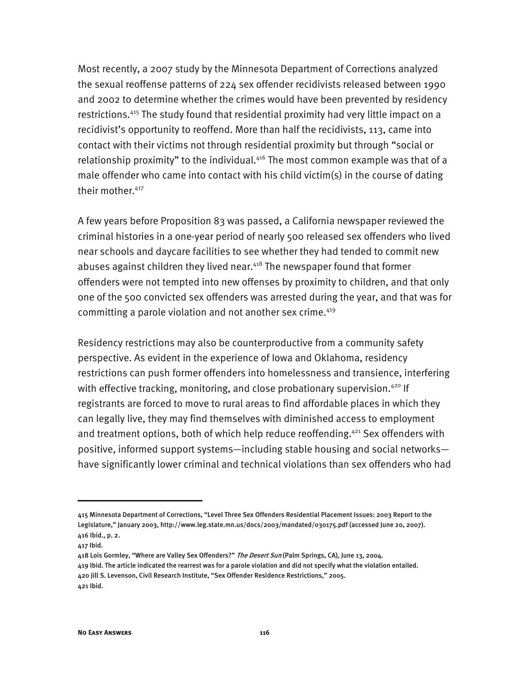Most recently, a 2007 study by the Minnesota Department of Corrections analyzed the sexual reoffense patterns of 224 sex offender recidivists released between 1990 and 2002 to determine whether the crimes would have been prevented by residency restrictions.415 The study found that residential proximity had very little impact on a recidivist's opportunity to reoffend. More than half the recidivists, 113, came into contact with their victims not through residential proximity but through "social or relationship proximity" to the individual.<sup>416</sup> The most common example was that of a male offender who came into contact with his child victim(s) in the course of dating their mother.<sup>417</sup>

A few years before Proposition 83 was passed, a California newspaper reviewed the criminal histories in a one-year period of nearly 500 released sex offenders who lived near schools and daycare facilities to see whether they had tended to commit new abuses against children they lived near.<sup>418</sup> The newspaper found that former offenders were not tempted into new offenses by proximity to children, and that only one of the 500 convicted sex offenders was arrested during the year, and that was for committing a parole violation and not another sex crime.<sup>419</sup>

Residency restrictions may also be counterproductive from a community safety perspective. As evident in the experience of Iowa and Oklahoma, residency restrictions can push former offenders into homelessness and transience, interfering with effective tracking, monitoring, and close probationary supervision.<sup>420</sup> If registrants are forced to move to rural areas to find affordable places in which they can legally live, they may find themselves with diminished access to employment and treatment options, both of which help reduce reoffending.<sup>421</sup> Sex offenders with positive, informed support systems—including stable housing and social networks have significantly lower criminal and technical violations than sex offenders who had

<sup>415</sup> Minnesota Department of Corrections, "Level Three Sex Offenders Residential Placement Issues: 2003 Report to the Legislature," January 2003, http://www.leg.state.mn.us/docs/2003/mandated/030175.pdf (accessed June 20, 2007). 416 Ibid., p. 2.

<sup>417</sup> Ibid.

<sup>418</sup> Lois Gormley, "Where are Valley Sex Offenders?" The Desert Sun (Palm Springs, CA), June 13, 2004. 419 Ibid. The article indicated the rearrest was for a parole violation and did not specify what the violation entailed. 420 Jill S. Levenson, Civil Research Institute, "Sex Offender Residence Restrictions," 2005. 421 Ibid.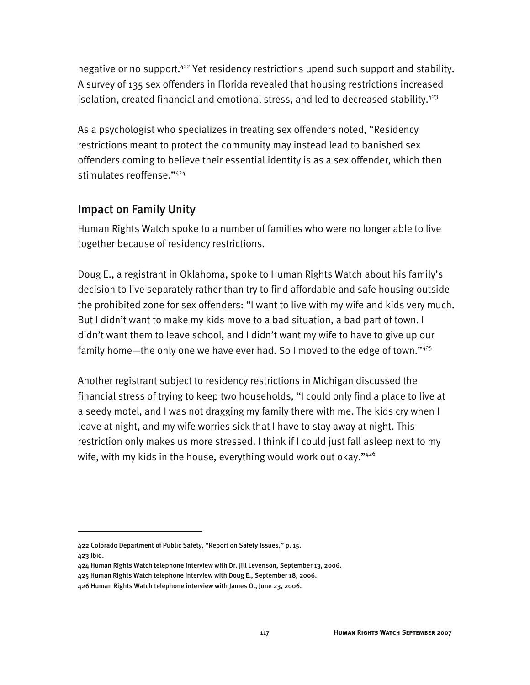negative or no support.<sup>422</sup> Yet residency restrictions upend such support and stability. A survey of 135 sex offenders in Florida revealed that housing restrictions increased isolation, created financial and emotional stress, and led to decreased stability.<sup>423</sup>

As a psychologist who specializes in treating sex offenders noted, "Residency restrictions meant to protect the community may instead lead to banished sex offenders coming to believe their essential identity is as a sex offender, which then stimulates reoffense."424

## Impact on Family Unity

Human Rights Watch spoke to a number of families who were no longer able to live together because of residency restrictions.

Doug E., a registrant in Oklahoma, spoke to Human Rights Watch about his family's decision to live separately rather than try to find affordable and safe housing outside the prohibited zone for sex offenders: "I want to live with my wife and kids very much. But I didn't want to make my kids move to a bad situation, a bad part of town. I didn't want them to leave school, and I didn't want my wife to have to give up our family home—the only one we have ever had. So I moved to the edge of town."425

Another registrant subject to residency restrictions in Michigan discussed the financial stress of trying to keep two households, "I could only find a place to live at a seedy motel, and I was not dragging my family there with me. The kids cry when I leave at night, and my wife worries sick that I have to stay away at night. This restriction only makes us more stressed. I think if I could just fall asleep next to my wife, with my kids in the house, everything would work out okay." $426$ 

j

<sup>422</sup> Colorado Department of Public Safety, "Report on Safety Issues," p. 15. 423 Ibid.

<sup>424</sup> Human Rights Watch telephone interview with Dr. Jill Levenson, September 13, 2006.

<sup>425</sup> Human Rights Watch telephone interview with Doug E., September 18, 2006.

<sup>426</sup> Human Rights Watch telephone interview with James O., June 23, 2006.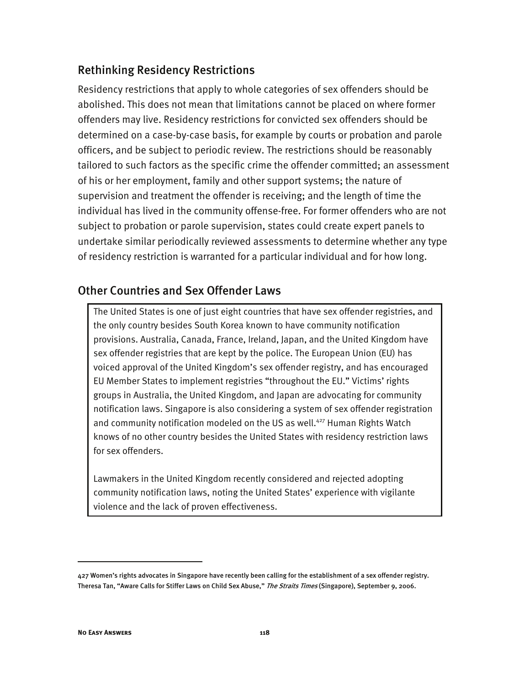## Rethinking Residency Restrictions

Residency restrictions that apply to whole categories of sex offenders should be abolished. This does not mean that limitations cannot be placed on where former offenders may live. Residency restrictions for convicted sex offenders should be determined on a case-by-case basis, for example by courts or probation and parole officers, and be subject to periodic review. The restrictions should be reasonably tailored to such factors as the specific crime the offender committed; an assessment of his or her employment, family and other support systems; the nature of supervision and treatment the offender is receiving; and the length of time the individual has lived in the community offense-free. For former offenders who are not subject to probation or parole supervision, states could create expert panels to undertake similar periodically reviewed assessments to determine whether any type of residency restriction is warranted for a particular individual and for how long.

## Other Countries and Sex Offender Laws

The United States is one of just eight countries that have sex offender registries, and the only country besides South Korea known to have community notification provisions. Australia, Canada, France, Ireland, Japan, and the United Kingdom have sex offender registries that are kept by the police. The European Union (EU) has voiced approval of the United Kingdom's sex offender registry, and has encouraged EU Member States to implement registries "throughout the EU." Victims' rights groups in Australia, the United Kingdom, and Japan are advocating for community notification laws. Singapore is also considering a system of sex offender registration and community notification modeled on the US as well.<sup>427</sup> Human Rights Watch knows of no other country besides the United States with residency restriction laws for sex offenders.

Lawmakers in the United Kingdom recently considered and rejected adopting community notification laws, noting the United States' experience with vigilante violence and the lack of proven effectiveness.

<sup>427</sup> Women's rights advocates in Singapore have recently been calling for the establishment of a sex offender registry. Theresa Tan, "Aware Calls for Stiffer Laws on Child Sex Abuse," The Straits Times (Singapore), September 9, 2006.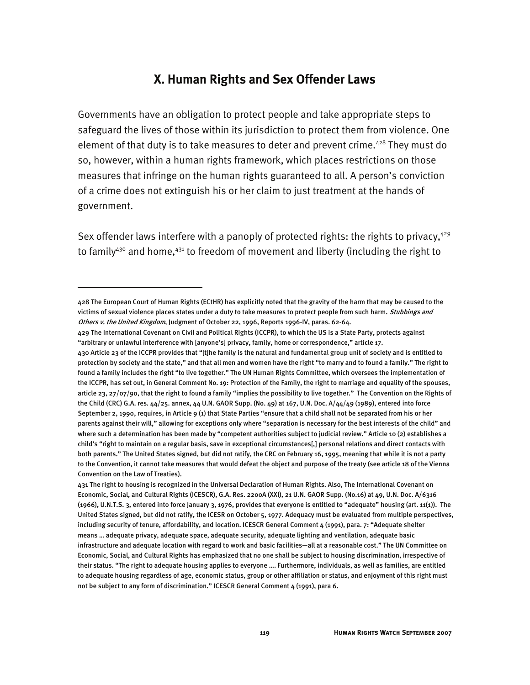## **X. Human Rights and Sex Offender Laws**

Governments have an obligation to protect people and take appropriate steps to safeguard the lives of those within its jurisdiction to protect them from violence. One element of that duty is to take measures to deter and prevent crime.<sup>428</sup> They must do so, however, within a human rights framework, which places restrictions on those measures that infringe on the human rights guaranteed to all. A person's conviction of a crime does not extinguish his or her claim to just treatment at the hands of government.

Sex offender laws interfere with a panoply of protected rights: the rights to privacy,  $429$ to family<sup>430</sup> and home,<sup>431</sup> to freedom of movement and liberty (including the right to

<sup>428</sup> The European Court of Human Rights (ECtHR) has explicitly noted that the gravity of the harm that may be caused to the victims of sexual violence places states under a duty to take measures to protect people from such harm. Stubbings and Others v. the United Kingdom, Judgment of October 22, 1996, Reports 1996-IV, paras. 62-64.

<sup>429</sup> The International Covenant on Civil and Political Rights (ICCPR), to which the US is a State Party, protects against "arbitrary or unlawful interference with [anyone's] privacy, family, home or correspondence," article 17.

<sup>430</sup> Article 23 of the ICCPR provides that "[t]he family is the natural and fundamental group unit of society and is entitled to protection by society and the state," and that all men and women have the right "to marry and to found a family." The right to found a family includes the right "to live together." The UN Human Rights Committee, which oversees the implementation of the ICCPR, has set out, in General Comment No. 19: Protection of the Family, the right to marriage and equality of the spouses, article 23, 27/07/90, that the right to found a family "implies the possibility to live together." The Convention on the Rights of the Child (CRC) G.A. res. 44/25. annex, 44 U.N. GAOR Supp. (No. 49) at 167, U.N. Doc. A/44/49 (1989), entered into force September 2, 1990, requires, in Article 9 (1) that State Parties "ensure that a child shall not be separated from his or her parents against their will," allowing for exceptions only where "separation is necessary for the best interests of the child" and where such a determination has been made by "competent authorities subject to judicial review." Article 10 (2) establishes a child's "right to maintain on a regular basis, save in exceptional circumstances[,] personal relations and direct contacts with both parents." The United States signed, but did not ratify, the CRC on February 16, 1995, meaning that while it is not a party to the Convention, it cannot take measures that would defeat the object and purpose of the treaty (see article 18 of the Vienna Convention on the Law of Treaties).

<sup>431</sup> The right to housing is recognized in the Universal Declaration of Human Rights. Also, The International Covenant on Economic, Social, and Cultural Rights (ICESCR), G.A. Res. 2200A (XXI), 21 U.N. GAOR Supp. (No.16) at 49, U.N. Doc. A/6316 (1966), U.N.T.S. 3, entered into force January 3, 1976, provides that everyone is entitled to "adequate" housing (art. 11(1)). The United States signed, but did not ratify, the ICESR on October 5, 1977. Adequacy must be evaluated from multiple perspectives, including security of tenure, affordability, and location. ICESCR General Comment 4 (1991), para. 7: "Adequate shelter means … adequate privacy, adequate space, adequate security, adequate lighting and ventilation, adequate basic infrastructure and adequate location with regard to work and basic facilities—all at a reasonable cost." The UN Committee on Economic, Social, and Cultural Rights has emphasized that no one shall be subject to housing discrimination, irrespective of their status. "The right to adequate housing applies to everyone …. Furthermore, individuals, as well as families, are entitled to adequate housing regardless of age, economic status, group or other affiliation or status, and enjoyment of this right must not be subject to any form of discrimination." ICESCR General Comment 4 (1991), para 6.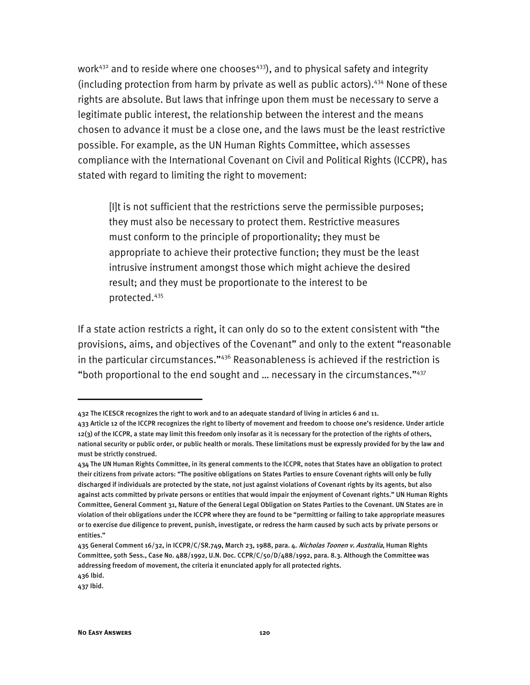work<sup>432</sup> and to reside where one chooses<sup>433</sup>), and to physical safety and integrity (including protection from harm by private as well as public actors).434 None of these rights are absolute. But laws that infringe upon them must be necessary to serve a legitimate public interest, the relationship between the interest and the means chosen to advance it must be a close one, and the laws must be the least restrictive possible. For example, as the UN Human Rights Committee, which assesses compliance with the International Covenant on Civil and Political Rights (ICCPR), has stated with regard to limiting the right to movement:

[I]t is not sufficient that the restrictions serve the permissible purposes; they must also be necessary to protect them. Restrictive measures must conform to the principle of proportionality; they must be appropriate to achieve their protective function; they must be the least intrusive instrument amongst those which might achieve the desired result; and they must be proportionate to the interest to be protected.435

If a state action restricts a right, it can only do so to the extent consistent with "the provisions, aims, and objectives of the Covenant" and only to the extent "reasonable in the particular circumstances."436 Reasonableness is achieved if the restriction is "both proportional to the end sought and  $\ldots$  necessary in the circumstances." $437$ 

<sup>432</sup> The ICESCR recognizes the right to work and to an adequate standard of living in articles 6 and 11.

<sup>433</sup> Article 12 of the ICCPR recognizes the right to liberty of movement and freedom to choose one's residence. Under article 12(3) of the ICCPR, a state may limit this freedom only insofar as it is necessary for the protection of the rights of others, national security or public order, or public health or morals. These limitations must be expressly provided for by the law and must be strictly construed.

<sup>434</sup> The UN Human Rights Committee, in its general comments to the ICCPR, notes that States have an obligation to protect their citizens from private actors: "The positive obligations on States Parties to ensure Covenant rights will only be fully discharged if individuals are protected by the state, not just against violations of Covenant rights by its agents, but also against acts committed by private persons or entities that would impair the enjoyment of Covenant rights." UN Human Rights Committee, General Comment 31, Nature of the General Legal Obligation on States Parties to the Covenant. UN States are in violation of their obligations under the ICCPR where they are found to be "permitting or failing to take appropriate measures or to exercise due diligence to prevent, punish, investigate, or redress the harm caused by such acts by private persons or entities."

<sup>435</sup> General Comment 16/32, in ICCPR/C/SR.749, March 23, 1988, para. 4. *Nicholas Toonen v. Australia*, Human Rights Committee, 50th Sess., Case No. 488/1992, U.N. Doc. CCPR/C/50/D/488/1992, para. 8.3. Although the Committee was addressing freedom of movement, the criteria it enunciated apply for all protected rights. 436 Ibid.

<sup>437</sup> Ibid.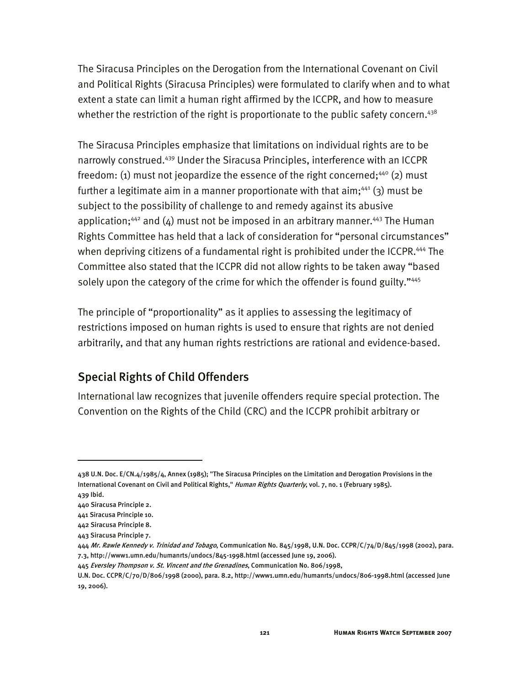The Siracusa Principles on the Derogation from the International Covenant on Civil and Political Rights (Siracusa Principles) were formulated to clarify when and to what extent a state can limit a human right affirmed by the ICCPR, and how to measure whether the restriction of the right is proportionate to the public safety concern.<sup>438</sup>

The Siracusa Principles emphasize that limitations on individual rights are to be narrowly construed.439 Under the Siracusa Principles, interference with an ICCPR freedom: (1) must not jeopardize the essence of the right concerned;<sup>440</sup> (2) must further a legitimate aim in a manner proportionate with that aim;<sup>441</sup> (3) must be subject to the possibility of challenge to and remedy against its abusive application;<sup>442</sup> and  $(4)$  must not be imposed in an arbitrary manner.<sup>443</sup> The Human Rights Committee has held that a lack of consideration for "personal circumstances" when depriving citizens of a fundamental right is prohibited under the ICCPR.<sup>444</sup> The Committee also stated that the ICCPR did not allow rights to be taken away "based solely upon the category of the crime for which the offender is found guilty."445

The principle of "proportionality" as it applies to assessing the legitimacy of restrictions imposed on human rights is used to ensure that rights are not denied arbitrarily, and that any human rights restrictions are rational and evidence-based.

## Special Rights of Child Offenders

International law recognizes that juvenile offenders require special protection. The Convention on the Rights of the Child (CRC) and the ICCPR prohibit arbitrary or

<sup>438</sup> U.N. Doc. E/CN.4/1985/4, Annex (1985); "The Siracusa Principles on the Limitation and Derogation Provisions in the International Covenant on Civil and Political Rights," Human Rights Quarterly, vol. 7, no. 1 (February 1985).

<sup>439</sup> Ibid.

<sup>440</sup> Siracusa Principle 2.

<sup>441</sup> Siracusa Principle 10.

<sup>442</sup> Siracusa Principle 8.

<sup>443</sup> Siracusa Principle 7.

<sup>444</sup> Mr. Rawle Kennedy v. Trinidad and Tobago, Communication No. 845/1998, U.N. Doc. CCPR/C/74/D/845/1998 (2002), para. 7.3, http://www1.umn.edu/humanrts/undocs/845-1998.html (accessed June 19, 2006).

<sup>445</sup> Eversley Thompson v. St. Vincent and the Grenadines, Communication No. 806/1998,

U.N. Doc. CCPR/C/70/D/806/1998 (2000), para. 8.2, http://www1.umn.edu/humanrts/undocs/806-1998.html (accessed June 19, 2006).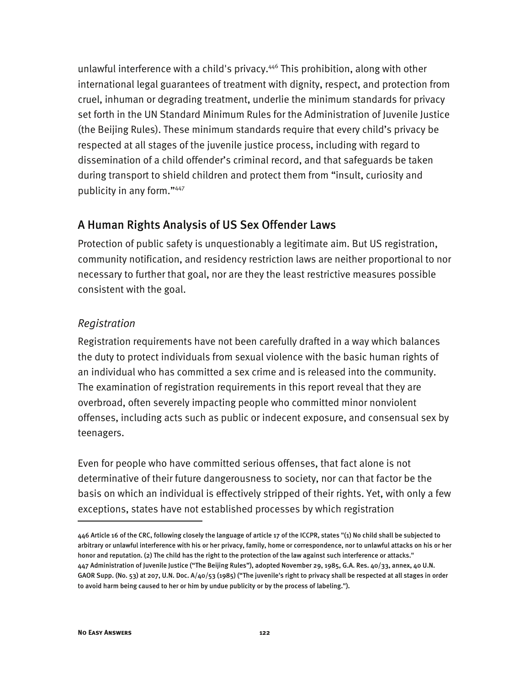unlawful interference with a child's privacy.<sup>446</sup> This prohibition, along with other international legal guarantees of treatment with dignity, respect, and protection from cruel, inhuman or degrading treatment, underlie the minimum standards for privacy set forth in the UN Standard Minimum Rules for the Administration of Juvenile Justice (the Beijing Rules). These minimum standards require that every child's privacy be respected at all stages of the juvenile justice process, including with regard to dissemination of a child offender's criminal record, and that safeguards be taken during transport to shield children and protect them from "insult, curiosity and publicity in any form."447

## A Human Rights Analysis of US Sex Offender Laws

Protection of public safety is unquestionably a legitimate aim. But US registration, community notification, and residency restriction laws are neither proportional to nor necessary to further that goal, nor are they the least restrictive measures possible consistent with the goal.

#### *Registration*

Registration requirements have not been carefully drafted in a way which balances the duty to protect individuals from sexual violence with the basic human rights of an individual who has committed a sex crime and is released into the community. The examination of registration requirements in this report reveal that they are overbroad, often severely impacting people who committed minor nonviolent offenses, including acts such as public or indecent exposure, and consensual sex by teenagers.

Even for people who have committed serious offenses, that fact alone is not determinative of their future dangerousness to society, nor can that factor be the basis on which an individual is effectively stripped of their rights. Yet, with only a few exceptions, states have not established processes by which registration

<sup>446</sup> Article 16 of the CRC, following closely the language of article 17 of the ICCPR, states "(1) No child shall be subjected to arbitrary or unlawful interference with his or her privacy, family, home or correspondence, nor to unlawful attacks on his or her honor and reputation. (2) The child has the right to the protection of the law against such interference or attacks." 447 Administration of Juvenile Justice ("The Beijing Rules"), adopted November 29, 1985, G.A. Res. 40/33, annex, 40 U.N. GAOR Supp. (No. 53) at 207, U.N. Doc. A/40/53 (1985) ("The juvenile's right to privacy shall be respected at all stages in order to avoid harm being caused to her or him by undue publicity or by the process of labeling.").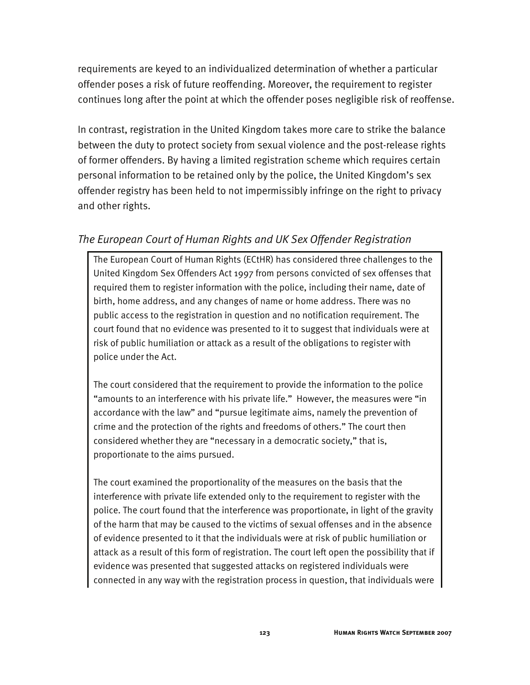requirements are keyed to an individualized determination of whether a particular offender poses a risk of future reoffending. Moreover, the requirement to register continues long after the point at which the offender poses negligible risk of reoffense.

In contrast, registration in the United Kingdom takes more care to strike the balance between the duty to protect society from sexual violence and the post-release rights of former offenders. By having a limited registration scheme which requires certain personal information to be retained only by the police, the United Kingdom's sex offender registry has been held to not impermissibly infringe on the right to privacy and other rights.

## *The European Court of Human Rights and UK Sex Offender Registration*

The European Court of Human Rights (ECtHR) has considered three challenges to the United Kingdom Sex Offenders Act 1997 from persons convicted of sex offenses that required them to register information with the police, including their name, date of birth, home address, and any changes of name or home address. There was no public access to the registration in question and no notification requirement. The court found that no evidence was presented to it to suggest that individuals were at risk of public humiliation or attack as a result of the obligations to register with police under the Act.

The court considered that the requirement to provide the information to the police "amounts to an interference with his private life." However, the measures were "in accordance with the law" and "pursue legitimate aims, namely the prevention of crime and the protection of the rights and freedoms of others." The court then considered whether they are "necessary in a democratic society," that is, proportionate to the aims pursued.

The court examined the proportionality of the measures on the basis that the interference with private life extended only to the requirement to register with the police. The court found that the interference was proportionate, in light of the gravity of the harm that may be caused to the victims of sexual offenses and in the absence of evidence presented to it that the individuals were at risk of public humiliation or attack as a result of this form of registration. The court left open the possibility that if evidence was presented that suggested attacks on registered individuals were connected in any way with the registration process in question, that individuals were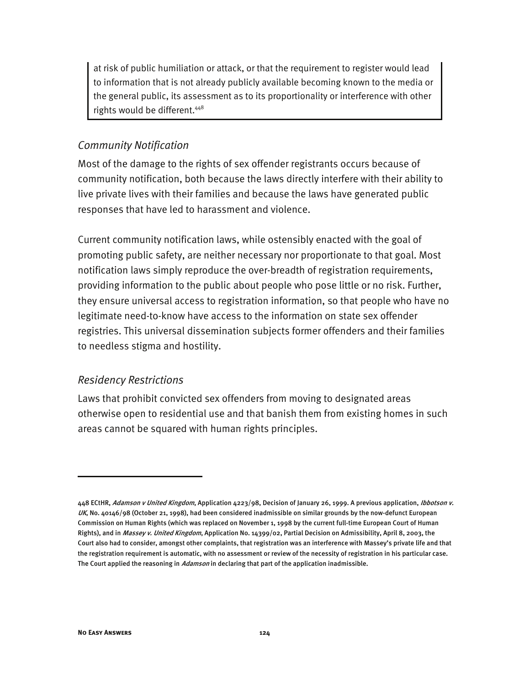at risk of public humiliation or attack, or that the requirement to register would lead to information that is not already publicly available becoming known to the media or the general public, its assessment as to its proportionality or interference with other rights would be different.448

#### *Community Notification*

Most of the damage to the rights of sex offender registrants occurs because of community notification, both because the laws directly interfere with their ability to live private lives with their families and because the laws have generated public responses that have led to harassment and violence.

Current community notification laws, while ostensibly enacted with the goal of promoting public safety, are neither necessary nor proportionate to that goal. Most notification laws simply reproduce the over-breadth of registration requirements, providing information to the public about people who pose little or no risk. Further, they ensure universal access to registration information, so that people who have no legitimate need-to-know have access to the information on state sex offender registries. This universal dissemination subjects former offenders and their families to needless stigma and hostility.

#### *Residency Restrictions*

Laws that prohibit convicted sex offenders from moving to designated areas otherwise open to residential use and that banish them from existing homes in such areas cannot be squared with human rights principles.

<sup>448</sup> ECtHR, Adamson v United Kingdom, Application 4223/98, Decision of January 26, 1999. A previous application, Ibbotson v. UK, No. 40146/98 (October 21, 1998), had been considered inadmissible on similar grounds by the now-defunct European Commission on Human Rights (which was replaced on November 1, 1998 by the current full-time European Court of Human Rights), and in Massey v. United Kingdom, Application No. 14399/02, Partial Decision on Admissibility, April 8, 2003, the Court also had to consider, amongst other complaints, that registration was an interference with Massey's private life and that the registration requirement is automatic, with no assessment or review of the necessity of registration in his particular case. The Court applied the reasoning in *Adamson* in declaring that part of the application inadmissible.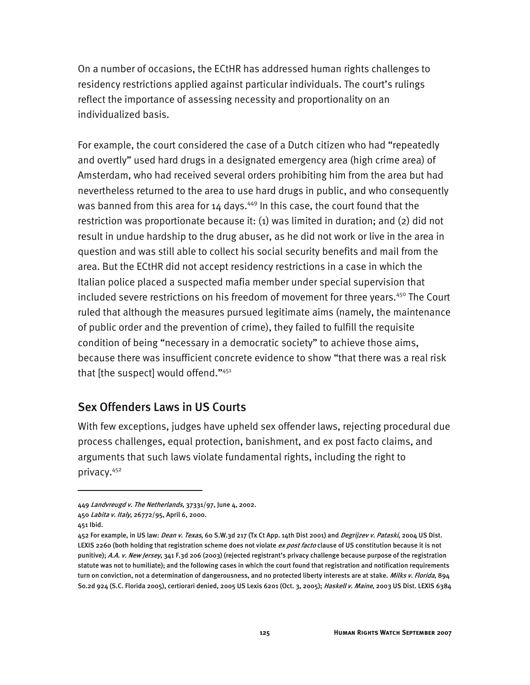On a number of occasions, the ECtHR has addressed human rights challenges to residency restrictions applied against particular individuals. The court's rulings reflect the importance of assessing necessity and proportionality on an individualized basis.

For example, the court considered the case of a Dutch citizen who had "repeatedly and overtly" used hard drugs in a designated emergency area (high crime area) of Amsterdam, who had received several orders prohibiting him from the area but had nevertheless returned to the area to use hard drugs in public, and who consequently was banned from this area for  $14$  days.<sup>449</sup> In this case, the court found that the restriction was proportionate because it: (1) was limited in duration; and (2) did not result in undue hardship to the drug abuser, as he did not work or live in the area in question and was still able to collect his social security benefits and mail from the area. But the ECtHR did not accept residency restrictions in a case in which the Italian police placed a suspected mafia member under special supervision that included severe restrictions on his freedom of movement for three years.<sup>450</sup> The Court ruled that although the measures pursued legitimate aims (namely, the maintenance of public order and the prevention of crime), they failed to fulfill the requisite condition of being "necessary in a democratic society" to achieve those aims, because there was insufficient concrete evidence to show "that there was a real risk that [the suspect] would offend."451

#### Sex Offenders Laws in US Courts

With few exceptions, judges have upheld sex offender laws, rejecting procedural due process challenges, equal protection, banishment, and ex post facto claims, and arguments that such laws violate fundamental rights, including the right to privacy.452

j

<sup>449</sup> Landvreugd v. The Netherlands, 37331/97, June 4, 2002.

<sup>450</sup> Labita v. Italy, 26772/95, April 6, 2000.

<sup>451</sup> Ibid.

<sup>452</sup> For example, in US law: *Dean v. Texas*, 60 S.W.3d 217 (Tx Ct App. 14th Dist 2001) and *Degrijzev v. Pataski*, 2004 US Dist. LEXIS 2260 (both holding that registration scheme does not violate ex post facto clause of US constitution because it is not punitive); A.A. v. New Jersey, 341 F.3d 206 (2003) (rejected registrant's privacy challenge because purpose of the registration statute was not to humiliate); and the following cases in which the court found that registration and notification requirements turn on conviction, not a determination of dangerousness, and no protected liberty interests are at stake. Milks v. Florida, 894 So.2d 924 (S.C. Florida 2005), certiorari denied, 2005 US Lexis 6201 (Oct. 3, 2005); Haskell v. Maine, 2003 US Dist. LEXIS 6384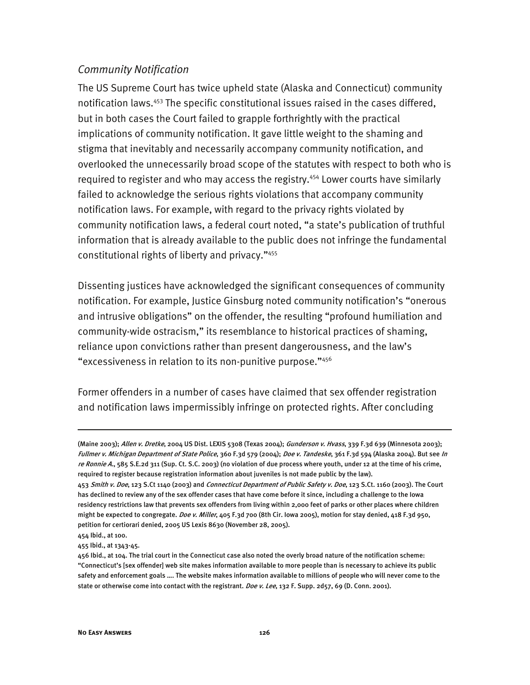#### *Community Notification*

The US Supreme Court has twice upheld state (Alaska and Connecticut) community notification laws.<sup>453</sup> The specific constitutional issues raised in the cases differed, but in both cases the Court failed to grapple forthrightly with the practical implications of community notification. It gave little weight to the shaming and stigma that inevitably and necessarily accompany community notification, and overlooked the unnecessarily broad scope of the statutes with respect to both who is required to register and who may access the registry.<sup>454</sup> Lower courts have similarly failed to acknowledge the serious rights violations that accompany community notification laws. For example, with regard to the privacy rights violated by community notification laws, a federal court noted, "a state's publication of truthful information that is already available to the public does not infringe the fundamental constitutional rights of liberty and privacy."455

Dissenting justices have acknowledged the significant consequences of community notification. For example, Justice Ginsburg noted community notification's "onerous and intrusive obligations" on the offender, the resulting "profound humiliation and community-wide ostracism," its resemblance to historical practices of shaming, reliance upon convictions rather than present dangerousness, and the law's "excessiveness in relation to its non-punitive purpose."456

Former offenders in a number of cases have claimed that sex offender registration and notification laws impermissibly infringe on protected rights. After concluding

<sup>(</sup>Maine 2003); Allen v. Dretke, 2004 US Dist. LEXIS 5308 (Texas 2004); Gunderson v. Hvass, 339 F.3d 639 (Minnesota 2003); Fullmer v. Michigan Department of State Police, 360 F.3d 579 (2004); Doe v. Tandeske, 361 F.3d 594 (Alaska 2004). But see In re Ronnie A., 585 S.E.2d 311 (Sup. Ct. S.C. 2003) (no violation of due process where youth, under 12 at the time of his crime, required to register because registration information about juveniles is not made public by the law).

<sup>453</sup> Smith v. Doe, 123 S.Ct 1140 (2003) and Connecticut Department of Public Safety v. Doe, 123 S.Ct. 1160 (2003). The Court has declined to review any of the sex offender cases that have come before it since, including a challenge to the Iowa residency restrictions law that prevents sex offenders from living within 2,000 feet of parks or other places where children might be expected to congregate. Doe v. Miller, 405 F.3d 700 (8th Cir. Iowa 2005), motion for stay denied, 418 F.3d 950, petition for certiorari denied, 2005 US Lexis 8630 (November 28, 2005).

<sup>454</sup> Ibid., at 100.

<sup>455</sup> Ibid., at 1343-45.

<sup>456</sup> Ibid., at 104. The trial court in the Connecticut case also noted the overly broad nature of the notification scheme: "Connecticut's [sex offender] web site makes information available to more people than is necessary to achieve its public safety and enforcement goals …. The website makes information available to millions of people who will never come to the state or otherwise come into contact with the registrant. Doe v. Lee, 132 F. Supp. 2d57, 69 (D. Conn. 2001).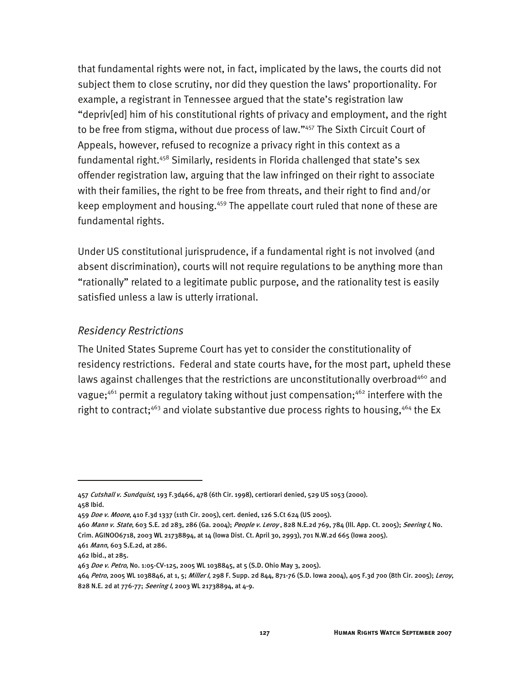that fundamental rights were not, in fact, implicated by the laws, the courts did not subject them to close scrutiny, nor did they question the laws' proportionality. For example, a registrant in Tennessee argued that the state's registration law "depriv[ed] him of his constitutional rights of privacy and employment, and the right to be free from stigma, without due process of law."457 The Sixth Circuit Court of Appeals, however, refused to recognize a privacy right in this context as a fundamental right.<sup>458</sup> Similarly, residents in Florida challenged that state's sex offender registration law, arguing that the law infringed on their right to associate with their families, the right to be free from threats, and their right to find and/or keep employment and housing.<sup>459</sup> The appellate court ruled that none of these are fundamental rights.

Under US constitutional jurisprudence, if a fundamental right is not involved (and absent discrimination), courts will not require regulations to be anything more than "rationally" related to a legitimate public purpose, and the rationality test is easily satisfied unless a law is utterly irrational.

#### *Residency Restrictions*

The United States Supreme Court has yet to consider the constitutionality of residency restrictions. Federal and state courts have, for the most part, upheld these laws against challenges that the restrictions are unconstitutionally overbroad<sup>460</sup> and vague;<sup>461</sup> permit a regulatory taking without just compensation;<sup>462</sup> interfere with the right to contract;<sup>463</sup> and violate substantive due process rights to housing,<sup>464</sup> the Ex

<sup>457</sup> Cutshall v. Sundquist, 193 F.3d466, 478 (6th Cir. 1998), certiorari denied, 529 US 1053 (2000). 458 Ibid.

<sup>459</sup> Doe v. Moore, 410 F.3d 1337 (11th Cir. 2005), cert. denied, 126 S.Ct 624 (US 2005).

<sup>460</sup> Mann v. State, 603 S.E. 2d 283, 286 (Ga. 2004); People v. Leroy, 828 N.E.2d 769, 784 (Ill. App. Ct. 2005); Seering I, No. Crim. AGINOO6718, 2003 WL 21738894, at 14 (Iowa Dist. Ct. April 30, 2993), 701 N.W.2d 665 (Iowa 2005).

<sup>461</sup> Mann, 603 S.E.2d, at 286.

<sup>462</sup> Ibid., at 285.

<sup>463</sup> Doe v. Petro, No. 1:05-CV-125, 2005 WL 1038845, at 5 (S.D. Ohio May 3, 2005).

<sup>464</sup> Petro, 2005 WL 1038846, at 1, 5; Miller I, 298 F. Supp. 2d 844, 871-76 (S.D. Iowa 2004), 405 F.3d 700 (8th Cir. 2005); Leroy, 828 N.E. 2d at 776-77; Seering I, 2003 WL 21738894, at 4-9.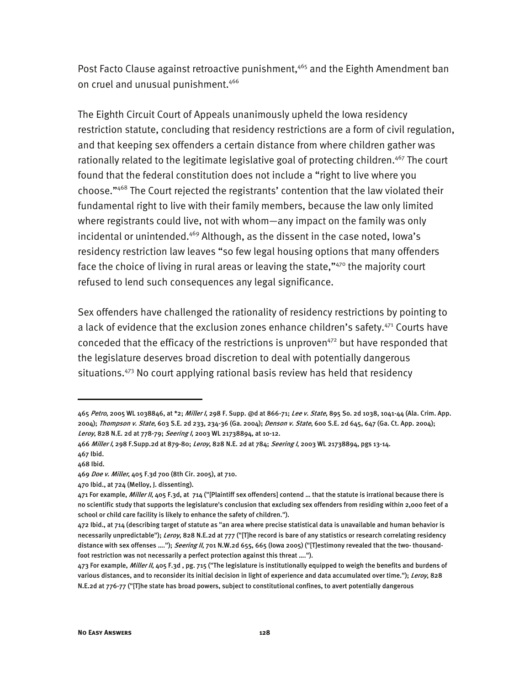Post Facto Clause against retroactive punishment,<sup>465</sup> and the Eighth Amendment ban on cruel and unusual punishment.<sup>466</sup>

The Eighth Circuit Court of Appeals unanimously upheld the Iowa residency restriction statute, concluding that residency restrictions are a form of civil regulation, and that keeping sex offenders a certain distance from where children gather was rationally related to the legitimate legislative goal of protecting children.<sup>467</sup> The court found that the federal constitution does not include a "right to live where you choose."468 The Court rejected the registrants' contention that the law violated their fundamental right to live with their family members, because the law only limited where registrants could live, not with whom—any impact on the family was only incidental or unintended.<sup>469</sup> Although, as the dissent in the case noted, lowa's residency restriction law leaves "so few legal housing options that many offenders face the choice of living in rural areas or leaving the state,"<sup>470</sup> the majority court refused to lend such consequences any legal significance.

Sex offenders have challenged the rationality of residency restrictions by pointing to a lack of evidence that the exclusion zones enhance children's safety.<sup>471</sup> Courts have conceded that the efficacy of the restrictions is unproven $472$  but have responded that the legislature deserves broad discretion to deal with potentially dangerous situations.<sup>473</sup> No court applying rational basis review has held that residency

<sup>465</sup> Petro, 2005 WL 1038846, at \*2; Miller I, 298 F. Supp. @d at 866-71; Lee v. State, 895 So. 2d 1038, 1041-44 (Ala. Crim. App. 2004); Thompson v. State, 603 S.E. 2d 233, 234-36 (Ga. 2004); Denson v. State, 600 S.E. 2d 645, 647 (Ga. Ct. App. 2004); Leroy, 828 N.E. 2d at 778-79; Seering I, 2003 WL 21738894, at 10-12.

<sup>466</sup> Miller I, 298 F.Supp.2d at 879-80; Leroy, 828 N.E. 2d at 784; Seering I, 2003 WL 21738894, pgs 13-14. 467 Ibid.

<sup>468</sup> Ibid.

<sup>469</sup> Doe v. Miller, 405 F.3d 700 (8th Cir. 2005), at 710.

<sup>470</sup> Ibid., at 724 (Melloy, J. dissenting).

<sup>471</sup> For example, Miller II, 405 F.3d, at 714 ("[Plaintiff sex offenders] contend ... that the statute is irrational because there is no scientific study that supports the legislature's conclusion that excluding sex offenders from residing within 2,000 feet of a school or child care facility is likely to enhance the safety of children.").

<sup>472</sup> Ibid., at 714 (describing target of statute as "an area where precise statistical data is unavailable and human behavior is necessarily unpredictable"); Leroy, 828 N.E.2d at 777 ("[T]he record is bare of any statistics or research correlating residency distance with sex offenses ...."); Seering II, 701 N.W.2d 655, 665 (lowa 2005) ("[T]estimony revealed that the two- thousandfoot restriction was not necessarily a perfect protection against this threat ….").

<sup>473</sup> For example, Miller II, 405 F.3d, pg. 715 ("The legislature is institutionally equipped to weigh the benefits and burdens of various distances, and to reconsider its initial decision in light of experience and data accumulated over time."); Leroy, 828 N.E.2d at 776-77 ("[T]he state has broad powers, subject to constitutional confines, to avert potentially dangerous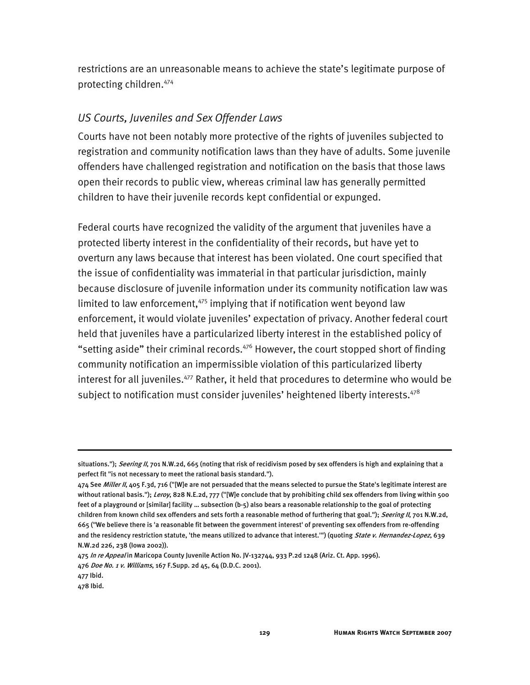restrictions are an unreasonable means to achieve the state's legitimate purpose of protecting children.474

#### *US Courts, Juveniles and Sex Offender Laws*

Courts have not been notably more protective of the rights of juveniles subjected to registration and community notification laws than they have of adults. Some juvenile offenders have challenged registration and notification on the basis that those laws open their records to public view, whereas criminal law has generally permitted children to have their juvenile records kept confidential or expunged.

Federal courts have recognized the validity of the argument that juveniles have a protected liberty interest in the confidentiality of their records, but have yet to overturn any laws because that interest has been violated. One court specified that the issue of confidentiality was immaterial in that particular jurisdiction, mainly because disclosure of juvenile information under its community notification law was limited to law enforcement, $475$  implying that if notification went beyond law enforcement, it would violate juveniles' expectation of privacy. Another federal court held that juveniles have a particularized liberty interest in the established policy of "setting aside" their criminal records.<sup>476</sup> However, the court stopped short of finding community notification an impermissible violation of this particularized liberty interest for all juveniles.<sup>477</sup> Rather, it held that procedures to determine who would be subject to notification must consider juveniles' heightened liberty interests.<sup>478</sup>

situations."); Seering II, 701 N.W.2d, 665 (noting that risk of recidivism posed by sex offenders is high and explaining that a perfect fit "is not necessary to meet the rational basis standard.").

<sup>474</sup> See Miller II, 405 F.3d, 716 ("[W]e are not persuaded that the means selected to pursue the State's legitimate interest are without rational basis."); Leroy, 828 N.E.2d, 777 ("[W]e conclude that by prohibiting child sex offenders from living within 500 feet of a playground or [similar] facility … subsection (b-5) also bears a reasonable relationship to the goal of protecting children from known child sex offenders and sets forth a reasonable method of furthering that goal."); Seering II, 701 N.W.2d, 665 ("We believe there is 'a reasonable fit between the government interest' of preventing sex offenders from re-offending and the residency restriction statute, 'the means utilized to advance that interest.'") (quoting State v. Hernandez-Lopez, 639 N.W.2d 226, 238 (Iowa 2002)).

<sup>475</sup> In re Appeal in Maricopa County Juvenile Action No. JV-132744, 933 P.2d 1248 (Ariz. Ct. App. 1996).

<sup>476</sup> Doe No. 1 v. Williams, 167 F.Supp. 2d 45, 64 (D.D.C. 2001).

<sup>477</sup> Ibid.

<sup>478</sup> Ibid.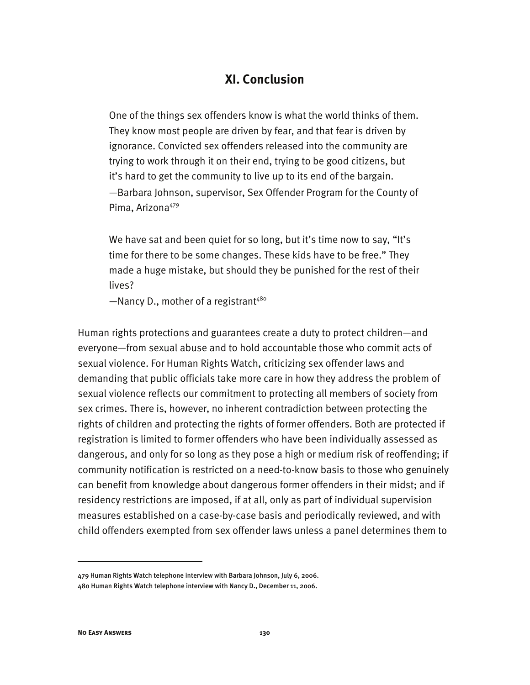## **XI. Conclusion**

One of the things sex offenders know is what the world thinks of them. They know most people are driven by fear, and that fear is driven by ignorance. Convicted sex offenders released into the community are trying to work through it on their end, trying to be good citizens, but it's hard to get the community to live up to its end of the bargain. —Barbara Johnson, supervisor, Sex Offender Program for the County of Pima, Arizona<sup>479</sup>

We have sat and been quiet for so long, but it's time now to say, "It's time for there to be some changes. These kids have to be free." They made a huge mistake, but should they be punished for the rest of their lives?

 $-M$ ancy D., mother of a registrant<sup>480</sup>

Human rights protections and guarantees create a duty to protect children—and everyone—from sexual abuse and to hold accountable those who commit acts of sexual violence. For Human Rights Watch, criticizing sex offender laws and demanding that public officials take more care in how they address the problem of sexual violence reflects our commitment to protecting all members of society from sex crimes. There is, however, no inherent contradiction between protecting the rights of children and protecting the rights of former offenders. Both are protected if registration is limited to former offenders who have been individually assessed as dangerous, and only for so long as they pose a high or medium risk of reoffending; if community notification is restricted on a need-to-know basis to those who genuinely can benefit from knowledge about dangerous former offenders in their midst; and if residency restrictions are imposed, if at all, only as part of individual supervision measures established on a case-by-case basis and periodically reviewed, and with child offenders exempted from sex offender laws unless a panel determines them to

<sup>479</sup> Human Rights Watch telephone interview with Barbara Johnson, July 6, 2006. 480 Human Rights Watch telephone interview with Nancy D., December 11, 2006.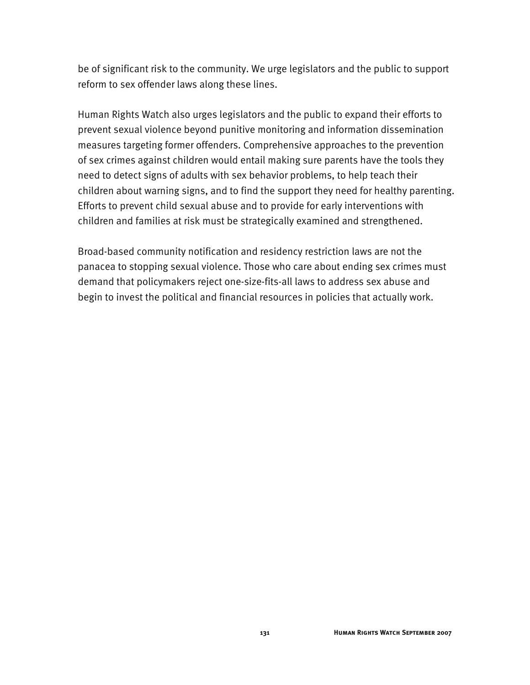be of significant risk to the community. We urge legislators and the public to support reform to sex offender laws along these lines.

Human Rights Watch also urges legislators and the public to expand their efforts to prevent sexual violence beyond punitive monitoring and information dissemination measures targeting former offenders. Comprehensive approaches to the prevention of sex crimes against children would entail making sure parents have the tools they need to detect signs of adults with sex behavior problems, to help teach their children about warning signs, and to find the support they need for healthy parenting. Efforts to prevent child sexual abuse and to provide for early interventions with children and families at risk must be strategically examined and strengthened.

Broad-based community notification and residency restriction laws are not the panacea to stopping sexual violence. Those who care about ending sex crimes must demand that policymakers reject one-size-fits-all laws to address sex abuse and begin to invest the political and financial resources in policies that actually work.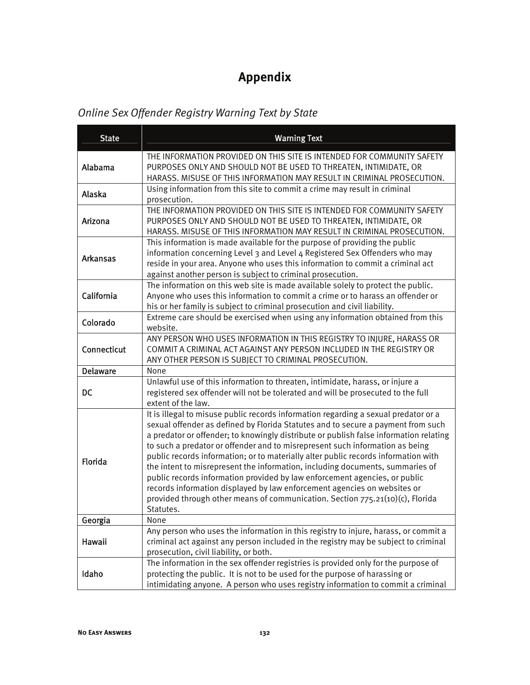# **Appendix**

## *Online Sex Offender Registry Warning Text by State*

| <b>State</b>    | <b>Warning Text</b>                                                                                                                                                                                                                                                                                                                                                                                                                                                                                                                                                                                                                                                                                                                                                             |  |
|-----------------|---------------------------------------------------------------------------------------------------------------------------------------------------------------------------------------------------------------------------------------------------------------------------------------------------------------------------------------------------------------------------------------------------------------------------------------------------------------------------------------------------------------------------------------------------------------------------------------------------------------------------------------------------------------------------------------------------------------------------------------------------------------------------------|--|
| Alabama         | THE INFORMATION PROVIDED ON THIS SITE IS INTENDED FOR COMMUNITY SAFETY<br>PURPOSES ONLY AND SHOULD NOT BE USED TO THREATEN, INTIMIDATE, OR<br>HARASS. MISUSE OF THIS INFORMATION MAY RESULT IN CRIMINAL PROSECUTION.                                                                                                                                                                                                                                                                                                                                                                                                                                                                                                                                                            |  |
| Alaska          | Using information from this site to commit a crime may result in criminal<br>prosecution.                                                                                                                                                                                                                                                                                                                                                                                                                                                                                                                                                                                                                                                                                       |  |
| Arizona         | THE INFORMATION PROVIDED ON THIS SITE IS INTENDED FOR COMMUNITY SAFETY<br>PURPOSES ONLY AND SHOULD NOT BE USED TO THREATEN, INTIMIDATE, OR<br>HARASS. MISUSE OF THIS INFORMATION MAY RESULT IN CRIMINAL PROSECUTION.                                                                                                                                                                                                                                                                                                                                                                                                                                                                                                                                                            |  |
| <b>Arkansas</b> | This information is made available for the purpose of providing the public<br>information concerning Level 3 and Level 4 Registered Sex Offenders who may<br>reside in your area. Anyone who uses this information to commit a criminal act<br>against another person is subject to criminal prosecution.                                                                                                                                                                                                                                                                                                                                                                                                                                                                       |  |
| California      | The information on this web site is made available solely to protect the public.<br>Anyone who uses this information to commit a crime or to harass an offender or<br>his or her family is subject to criminal prosecution and civil liability.                                                                                                                                                                                                                                                                                                                                                                                                                                                                                                                                 |  |
| Colorado        | Extreme care should be exercised when using any information obtained from this<br>website.                                                                                                                                                                                                                                                                                                                                                                                                                                                                                                                                                                                                                                                                                      |  |
| Connecticut     | ANY PERSON WHO USES INFORMATION IN THIS REGISTRY TO INJURE, HARASS OR<br>COMMIT A CRIMINAL ACT AGAINST ANY PERSON INCLUDED IN THE REGISTRY OR<br>ANY OTHER PERSON IS SUBJECT TO CRIMINAL PROSECUTION.                                                                                                                                                                                                                                                                                                                                                                                                                                                                                                                                                                           |  |
| <b>Delaware</b> | None                                                                                                                                                                                                                                                                                                                                                                                                                                                                                                                                                                                                                                                                                                                                                                            |  |
| <b>DC</b>       | Unlawful use of this information to threaten, intimidate, harass, or injure a<br>registered sex offender will not be tolerated and will be prosecuted to the full<br>extent of the law.                                                                                                                                                                                                                                                                                                                                                                                                                                                                                                                                                                                         |  |
| Florida         | It is illegal to misuse public records information regarding a sexual predator or a<br>sexual offender as defined by Florida Statutes and to secure a payment from such<br>a predator or offender; to knowingly distribute or publish false information relating<br>to such a predator or offender and to misrepresent such information as being<br>public records information; or to materially alter public records information with<br>the intent to misrepresent the information, including documents, summaries of<br>public records information provided by law enforcement agencies, or public<br>records information displayed by law enforcement agencies on websites or<br>provided through other means of communication. Section 775.21(10)(c), Florida<br>Statutes. |  |
| Georgia         | None                                                                                                                                                                                                                                                                                                                                                                                                                                                                                                                                                                                                                                                                                                                                                                            |  |
| Hawaii          | Any person who uses the information in this registry to injure, harass, or commit a<br>criminal act against any person included in the registry may be subject to criminal<br>prosecution, civil liability, or both.                                                                                                                                                                                                                                                                                                                                                                                                                                                                                                                                                            |  |
| Idaho           | The information in the sex offender registries is provided only for the purpose of<br>protecting the public. It is not to be used for the purpose of harassing or<br>intimidating anyone. A person who uses registry information to commit a criminal                                                                                                                                                                                                                                                                                                                                                                                                                                                                                                                           |  |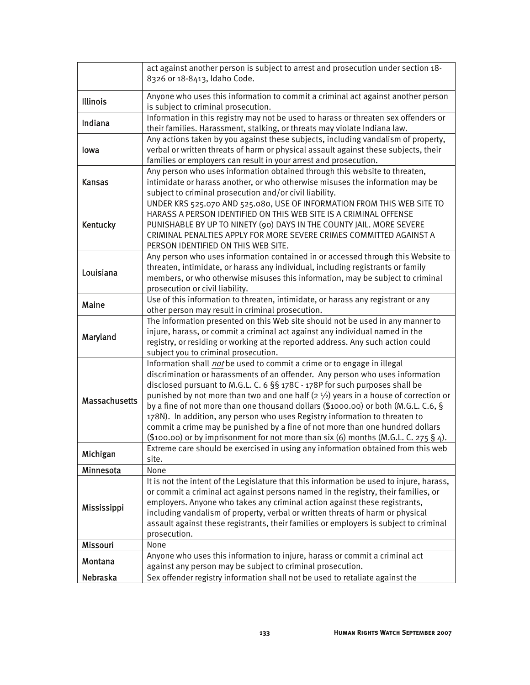|                      | act against another person is subject to arrest and prosecution under section 18-<br>8326 or 18-8413, Idaho Code.                                                                                                                                                                                                                                                                                                                                                                                                                                                                                                                                                                        |  |  |
|----------------------|------------------------------------------------------------------------------------------------------------------------------------------------------------------------------------------------------------------------------------------------------------------------------------------------------------------------------------------------------------------------------------------------------------------------------------------------------------------------------------------------------------------------------------------------------------------------------------------------------------------------------------------------------------------------------------------|--|--|
| <b>Illinois</b>      | Anyone who uses this information to commit a criminal act against another person<br>is subject to criminal prosecution.                                                                                                                                                                                                                                                                                                                                                                                                                                                                                                                                                                  |  |  |
| Indiana              | Information in this registry may not be used to harass or threaten sex offenders or<br>their families. Harassment, stalking, or threats may violate Indiana law.                                                                                                                                                                                                                                                                                                                                                                                                                                                                                                                         |  |  |
| lowa                 | Any actions taken by you against these subjects, including vandalism of property,<br>verbal or written threats of harm or physical assault against these subjects, their<br>families or employers can result in your arrest and prosecution.                                                                                                                                                                                                                                                                                                                                                                                                                                             |  |  |
| <b>Kansas</b>        | Any person who uses information obtained through this website to threaten,<br>intimidate or harass another, or who otherwise misuses the information may be<br>subject to criminal prosecution and/or civil liability.                                                                                                                                                                                                                                                                                                                                                                                                                                                                   |  |  |
| Kentucky             | UNDER KRS 525.070 AND 525.080, USE OF INFORMATION FROM THIS WEB SITE TO<br>HARASS A PERSON IDENTIFIED ON THIS WEB SITE IS A CRIMINAL OFFENSE<br>PUNISHABLE BY UP TO NINETY (90) DAYS IN THE COUNTY JAIL. MORE SEVERE<br>CRIMINAL PENALTIES APPLY FOR MORE SEVERE CRIMES COMMITTED AGAINST A<br>PERSON IDENTIFIED ON THIS WEB SITE.                                                                                                                                                                                                                                                                                                                                                       |  |  |
| Louisiana            | Any person who uses information contained in or accessed through this Website to<br>threaten, intimidate, or harass any individual, including registrants or family<br>members, or who otherwise misuses this information, may be subject to criminal<br>prosecution or civil liability.                                                                                                                                                                                                                                                                                                                                                                                                 |  |  |
| <b>Maine</b>         | Use of this information to threaten, intimidate, or harass any registrant or any<br>other person may result in criminal prosecution.                                                                                                                                                                                                                                                                                                                                                                                                                                                                                                                                                     |  |  |
| Maryland             | The information presented on this Web site should not be used in any manner to<br>injure, harass, or commit a criminal act against any individual named in the<br>registry, or residing or working at the reported address. Any such action could<br>subject you to criminal prosecution.                                                                                                                                                                                                                                                                                                                                                                                                |  |  |
| <b>Massachusetts</b> | Information shall not be used to commit a crime or to engage in illegal<br>discrimination or harassments of an offender. Any person who uses information<br>disclosed pursuant to M.G.L. C. 6 §§ 178C - 178P for such purposes shall be<br>punished by not more than two and one half ( $2\frac{1}{2}$ ) years in a house of correction or<br>by a fine of not more than one thousand dollars (\$1000.00) or both (M.G.L. C.6, §<br>178N). In addition, any person who uses Registry information to threaten to<br>commit a crime may be punished by a fine of not more than one hundred dollars<br>$($100.00)$ or by imprisonment for not more than six (6) months (M.G.L. C. 275 § 4). |  |  |
| Michigan             | Extreme care should be exercised in using any information obtained from this web<br>site.                                                                                                                                                                                                                                                                                                                                                                                                                                                                                                                                                                                                |  |  |
| Minnesota            | None                                                                                                                                                                                                                                                                                                                                                                                                                                                                                                                                                                                                                                                                                     |  |  |
| Mississippi          | It is not the intent of the Legislature that this information be used to injure, harass,<br>or commit a criminal act against persons named in the registry, their families, or<br>employers. Anyone who takes any criminal action against these registrants,<br>including vandalism of property, verbal or written threats of harm or physical<br>assault against these registrants, their families or employers is subject to criminal<br>prosecution.                                                                                                                                                                                                                                  |  |  |
| Missouri             | None                                                                                                                                                                                                                                                                                                                                                                                                                                                                                                                                                                                                                                                                                     |  |  |
| Montana              | Anyone who uses this information to injure, harass or commit a criminal act<br>against any person may be subject to criminal prosecution.                                                                                                                                                                                                                                                                                                                                                                                                                                                                                                                                                |  |  |
| Nebraska             | Sex offender registry information shall not be used to retaliate against the                                                                                                                                                                                                                                                                                                                                                                                                                                                                                                                                                                                                             |  |  |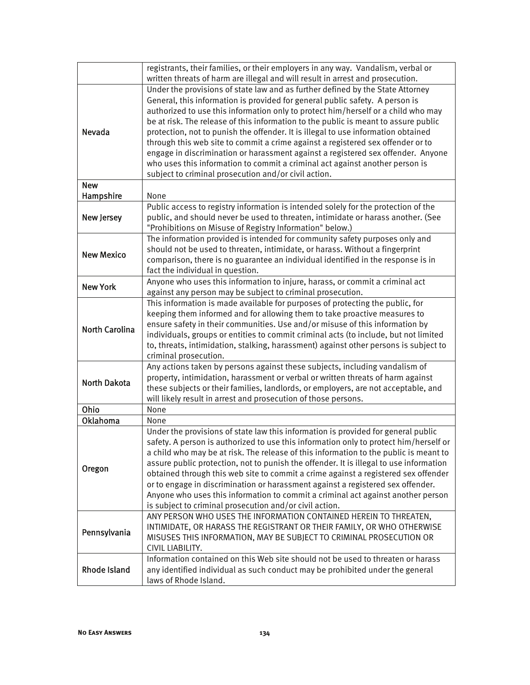|                       | registrants, their families, or their employers in any way. Vandalism, verbal or                                                                                 |  |  |
|-----------------------|------------------------------------------------------------------------------------------------------------------------------------------------------------------|--|--|
|                       | written threats of harm are illegal and will result in arrest and prosecution.<br>Under the provisions of state law and as further defined by the State Attorney |  |  |
|                       | General, this information is provided for general public safety. A person is                                                                                     |  |  |
|                       | authorized to use this information only to protect him/herself or a child who may                                                                                |  |  |
|                       | be at risk. The release of this information to the public is meant to assure public                                                                              |  |  |
| Nevada                | protection, not to punish the offender. It is illegal to use information obtained                                                                                |  |  |
|                       | through this web site to commit a crime against a registered sex offender or to                                                                                  |  |  |
|                       | engage in discrimination or harassment against a registered sex offender. Anyone                                                                                 |  |  |
|                       | who uses this information to commit a criminal act against another person is                                                                                     |  |  |
|                       | subject to criminal prosecution and/or civil action.                                                                                                             |  |  |
| <b>New</b>            |                                                                                                                                                                  |  |  |
| Hampshire             | None                                                                                                                                                             |  |  |
|                       | Public access to registry information is intended solely for the protection of the                                                                               |  |  |
| <b>New Jersey</b>     | public, and should never be used to threaten, intimidate or harass another. (See                                                                                 |  |  |
|                       | "Prohibitions on Misuse of Registry Information" below.)                                                                                                         |  |  |
|                       | The information provided is intended for community safety purposes only and                                                                                      |  |  |
|                       | should not be used to threaten, intimidate, or harass. Without a fingerprint                                                                                     |  |  |
| <b>New Mexico</b>     | comparison, there is no guarantee an individual identified in the response is in                                                                                 |  |  |
|                       | fact the individual in question.                                                                                                                                 |  |  |
| <b>New York</b>       | Anyone who uses this information to injure, harass, or commit a criminal act                                                                                     |  |  |
|                       | against any person may be subject to criminal prosecution.                                                                                                       |  |  |
|                       | This information is made available for purposes of protecting the public, for                                                                                    |  |  |
|                       | keeping them informed and for allowing them to take proactive measures to                                                                                        |  |  |
| <b>North Carolina</b> | ensure safety in their communities. Use and/or misuse of this information by                                                                                     |  |  |
|                       | individuals, groups or entities to commit criminal acts (to include, but not limited                                                                             |  |  |
|                       | to, threats, intimidation, stalking, harassment) against other persons is subject to                                                                             |  |  |
|                       | criminal prosecution.                                                                                                                                            |  |  |
|                       | Any actions taken by persons against these subjects, including vandalism of                                                                                      |  |  |
| <b>North Dakota</b>   | property, intimidation, harassment or verbal or written threats of harm against                                                                                  |  |  |
|                       | these subjects or their families, landlords, or employers, are not acceptable, and                                                                               |  |  |
|                       | will likely result in arrest and prosecution of those persons.                                                                                                   |  |  |
| Ohio                  | None                                                                                                                                                             |  |  |
| Oklahoma              | None                                                                                                                                                             |  |  |
|                       | Under the provisions of state law this information is provided for general public                                                                                |  |  |
|                       | safety. A person is authorized to use this information only to protect him/herself or                                                                            |  |  |
|                       | a child who may be at risk. The release of this information to the public is meant to                                                                            |  |  |
| Oregon                | assure public protection, not to punish the offender. It is illegal to use information                                                                           |  |  |
|                       | obtained through this web site to commit a crime against a registered sex offender                                                                               |  |  |
|                       | or to engage in discrimination or harassment against a registered sex offender.                                                                                  |  |  |
|                       | Anyone who uses this information to commit a criminal act against another person                                                                                 |  |  |
|                       | is subject to criminal prosecution and/or civil action.                                                                                                          |  |  |
| Pennsylvania          | ANY PERSON WHO USES THE INFORMATION CONTAINED HEREIN TO THREATEN,                                                                                                |  |  |
|                       | INTIMIDATE, OR HARASS THE REGISTRANT OR THEIR FAMILY, OR WHO OTHERWISE                                                                                           |  |  |
|                       | MISUSES THIS INFORMATION, MAY BE SUBJECT TO CRIMINAL PROSECUTION OR                                                                                              |  |  |
|                       | CIVIL LIABILITY.                                                                                                                                                 |  |  |
|                       | Information contained on this Web site should not be used to threaten or harass                                                                                  |  |  |
| <b>Rhode Island</b>   | any identified individual as such conduct may be prohibited under the general                                                                                    |  |  |
|                       | laws of Rhode Island.                                                                                                                                            |  |  |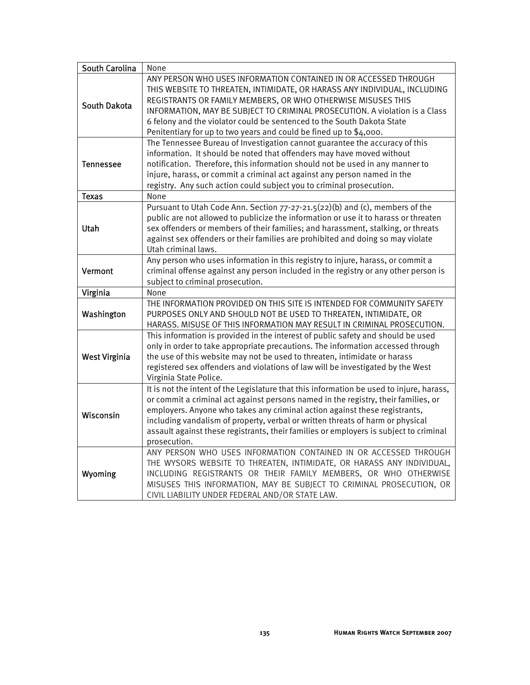| <b>South Carolina</b> | None                                                                                                                                                                                                                                                                                                                                                                                                                                                    |
|-----------------------|---------------------------------------------------------------------------------------------------------------------------------------------------------------------------------------------------------------------------------------------------------------------------------------------------------------------------------------------------------------------------------------------------------------------------------------------------------|
| <b>South Dakota</b>   | ANY PERSON WHO USES INFORMATION CONTAINED IN OR ACCESSED THROUGH<br>THIS WEBSITE TO THREATEN, INTIMIDATE, OR HARASS ANY INDIVIDUAL, INCLUDING<br>REGISTRANTS OR FAMILY MEMBERS, OR WHO OTHERWISE MISUSES THIS<br>INFORMATION, MAY BE SUBJECT TO CRIMINAL PROSECUTION. A violation is a Class<br>6 felony and the violator could be sentenced to the South Dakota State<br>Penitentiary for up to two years and could be fined up to \$4,000.            |
| Tennessee             | The Tennessee Bureau of Investigation cannot guarantee the accuracy of this<br>information. It should be noted that offenders may have moved without<br>notification. Therefore, this information should not be used in any manner to<br>injure, harass, or commit a criminal act against any person named in the<br>registry. Any such action could subject you to criminal prosecution.                                                               |
| <b>Texas</b>          | None                                                                                                                                                                                                                                                                                                                                                                                                                                                    |
| Utah                  | Pursuant to Utah Code Ann. Section 77-27-21.5(22)(b) and (c), members of the<br>public are not allowed to publicize the information or use it to harass or threaten<br>sex offenders or members of their families; and harassment, stalking, or threats<br>against sex offenders or their families are prohibited and doing so may violate<br>Utah criminal laws.                                                                                       |
| Vermont               | Any person who uses information in this registry to injure, harass, or commit a<br>criminal offense against any person included in the registry or any other person is<br>subject to criminal prosecution.                                                                                                                                                                                                                                              |
| Virginia              | None                                                                                                                                                                                                                                                                                                                                                                                                                                                    |
| Washington            | THE INFORMATION PROVIDED ON THIS SITE IS INTENDED FOR COMMUNITY SAFETY<br>PURPOSES ONLY AND SHOULD NOT BE USED TO THREATEN, INTIMIDATE, OR<br>HARASS. MISUSE OF THIS INFORMATION MAY RESULT IN CRIMINAL PROSECUTION.                                                                                                                                                                                                                                    |
| <b>West Virginia</b>  | This information is provided in the interest of public safety and should be used<br>only in order to take appropriate precautions. The information accessed through<br>the use of this website may not be used to threaten, intimidate or harass<br>registered sex offenders and violations of law will be investigated by the West<br>Virginia State Police.                                                                                           |
| Wisconsin             | It is not the intent of the Legislature that this information be used to injure, harass,<br>or commit a criminal act against persons named in the registry, their families, or<br>employers. Anyone who takes any criminal action against these registrants,<br>including vandalism of property, verbal or written threats of harm or physical<br>assault against these registrants, their families or employers is subject to criminal<br>prosecution. |
| Wyoming               | ANY PERSON WHO USES INFORMATION CONTAINED IN OR ACCESSED THROUGH<br>THE WYSORS WEBSITE TO THREATEN, INTIMIDATE, OR HARASS ANY INDIVIDUAL,<br>INCLUDING REGISTRANTS OR THEIR FAMILY MEMBERS, OR WHO OTHERWISE<br>MISUSES THIS INFORMATION, MAY BE SUBJECT TO CRIMINAL PROSECUTION, OR<br>CIVIL LIABILITY UNDER FEDERAL AND/OR STATE LAW.                                                                                                                 |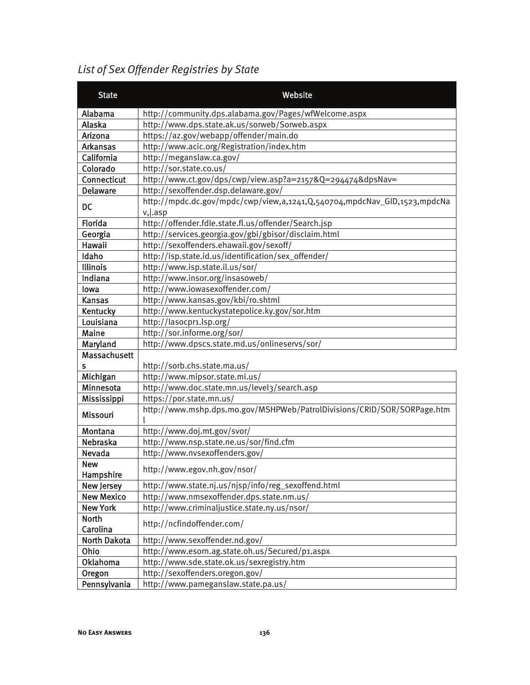## *List of Sex Offender Registries by State*

| <b>State</b>            | Website                                                                  |  |  |
|-------------------------|--------------------------------------------------------------------------|--|--|
| Alabama                 | http://community.dps.alabama.gov/Pages/wfWelcome.aspx                    |  |  |
| Alaska                  | http://www.dps.state.ak.us/sorweb/Sorweb.aspx                            |  |  |
| Arizona                 | https://az.gov/webapp/offender/main.do                                   |  |  |
| <b>Arkansas</b>         | http://www.acic.org/Registration/index.htm                               |  |  |
| California              | http://meganslaw.ca.gov/                                                 |  |  |
| Colorado                | http://sor.state.co.us/                                                  |  |  |
| Connecticut             | http://www.ct.gov/dps/cwp/view.asp?a=2157&Q=294474&dpsNav=               |  |  |
| <b>Delaware</b>         | http://sexoffender.dsp.delaware.gov/                                     |  |  |
|                         | http://mpdc.dc.gov/mpdc/cwp/view,a,1241,Q,540704,mpdcNav_GID,1523,mpdcNa |  |  |
| <b>DC</b>               | $v,$ lasp                                                                |  |  |
| Florida                 | http://offender.fdle.state.fl.us/offender/Search.jsp                     |  |  |
| Georgia                 | http://services.georgia.gov/gbi/gbisor/disclaim.html                     |  |  |
| Hawaii                  | http://sexoffenders.ehawaii.gov/sexoff/                                  |  |  |
| Idaho                   | http://isp.state.id.us/identification/sex_offender/                      |  |  |
| Illinois                | http://www.isp.state.il.us/sor/                                          |  |  |
| Indiana                 | http://www.insor.org/insasoweb/                                          |  |  |
| lowa                    | http://www.iowasexoffender.com/                                          |  |  |
| <b>Kansas</b>           | http://www.kansas.gov/kbi/ro.shtml                                       |  |  |
| Kentucky                | http://www.kentuckystatepolice.ky.gov/sor.htm                            |  |  |
| Louisiana               | http://lasocpr1.lsp.org/                                                 |  |  |
| Maine                   | http://sor.informe.org/sor/                                              |  |  |
| Maryland                | http://www.dpscs.state.md.us/onlineservs/sor/                            |  |  |
| Massachusett            |                                                                          |  |  |
| s                       | http://sorb.chs.state.ma.us/                                             |  |  |
| Michigan                | http://www.mipsor.state.mi.us/                                           |  |  |
| Minnesota               | http://www.doc.state.mn.us/level3/search.asp                             |  |  |
| Mississippi             | https://por.state.mn.us/                                                 |  |  |
| Missouri                | http://www.mshp.dps.mo.gov/MSHPWeb/PatrolDivisions/CRID/SOR/SORPage.htm  |  |  |
| Montana                 | http://www.doj.mt.gov/svor/                                              |  |  |
| Nebraska                | http://www.nsp.state.ne.us/sor/find.cfm                                  |  |  |
| <b>Nevada</b>           | http://www.nvsexoffenders.gov/                                           |  |  |
| <b>New</b><br>Hampshire | http://www.egov.nh.gov/nsor/                                             |  |  |
| <b>New Jersey</b>       | http://www.state.nj.us/njsp/info/reg_sexoffend.html                      |  |  |
| <b>New Mexico</b>       | http://www.nmsexoffender.dps.state.nm.us/                                |  |  |
| <b>New York</b>         | http://www.criminaljustice.state.ny.us/nsor/                             |  |  |
| North<br>Carolina       | http://ncfindoffender.com/                                               |  |  |
| <b>North Dakota</b>     | http://www.sexoffender.nd.gov/                                           |  |  |
| Ohio                    | http://www.esorn.ag.state.oh.us/Secured/p1.aspx                          |  |  |
| <b>Oklahoma</b>         | http://www.sde.state.ok.us/sexregistry.htm                               |  |  |
| Oregon                  | http://sexoffenders.oregon.gov/                                          |  |  |
| Pennsylvania            | http://www.pameganslaw.state.pa.us/                                      |  |  |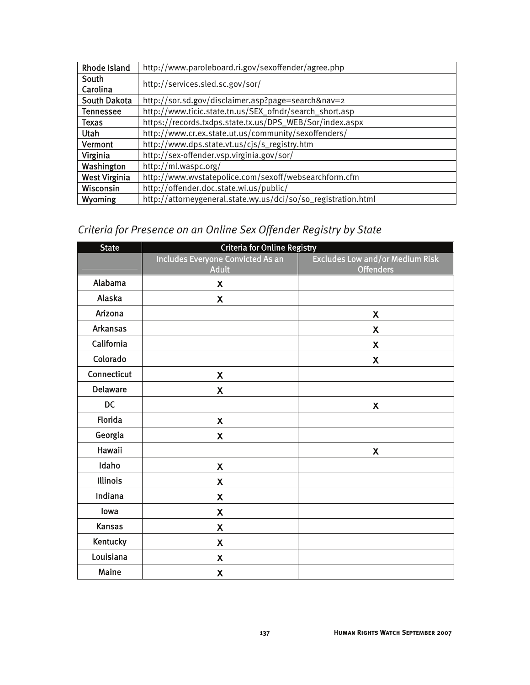| <b>Rhode Island</b>  | http://www.paroleboard.ri.gov/sexoffender/agree.php            |  |
|----------------------|----------------------------------------------------------------|--|
| South<br>Carolina    | http://services.sled.sc.gov/sor/                               |  |
| South Dakota         | http://sor.sd.gov/disclaimer.asp?page=search&nav=2             |  |
| <b>Tennessee</b>     | http://www.ticic.state.tn.us/SEX_ofndr/search_short.asp        |  |
| Texas                | https://records.txdps.state.tx.us/DPS_WEB/Sor/index.aspx       |  |
| <b>Utah</b>          | http://www.cr.ex.state.ut.us/community/sexoffenders/           |  |
| Vermont              | http://www.dps.state.vt.us/cjs/s_registry.htm                  |  |
| Virginia             | http://sex-offender.vsp.virginia.gov/sor/                      |  |
| Washington           | http://ml.waspc.org/                                           |  |
| <b>West Virginia</b> | http://www.wvstatepolice.com/sexoff/websearchform.cfm          |  |
| Wisconsin            | http://offender.doc.state.wi.us/public/                        |  |
| Wyoming              | http://attorneygeneral.state.wy.us/dci/so/so_registration.html |  |

## *Criteria for Presence on an Online Sex Offender Registry by State*

| <b>State</b>    | <b>Criteria for Online Registry</b>               |                                                            |
|-----------------|---------------------------------------------------|------------------------------------------------------------|
|                 | Includes Everyone Convicted As an<br><b>Adult</b> | <b>Excludes Low and/or Medium Risk</b><br><b>Offenders</b> |
| Alabama         | $\boldsymbol{\mathsf{X}}$                         |                                                            |
| Alaska          | $\boldsymbol{\mathsf{X}}$                         |                                                            |
| Arizona         |                                                   | $\boldsymbol{\mathsf{x}}$                                  |
| <b>Arkansas</b> |                                                   | $\boldsymbol{\mathsf{X}}$                                  |
| California      |                                                   | $\boldsymbol{\mathsf{X}}$                                  |
| Colorado        |                                                   | $\boldsymbol{\mathsf{X}}$                                  |
| Connecticut     | $\boldsymbol{\mathsf{X}}$                         |                                                            |
| <b>Delaware</b> | $\boldsymbol{\mathsf{X}}$                         |                                                            |
| <b>DC</b>       |                                                   | $\boldsymbol{\mathsf{X}}$                                  |
| Florida         | $\boldsymbol{\mathsf{X}}$                         |                                                            |
| Georgia         | $\boldsymbol{\mathsf{X}}$                         |                                                            |
| Hawaii          |                                                   | $\boldsymbol{\mathsf{X}}$                                  |
| Idaho           | $\pmb{\mathsf{X}}$                                |                                                            |
| <b>Illinois</b> | $\boldsymbol{\mathsf{X}}$                         |                                                            |
| Indiana         | $\boldsymbol{\mathsf{x}}$                         |                                                            |
| lowa            | $\boldsymbol{\mathsf{X}}$                         |                                                            |
| <b>Kansas</b>   | $\boldsymbol{\mathsf{X}}$                         |                                                            |
| Kentucky        | $\boldsymbol{\mathsf{X}}$                         |                                                            |
| Louisiana       | $\boldsymbol{\mathsf{X}}$                         |                                                            |
| Maine           | X                                                 |                                                            |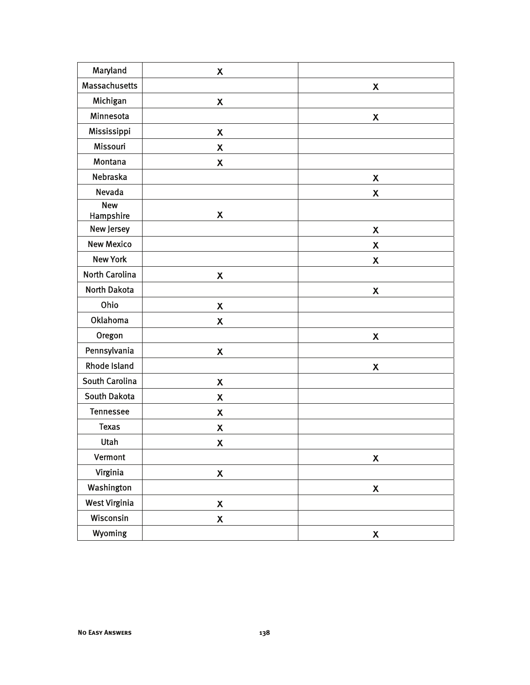| Maryland                       | $\boldsymbol{\mathsf{X}}$ |                           |
|--------------------------------|---------------------------|---------------------------|
| <b>Massachusetts</b>           |                           | $\boldsymbol{\mathsf{X}}$ |
| Michigan                       | $\boldsymbol{\mathsf{X}}$ |                           |
| Minnesota                      |                           | X                         |
| Mississippi                    | $\pmb{\mathsf{X}}$        |                           |
| Missouri                       | $\boldsymbol{\mathsf{X}}$ |                           |
| Montana                        | $\boldsymbol{\mathsf{X}}$ |                           |
| Nebraska                       |                           | $\boldsymbol{\mathsf{X}}$ |
| Nevada                         |                           | $\boldsymbol{\mathsf{x}}$ |
| <b>New</b><br><b>Hampshire</b> | $\boldsymbol{\mathsf{X}}$ |                           |
| New Jersey                     |                           | $\boldsymbol{\mathsf{X}}$ |
| <b>New Mexico</b>              |                           | X                         |
| <b>New York</b>                |                           | X                         |
| North Carolina                 | $\boldsymbol{\mathsf{X}}$ |                           |
| <b>North Dakota</b>            |                           | $\pmb{\mathsf{X}}$        |
| Ohio                           | $\boldsymbol{\mathsf{X}}$ |                           |
| Oklahoma                       | $\boldsymbol{\mathsf{X}}$ |                           |
| Oregon                         |                           | X                         |
| Pennsylvania                   | $\pmb{\mathsf{X}}$        |                           |
| <b>Rhode Island</b>            |                           | $\boldsymbol{\mathsf{x}}$ |
| South Carolina                 | $\pmb{\mathsf{X}}$        |                           |
| <b>South Dakota</b>            | $\pmb{\mathsf{X}}$        |                           |
| <b>Tennessee</b>               | $\pmb{\mathsf{X}}$        |                           |
| <b>Texas</b>                   | $\boldsymbol{\mathsf{X}}$ |                           |
| Utah                           | $\pmb{\mathsf{X}}$        |                           |
| Vermont                        |                           | $\boldsymbol{\mathsf{X}}$ |
| Virginia                       | $\pmb{\mathsf{X}}$        |                           |
| Washington                     |                           | $\pmb{\mathsf{X}}$        |
| <b>West Virginia</b>           | $\pmb{\mathsf{X}}$        |                           |
| Wisconsin                      | $\pmb{\mathsf{X}}$        |                           |
| Wyoming                        |                           | X                         |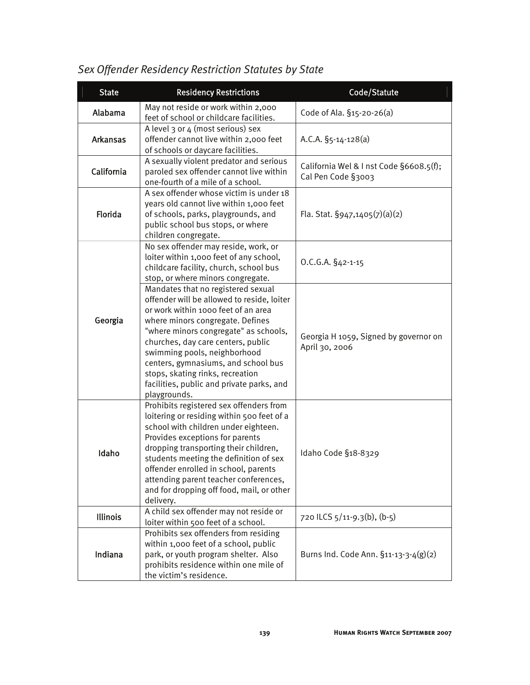| <b>State</b>    | <b>Residency Restrictions</b>                                                                                                                                                                                                                                                                                                                                                                                      | Code/Statute                                                  |
|-----------------|--------------------------------------------------------------------------------------------------------------------------------------------------------------------------------------------------------------------------------------------------------------------------------------------------------------------------------------------------------------------------------------------------------------------|---------------------------------------------------------------|
| Alabama         | May not reside or work within 2,000<br>feet of school or childcare facilities.                                                                                                                                                                                                                                                                                                                                     | Code of Ala. §15-20-26(a)                                     |
| <b>Arkansas</b> | A level 3 or 4 (most serious) sex<br>offender cannot live within 2,000 feet<br>of schools or daycare facilities.                                                                                                                                                                                                                                                                                                   | A.C.A. $\S_5$ -14-128(a)                                      |
| California      | A sexually violent predator and serious<br>paroled sex offender cannot live within<br>one-fourth of a mile of a school.                                                                                                                                                                                                                                                                                            | California Wel & I nst Code §6608.5(f);<br>Cal Pen Code §3003 |
| Florida         | A sex offender whose victim is under 18<br>years old cannot live within 1,000 feet<br>of schools, parks, playgrounds, and<br>public school bus stops, or where<br>children congregate.                                                                                                                                                                                                                             | Fla. Stat. $\S$ 947,1405(7)(a)(2)                             |
|                 | No sex offender may reside, work, or<br>loiter within 1,000 feet of any school,<br>childcare facility, church, school bus<br>stop, or where minors congregate.                                                                                                                                                                                                                                                     | O.C.G.A. §42-1-15                                             |
| Georgia         | Mandates that no registered sexual<br>offender will be allowed to reside, loiter<br>or work within 1000 feet of an area<br>where minors congregate. Defines<br>"where minors congregate" as schools,<br>churches, day care centers, public<br>swimming pools, neighborhood<br>centers, gymnasiums, and school bus<br>stops, skating rinks, recreation<br>facilities, public and private parks, and<br>playgrounds. | Georgia H 1059, Signed by governor on<br>April 30, 2006       |
| Idaho           | Prohibits registered sex offenders from<br>loitering or residing within 500 feet of a<br>school with children under eighteen.<br>Provides exceptions for parents<br>dropping transporting their children,<br>students meeting the definition of sex<br>offender enrolled in school, parents<br>attending parent teacher conferences,<br>and for dropping off food, mail, or other<br>delivery.                     | Idaho Code §18-8329                                           |
| <b>Illinois</b> | A child sex offender may not reside or<br>loiter within 500 feet of a school.                                                                                                                                                                                                                                                                                                                                      | 720 ILCS 5/11-9.3(b), (b-5)                                   |
| Indiana         | Prohibits sex offenders from residing<br>within 1,000 feet of a school, public<br>park, or youth program shelter. Also<br>prohibits residence within one mile of<br>the victim's residence.                                                                                                                                                                                                                        | Burns Ind. Code Ann. §11-13-3-4(g)(2)                         |

## *Sex Offender Residency Restriction Statutes by State*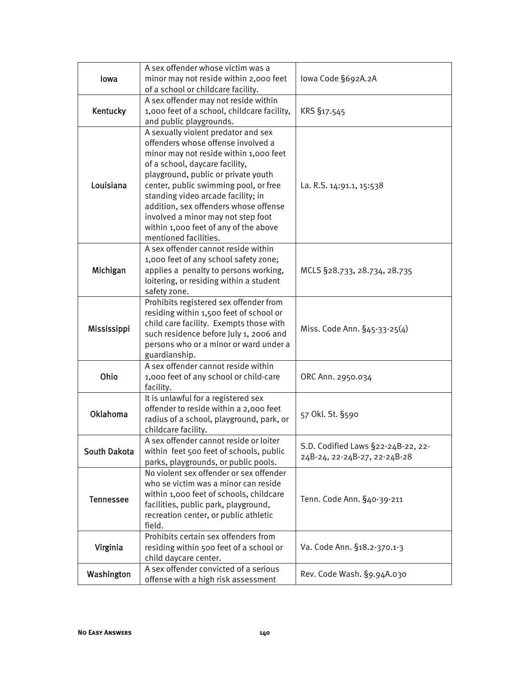| lowa             | A sex offender whose victim was a<br>minor may not reside within 2,000 feet<br>of a school or childcare facility.                                                                                                                                                                                                                                                                                                            | lowa Code §692A.2A                                                 |
|------------------|------------------------------------------------------------------------------------------------------------------------------------------------------------------------------------------------------------------------------------------------------------------------------------------------------------------------------------------------------------------------------------------------------------------------------|--------------------------------------------------------------------|
| Kentucky         | A sex offender may not reside within<br>1,000 feet of a school, childcare facility,<br>and public playgrounds.                                                                                                                                                                                                                                                                                                               | KRS §17.545                                                        |
| Louisiana        | A sexually violent predator and sex<br>offenders whose offense involved a<br>minor may not reside within 1,000 feet<br>of a school, daycare facility,<br>playground, public or private youth<br>center, public swimming pool, or free<br>standing video arcade facility; in<br>addition, sex offenders whose offense<br>involved a minor may not step foot<br>within 1,000 feet of any of the above<br>mentioned facilities. | La. R.S. 14:91.1, 15:538                                           |
| Michigan         | A sex offender cannot reside within<br>1,000 feet of any school safety zone;<br>applies a penalty to persons working,<br>loitering, or residing within a student<br>safety zone.                                                                                                                                                                                                                                             | MCLS §28.733, 28.734, 28.735                                       |
| Mississippi      | Prohibits registered sex offender from<br>residing within 1,500 feet of school or<br>child care facility. Exempts those with<br>such residence before July 1, 2006 and<br>persons who or a minor or ward under a<br>guardianship.                                                                                                                                                                                            | Miss. Code Ann. §45-33-25(4)                                       |
| Ohio             | A sex offender cannot reside within<br>1,000 feet of any school or child-care<br>facility.                                                                                                                                                                                                                                                                                                                                   | ORC Ann. 2950.034                                                  |
| <b>Oklahoma</b>  | It is unlawful for a registered sex<br>offender to reside within a 2,000 feet<br>radius of a school, playground, park, or<br>childcare facility.                                                                                                                                                                                                                                                                             | 57 Okl. St. §590                                                   |
| South Dakota     | A sex offender cannot reside or loiter<br>within feet 500 feet of schools, public<br>parks, playgrounds, or public pools.                                                                                                                                                                                                                                                                                                    | S.D. Codified Laws §22-24B-22, 22-<br>24B-24, 22-24B-27, 22-24B-28 |
| <b>Tennessee</b> | No violent sex offender or sex offender<br>who se victim was a minor can reside<br>within 1,000 feet of schools, childcare<br>facilities, public park, playground,<br>recreation center, or public athletic<br>field.                                                                                                                                                                                                        | Tenn. Code Ann. §40-39-211                                         |
| Virginia         | Prohibits certain sex offenders from<br>residing within 500 feet of a school or<br>child daycare center.                                                                                                                                                                                                                                                                                                                     | Va. Code Ann. §18.2-370.1-3                                        |
| Washington       | A sex offender convicted of a serious<br>offense with a high risk assessment                                                                                                                                                                                                                                                                                                                                                 | Rev. Code Wash. §9.94A.030                                         |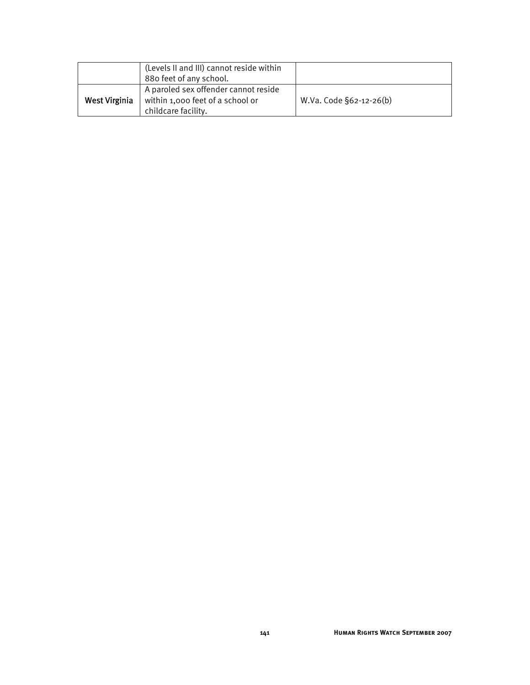|               | (Levels II and III) cannot reside within                                                        |                         |
|---------------|-------------------------------------------------------------------------------------------------|-------------------------|
|               | 880 feet of any school.                                                                         |                         |
| West Virginia | A paroled sex offender cannot reside<br>within 1,000 feet of a school or<br>childcare facility. | W.Va. Code §62-12-26(b) |